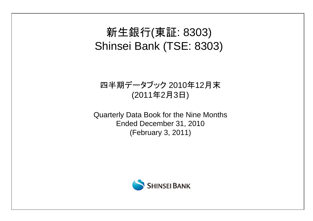# 新生銀行(東証: 8303) Shinsei Bank (TSE: 8303)

## 四半期データブック 2010年12月末 (2011年2月3日)

Quarterly Data Book for the Nine Months Ended December 31, 2010 (February 3, 2011)

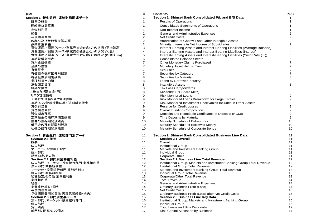| Section 1. Shinsei Bank Consolidated P/L and B/S Data<br>1<br>財務の概要<br><b>Results of Operations</b><br>連結損益計算書<br><b>Consolidated Statements of Operations</b><br>$\mathbf{1}$<br>非金利利益<br>Non-Interest Income<br>$\mathbf{1}$<br>経費<br>$\frac{2}{2}$<br>2<br>General and Administrative Expenses<br>2<br>与信関連費用<br><b>Net Credit Costs</b><br>$\sqrt{2}$<br>$\overline{c}$<br>のれん及び無形資産償却額<br>Amortization of Goodwill and Other Intangible Assets<br>$\mathbf 2$<br>$\overline{2}$<br>Minority Interests in Net Income of Subsidiaries<br>少数株主利益<br>$\mathbf{3}$<br>資金運用/調達(リース・割賦売掛金を含む)の状況 (平均残高)<br>3<br>Interest-Earning Assets and Interest-Bearing Liabilities (Average Balance)<br>資金運用/調達(リース・割賦売掛金を含む)の状況 (利息)<br>4<br>4<br>Interest-Earning Assets and Interest-Bearing Liabilities (Interest)<br>資金運用/調達(リース・割賦売掛金を含む)の状況 (利回り(%))<br>$\mathbf 5$<br>5<br>Interest-Earning Assets and Interest-Bearing Liabilities (Yield/Rate (%))<br>$\,6$<br>6<br><b>Consolidated Balance Sheets</b><br>連結貸借対照表<br>$\overline{7}$<br>買入金銭債権<br>$\overline{7}$<br>Other Monetary Claims Purchased<br>$\overline{7}$<br>金銭の信託<br>7<br>Monetary Asset Held in Trust<br>$\overline{7}$<br>有価証券<br>Securities<br>7<br>$\overline{7}$<br>有価証券保有区分別残高<br>$\overline{7}$<br>Securities by Category<br>$\bf 8$<br>8<br>有価証券満期別残高<br>Securities by Maturity<br>$\bf 8$<br>8<br>業種別貸出内訳<br>Loans by Borrower Industry<br>8<br>無形固定資産<br>8<br>Intangible Assets<br>$\bf8$<br>繰越欠損金<br>8<br>Tax Loss Carryforwards<br>1株当たり配当金(円)<br>8<br>8<br>Dividends Per Share (JPY)<br>$\boldsymbol{9}$<br>9<br><b>Risk Monitored Loans</b><br>リスク管理債権<br>$\boldsymbol{9}$<br>子会社別連結リスク管理債権<br>9<br>Risk Monitored Loans Breakdown for Large Entities<br>9<br>連結リスク管理債権に準ずる割賦売掛金<br>9<br>Risk Monitored Installment Receivables Included in Other Assets<br>$\boldsymbol{9}$<br>貸倒引当金<br>9<br><b>Reserve for Credit Losses</b><br>$\boldsymbol{9}$<br>資金調達内訳<br>9<br><b>Overall Funding Composition</b><br>$\boldsymbol{9}$<br>預金期末残高<br>9<br>Deposits and Negotiable Certificates of Deposits (NCDs)<br>9<br>定期預金の残存期間別残高<br>9<br>Time Deposits by Maturity<br>10<br>債券の残存期間別残高<br>10<br>Maturity Schedule of Debentures<br>借用金の残存期間別残高<br>10<br>10<br>Maturity Schedule of Borrowed Money<br>10<br>社債の残存期間別残高<br>10<br>Maturity Schedule of Corporate Bonds<br>Section 2. Shinsei Bank Consolidated Business Line Data<br>11<br>11<br>11<br><b>Section 2.1 Overall</b><br>11<br>Section 2.1 概要<br>概要<br>Overall<br>11<br>11<br>法人部門<br>11<br>Institutional Group<br>11<br>マーケット・投資銀行部門<br>Markets and Investment Banking Group<br>11<br>11<br>個人部門<br>11<br>11<br>Individual Group<br>経営勘定/その他<br>11<br>Corporate/Other<br>11<br>12<br><b>Section 2.2 Business Line Total Revenue</b><br>12<br>Section 2.2 部門別業務粗利益<br>Institutional Group, Markets and Investment Banking Group Total Revenue<br>12<br>12<br>法人部門、マーケット・投資銀行部門 業務粗利益<br>法人部門 業務粗利益<br>12<br>Institutional Group Total Revenue<br>12<br>13<br>13<br>Markets and Investment Banking Group Total Revenue<br>マーケット・投資銀行部門 業務粗利益<br>個人部門 業務粗利益<br>Individual Group Total Revenue<br>13<br>13<br>13<br>経営勘定/その他 業務粗利益<br>13<br>Corporate/Other Total Revenue<br>業務粗利益<br><b>Total Revenue</b><br>14<br>14<br>14<br>経費<br>14<br><b>General and Administrative Expenses</b><br>実質業務純益(損失)<br>14<br><b>Ordinary Business Profit (Loss)</b><br>14<br>与信関連費用<br>15<br>15<br><b>Net Credit Costs</b><br>与信関連費用加算後 実質業務純益(損失)<br>15<br>15<br>Ordinary Business Profit (Loss) after Net Credit Costs<br>Section 2.3 部門別主要データ<br>16<br>16<br>Section 2.3 Business Line Key Data<br>法人部門、マーケット・投資銀行部門<br>16<br>16<br>Institutional Group, Markets and Investment Banking Group<br>個人部門<br><b>Individual Group</b><br>16<br>16<br>貸出残高<br>Total Loans and Bills Discounted<br>17<br>17<br>部門別、配賦リスク資本<br>17<br><b>Risk Capital Allocation by Business</b><br>17 | 目次                        | 頁 | <b>Contents</b> | Page |
|-------------------------------------------------------------------------------------------------------------------------------------------------------------------------------------------------------------------------------------------------------------------------------------------------------------------------------------------------------------------------------------------------------------------------------------------------------------------------------------------------------------------------------------------------------------------------------------------------------------------------------------------------------------------------------------------------------------------------------------------------------------------------------------------------------------------------------------------------------------------------------------------------------------------------------------------------------------------------------------------------------------------------------------------------------------------------------------------------------------------------------------------------------------------------------------------------------------------------------------------------------------------------------------------------------------------------------------------------------------------------------------------------------------------------------------------------------------------------------------------------------------------------------------------------------------------------------------------------------------------------------------------------------------------------------------------------------------------------------------------------------------------------------------------------------------------------------------------------------------------------------------------------------------------------------------------------------------------------------------------------------------------------------------------------------------------------------------------------------------------------------------------------------------------------------------------------------------------------------------------------------------------------------------------------------------------------------------------------------------------------------------------------------------------------------------------------------------------------------------------------------------------------------------------------------------------------------------------------------------------------------------------------------------------------------------------------------------------------------------------------------------------------------------------------------------------------------------------------------------------------------------------------------------------------------------------------------------------------------------------------------------------------------------------------------------------------------------------------------------------------------------------------------------------------------------------------------------------------------------------------------------------------------------------------------------------------------------------------------------------------------------------------------------------------------------------------------------------------------------------------------------------------------------------------------------------------------------------------------------------------------------------------------------------------------------------------------------------------------------------------------------------------------------------------------------------------------------------------------------------------------------------|---------------------------|---|-----------------|------|
|                                                                                                                                                                                                                                                                                                                                                                                                                                                                                                                                                                                                                                                                                                                                                                                                                                                                                                                                                                                                                                                                                                                                                                                                                                                                                                                                                                                                                                                                                                                                                                                                                                                                                                                                                                                                                                                                                                                                                                                                                                                                                                                                                                                                                                                                                                                                                                                                                                                                                                                                                                                                                                                                                                                                                                                                                                                                                                                                                                                                                                                                                                                                                                                                                                                                                                                                                                                                                                                                                                                                                                                                                                                                                                                                                                                                                                                                                           | Section 1. 新生銀行 連結財務関連データ |   |                 |      |
|                                                                                                                                                                                                                                                                                                                                                                                                                                                                                                                                                                                                                                                                                                                                                                                                                                                                                                                                                                                                                                                                                                                                                                                                                                                                                                                                                                                                                                                                                                                                                                                                                                                                                                                                                                                                                                                                                                                                                                                                                                                                                                                                                                                                                                                                                                                                                                                                                                                                                                                                                                                                                                                                                                                                                                                                                                                                                                                                                                                                                                                                                                                                                                                                                                                                                                                                                                                                                                                                                                                                                                                                                                                                                                                                                                                                                                                                                           |                           |   |                 |      |
|                                                                                                                                                                                                                                                                                                                                                                                                                                                                                                                                                                                                                                                                                                                                                                                                                                                                                                                                                                                                                                                                                                                                                                                                                                                                                                                                                                                                                                                                                                                                                                                                                                                                                                                                                                                                                                                                                                                                                                                                                                                                                                                                                                                                                                                                                                                                                                                                                                                                                                                                                                                                                                                                                                                                                                                                                                                                                                                                                                                                                                                                                                                                                                                                                                                                                                                                                                                                                                                                                                                                                                                                                                                                                                                                                                                                                                                                                           |                           |   |                 |      |
|                                                                                                                                                                                                                                                                                                                                                                                                                                                                                                                                                                                                                                                                                                                                                                                                                                                                                                                                                                                                                                                                                                                                                                                                                                                                                                                                                                                                                                                                                                                                                                                                                                                                                                                                                                                                                                                                                                                                                                                                                                                                                                                                                                                                                                                                                                                                                                                                                                                                                                                                                                                                                                                                                                                                                                                                                                                                                                                                                                                                                                                                                                                                                                                                                                                                                                                                                                                                                                                                                                                                                                                                                                                                                                                                                                                                                                                                                           |                           |   |                 |      |
|                                                                                                                                                                                                                                                                                                                                                                                                                                                                                                                                                                                                                                                                                                                                                                                                                                                                                                                                                                                                                                                                                                                                                                                                                                                                                                                                                                                                                                                                                                                                                                                                                                                                                                                                                                                                                                                                                                                                                                                                                                                                                                                                                                                                                                                                                                                                                                                                                                                                                                                                                                                                                                                                                                                                                                                                                                                                                                                                                                                                                                                                                                                                                                                                                                                                                                                                                                                                                                                                                                                                                                                                                                                                                                                                                                                                                                                                                           |                           |   |                 |      |
|                                                                                                                                                                                                                                                                                                                                                                                                                                                                                                                                                                                                                                                                                                                                                                                                                                                                                                                                                                                                                                                                                                                                                                                                                                                                                                                                                                                                                                                                                                                                                                                                                                                                                                                                                                                                                                                                                                                                                                                                                                                                                                                                                                                                                                                                                                                                                                                                                                                                                                                                                                                                                                                                                                                                                                                                                                                                                                                                                                                                                                                                                                                                                                                                                                                                                                                                                                                                                                                                                                                                                                                                                                                                                                                                                                                                                                                                                           |                           |   |                 |      |
|                                                                                                                                                                                                                                                                                                                                                                                                                                                                                                                                                                                                                                                                                                                                                                                                                                                                                                                                                                                                                                                                                                                                                                                                                                                                                                                                                                                                                                                                                                                                                                                                                                                                                                                                                                                                                                                                                                                                                                                                                                                                                                                                                                                                                                                                                                                                                                                                                                                                                                                                                                                                                                                                                                                                                                                                                                                                                                                                                                                                                                                                                                                                                                                                                                                                                                                                                                                                                                                                                                                                                                                                                                                                                                                                                                                                                                                                                           |                           |   |                 |      |
|                                                                                                                                                                                                                                                                                                                                                                                                                                                                                                                                                                                                                                                                                                                                                                                                                                                                                                                                                                                                                                                                                                                                                                                                                                                                                                                                                                                                                                                                                                                                                                                                                                                                                                                                                                                                                                                                                                                                                                                                                                                                                                                                                                                                                                                                                                                                                                                                                                                                                                                                                                                                                                                                                                                                                                                                                                                                                                                                                                                                                                                                                                                                                                                                                                                                                                                                                                                                                                                                                                                                                                                                                                                                                                                                                                                                                                                                                           |                           |   |                 |      |
|                                                                                                                                                                                                                                                                                                                                                                                                                                                                                                                                                                                                                                                                                                                                                                                                                                                                                                                                                                                                                                                                                                                                                                                                                                                                                                                                                                                                                                                                                                                                                                                                                                                                                                                                                                                                                                                                                                                                                                                                                                                                                                                                                                                                                                                                                                                                                                                                                                                                                                                                                                                                                                                                                                                                                                                                                                                                                                                                                                                                                                                                                                                                                                                                                                                                                                                                                                                                                                                                                                                                                                                                                                                                                                                                                                                                                                                                                           |                           |   |                 |      |
|                                                                                                                                                                                                                                                                                                                                                                                                                                                                                                                                                                                                                                                                                                                                                                                                                                                                                                                                                                                                                                                                                                                                                                                                                                                                                                                                                                                                                                                                                                                                                                                                                                                                                                                                                                                                                                                                                                                                                                                                                                                                                                                                                                                                                                                                                                                                                                                                                                                                                                                                                                                                                                                                                                                                                                                                                                                                                                                                                                                                                                                                                                                                                                                                                                                                                                                                                                                                                                                                                                                                                                                                                                                                                                                                                                                                                                                                                           |                           |   |                 |      |
|                                                                                                                                                                                                                                                                                                                                                                                                                                                                                                                                                                                                                                                                                                                                                                                                                                                                                                                                                                                                                                                                                                                                                                                                                                                                                                                                                                                                                                                                                                                                                                                                                                                                                                                                                                                                                                                                                                                                                                                                                                                                                                                                                                                                                                                                                                                                                                                                                                                                                                                                                                                                                                                                                                                                                                                                                                                                                                                                                                                                                                                                                                                                                                                                                                                                                                                                                                                                                                                                                                                                                                                                                                                                                                                                                                                                                                                                                           |                           |   |                 |      |
|                                                                                                                                                                                                                                                                                                                                                                                                                                                                                                                                                                                                                                                                                                                                                                                                                                                                                                                                                                                                                                                                                                                                                                                                                                                                                                                                                                                                                                                                                                                                                                                                                                                                                                                                                                                                                                                                                                                                                                                                                                                                                                                                                                                                                                                                                                                                                                                                                                                                                                                                                                                                                                                                                                                                                                                                                                                                                                                                                                                                                                                                                                                                                                                                                                                                                                                                                                                                                                                                                                                                                                                                                                                                                                                                                                                                                                                                                           |                           |   |                 |      |
|                                                                                                                                                                                                                                                                                                                                                                                                                                                                                                                                                                                                                                                                                                                                                                                                                                                                                                                                                                                                                                                                                                                                                                                                                                                                                                                                                                                                                                                                                                                                                                                                                                                                                                                                                                                                                                                                                                                                                                                                                                                                                                                                                                                                                                                                                                                                                                                                                                                                                                                                                                                                                                                                                                                                                                                                                                                                                                                                                                                                                                                                                                                                                                                                                                                                                                                                                                                                                                                                                                                                                                                                                                                                                                                                                                                                                                                                                           |                           |   |                 |      |
|                                                                                                                                                                                                                                                                                                                                                                                                                                                                                                                                                                                                                                                                                                                                                                                                                                                                                                                                                                                                                                                                                                                                                                                                                                                                                                                                                                                                                                                                                                                                                                                                                                                                                                                                                                                                                                                                                                                                                                                                                                                                                                                                                                                                                                                                                                                                                                                                                                                                                                                                                                                                                                                                                                                                                                                                                                                                                                                                                                                                                                                                                                                                                                                                                                                                                                                                                                                                                                                                                                                                                                                                                                                                                                                                                                                                                                                                                           |                           |   |                 |      |
|                                                                                                                                                                                                                                                                                                                                                                                                                                                                                                                                                                                                                                                                                                                                                                                                                                                                                                                                                                                                                                                                                                                                                                                                                                                                                                                                                                                                                                                                                                                                                                                                                                                                                                                                                                                                                                                                                                                                                                                                                                                                                                                                                                                                                                                                                                                                                                                                                                                                                                                                                                                                                                                                                                                                                                                                                                                                                                                                                                                                                                                                                                                                                                                                                                                                                                                                                                                                                                                                                                                                                                                                                                                                                                                                                                                                                                                                                           |                           |   |                 |      |
|                                                                                                                                                                                                                                                                                                                                                                                                                                                                                                                                                                                                                                                                                                                                                                                                                                                                                                                                                                                                                                                                                                                                                                                                                                                                                                                                                                                                                                                                                                                                                                                                                                                                                                                                                                                                                                                                                                                                                                                                                                                                                                                                                                                                                                                                                                                                                                                                                                                                                                                                                                                                                                                                                                                                                                                                                                                                                                                                                                                                                                                                                                                                                                                                                                                                                                                                                                                                                                                                                                                                                                                                                                                                                                                                                                                                                                                                                           |                           |   |                 |      |
|                                                                                                                                                                                                                                                                                                                                                                                                                                                                                                                                                                                                                                                                                                                                                                                                                                                                                                                                                                                                                                                                                                                                                                                                                                                                                                                                                                                                                                                                                                                                                                                                                                                                                                                                                                                                                                                                                                                                                                                                                                                                                                                                                                                                                                                                                                                                                                                                                                                                                                                                                                                                                                                                                                                                                                                                                                                                                                                                                                                                                                                                                                                                                                                                                                                                                                                                                                                                                                                                                                                                                                                                                                                                                                                                                                                                                                                                                           |                           |   |                 |      |
|                                                                                                                                                                                                                                                                                                                                                                                                                                                                                                                                                                                                                                                                                                                                                                                                                                                                                                                                                                                                                                                                                                                                                                                                                                                                                                                                                                                                                                                                                                                                                                                                                                                                                                                                                                                                                                                                                                                                                                                                                                                                                                                                                                                                                                                                                                                                                                                                                                                                                                                                                                                                                                                                                                                                                                                                                                                                                                                                                                                                                                                                                                                                                                                                                                                                                                                                                                                                                                                                                                                                                                                                                                                                                                                                                                                                                                                                                           |                           |   |                 |      |
|                                                                                                                                                                                                                                                                                                                                                                                                                                                                                                                                                                                                                                                                                                                                                                                                                                                                                                                                                                                                                                                                                                                                                                                                                                                                                                                                                                                                                                                                                                                                                                                                                                                                                                                                                                                                                                                                                                                                                                                                                                                                                                                                                                                                                                                                                                                                                                                                                                                                                                                                                                                                                                                                                                                                                                                                                                                                                                                                                                                                                                                                                                                                                                                                                                                                                                                                                                                                                                                                                                                                                                                                                                                                                                                                                                                                                                                                                           |                           |   |                 |      |
|                                                                                                                                                                                                                                                                                                                                                                                                                                                                                                                                                                                                                                                                                                                                                                                                                                                                                                                                                                                                                                                                                                                                                                                                                                                                                                                                                                                                                                                                                                                                                                                                                                                                                                                                                                                                                                                                                                                                                                                                                                                                                                                                                                                                                                                                                                                                                                                                                                                                                                                                                                                                                                                                                                                                                                                                                                                                                                                                                                                                                                                                                                                                                                                                                                                                                                                                                                                                                                                                                                                                                                                                                                                                                                                                                                                                                                                                                           |                           |   |                 |      |
|                                                                                                                                                                                                                                                                                                                                                                                                                                                                                                                                                                                                                                                                                                                                                                                                                                                                                                                                                                                                                                                                                                                                                                                                                                                                                                                                                                                                                                                                                                                                                                                                                                                                                                                                                                                                                                                                                                                                                                                                                                                                                                                                                                                                                                                                                                                                                                                                                                                                                                                                                                                                                                                                                                                                                                                                                                                                                                                                                                                                                                                                                                                                                                                                                                                                                                                                                                                                                                                                                                                                                                                                                                                                                                                                                                                                                                                                                           |                           |   |                 |      |
|                                                                                                                                                                                                                                                                                                                                                                                                                                                                                                                                                                                                                                                                                                                                                                                                                                                                                                                                                                                                                                                                                                                                                                                                                                                                                                                                                                                                                                                                                                                                                                                                                                                                                                                                                                                                                                                                                                                                                                                                                                                                                                                                                                                                                                                                                                                                                                                                                                                                                                                                                                                                                                                                                                                                                                                                                                                                                                                                                                                                                                                                                                                                                                                                                                                                                                                                                                                                                                                                                                                                                                                                                                                                                                                                                                                                                                                                                           |                           |   |                 |      |
|                                                                                                                                                                                                                                                                                                                                                                                                                                                                                                                                                                                                                                                                                                                                                                                                                                                                                                                                                                                                                                                                                                                                                                                                                                                                                                                                                                                                                                                                                                                                                                                                                                                                                                                                                                                                                                                                                                                                                                                                                                                                                                                                                                                                                                                                                                                                                                                                                                                                                                                                                                                                                                                                                                                                                                                                                                                                                                                                                                                                                                                                                                                                                                                                                                                                                                                                                                                                                                                                                                                                                                                                                                                                                                                                                                                                                                                                                           |                           |   |                 |      |
|                                                                                                                                                                                                                                                                                                                                                                                                                                                                                                                                                                                                                                                                                                                                                                                                                                                                                                                                                                                                                                                                                                                                                                                                                                                                                                                                                                                                                                                                                                                                                                                                                                                                                                                                                                                                                                                                                                                                                                                                                                                                                                                                                                                                                                                                                                                                                                                                                                                                                                                                                                                                                                                                                                                                                                                                                                                                                                                                                                                                                                                                                                                                                                                                                                                                                                                                                                                                                                                                                                                                                                                                                                                                                                                                                                                                                                                                                           |                           |   |                 |      |
|                                                                                                                                                                                                                                                                                                                                                                                                                                                                                                                                                                                                                                                                                                                                                                                                                                                                                                                                                                                                                                                                                                                                                                                                                                                                                                                                                                                                                                                                                                                                                                                                                                                                                                                                                                                                                                                                                                                                                                                                                                                                                                                                                                                                                                                                                                                                                                                                                                                                                                                                                                                                                                                                                                                                                                                                                                                                                                                                                                                                                                                                                                                                                                                                                                                                                                                                                                                                                                                                                                                                                                                                                                                                                                                                                                                                                                                                                           |                           |   |                 |      |
|                                                                                                                                                                                                                                                                                                                                                                                                                                                                                                                                                                                                                                                                                                                                                                                                                                                                                                                                                                                                                                                                                                                                                                                                                                                                                                                                                                                                                                                                                                                                                                                                                                                                                                                                                                                                                                                                                                                                                                                                                                                                                                                                                                                                                                                                                                                                                                                                                                                                                                                                                                                                                                                                                                                                                                                                                                                                                                                                                                                                                                                                                                                                                                                                                                                                                                                                                                                                                                                                                                                                                                                                                                                                                                                                                                                                                                                                                           |                           |   |                 |      |
|                                                                                                                                                                                                                                                                                                                                                                                                                                                                                                                                                                                                                                                                                                                                                                                                                                                                                                                                                                                                                                                                                                                                                                                                                                                                                                                                                                                                                                                                                                                                                                                                                                                                                                                                                                                                                                                                                                                                                                                                                                                                                                                                                                                                                                                                                                                                                                                                                                                                                                                                                                                                                                                                                                                                                                                                                                                                                                                                                                                                                                                                                                                                                                                                                                                                                                                                                                                                                                                                                                                                                                                                                                                                                                                                                                                                                                                                                           |                           |   |                 |      |
|                                                                                                                                                                                                                                                                                                                                                                                                                                                                                                                                                                                                                                                                                                                                                                                                                                                                                                                                                                                                                                                                                                                                                                                                                                                                                                                                                                                                                                                                                                                                                                                                                                                                                                                                                                                                                                                                                                                                                                                                                                                                                                                                                                                                                                                                                                                                                                                                                                                                                                                                                                                                                                                                                                                                                                                                                                                                                                                                                                                                                                                                                                                                                                                                                                                                                                                                                                                                                                                                                                                                                                                                                                                                                                                                                                                                                                                                                           |                           |   |                 |      |
|                                                                                                                                                                                                                                                                                                                                                                                                                                                                                                                                                                                                                                                                                                                                                                                                                                                                                                                                                                                                                                                                                                                                                                                                                                                                                                                                                                                                                                                                                                                                                                                                                                                                                                                                                                                                                                                                                                                                                                                                                                                                                                                                                                                                                                                                                                                                                                                                                                                                                                                                                                                                                                                                                                                                                                                                                                                                                                                                                                                                                                                                                                                                                                                                                                                                                                                                                                                                                                                                                                                                                                                                                                                                                                                                                                                                                                                                                           |                           |   |                 |      |
|                                                                                                                                                                                                                                                                                                                                                                                                                                                                                                                                                                                                                                                                                                                                                                                                                                                                                                                                                                                                                                                                                                                                                                                                                                                                                                                                                                                                                                                                                                                                                                                                                                                                                                                                                                                                                                                                                                                                                                                                                                                                                                                                                                                                                                                                                                                                                                                                                                                                                                                                                                                                                                                                                                                                                                                                                                                                                                                                                                                                                                                                                                                                                                                                                                                                                                                                                                                                                                                                                                                                                                                                                                                                                                                                                                                                                                                                                           |                           |   |                 |      |
|                                                                                                                                                                                                                                                                                                                                                                                                                                                                                                                                                                                                                                                                                                                                                                                                                                                                                                                                                                                                                                                                                                                                                                                                                                                                                                                                                                                                                                                                                                                                                                                                                                                                                                                                                                                                                                                                                                                                                                                                                                                                                                                                                                                                                                                                                                                                                                                                                                                                                                                                                                                                                                                                                                                                                                                                                                                                                                                                                                                                                                                                                                                                                                                                                                                                                                                                                                                                                                                                                                                                                                                                                                                                                                                                                                                                                                                                                           |                           |   |                 |      |
|                                                                                                                                                                                                                                                                                                                                                                                                                                                                                                                                                                                                                                                                                                                                                                                                                                                                                                                                                                                                                                                                                                                                                                                                                                                                                                                                                                                                                                                                                                                                                                                                                                                                                                                                                                                                                                                                                                                                                                                                                                                                                                                                                                                                                                                                                                                                                                                                                                                                                                                                                                                                                                                                                                                                                                                                                                                                                                                                                                                                                                                                                                                                                                                                                                                                                                                                                                                                                                                                                                                                                                                                                                                                                                                                                                                                                                                                                           | Section 2. 新生銀行 連結部門別データ  |   |                 |      |
|                                                                                                                                                                                                                                                                                                                                                                                                                                                                                                                                                                                                                                                                                                                                                                                                                                                                                                                                                                                                                                                                                                                                                                                                                                                                                                                                                                                                                                                                                                                                                                                                                                                                                                                                                                                                                                                                                                                                                                                                                                                                                                                                                                                                                                                                                                                                                                                                                                                                                                                                                                                                                                                                                                                                                                                                                                                                                                                                                                                                                                                                                                                                                                                                                                                                                                                                                                                                                                                                                                                                                                                                                                                                                                                                                                                                                                                                                           |                           |   |                 |      |
|                                                                                                                                                                                                                                                                                                                                                                                                                                                                                                                                                                                                                                                                                                                                                                                                                                                                                                                                                                                                                                                                                                                                                                                                                                                                                                                                                                                                                                                                                                                                                                                                                                                                                                                                                                                                                                                                                                                                                                                                                                                                                                                                                                                                                                                                                                                                                                                                                                                                                                                                                                                                                                                                                                                                                                                                                                                                                                                                                                                                                                                                                                                                                                                                                                                                                                                                                                                                                                                                                                                                                                                                                                                                                                                                                                                                                                                                                           |                           |   |                 |      |
|                                                                                                                                                                                                                                                                                                                                                                                                                                                                                                                                                                                                                                                                                                                                                                                                                                                                                                                                                                                                                                                                                                                                                                                                                                                                                                                                                                                                                                                                                                                                                                                                                                                                                                                                                                                                                                                                                                                                                                                                                                                                                                                                                                                                                                                                                                                                                                                                                                                                                                                                                                                                                                                                                                                                                                                                                                                                                                                                                                                                                                                                                                                                                                                                                                                                                                                                                                                                                                                                                                                                                                                                                                                                                                                                                                                                                                                                                           |                           |   |                 |      |
|                                                                                                                                                                                                                                                                                                                                                                                                                                                                                                                                                                                                                                                                                                                                                                                                                                                                                                                                                                                                                                                                                                                                                                                                                                                                                                                                                                                                                                                                                                                                                                                                                                                                                                                                                                                                                                                                                                                                                                                                                                                                                                                                                                                                                                                                                                                                                                                                                                                                                                                                                                                                                                                                                                                                                                                                                                                                                                                                                                                                                                                                                                                                                                                                                                                                                                                                                                                                                                                                                                                                                                                                                                                                                                                                                                                                                                                                                           |                           |   |                 |      |
|                                                                                                                                                                                                                                                                                                                                                                                                                                                                                                                                                                                                                                                                                                                                                                                                                                                                                                                                                                                                                                                                                                                                                                                                                                                                                                                                                                                                                                                                                                                                                                                                                                                                                                                                                                                                                                                                                                                                                                                                                                                                                                                                                                                                                                                                                                                                                                                                                                                                                                                                                                                                                                                                                                                                                                                                                                                                                                                                                                                                                                                                                                                                                                                                                                                                                                                                                                                                                                                                                                                                                                                                                                                                                                                                                                                                                                                                                           |                           |   |                 |      |
|                                                                                                                                                                                                                                                                                                                                                                                                                                                                                                                                                                                                                                                                                                                                                                                                                                                                                                                                                                                                                                                                                                                                                                                                                                                                                                                                                                                                                                                                                                                                                                                                                                                                                                                                                                                                                                                                                                                                                                                                                                                                                                                                                                                                                                                                                                                                                                                                                                                                                                                                                                                                                                                                                                                                                                                                                                                                                                                                                                                                                                                                                                                                                                                                                                                                                                                                                                                                                                                                                                                                                                                                                                                                                                                                                                                                                                                                                           |                           |   |                 |      |
|                                                                                                                                                                                                                                                                                                                                                                                                                                                                                                                                                                                                                                                                                                                                                                                                                                                                                                                                                                                                                                                                                                                                                                                                                                                                                                                                                                                                                                                                                                                                                                                                                                                                                                                                                                                                                                                                                                                                                                                                                                                                                                                                                                                                                                                                                                                                                                                                                                                                                                                                                                                                                                                                                                                                                                                                                                                                                                                                                                                                                                                                                                                                                                                                                                                                                                                                                                                                                                                                                                                                                                                                                                                                                                                                                                                                                                                                                           |                           |   |                 |      |
|                                                                                                                                                                                                                                                                                                                                                                                                                                                                                                                                                                                                                                                                                                                                                                                                                                                                                                                                                                                                                                                                                                                                                                                                                                                                                                                                                                                                                                                                                                                                                                                                                                                                                                                                                                                                                                                                                                                                                                                                                                                                                                                                                                                                                                                                                                                                                                                                                                                                                                                                                                                                                                                                                                                                                                                                                                                                                                                                                                                                                                                                                                                                                                                                                                                                                                                                                                                                                                                                                                                                                                                                                                                                                                                                                                                                                                                                                           |                           |   |                 |      |
|                                                                                                                                                                                                                                                                                                                                                                                                                                                                                                                                                                                                                                                                                                                                                                                                                                                                                                                                                                                                                                                                                                                                                                                                                                                                                                                                                                                                                                                                                                                                                                                                                                                                                                                                                                                                                                                                                                                                                                                                                                                                                                                                                                                                                                                                                                                                                                                                                                                                                                                                                                                                                                                                                                                                                                                                                                                                                                                                                                                                                                                                                                                                                                                                                                                                                                                                                                                                                                                                                                                                                                                                                                                                                                                                                                                                                                                                                           |                           |   |                 |      |
|                                                                                                                                                                                                                                                                                                                                                                                                                                                                                                                                                                                                                                                                                                                                                                                                                                                                                                                                                                                                                                                                                                                                                                                                                                                                                                                                                                                                                                                                                                                                                                                                                                                                                                                                                                                                                                                                                                                                                                                                                                                                                                                                                                                                                                                                                                                                                                                                                                                                                                                                                                                                                                                                                                                                                                                                                                                                                                                                                                                                                                                                                                                                                                                                                                                                                                                                                                                                                                                                                                                                                                                                                                                                                                                                                                                                                                                                                           |                           |   |                 |      |
|                                                                                                                                                                                                                                                                                                                                                                                                                                                                                                                                                                                                                                                                                                                                                                                                                                                                                                                                                                                                                                                                                                                                                                                                                                                                                                                                                                                                                                                                                                                                                                                                                                                                                                                                                                                                                                                                                                                                                                                                                                                                                                                                                                                                                                                                                                                                                                                                                                                                                                                                                                                                                                                                                                                                                                                                                                                                                                                                                                                                                                                                                                                                                                                                                                                                                                                                                                                                                                                                                                                                                                                                                                                                                                                                                                                                                                                                                           |                           |   |                 |      |
|                                                                                                                                                                                                                                                                                                                                                                                                                                                                                                                                                                                                                                                                                                                                                                                                                                                                                                                                                                                                                                                                                                                                                                                                                                                                                                                                                                                                                                                                                                                                                                                                                                                                                                                                                                                                                                                                                                                                                                                                                                                                                                                                                                                                                                                                                                                                                                                                                                                                                                                                                                                                                                                                                                                                                                                                                                                                                                                                                                                                                                                                                                                                                                                                                                                                                                                                                                                                                                                                                                                                                                                                                                                                                                                                                                                                                                                                                           |                           |   |                 |      |
|                                                                                                                                                                                                                                                                                                                                                                                                                                                                                                                                                                                                                                                                                                                                                                                                                                                                                                                                                                                                                                                                                                                                                                                                                                                                                                                                                                                                                                                                                                                                                                                                                                                                                                                                                                                                                                                                                                                                                                                                                                                                                                                                                                                                                                                                                                                                                                                                                                                                                                                                                                                                                                                                                                                                                                                                                                                                                                                                                                                                                                                                                                                                                                                                                                                                                                                                                                                                                                                                                                                                                                                                                                                                                                                                                                                                                                                                                           |                           |   |                 |      |
|                                                                                                                                                                                                                                                                                                                                                                                                                                                                                                                                                                                                                                                                                                                                                                                                                                                                                                                                                                                                                                                                                                                                                                                                                                                                                                                                                                                                                                                                                                                                                                                                                                                                                                                                                                                                                                                                                                                                                                                                                                                                                                                                                                                                                                                                                                                                                                                                                                                                                                                                                                                                                                                                                                                                                                                                                                                                                                                                                                                                                                                                                                                                                                                                                                                                                                                                                                                                                                                                                                                                                                                                                                                                                                                                                                                                                                                                                           |                           |   |                 |      |
|                                                                                                                                                                                                                                                                                                                                                                                                                                                                                                                                                                                                                                                                                                                                                                                                                                                                                                                                                                                                                                                                                                                                                                                                                                                                                                                                                                                                                                                                                                                                                                                                                                                                                                                                                                                                                                                                                                                                                                                                                                                                                                                                                                                                                                                                                                                                                                                                                                                                                                                                                                                                                                                                                                                                                                                                                                                                                                                                                                                                                                                                                                                                                                                                                                                                                                                                                                                                                                                                                                                                                                                                                                                                                                                                                                                                                                                                                           |                           |   |                 |      |
|                                                                                                                                                                                                                                                                                                                                                                                                                                                                                                                                                                                                                                                                                                                                                                                                                                                                                                                                                                                                                                                                                                                                                                                                                                                                                                                                                                                                                                                                                                                                                                                                                                                                                                                                                                                                                                                                                                                                                                                                                                                                                                                                                                                                                                                                                                                                                                                                                                                                                                                                                                                                                                                                                                                                                                                                                                                                                                                                                                                                                                                                                                                                                                                                                                                                                                                                                                                                                                                                                                                                                                                                                                                                                                                                                                                                                                                                                           |                           |   |                 |      |
|                                                                                                                                                                                                                                                                                                                                                                                                                                                                                                                                                                                                                                                                                                                                                                                                                                                                                                                                                                                                                                                                                                                                                                                                                                                                                                                                                                                                                                                                                                                                                                                                                                                                                                                                                                                                                                                                                                                                                                                                                                                                                                                                                                                                                                                                                                                                                                                                                                                                                                                                                                                                                                                                                                                                                                                                                                                                                                                                                                                                                                                                                                                                                                                                                                                                                                                                                                                                                                                                                                                                                                                                                                                                                                                                                                                                                                                                                           |                           |   |                 |      |
|                                                                                                                                                                                                                                                                                                                                                                                                                                                                                                                                                                                                                                                                                                                                                                                                                                                                                                                                                                                                                                                                                                                                                                                                                                                                                                                                                                                                                                                                                                                                                                                                                                                                                                                                                                                                                                                                                                                                                                                                                                                                                                                                                                                                                                                                                                                                                                                                                                                                                                                                                                                                                                                                                                                                                                                                                                                                                                                                                                                                                                                                                                                                                                                                                                                                                                                                                                                                                                                                                                                                                                                                                                                                                                                                                                                                                                                                                           |                           |   |                 |      |
|                                                                                                                                                                                                                                                                                                                                                                                                                                                                                                                                                                                                                                                                                                                                                                                                                                                                                                                                                                                                                                                                                                                                                                                                                                                                                                                                                                                                                                                                                                                                                                                                                                                                                                                                                                                                                                                                                                                                                                                                                                                                                                                                                                                                                                                                                                                                                                                                                                                                                                                                                                                                                                                                                                                                                                                                                                                                                                                                                                                                                                                                                                                                                                                                                                                                                                                                                                                                                                                                                                                                                                                                                                                                                                                                                                                                                                                                                           |                           |   |                 |      |
|                                                                                                                                                                                                                                                                                                                                                                                                                                                                                                                                                                                                                                                                                                                                                                                                                                                                                                                                                                                                                                                                                                                                                                                                                                                                                                                                                                                                                                                                                                                                                                                                                                                                                                                                                                                                                                                                                                                                                                                                                                                                                                                                                                                                                                                                                                                                                                                                                                                                                                                                                                                                                                                                                                                                                                                                                                                                                                                                                                                                                                                                                                                                                                                                                                                                                                                                                                                                                                                                                                                                                                                                                                                                                                                                                                                                                                                                                           |                           |   |                 |      |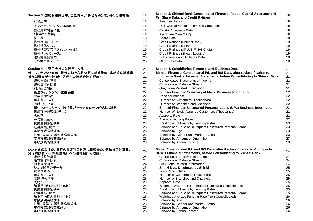| Section 3. 連結財務諸比率、自己資本、1株当たり数値、格付け情報他                      | 18       | Section 3. Shinsel Bank Consolidated Financial Ratios, Capital Adequacy and<br>Per Share Data, and Credit Ratings                               | 18       |
|-------------------------------------------------------------|----------|-------------------------------------------------------------------------------------------------------------------------------------------------|----------|
| 財務比率                                                        | 18       | <b>Financial Ratios</b>                                                                                                                         | 18       |
| リスク分類別リスク資本の配賦                                              | 18       | Risk Capital Allocation by Risk Categories                                                                                                      | 18       |
| 自己資本関連情報                                                    | 18       | Capital Adequacy Data                                                                                                                           | 18       |
| 1株当たり数値(円)                                                  | 18       | Per Share Data (JPY)                                                                                                                            | 18       |
| 株式数                                                         | 18       | Share Data                                                                                                                                      | 18       |
| 格付け(新生銀行)                                                   | 19       | Credit Ratings (Shinsei Bank)                                                                                                                   | 19       |
| 格付け(シンキ)                                                    | 19       | Credit Ratings (Shinki)                                                                                                                         | 19       |
| 格付け(アプラスフィナンシャル)                                            | 19       | Credit Ratings (APLUS FINANCIAL)                                                                                                                | 19       |
| 格付け(昭和リース)                                                  | 19       | Credit Ratings (Showa Leasing)                                                                                                                  | 19       |
| 連結対象会社数                                                     | 20       | Subsidiaries and Affiliates Data                                                                                                                | 20       |
| その他主要データ                                                    | 20       | Other Key Data                                                                                                                                  | 20       |
| Section 4. 主要子会社の財務データ他                                     | 21       | Section 4. Subsidiaries' Financial and Business Data                                                                                            | 21       |
| 新生フィナンシャルの、銀行の勘定科目体系に組替後の、連結損益計算書、                          | 21       | Shinsei Financial Consolidated P/L and B/S Data, after reclassification to                                                                      | 21       |
| 貸借対照表データ(新生銀行への連結会計処理前)                                     | 21       | conform to Bank's Financial Statements, before Consolidating to Shinsei Bank                                                                    | 21       |
| 連結損益計算書                                                     | 21       | <b>Consolidated Statements of Income</b>                                                                                                        | 21       |
| 連結貸借対照表                                                     | 21       | <b>Consolidated Balance Sheets</b>                                                                                                              | 21       |
| 利息返還関連                                                      | 21       | Grey Zone Related Information                                                                                                                   | 21       |
| 新生フィナンシャル主要係数                                               | 22       | Shinsei Financial Summary of Major Business Information                                                                                         | 22       |
| 営業債権残高                                                      | 22       | <b>Principal Balance</b>                                                                                                                        | 22       |
| 顧客数(千人)                                                     | 22       | Number of Customers (Thousands)                                                                                                                 | 22       |
| 店舗・チャネル                                                     | 22       | Number of Branches and Channels                                                                                                                 | 22       |
| 新生フィナンシャル 無担保パーソナルローンビジネス計数                                 | 22       | Shinsei Financial Unsecured Personal Loans (UPL) Business Information                                                                           | 22       |
| 新規獲得顧客数(千人)                                                 | 22       | Number of Newly Acquired Customers (Thousands)                                                                                                  | 22       |
| 成約率                                                         | 22       | Approval Rate                                                                                                                                   | 22       |
| 平均貸出金利                                                      | 22       | Average Lending Rates                                                                                                                           | 22       |
| 貸出金利帯別残高                                                    | 23       | Breakdown of Loans by Lending Rates                                                                                                             | 23       |
| 延滞残高、比率                                                     | 23       | Balance and Ratio of Delinquent Unsecured Personal Loans                                                                                        | 23       |
| 年齢別残高構成比                                                    | 23       | Balance by Age                                                                                                                                  | 23       |
| 性別、既婚·未婚別残高構成比                                              | 23       | Balance by Gender and Marital Status                                                                                                            | 23       |
| 実行残高別残高構成比                                                  | 23       | Balance by Amount of Origination                                                                                                                | 23       |
| 年収別残高構成比                                                    | 23       | Balance by Annual Income                                                                                                                        | 23       |
| シンキ株式会社の、銀行の勘定科目体系に組替後の、連結損益計算書、<br>貸借対照表データ(新生銀行への連結会計処理前) | 24       | Shinki Consolidated P/L and B/S Data, after Reclassification to Conform to<br>Bank's Financial Statements, before Consolidating to Shinsei Bank | 24       |
| 連結損益計算書                                                     | 24       | <b>Consolidated Statements of Income</b>                                                                                                        | 24       |
| 連結貸借対照表                                                     | 24       | <b>Consolidated Balance Sheets</b>                                                                                                              | 24       |
| 利息返還関連                                                      | 24       | Grey Zone Related Information                                                                                                                   | 24       |
| シンキ開示のデータ                                                   | 25       | Shinki Data Disclosed by Shinki                                                                                                                 | 25       |
| 貸付金残高                                                       | 25       | Loan Receivables                                                                                                                                | 25       |
| 顧客数(千人)                                                     | 25       | Number of Customers (Thousands)                                                                                                                 | 25       |
| 店舗・チャネル                                                     | 25       | Number of Branches and Channels                                                                                                                 | 25       |
| 成約率                                                         | 25       | Approval Rate                                                                                                                                   | 25       |
| 加重平均約定金利 (単体)                                               | 25       | Weighted Average Loan Interest Rate (Non-Consolidated)                                                                                          | 25       |
| 貸出金利帯別残高                                                    | 25       | Breakdown of Loans by Lending Rates                                                                                                             | 25       |
| 延滞残高、比率                                                     | 25       | Balance and Ratio of Delinquent Unsecured Personal Loans                                                                                        | 25       |
| 加重平均借入金利 (単体)                                               | 26       | Weighted Average Funding Rate (Non-Consolidated)                                                                                                | 26       |
| 年齢別残高構成比                                                    | 26       | Balance by Age<br>Balance by Gender and Marital Status                                                                                          | 26       |
| 性別、既婚·未婚別残高構成比<br>実行残高別残高構成比                                | 26<br>26 | Balance by Amount of Origination                                                                                                                | 26<br>26 |
| 年収別残高構成比                                                    | 26       | Balance by Annual Income                                                                                                                        | 26       |
|                                                             |          |                                                                                                                                                 |          |

| §諸比率、自己資本、1株当たり数値、格付け情報他                         | 18       | Section 3. Shinsei Bank Consolidated Financial Ratios, Capital Adequacy and<br>Per Share Data, and Credit Ratings                               | 18       |
|--------------------------------------------------|----------|-------------------------------------------------------------------------------------------------------------------------------------------------|----------|
|                                                  | 18       | <b>Financial Ratios</b>                                                                                                                         | 18       |
| ク資本の配賦                                           | 18       | Risk Capital Allocation by Risk Categories                                                                                                      | 18       |
| 報                                                | 18       | Capital Adequacy Data                                                                                                                           | 18       |
| 9)                                               | 18       | Per Share Data (JPY)                                                                                                                            | 18       |
|                                                  | 18       | Share Data                                                                                                                                      | 18       |
| Ī)                                               | 19       | Credit Ratings (Shinsei Bank)                                                                                                                   | 19       |
|                                                  | 19       | Credit Ratings (Shinki)                                                                                                                         | 19       |
| フィナンシャル)                                         | 19       | Credit Ratings (APLUS FINANCIAL)                                                                                                                | 19       |
| ・ス)                                              | 19       | Credit Ratings (Showa Leasing)                                                                                                                  | 19       |
|                                                  | 20       | Subsidiaries and Affiliates Data                                                                                                                | 20       |
| タ                                                | 20       | Other Key Data                                                                                                                                  | 20       |
| ミ社の財務データ他                                        | 21       | Section 4. Subsidiaries' Financial and Business Data                                                                                            | 21       |
| 0、銀行の勘定科目体系に組替後の、連結損益計算書、                        | 21       | Shinsei Financial Consolidated P/L and B/S Data, after reclassification to                                                                      | 21       |
| <b>新生銀行への連結会計処理前)</b>                            | 21       | conform to Bank's Financial Statements, before Consolidating to Shinsei Bank                                                                    | 21       |
|                                                  | 21       | <b>Consolidated Statements of Income</b>                                                                                                        | 21       |
|                                                  | 21       | <b>Consolidated Balance Sheets</b>                                                                                                              | 21       |
|                                                  | 21       | Grey Zone Related Information                                                                                                                   | 21       |
| 'ル主要係数                                           | 22       | Shinsei Financial Summary of Major Business Information                                                                                         | 22       |
|                                                  | 22       | <b>Principal Balance</b>                                                                                                                        | 22       |
|                                                  | 22       | Number of Customers (Thousands)                                                                                                                 | 22       |
|                                                  | 22       | Number of Branches and Channels                                                                                                                 | 22       |
| ・ル 無担保パーソナルローンビジネス計数                             | 22       | Shinsei Financial Unsecured Personal Loans (UPL) Business Information                                                                           | 22       |
| (千人)                                             | 22       | Number of Newly Acquired Customers (Thousands)                                                                                                  | 22       |
|                                                  | 22       | Approval Rate                                                                                                                                   | 22       |
|                                                  | 22<br>23 | Average Lending Rates                                                                                                                           | 22<br>23 |
| 高                                                | 23       | Breakdown of Loans by Lending Rates<br>Balance and Ratio of Delinquent Unsecured Personal Loans                                                 | 23       |
|                                                  | 23       | Balance by Age                                                                                                                                  | 23       |
| 比<br>·別残高構成比                                     | 23       | Balance by Gender and Marital Status                                                                                                            | 23       |
| 構成比                                              | 23       | Balance by Amount of Origination                                                                                                                | 23       |
| 比                                                | 23       | Balance by Annual Income                                                                                                                        | 23       |
|                                                  |          |                                                                                                                                                 |          |
| 銀行の勘定科目体系に組替後の、連結損益計算書、<br><b>新生銀行への連結会計処理前)</b> | 24       | Shinki Consolidated P/L and B/S Data, after Reclassification to Conform to<br>Bank's Financial Statements, before Consolidating to Shinsei Bank | 24       |
|                                                  | 24       | Consolidated Statements of Income                                                                                                               | 24       |
|                                                  | 24       | <b>Consolidated Balance Sheets</b>                                                                                                              | 24       |
|                                                  | 24       | Grey Zone Related Information                                                                                                                   | 24       |
| ータ                                               | 25       | Shinki Data Disclosed by Shinki                                                                                                                 | 25       |
|                                                  | 25       | Loan Receivables                                                                                                                                | 25       |
|                                                  | 25       | Number of Customers (Thousands)                                                                                                                 | 25       |
|                                                  | 25       | Number of Branches and Channels                                                                                                                 | 25       |
|                                                  | 25       | Approval Rate                                                                                                                                   | 25       |
| 利 (単体)                                           | 25       | Weighted Average Loan Interest Rate (Non-Consolidated)                                                                                          | 25       |
| 高                                                | 25<br>25 | Breakdown of Loans by Lending Rates<br>Balance and Ratio of Delinquent Unsecured Personal Loans                                                 | 25<br>25 |
| 利(単体)                                            | 26       | Weighted Average Funding Rate (Non-Consolidated)                                                                                                | 26       |
| 比                                                | 26       | Balance by Age                                                                                                                                  | 26       |
| 別残高構成比                                           | 26       | <b>Balance by Gender and Marital Status</b>                                                                                                     | 26       |
| 構成比                                              | 26       | Balance by Amount of Origination                                                                                                                | 26       |
| 比                                                | 26       | Balance by Annual Income                                                                                                                        | 26       |
|                                                  |          |                                                                                                                                                 |          |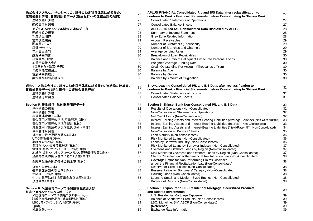### 株式会社アプラスフィナンシャルの、銀行の勘定科目体系に組替後の、

連結損益計算書、貸借対照表データ(新生銀行への連結会計処理前) 連結損益計算書

| 进炉照亚叶并育             | $\epsilon$ |
|---------------------|------------|
| 連結貸借対照表             | 27         |
| アプラスフィナンシャル開示の連結データ | 28         |
| 連結損益の概要             | 28         |
| 利息返還関連              | 28         |
| 営業債権残高              | 29         |
| 顧客数(千人)             | 29         |
| 店舗・チャネル             | 29         |
| 平均貸出金利              | 29         |
| 融資残高内訳              | 30         |
| 延滞残高、比率             | 30         |
| 加重平均借入金利            | 30         |
| 1口座あたり残高(千円)        | 30         |
| 年齢別残高構成比            | 30         |
| 性別残高構成比             | 30         |
| 実行残高別残高構成比          | 30         |
|                     |            |

#### **昭和リース株式会社の、銀行の勘定科目体系に組替後の、連結損益計算書、** 貸借対照表データ(新生銀行への連結会計処理前)

#### **Section 5.** 新生銀行 単体財務関連データ

- 与信関連費用
- 
- 資金運用/調達の状況(利回り(%))(単体)

- 
- 
- 
- 

#### 金融再生法の開示債権の保全率(単体) 38

#### **Section 6.** 米国住宅ローン市場関連投融資および証券化商品などのエクスポージャー

米国住宅ローン市場関連エクスポージャーLBO、モノライン、SIV、ABCP(単体)

| 会社アプラスフィナンシャルの、銀行の勘定科目体系に組替後の、                         | 27       | APLUS FINANCIAL Consolidated P/L and B/S Data, after reclassification to                                                                               | 27       |
|--------------------------------------------------------|----------|--------------------------------------------------------------------------------------------------------------------------------------------------------|----------|
| 損益計算書、貸借対照表データ(新生銀行への連結会計処理前)                          |          | conform to Bank's Financial Statements, before Consolidating to Shinsei Bank                                                                           |          |
| 連結損益計算書                                                | 27       | <b>Consolidated Statements of Operations</b>                                                                                                           | 27       |
| 連結貸借対照表                                                | 27       | <b>Consolidated Balance Sheets</b>                                                                                                                     | 27       |
| アプラスフィナンシャル開示の連結データ                                    | 28       | APLUS FINANCIAL Consolidated Data Disclosed by APLUS                                                                                                   | 28       |
| 連結損益の概要                                                | 28       | Summary of Income Statement                                                                                                                            | 28       |
| 利息返還関連                                                 | 28       | Grey Zone Related Information                                                                                                                          | 28       |
| 営業債権残高                                                 | 29       | <b>Account Receivables</b>                                                                                                                             | 29       |
| 顧客数(千人)                                                | 29       | Number of Customers (Thousands)                                                                                                                        | 29       |
| 店舗・チャネル                                                | 29       | Number of Branches and Channels                                                                                                                        | 29       |
| 平均貸出金利                                                 | 29       | Average Lending Rates                                                                                                                                  | 29       |
| 融資残高内訳                                                 | 30       | Breakdown of Loan Receivables                                                                                                                          | 30       |
| 延滞残高、比率                                                | 30       | Balance and Ratio of Delinquent Unsecured Personal Loans                                                                                               | $30\,$   |
| 加重平均借入金利                                               | 30       | Weighted Average Funding Rate                                                                                                                          | 30       |
| 1口座あたり残高(千円)                                           | 30       | Credit Outstanding Per Account (Thousands of Yen)                                                                                                      | 30       |
| 年齡別残高構成比                                               | 30       | Balance by Age                                                                                                                                         | 30       |
| 性別残高構成比                                                | 30       | <b>Balance by Gender</b>                                                                                                                               | 30       |
| 実行残高別残高構成比                                             | 30       | Balance by Amount of Origination                                                                                                                       | 30       |
| リース株式会社の、銀行の勘定科目体系に組替後の、連結損益計算書、                       | 31       | Showa Leasing Consolidated P/L and B/S Data, after reclassification to                                                                                 | 31       |
| 対照表データ(新生銀行への連結会計処理前)                                  |          | conform to Bank's Financial Statements, before Consolidating to Shinsei Bank                                                                           |          |
| 連結損益計算書                                                | 31       | Consolidated Statements of Income                                                                                                                      | 31       |
| 連結貸借対照表                                                | 31       | <b>Consolidated Balance Sheets</b>                                                                                                                     | 31       |
| tion 5. 新生銀行 単体財務関連データ                                 | 32       | Section 5. Shinsei Bank Non-Consolidated P/L and B/S Data                                                                                              | 32       |
| 単体損益の概要                                                | 32       | Results of Operations (Non-Consolidated)                                                                                                               | 32       |
| 単体損益計算書                                                | 32       | Non-Consolidated Statements of Operations                                                                                                              | 32       |
| 与信関連費用 (単体)                                            | 32       | Net Credit Costs (Non-Consolidated)                                                                                                                    | 32       |
| 資金運用/調達の状況(平均残高)(単体)                                   | 33       | Interest-Earning Assets and Interest-Bearing Liabilities (Average Balance) (Non-Consolidated)                                                          | 33       |
| 資金運用/調達の状況(利息)(単体)                                     | 33       | Interest-Earning Assets and Interest-Bearing Liabilities (Interest) (Non-Consolidated)                                                                 | 33       |
| 資金運用/調達の状況(利回り(%))(単体)                                 | 34       | Interest-Earning Assets and Interest-Bearing Liabilities (Yield/Rate (%)) (Non-Consolidated)                                                           | 34       |
| 単体貸借対照表                                                | 35       | Non-Consolidated Balance Sheets                                                                                                                        | 35       |
| 貸出金の残存期間別残高(単体)                                        | 36       | Loan Maturity (Non-consolidated)                                                                                                                       | 36       |
| リスク管理債権(単体)                                            | 36       | Risk Monitored Loans (Non-Consolidated)                                                                                                                | 36       |
| 業種別貸出残高(単体)                                            | 36       | Loans by Borrower Industry (Non-Consolidated)                                                                                                          | 36       |
| 業種別リスク管理債権残高(単体)                                       | 37       | Risk Monitored Loans by Borrower Industry (Non-Consolidated)                                                                                           | 37       |
| 地域別 海外・オフショアローン残高(単体)<br>地域別 海外・オフショアローン リスク管理債権残高(単体) | 37<br>37 | Overseas and Offshore Loans by Region (Non-Consolidated)                                                                                               | 37<br>37 |
| 金融再生法の開示基準に基づく債権(単体)                                   | 38       | Risk Monitored Overseas and Offshore Loans by Region (Non-Consolidated)<br>Claims Classified under the Financial Revitalization Law (Non-Consolidated) | 38       |
|                                                        |          | Coverage Ratios for Non-Performing Claims Disclosed                                                                                                    |          |
| 金融再生法の開示債権の保全率(単体)                                     | 38       | under the Financial Revitalization Law (Non-Consolidated)                                                                                              | 38       |
| 貸倒引当金(単体)                                              | 38       | Reserve for Credit Losses (Non-Consolidated)                                                                                                           | 38       |
| 債務者区分別の引当率(単体)                                         | 38       | Reserve Ratios for Borrowers' Category (Non-Consolidated)                                                                                              | 38       |
| 住宅ローン残高(単体)                                            | 38       | Housing Loans (Non-Consolidated)                                                                                                                       | 38       |
| 中小企業等に対する貸出金及び比率(単体)                                   | 38       | Loans to Small- and Medium-Sized Entities (Non-Consolidated)                                                                                           | 38       |
| 預金残高(単体)                                               | 38       | Balance of Deposits (Non-Consolidated)                                                                                                                 | 38       |
| tion 6. 米国住宅ローン市場関連投融資および                              | 39       | Section 6. Exposure to U.S. Residential Mortgage, Securitized Products                                                                                 | 39       |
| <b>:化商品などのエクスポージャー</b>                                 |          | and Related Investments                                                                                                                                |          |
| 米国住宅ローン市場関連エクスポージャー                                    | 39       | U.S. Residential Mortgage Exposure                                                                                                                     | 39       |
| 証券化商品の商品別、地域別残高(単体)                                    | 39       | Balance of Securitized Products (Non-Consolidated)                                                                                                     | 39       |
| LBO、モノライン、SIV、ABCP(単体)                                 | 39       | LBO, Monoline, SIV, ABCP (Non-Consolidated)                                                                                                            | 39       |
| (参考)                                                   | 39<br>39 | (Reference)<br>Exchange Rate Information                                                                                                               | 39       |
| 換算為替レート                                                |          |                                                                                                                                                        | 39       |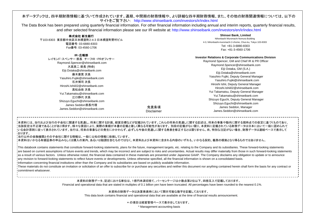#### 本データブックは、四半期財務情報に基づいて作成されています。通期、中間期の財務情報や、より詳細な四半期財務情報、また、その他の財務関連情報については、以下のサイトをご覧下さい: http://www.shinseibank.com/investors/ir/index.html

The Data Book has been prepared using quarterly financial information. For other financial information including annual and interim reports, quarterly financial results, and other selected financial information please see our IR website at: http://www.shinseibank.com/investors/en/ir/index.html

| 株式会社 新生銀行                            |
|--------------------------------------|
| 〒103-8303 東京都中央区日本橋室町2-4-3 日本橋室町野村ビル |
| 電話番号: 03-6880-8303                   |
| Fax番号: 03-4560-1706                  |
|                                      |

**IR**・広報部

 レイモンド・スペンサー 部長 チーフIR ・PRオフィサー Raymond.Spencer@shinseibank.com 大高英二 部長 (特命) Eiji.Ootaka@shinseibank.com 藤木康寛 次長 Yasuhiro.Fujiki@shinseibank.com 石井博司 次長 Hiroshi.Ishii02@shinseibank.com高松由依 次長 Yui.Takamatsu@shinseibank.com江口静代 次長 Shizuyo.Eguchi@shinseibank.com James Seddon 部長代理James.Seddon@shinseibank.com

#### **Shinsei Bank, Limited** Nihonbashi Muromachi Nomura Building 4-3, Nihonbashi-muromachi 2-chome, Chuo-ku, Tokyo 103-8303 Tel: +81-3-6880-8303Fax: +81-3-4560-1706

#### **Investor Relations & Corporate Communications Division**

Raymond Spencer, GM and Chief IR & PR Officer Raymond.Spencer@shinseibank.com Eiji Ootaka, GM (S.A.) Eiji.Ootaka@shinseibank.com Yasuhiro Fujiki, Deputy General Manager Yasuhiro.Fujiki@shinseibank.com Hiroshi Ishii, Deputy General Manager Hiroshi.Ishii02@shinseibank.comYui Takamatsu, Deputy General Manager Yui.Takamatsu@shinseibank.comShizuyo Eguchi, Deputy General Manager Shizuyo.Eguchi@shinseibank.com James Seddon, Manager James.Seddon@shinseibank.com

本資料には、当行および当行の子会社に関連する見通し、将来に関する計画、経営目標などが記載されています。これらの将来の見通しに関する記述は、将来の事象や動向に関する現時点での仮定に基づくものであり、 当該仮定は不正確であることがあり得ます。様々な要因により、実際の業績が本書の記載と著しく異なる可能性があります。 別段の記載がない限り、本資料に記載されている財務データは日本において一般に認められている会計原則に従って表示されています。当行は、将来の事象などの発生にかかわらず、必ずしも今後の見通しに関する発表を修正するとは限りません。尚、特別な注記がない場合、財務データは連結ベースで表示して おります。 当行以外の金融機関とその子会社に関する情報は、一般に公知の情報に依拠しています。

免責条項Disclaimer

本資料はいかなる有価証券の申込みもしくは購入の案内、あるいは勧誘を含むものではなく、本資料および本資料に含まれる内容のいずれも、いかなる契約、義務の根拠となり得るものではありません。

This databook contains statements that constitute forward-looking statements, plans for the future, management targets, etc. relating to the Company and its subsidiaries. These forward-looking statements are based on current assumptions of future events and trends, which may be incorrect and are subject to risks and uncertainties. Actual results may differ materially from those in such forward-looking statements as a result of various factors. Unless otherwise noted, the financial data contained in these materials are presented under Japanese GAAP. The Company disclaims any obligation to update or to announce any revision to forward-looking statements to reflect future events or developments. Unless otherwise specified, all the financial information is shown on a consolidated basis.

Information concerning financial institutions other than the Company and its subsidiaries are based on publicly available information.

These materials do not constitute an invitation or solicitation of an offer to subscribe for or purchase any securities and neither this document nor anything contained herein shall form the basis for any contract or commitment whatsoever.

> 本資料の財務データ、記述における単位は、1億円未満切捨て、パーセンテージは小数点第2位以下、四捨五入で記載しております。 Financial and operational data that are stated in multiples of 0.1 billion yen have been truncated. All percentages have been rounded to the nearest 0.1%.

> > 本資料の財務データは決算発表時において開示可能な数字を記載しております。

This data book contains financial and operational data that are available at the time of financial results announcement.

\* の項目は経営管理ベースで表示をしております。

\* Management accounting basis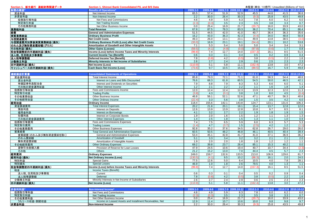| Section 1. 新生銀行 連結財務関連データ | Section 1. Shinsei Bank Consolidated P/L and B/S Data         |          |          |       |                     |              |              | 未監査(単位: 10億円) Unaudited (Billions of Yen) |                     |
|---------------------------|---------------------------------------------------------------|----------|----------|-------|---------------------|--------------|--------------|-------------------------------------------|---------------------|
| 財務の概要*                    | <b>Results of Operations*</b>                                 | 2009.1-3 | 2009.4-6 |       | 2009.7-9 2009.10-12 | $2010.1 - 3$ | 2010.4-6     |                                           | 2010.7-9 2010.10-12 |
| 資金利益                      | Net Interest Income                                           | 65.5     | 57.4     | 51.9  | 52.9                | 45.5         | 44.6         | 41.5                                      | 36.6                |
| 非資金利益                     | Non-Interest Income                                           | 2.2      | 30.0     | 26.4  | 30.3                | (9.3)        | 25.8         | 43.5                                      | 49.8                |
| 役務取引等利益                   | Net Fees and Commissions                                      | 4.6      | 4.9      | 5.9   | 6.3                 | 7.8          | 6.0          | 6.2                                       | 6.0                 |
| 特定取引利益                    | Net Trading Income                                            | (2.3)    | (0.3)    | 3.5   | 2.3                 | 3.5          | 3.8          | 3.3                                       | 0.7                 |
| その他業務利益                   | Net Other Business Income                                     | 0.0      | 25.4     | 16.9  | 21.7                | (20.7)       | 16.0         | 33.9                                      | 43.0                |
| 業務粗利益                     | <b>Total Revenue</b>                                          | 67.8     | 87.5     | 78.3  | 83.3                | 36.2         | 70.4         | 85.1                                      | 86.4                |
| 経費                        | <b>General and Administrative Expenses</b>                    | 51.5     | 44.5     | 42.0  | 41.0                | 40.7         | 36.4         | 36.3                                      | 35.6                |
| 実質業務純益                    | <b>Ordinary Business Profit</b>                               | 16.2     | 43.0     | 36.3  | 42.3                | (4.4)        | 34.0         | 48.8                                      | 50.8                |
| 与信関連費用                    | <b>Net Credit Costs</b>                                       | 49.3     | 26.0     | 13.1  | 23.1                | 49.9         | 13.8         | 38.5                                      | (3.0)               |
| 与信関連費用加算後実質業務純益(損失)       | <b>Ordinary Business Profit (Loss) after Net Credit Costs</b> | (33.0)   | 16.9     | 23.1  | 19.1                | (54.4)       | 20.1         | 10.2                                      | 53.8                |
| のれん及び無形資産償却額(グロス)         | Amortization of Goodwill and Other Intangible Assets          |          | 5.3      | 5.4   | 5.0                 | 5.0          | 3.4          | 3.4                                       | 3.1                 |
|                           |                                                               | 7.1      |          |       |                     |              |              |                                           |                     |
| その他利益(損失)                 | <b>Other Gains (Losses)</b>                                   | (59.5)   | (4.1)    | (4.9) | (0.0)               | (97.8)       | (0.6)        | 1.7                                       | 0.8                 |
| 税金等調整前四半期純利益(損失)          | Income (Loss) before Income Taxes and Minority Interests      | (99.8)   | 7.4      | 12.7  | 14.0                | (157.3)      | 16.1         | 8.5                                       | 51.5                |
| 法人税、住民税及び事業税              | <b>Current Income Tax (Benefit)</b>                           | 0.6      | 0.3      | 0.1   | 0.4                 | 0.5          | 0.2          | 0.9                                       | 0.4                 |
| 法人税等調整額                   | Deferred Income Tax (Benefit)                                 | 7.8      | (0.8)    | 4.2   | (0.5)               | 3.8          | (0.5)        | 2.2                                       | 1.6                 |
| 少数株主利益                    | Minority Interests in Net Income of Subsidiaries              | 2.6      | 2.7      | 2.4   | 2.9                 | 0.6          | 2.5          | 2.3                                       | 2.3                 |
| 四半期純利益(損失)                | <b>Net Income (Loss)</b>                                      | (110.9)  | 5.1      | 5.8   | 11.1                | (162.4)      | 13.8         | 3.0                                       | 47.2                |
| キャッシュベース四半期純利益(損失)        | Cash Basis Net Income (Loss)                                  | (73.6)   | 9.7      | 10.5  | 15.5                | (89.5)       | 16.7         | 5.9                                       | 49.8                |
|                           |                                                               |          |          |       |                     |              |              |                                           |                     |
| 連結損益計算書                   | <b>Consolidated Statements of Operations</b>                  | 2009.1-3 | 2009.4-6 |       | 2009.7-9 2009.10-12 | $2010.1 - 3$ | 2010.4-6     |                                           | 2010.7-9 2010.10-12 |
| 資金運用収益                    | Total Interest Income                                         | 85.8     | 79.3     | 72.1  | 71.1                | 61.0         | 58.3         | 54.4                                      | 48.6                |
| 貸出金利息                     | Interest on Loans and Bills Discounted                        | 76.6     | 68.3     | 61.8  | 60.5                | 54.5         | 50.0         | 46.5                                      | 42.1                |
| 有価証券利息配当金                 | Interest and Dividends on Securities                          | 7.9      | 8.8      | 7.9   | 8.3                 | 5.3          | 6.6          | 6.0                                       | 5.1                 |
| その他の資金運用収益                | Other Interest Income                                         | 1.2      | 2.1      | 2.2   | $\overline{2.2}$    | 1.1          | 1.6          | 1.8                                       | 1.4                 |
| 役務取引等収益                   | Fees and Commissions Income                                   | 12.0     | 12.4     | 12.4  | 12.3                | 13.9         | 12.3         | 12.0                                      | 11.3                |
| 特定取引収益                    | <b>Trading Profits</b>                                        | (3.8)    | 4.3      | (0.1) | 3.8                 | 1.0          | 8.0          | 4.5                                       | (0.4)               |
| その他業務収益                   | Other Business Income                                         | 46.8     | 56.1     | 52.1  | 52.6                | 47.1         | 40.7         | 56.3                                      | 40.6                |
| その他経常収益                   | Other Ordinary Income                                         | (22.4)   | 3.3      | 5.6   | 3.8                 | 1.5          | 3.5          | 4.2                                       | 6.0                 |
| 経常収益                      | <b>Ordinary Income</b>                                        | 118.4    | 155.6    | 142.1 | 143.8               | 124.7        | 123.1        | 131.6                                     | 106.3               |
| 資金調達費用                    | <b>Total Interest Expenses</b>                                | 20.2     | 21.8     | 20.1  | 18.1                | 15.4         | 13.7         | 12.8                                      | 12.0                |
| 預金利息                      | <b>Interest on Deposits</b>                                   | 12.6     | 13.9     | 13.9  | 12.8                | 10.8         | 9.7          | 8.5                                       | 8.1                 |
| 借用金利息                     | <b>Interest on Borrowings</b>                                 | 4.1      | 3.2      | 2.7   | 2.2                 | 1.9          | 1.8          | 1.9                                       | 1.5                 |
| 社債利息                      | Interest on Corporate Bonds                                   | 1.9      | 2.0      | 1.6   | 1.5                 | 1.2          | 1.1          | 1.3                                       | 1.3                 |
| その他の資金調達費用                | <b>Other Interest Expenses</b>                                | 1.4      | 2.5      | 1.8   | 1.5                 | 1.3          | 1.1          | 1.0                                       | 0.9                 |
| 役務取引等費用                   | Fees and Commissions Expenses                                 | 7.4      | 7.5      | 6.5   | 5.9                 | 6.0          | 6.3          | 5.7                                       | 5.3                 |
| 特定取引費用                    | <b>Trading Losses</b>                                         | (1.4)    | 4.7      | (3.7) | 1.5                 | (2.5)        | 4.2          | 1.2                                       | (1.1)               |
| その他業務費用                   | Other Business Expenses                                       | 92.8     | 35.2     | 37.6  | 34.5                | 62.8         | 26.7         | 29.0                                      | 26.0                |
| 営業経費                      | <b>Total General and Administrative Expenses</b>              | 60.5     | 50.5     | 48.2  | 46.8                | 46.1         | 40.5         | 40.4                                      | 39.4                |
| 営業経費(のれん及び無形資産償却を除く)      | General and Administrative Expenses                           | 53.4     | 45.1     | 42.8  | 41.7                | 41.0         | 37.1         | 36.9                                      | 36.2                |
| のれん償却額                    | <b>Amortization of Goodwill</b>                               | 5.1      | 3.3      | 3.4   | 3.2                 | 3.2          | 2.1          | 2.1                                       | 2.0                 |
| 無形資産償却額                   | Amortization of Intangible Assets                             | 1.9      | 2.0      | 2.0   | $\overline{1.8}$    | 1.8          | 1.2          | 1.2                                       | 1.1                 |
| その他経常費用                   | <b>Other Ordinary Expenses</b>                                | 69.2     | 39.8     | 23.7  | 26.4                | 85.1         | 15.3         | 40.2                                      | 0.0                 |
| 貸倒引当金繰入額                  | Provision of Reserve for Loan Losses                          | 47.9     | 24.5     | 10.6  | 19.4                | 40.7         | 10.7         | 34.4                                      | (2.3)               |
|                           | <b>Others</b>                                                 | 21.2     | 15.2     | 13.0  | 7.0                 | 44.4         |              | 5.7                                       |                     |
| その他                       |                                                               | 249.0    | 159.7    | 132.6 | 133.5               | 213.0        | 4.5<br>106.9 | 129.6                                     | 2.3<br>81.7         |
| 経常費用                      | <b>Ordinary Expenses</b>                                      |          |          | 9.5   |                     |              |              |                                           |                     |
| 経常利益(損失)                  | <b>Net Ordinary Income (Loss)</b>                             | (130.5)  | (4.1)    |       | 10.2                | (88.3)       | 16.1         | 2.0                                       | 24.5                |
| 特別利益                      | <b>Special Gains</b>                                          | 77.5     | 12.6     | 5.0   | 6.4                 | 10.5         | 4.0          | 7.8                                       | 28.1                |
| 特別損失                      | <b>Special Losses</b>                                         | 46.9     | 1.0      | 1.8   | 2.6                 | 79.5         | 4.0          | 1.3                                       | 1.1                 |
| 税金等調整前四半期純利益(損失)          | Income (Loss) before Income Taxes and Minority Interests      | (99.8)   | 7.4      | 12.7  | 14.0                | (157.3)      | 16.1         | 8.5                                       | 51.5                |
| 税金                        | Income Taxes (Benefit):                                       |          |          |       |                     |              |              |                                           |                     |
| 法人税、住民税及び事業税              | Current                                                       | 0.6      | 0.3      | 0.1   | 0.4                 | 0.5          | 0.2          | 0.9                                       | 0.4                 |
| 法人税等調整額                   | Deferred                                                      | 7.8      | (0.8)    | 4.2   | (0.5)               | 3.8          | (0.5)        | 2.2                                       | 16                  |
| 少数株主利益                    | Minority Interests in Net Income of Subsidiaries              | 2.6      | 2.7      | 2.4   | 2.9                 | 0.6          | 2.5          | 2.3                                       | 2.3                 |
| 四半期純利益(損失)                | <b>Net Income (Loss)</b>                                      | (110.9)  | 5.1      | 5.8   | 11.1                | (162.4)      | 13.8         | 3.0                                       | 47.2                |
|                           |                                                               |          |          |       |                     |              |              |                                           |                     |
| 非金利利益*                    | Non-Interest Income*                                          | 2009.1-3 | 2009.4-6 |       | 2009.7-9 2009.10-12 | $2010.1 - 3$ | 2010.4-6     |                                           | 2010.7-9 2010.10-12 |
| 役務取引等利益                   | Net Fees and Commissions                                      | 4.6      | 4.9      | 5.9   | 6.3                 | 7.8          | 6.0          | 6.2                                       | 6.0                 |
| 特定取引利益                    | Net Trading Income                                            | (2.3)    | (0.3)    | 3.5   | 2.3                 | 3.5          | 3.8          | 3.3                                       | 0.7                 |
| その他業務利益                   | Net Other Business Income                                     | 0.0      | 25.4     | 16.9  | 21.7                | (20.7)       | 16.0         | 33.9                                      | 43.0                |
| うちリース収益・割賦収益              | Income on Leased Assets and Installment Receivables, Net      | 12.9     | 11.4     | 10.7  | 10.6                | 10.0         | 9.8          | 9.8                                       | 9.7                 |
| 非資金利益                     | <b>Non-Interest Income</b>                                    | 2.2      | 30.0     | 26.4  | 30.3                | (9.3)        | 25.8         | 43.5                                      | 49.8                |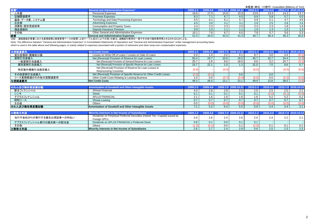| 経費            | <b>General and Administrative Expenses*</b> |             | $2009.4 - 6$ |           | 2009.7-9 2009.10-12 | $2010.1 - 3$ | 2010.4-6 |      | 2010.7-9 2010.10-12 |
|---------------|---------------------------------------------|-------------|--------------|-----------|---------------------|--------------|----------|------|---------------------|
| 人件費           | <b>Personnel Expenses</b>                   | 18.6        | 171          | 15.8      | 15.9                | 13.6         | 13.4     | 14.2 | 13.7                |
| 店舗関連費用        | <b>Premises Expenses</b>                    | <u> გ.კ</u> |              |           | 6.5                 | 6.9          | 5.8      | 5.7  | 6.0                 |
| 通信・データ費、システム費 | Technology and Data Processing Expenses     | ხ.ნ         |              |           |                     | 5.9          | 5.1      |      | 4.6                 |
| 広告費           | <b>Advertising Expenses</b>                 |             |              |           | 3.1                 | 2.9          | 2.5      | 2.6  | 2.4                 |
| 消費税·固定資産税等    | Consumption and Property Taxes              |             | 2.3          | າາ<br>د.ء | 2.0                 | 2.3          | 2.3      | 1.8  | 1.9 <sub>1</sub>    |
| 預金保険料         | Deposit Insurance Premium                   | 0.9         |              |           |                     |              | 1.3      | 1.3  | 1.3                 |
| その他           | Other General and Administrative Expenses   | 10.7        |              |           | 6.5                 | 7.9          | 5.7      | 5.6  | 5.3                 |
| 経費            | <b>General and Administrative Expenses</b>  | 51.5        | 44.5         | 42.0      | 41.0                | 40.7         | 36.4     | 36.3 | 35.6                |

注記: 連結損益計算書における営業経費と経営管理ベースの経費(上記テーブル並びに以下の頁)の差は、退職給付費用の一部やその他で臨時費用等とみなされるものによる。

Note: The difference between "General and Administrative Expenses" in Consolidated Statements of Operations and "General and Administrative Expenses" under management accounting basis,

which is used in the table above and following pages, is mainly related to expenses associated with a portion of retirement and other lump-sum compensation expenses.

| 与信関連費用            | <b>Net Credit Costs</b>                                              | $2009.1 - 3$ | $2009.4 - 6$ |       | 2009.7-9 2009.10-12 | $2010.1 - 3$ |      |       | 2010.4-6 2010.7-9 2010.10-12 |
|-------------------|----------------------------------------------------------------------|--------------|--------------|-------|---------------------|--------------|------|-------|------------------------------|
| 貸出金償却·債権処分損       | Losses on Write-Off of Loans / Losses on Sale of Loans               | 0.3          |              |       |                     | 9.7          | 3.0  | 4.4   | (0.1)                        |
| 貸倒引当金繰入           | Net (Reversal) Provision of Reserve for Loan Losses                  | 50.4         | 24.7         | 10.6  | 19.3                | 40.7         | 10.7 | 34.4  | (2.3)                        |
| 一般貸倒引当金繰入         | Net (Reversal) Provision of General Reserve for Loan Losses          | 25.7         | 2.6          |       | 18.0                | 9.6          | 3.2  | 24.7  | (3.1)                        |
| 個別貸倒引当金繰入         | Net (Reversal) Provision of Specific Reserve for Loan Losses         | 24.7         | 22.1         |       | $\overline{3}$      | 31.0         | 7.5  | 9.6   | 0.7                          |
| 特定海外債権引当勘定繰入      | Net (Reversal) Provision of Reserve for Loan Losses to               | (0.0)        |              | (0.0) |                     | (0.0)        |      | (0.0) | (0.0)                        |
|                   | <b>Restructuring Countries</b>                                       |              |              |       |                     |              |      |       |                              |
| その他貸倒引当金繰入        | Net (Reversal) Provision of Specific Reserve for Other Credit Losses | (2.4)        |              |       | 0.0                 |              | 0.0  |       |                              |
| リース業務関連のその他与信関連費用 | Other Credit Costs Relating to Leasing Business                      | 1.0          | 0.0          |       |                     | (0.5)        | 0.0  | (0.3) | (0.5)                        |
| 与信関連費用            | Net Credit Costs                                                     | 49.3         | 26.0         | 13.1  | 23.1                | 49.9         | 13.8 | 38.5  | (3.0)                        |

| のれん及び無形資産作   | Amortization of Goodwill and Other Intangible Assets | $2009.1 - 3$ |                  | 2009.7-9 2009.10- |       |       | 2010.4-6 |                      |                          |
|--------------|------------------------------------------------------|--------------|------------------|-------------------|-------|-------|----------|----------------------|--------------------------|
| 新生フィナンシャル    | Shinsei Financial                                    | 4.0          | $\mathcal{L}$ .C | 2.8               | 2.5   | 2.5   | 2.5      | 2.5                  | 2.2                      |
| シンキ          | Shinki                                               |              |                  |                   | 0.1   | 0.1   | (0.0)    |                      | (0.0)                    |
| アプラスフィナンシャル  | <b>APLUS FINANCIAL</b>                               |              |                  | l.6               | ں. ا  | 1.6   | 0.2      | U.Z                  | 0.2                      |
| 昭和リース        | Showa Leasing                                        |              |                  |                   | 0.7   | 0.7   | 0.7      |                      | 0.7                      |
| その他          | <b>Others</b>                                        | 0.0          |                  |                   | (0.0) | (0.0) | 0.0)     |                      | (0.0)                    |
| のれん及び無形資産償却額 | Amortization of Goodwill and Other Intangible Assets |              | v.u              | Ю.,               | 5.0   | 5.0   | 3.4      | $\overline{ }$<br>◡- | $\Omega$ $\Lambda$<br>ິ. |

|                          | hority Interests in Net Income of Subsidiaries                                |     |     |                  |         |     | 2010.4-61 | <b>VOHD 749N</b> |                  |
|--------------------------|-------------------------------------------------------------------------------|-----|-----|------------------|---------|-----|-----------|------------------|------------------|
| 当行子会社SPCが発行する優先出資証券への利払い | Dividends on Perpetual Preferred Securities (Hybrid Tier I Capital) issued by | 3.0 | 1.6 |                  | 2.6     |     | 2.4       | 2.2              | $\sim$ $\lambda$ |
|                          | Foreign SPCs                                                                  |     |     |                  |         |     |           |                  |                  |
| アプラスフィナンシャル発行の優先株への配当金   | Dividends on APLUS FINANCIAL's Preferred Stock                                | 0.8 |     | 0.0 <sub>1</sub> |         |     |           |                  |                  |
| その他                      | <b>Others</b>                                                                 |     |     |                  |         |     |           | 0.1              | 0.2              |
| 少数株主利益                   | Minority Interests in Net Income of Subsidiaries                              | 2.6 |     |                  | 20<br>ت | 0.6 | 2.5       | 2.3              | 2.3              |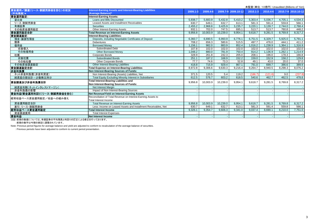|                                    |                                                                |          |          |          |                     |              | 木血宜\芈位. TO隐门/ Urlaudited (Dillions of Terr) |         |                     |
|------------------------------------|----------------------------------------------------------------|----------|----------|----------|---------------------|--------------|---------------------------------------------|---------|---------------------|
| 資金運用/調達(リース・割賦売掛金を含む)の状況           | Interest-Earning Assets and Interest-Bearing Liabilities       | 2009.1-3 | 2009.4-6 |          | 2009.7-9 2009.10-12 | $2010.1 - 3$ | 2010.4-6                                    |         | 2010.7-9 2010.10-12 |
| (平均残高)*                            | <b>Average Balance)*</b>                                       |          |          |          |                     |              |                                             |         |                     |
| 資金運用勘定:                            | <b>Interest-Earning Assets:</b>                                |          |          |          |                     |              |                                             |         |                     |
| 貸出金                                | Loans and Bills Discounted                                     | 5,938.7  | 5.683.9  | 5,432.8  | 5,410.2             | 5,303.4      | 5,036.7                                     | 4,705.1 | 4,534.3             |
| リース·割賦売掛金                          | Leased Assets and Installment Receivables                      | 630.7    | 649.1    | 632.7    | 613.1               | 581.3        | 591.4                                       | 559.8   | 566.1               |
| 有価証券                               | <b>Securities</b>                                              | 2,455.2  | 2,968.8  | 3,425.9  | 3,235.7             | 3,220.1      | 3,139.7                                     | 2,744.0 | 2,768.4             |
| その他資金運用勘定                          | Other Interest-Earning Assets                                  | 932.1    | 702.0    | 747.5    | 695.1               | 513.7        | 513.7                                       | 760.8   | 448.2               |
| 資金運用勘定合計                           | Total Revenue on Interest-Earning Assets                       | 9,956.8  | 10,003.9 | 10,239.0 | 9,954.1             | 9,618.7      | 9,281.5                                     | 8,769.8 | 8,317.2             |
| 資金調達勘定:                            | <b>Interest-Bearing Liabilities:</b>                           |          |          |          |                     |              |                                             |         |                     |
| 預金·讓渡性預金                           | Deposits, including Negotiable Certificates of Deposit         | 6.360.7  | 6.690.5  | 6,993.9  | 6,776.1             | 6,751.5      | 6,329.7                                     | 5,925.0 | 5,791.1             |
| 債券                                 | Debentures                                                     | 708.2    | 656.3    | 580.6    | 515.5               | 497.7        | 476.0                                       | 444.1   | 411.2               |
| 借用金                                | <b>Borrowed Money</b>                                          | ,156.1   | 982.0    | 883.9    | 852.4               | 1.016.2      | 1,238.9                                     | .364.1  | 1,316.9             |
| 劣後借入                               | Subordinated Debt                                              | 107.8    | 102.0    | 102.0    | 102.0               | 102.0        | 102.0                                       | 102.0   | 102.0               |
| その他借用金                             | Other Borrowed Money                                           | 1,048.2  | 880.0    | 781.9    | 750.4               | 914.2        | 1,136.9                                     | 1,262.1 | 1,214.9             |
| 社債                                 | Corporate Bonds                                                | 328.9    | 261.8    | 242.3    | 205.0               | 208.1        | 196.0                                       | 178.3   | 166.8               |
| 劣後社債                               | <b>Subordinated Bonds</b>                                      | 251.1    | 187.2    | 168.9    | 152.2               | 159.0        | 152.9                                       | 158.2   | 129.8               |
| その他社債                              | Other Corporate Bonds                                          | 77.7     | 74.6     | 73.3     | 52.8                | 49.1         | 43.0                                        | 20.0    | 37.0                |
| その他資金調達勘定                          | Other Interest-Bearing Liabilities                             | 418.8    | 715.9    | 929.4    | 867.1               | 791.0        | 699.7                                       | 386.6   | 389.9               |
|                                    | Total Expense on Interest-Bearing Liabilities                  | 8,972.8  | 9,306.6  | 9,630.3  | 9,216.4             | 9,264.7      | 8,940.5                                     | 8,298.3 | 8,076.2             |
| <b>THE TABLE TO STATE</b><br>非金利負債 | Non Interest-Bearing Sources of Funds:                         |          |          |          |                     |              |                                             |         |                     |
| ネット非金利負債(非金利資産)                    | Non Interest-Bearing (Assets) Liabilities, Net                 | 371.5    | 120.5    | 5.4      | 119.2               | (186.7)      | (121.6)                                     | 9.0     | (237.8)             |
| 純資産の部合計ー少数株主持分                     | Total Equity Excluding Minority Interest in Subsidiaries       | 612.5    | 576.7    | 603.2    | 618.5               | 540.6        | 462.7                                       | 462.5   | 478.8               |
| 資金調達及び非金利負債合計                      | <b>Total Interest-Bearing Liabilities and</b>                  | 9,956.8  | 10,003.9 | 10,239.0 | 9,954.1             | 9,618.7      | 9,281.5                                     | 8,769.8 | 8,317.2             |
|                                    | Non Interest-Bearing Sources of Funds:                         |          |          |          |                     |              |                                             |         |                     |
| 純資金利鞘(ネットインタレストマージン)               | Net Interest Margin                                            |          |          |          |                     |              |                                             |         |                     |
| 非金利負債の影響                           | Impact of Non Interest-Bearing Sources                         |          |          |          |                     |              |                                             |         |                     |
| 資金利益/資金運用利回り(リース・割賦売掛金を含む)         | Net Revenue/Yield on Interest-Earning Assets                   |          |          |          |                     |              |                                             |         |                     |
| 経常収益ベース資金運用勘定/収益への組み替え             | Reconciliation of Total Revenue on Interest-Earning Assets to  |          |          |          |                     |              |                                             |         |                     |
|                                    | Total Interest Income                                          |          |          |          |                     |              |                                             |         |                     |
| 資金運用勘定合計                           | Total Revenue on Interest-Earning Assets                       | 9,956.8  | 10,003.9 | 10,239.0 | 9,954.1             | 9,618.7      | 9,281.5                                     | 8,769.8 | 8,317.2             |
| 差引:リース・割賦売掛金                       | Less: Income on Leased Assets and Installment Receivables. Net | 630.7    | 649.1    | 632.7    | 613.1               | 581.3        | 591.4                                       | 559.8   | 566.1               |
| 経常収益ベース資金運用勘定                      | Total Interest Income                                          | 9,326.1  | 9,354.7  | 9,606.3  | 9,341.0             | 9,037.4      | 8,690.1                                     | 8,210.0 | 7,751.0             |
| 資金調達費用                             | <b>Total Interest Expenses</b>                                 |          |          |          |                     |              |                                             |         |                     |
| 資金利益                               | Net Interest Income                                            |          |          |          |                     |              |                                             |         |                     |
|                                    |                                                                |          |          |          |                     |              |                                             |         |                     |

注記:前期の数値については、有価証券の平均残高と利回りの訂正による修正を行っております。

:前期の数字は今期の表記に調整されています。

Note: Previous period figures for average balance and yield are adjusted to conform to recalculation of the average balance of securities.

: Previous periods have been adjusted to conform to current period presentation.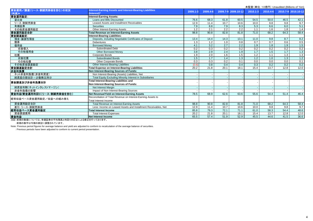|                            |                                                                 |                   |                  |                  |                     | 木氩宜\芈位. TO混口/ Urlaudited (Dillions of Terr) |                  |      |                     |
|----------------------------|-----------------------------------------------------------------|-------------------|------------------|------------------|---------------------|---------------------------------------------|------------------|------|---------------------|
| 資金運用/調達(リース·割賦売掛金を含む)の状況   | <b>Interest-Earning Assets and Interest-Bearing Liabilities</b> | 2009.1-3          | 2009.4-6         |                  | 2009.7-9 2009.10-12 | $2010.1 - 3$                                | 2010.4-6         |      | 2010.7-9 2010.10-12 |
| (利息)*/                     | (Interest)*                                                     |                   |                  |                  |                     |                                             |                  |      |                     |
| 資金運用勘定:                    | <b>Interest-Earning Assets:</b>                                 |                   |                  |                  |                     |                                             |                  |      |                     |
| 貸出金                        | Loans and Bills Discounted                                      | 76.6              | 68.3             | 61.8             | 60.5                | 54.5                                        | 50.0             | 46.5 | 42.1                |
| リース・割賦売掛金                  | Leased Assets and Installment Receivables                       | 12.9              | 11.4             | 10.7             | 10.6                | 10.0                                        | 9.8              | 9.8  | 9.7                 |
| 有価証券                       | <b>Securities</b>                                               | 7.9               | 8.8              | 7.9              | 8.3                 | 5.3                                         | 6.6              | 6.0  | 5.1                 |
| その他資金運用勘定                  | Other Interest-Earning Assets                                   | 1.2               | 2.1              | $\overline{2.2}$ | 2.2                 | 1.1                                         | 1.6              | 1.8  | 1.4                 |
| 資金運用勘定合計                   | <b>Total Revenue on Interest-Earning Assets</b>                 | 98.8              | 90.8             | 82.8             | 81.8                | 71.0                                        | 68.2             | 64.3 | 58.4                |
| 資金調達勘定:                    | <b>Interest-Bearing Liabilities:</b>                            |                   |                  |                  |                     |                                             |                  |      |                     |
| 預金·讓渡性預金                   | Deposits, including Negotiable Certificates of Deposit          | 13.4              | 14.4             | 14.3             | 13.1                | 11.0                                        | 9.8              | 8.7  | 8.2                 |
| 債券                         | <b>Debentures</b>                                               | 1.3               | 1.2              | 1.0              | 0.8                 | $\overline{0.7}$                            | $\overline{0.7}$ | 0.6  | 0.5                 |
| 借用金                        | <b>Borrowed Money</b>                                           | 4.1               | 3.2              | $\overline{2.7}$ | 2.2                 | 1.9                                         | 1.8              | 1.9  | 1.5                 |
| 劣後借入                       | <b>Subordinated Debt</b>                                        | 0.2               | $\overline{0.3}$ | 0.2              | 0.2                 | 0.2                                         | 0.2              | 0.2  | 0.2                 |
| その他借用金                     | <b>Other Borrowed Money</b>                                     | 3.8               | 2.9              | 2.4              | 1.9                 | $\overline{1.7}$                            | 1.5              | 1.7  | 1.3                 |
| 社債                         | Corporate Bonds                                                 | 1.9               | 2.0              | 1.6              | 1.5                 | 1.2                                         | 1.1              | 1.3  | 1.3                 |
| 劣後社債                       | <b>Subordinated Bonds</b>                                       | 1.5               | 1.7              | 1.4              | 1.3                 | 1.2                                         | 1.0              | 1.3  | 1.2                 |
| その他社債                      | <b>Other Corporate Bonds</b>                                    | 0.3               | 0.3              | 0.2              | 0.1                 | 0.0                                         | 0.0              | 0.0  | 0.1                 |
| その他資金調達勘定                  | Other Interest-Bearing Liabilities                              | (0.6)             | 0.8              | 0.4              | 0.4                 | 0.3                                         | 0.2              | 0.2  | 0.2                 |
| 資金調達勘定合計                   | <b>Total Expense on Interest-Bearing Liabilities</b>            | $\overline{20.2}$ | 21.8             | 20.1             | 18.1                | 15.4                                        | 13.7             | 12.8 | 12.0                |
| 非金利負債                      | Non Interest-Bearing Sources of Funds:                          |                   |                  |                  |                     |                                             |                  |      |                     |
| ネット非金利負債(非金利資産)            | Non Interest-Bearing (Assets) Liabilities, Net                  |                   |                  |                  |                     |                                             |                  |      |                     |
| 純資産の部合計ー少数株主持分             | Total Equity Excluding Minority Interest in Subsidiaries        |                   |                  |                  |                     |                                             |                  |      |                     |
| 資金調達及び非金利負債合計              | Total Interest-Bearing Liabilities and                          |                   |                  |                  |                     |                                             |                  |      |                     |
|                            | Non Interest-Bearing Sources of Funds:                          |                   |                  |                  |                     |                                             |                  |      |                     |
| 純資金利鞘(ネットインタレストマージン)       | Net Interest Margin                                             |                   |                  |                  |                     |                                             |                  |      |                     |
| 非金利負債の影響                   | Impact of Non Interest-Bearing Sources                          |                   |                  |                  |                     |                                             |                  |      |                     |
| 資金利益/資金運用利回り(リース・割賦売掛金を含む) | Net Revenue/Yield on Interest-Earning Assets                    | 78.5              | 68.9             | 62.6             | 63.6                | 55.6                                        | 54.4             | 51.4 | 46.4                |
|                            | Reconciliation of Total Revenue on Interest-Earning Assets to   |                   |                  |                  |                     |                                             |                  |      |                     |
| 経常収益ベース資金運用勘定/収益への組み替え     | <b>Total Interest Income</b>                                    |                   |                  |                  |                     |                                             |                  |      |                     |
| 資金運用勘定合計                   | <b>Total Revenue on Interest-Earning Assets</b>                 | 98.8              | 90.8             | 82.8             | 81.8                | 71.0                                        | 68.2             | 64.3 | 58.4                |
| 差引:リース・割賦売掛金               | Less: Income on Leased Assets and Installment Receivables, Net  | 12.9              | 11.4             | 10.7             | 10.6                | 10.0                                        | 9.8              | 9.8  | 9.7                 |
| 経常収益ベース資金運用勘定              | <b>Total Interest Income</b>                                    | 85.8              | 79.3             | 72.1             | 71.1                | 61.0                                        | 58.3             | 54.4 | 48.6                |
| 資金調達費用                     | <b>Total Interest Expenses</b>                                  | 20.2              | 21.8             | 20.1             | 18.1                | 15.4                                        | 13.7             | 12.8 | 12.0                |
| 資金利益                       | Net Interest Income                                             | 65.5              | 57.4             | 51.9             | 52.9                | 45.5                                        | 44.6             | 41.5 | 36.6                |
|                            |                                                                 |                   |                  |                  |                     |                                             |                  |      |                     |

注記:前期の数値については、有価証券の平均残高と利回りの訂正による修正を行っております。

:前期の数字は今期の表記に調整されています。

Note: Previous period figures for average balance and yield are adjusted to conform to recalculation of the average balance of securities.

: Previous periods have been adjusted to conform to current period presentation.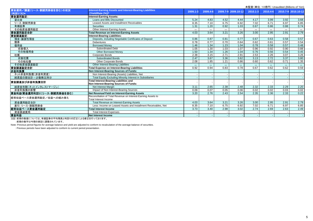|                            |                                                                 |          |          |       |                     |              |          |                   | 木盖宜\芈位. TO混口/ Urlaudited (Dillions of Terr) |
|----------------------------|-----------------------------------------------------------------|----------|----------|-------|---------------------|--------------|----------|-------------------|---------------------------------------------|
| 資金運用/調達(リース・割賦売掛金を含む)の状況   | <b>Interest-Earning Assets and Interest-Bearing Liabilities</b> | 2009.1-3 | 2009.4-6 |       | 2009.7-9 2009.10-12 | $2010.1 - 3$ | 2010.4-6 |                   | 2010.7-9 2010.10-12                         |
| (利回り(%))*                  | (Yield/Rate (%))*                                               |          |          |       |                     |              |          |                   |                                             |
| 資金運用勘定:                    | <b>Interest-Earning Assets:</b>                                 |          |          |       |                     |              |          |                   |                                             |
| 貸出金                        | Loans and Bills Discounted                                      | 5.24     | 4.83     | 4.52  | 4.44                | 4.17         | 3.99     | 3.92              | 3.68                                        |
| リース·割賦売掛金                  | Leased Assets and Installment Receivables                       | 8.35     | 7.10     | 6.75  | 6.92                | 7.02         | 6.71     | 6.97              | 6.85                                        |
| 有価証券                       | <b>Securities</b>                                               | 1.31     | 1.20     | 0.92  | 1.03                | 0.67         | 0.86     | 0.88              | 0.74                                        |
| その他資金運用勘定                  | Other Interest-Earning Assets                                   | $***$    | $***$    | $***$ | $***$               | $***$        | $***$    | $***$             | $***$                                       |
| 資金運用勘定合計                   | <b>Total Revenue on Interest-Earning Assets</b>                 | 4.03     | 3.64     | 3.21  | 3.26                | 3.00         | 2.95     | 2.91              | 2.79                                        |
| 資金調達勘定:                    | Interest-Bearing Liabilities:                                   |          |          |       |                     |              |          |                   |                                             |
| 預金·讓渡性預金                   | Deposits, including Negotiable Certificates of Deposit          | 0.86     | 0.87     | 0.81  | 0.77                | 0.67         | 0.63     | 0.58              | 0.57                                        |
| 債券                         | <b>Debentures</b>                                               | 0.78     | 0.77     | 0.70  | 0.64                | 0.62         | 0.61     | 0.57              | 0.54                                        |
| 借用金                        | <b>Borrowed Monev</b>                                           | 1.46     | 1.34     | 1.23  | 1.04                | 0.78         | 0.58     | 0.57              | 0.48                                        |
| 劣後借入                       | <b>Subordinated Debt</b>                                        | 1.05     | 1.30     | 1.03  | 1.07                | 0.96         | 0.92     | 0.90              | 0.88                                        |
| その他借用金                     | Other Borrowed Money                                            | 1.50     | 1.34     | 1.26  | 1.04                | 0.76         | 0.56     | 0.54              | 0.45                                        |
| 社債                         | <b>Corporate Bonds</b>                                          | 2.38     | 3.15     | 2.71  | 2.91                | 2.53         | 2.26     | 3.07              | 3.26                                        |
| 劣後社債                       | <b>Subordinated Bonds</b>                                       | 2.47     | 3.67     | 3.36  | 3.62                | 3.13         | 2.72     | 3.37              | 3.80                                        |
| その他社債                      | <b>Other Corporate Bonds</b>                                    | 2.08     | 1.85     | 1.21  | 0.86                | 0.60         | 0.62     | 0.71              | 1.35                                        |
| その他資金調達勘定                  | <b>Other Interest-Bearing Liabilities</b>                       | $***$    | $***$    | $***$ | $***$               | $***$        | $***$    | $\star\star\star$ | $\star\star\star$                           |
| 資金調達勘定合計                   | Total Expense on Interest-Bearing Liabilities                   | 0.92     | 0.94     | 0.83  | 0.78                | 0.67         | 0.62     | 0.62              | 0.59                                        |
| 非金利負債                      | Non Interest-Bearing Sources of Funds:                          |          |          |       |                     |              |          |                   |                                             |
| ネット非金利負債(非金利資産)            | Non Interest-Bearing (Assets) Liabilities, Net                  |          |          |       |                     |              |          |                   |                                             |
| 純資産の部合計ー少数株主持分             | <b>Total Equity Excluding Minority Interest in Subsidiaries</b> |          |          |       |                     |              |          |                   |                                             |
|                            | <b>Total Interest-Bearing Liabilities and</b>                   |          |          |       |                     |              |          |                   |                                             |
| 資金調達及び非金利負債合計              | Non Interest-Bearing Sources of Funds:                          |          |          |       |                     |              |          |                   |                                             |
| 純資金利鞘(ネットインタレストマージン)       | Net Interest Margin                                             | 3.11     | 2.65     | 2.38  | 2.48                | 2.32         | 2.33     | 2.29              | 2.20                                        |
| 非金利負債の影響                   | Impact of Non Interest-Bearing Sources                          | 0.09     | 0.07     | 0.05  | 0.06                | 0.02         | 0.02     | 0.03              | 0.02                                        |
| 資金利益/資金運用利回り(リース・割賦売掛金を含む) | Net Revenue/Yield on Interest-Earning Assets                    | 3.20     | 2.76     | 2.43  | 2.54                | 2.35         | 2.36     | 2.33              | 0.22                                        |
|                            | Reconciliation of Total Revenue on Interest-Earning Assets to   |          |          |       |                     |              |          |                   |                                             |
| 経常収益ベース資金運用勘定/収益への組み替え     | Total Interest Income                                           |          |          |       |                     |              |          |                   |                                             |
| 資金運用勘定合計                   | Total Revenue on Interest-Earning Assets                        | 4.03     | 3.64     | 3.21  | 3.26                | 3.00         | 2.95     | 2.91              | 2.79                                        |
| 差引:リース・割賦売掛金               | Less: Income on Leased Assets and Installment Receivables, Net  | 8.35     | 7.10     | 6.75  | 6.92                | 7.02         | 6.71     | 6.97              | 6.85                                        |
| 経常収益ベース資金運用勘定              | Total Interest Income                                           | 3.73     | 3.40     | 2.98  | 3.02                | 2.74         | 2.69     | 2.63              | 2.49                                        |
| 資金調達費用                     | <b>Total Interest Expenses</b>                                  |          |          |       |                     |              |          |                   |                                             |
| 資金利益                       | Net Interest Income                                             |          |          |       |                     |              |          |                   |                                             |
|                            |                                                                 |          |          |       |                     |              |          |                   |                                             |

注記:前期の数値については、有価証券の平均残高と利回りの訂正による修正を行っております。

:前期の数字は今期の表記に調整されています。

Note: Previous period figures for average balance and yield are adjusted to conform to recalculation of the average balance of securities.

: Previous periods have been adjusted to conform to current period presentation.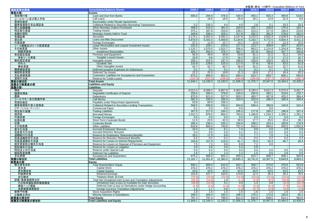| 連結貸借対照表                             | <b>Consolidated Balance Sheets</b>                             | 2009.3                   | 2009.6   | 2009.9   | 2009.12  | 2010.3   | 2010.6   | 2010.9                   | 2010.12              |
|-------------------------------------|----------------------------------------------------------------|--------------------------|----------|----------|----------|----------|----------|--------------------------|----------------------|
| 資産の部:                               | Assets:                                                        |                          |          |          |          |          |          |                          |                      |
| 現金預け金                               | Cash and Due from Banks                                        | 605.0                    | 294.9    | 476.0    | 430.4    | 493.1    | 655.4    | 469.8                    | 519.0                |
| コールローン及び買入手形                        | Call Loans                                                     | $\overline{\phantom{a}}$ | 19.6     | 19.5     | 25.9     | 19.1     | 13.9     | 31.5                     | 8.6                  |
| 買現先勘定                               | Receivables under Resale Agreements                            |                          |          |          |          |          |          |                          |                      |
| 債券貸借取引支払保証金                         | <b>Collateral Related to Securities Borrowing Transactions</b> | 0.2                      | 235.3    | 4.4      | 4.9      | 2.8      | 5.1      | 33.3                     | 33.5                 |
| 買入金銭債権                              | Other Monetary Claims Purchased                                | 408.0                    | 415.3    | 361.5    | 320.6    | 252.7    | 228.8    | 178.4                    | 163.7                |
| 特定取引資産                              | <b>Trading Assets</b>                                          | 375.1                    | 287.8    | 253.0    | 239.2    | 223.2    | 217.9    | 246.9                    | 210.6                |
| 金銭の信託                               | Monetary Assets Held in Trust                                  | 348.8                    | 339.4    | 329.1    | 317.8    | 292.2    | 281.9    | 278.6                    | 262.0                |
| 有価証券                                | Securities                                                     | 2.174.1                  | 3,262.3  | 3,282.2  | 3,147.8  | 3,233.3  | 2,832.9  | 2,639.9                  | 3,153.8              |
| 貸出金                                 | Loans and Bills Discounted                                     | 5,876.9                  | 5,341.5  | 5,469.9  | 5,134.6  | 5,163.7  | 4,772.5  | 4,604.4                  | 4,411.3              |
| 外国為替                                | Foreign Exchanges                                              | 37.1                     | 11.9     | 12.7     | 13.1     | 10.9     | 17.4     | 12.3                     | 15.0                 |
| リース債権及びリース投資資産                      | Lease Receivables and Leased Investment Assets                 | 232.5                    | 228.1    | 224.0    | 217.2    | 213.7    | 208.8    | 204.7                    | 203.5                |
| その他資産                               | <b>Other Assets</b>                                            | 1.125.7                  | 1.070.5  | 1,023.7  | 936.4    | 863.2    | 1.124.9  | 1,204.8                  | 869.4                |
| 割賦売掛金                               | <b>Installment Receivables</b>                                 | 404.7                    | 393.3    | 376.7    | 362.7    | 347.8    | 344.8    | 347.7                    | 340.8                |
|                                     | Premises and Equipment                                         | 50.9                     | 49.6     |          |          |          | 51.5     | 51.2                     |                      |
| 有形固定資産                              |                                                                |                          |          | 55.8     | 53.9     | 52.1     |          |                          | 54.5                 |
| 有形リース資産                             | <b>Tangible Leased Assets</b>                                  | 10.8                     | 9.6      | 17.5     | 16.2     | 15.4     | 17.3     | 17.2                     | 16.7                 |
| 無形固定資産                              | Intangible Assets                                              | 209.1                    | 203.5    | 197.4    | 186.8    | 109.9    | 106.0    | 102.9                    | 98.8                 |
| のれん                                 | Goodwill, Net                                                  | 132.9                    | 129.5    | 125.3    | 117.0    | 57.8     | 55.6     | 53.5                     | 51.5                 |
| 無形資産                                | Other Intangible Assets                                        | 44.7                     | 42.7     | 40.7     | 38.9     | 25.2     | 24.0     | 22.7                     | 21.6                 |
| 債券繰延資産                              | Deferred Issuance Expenses for Debentures                      | 0.1                      | 0.1      | 0.1      | 0.1      | 0.1      | 0.1      | 0.1                      | 0.1                  |
| 繰延税金資産                              | <b>Deferred Tax Assets</b>                                     | 22.2                     | 25.3     | 19.8     | 21.3     | 18.9     | 17.2     | 16.4                     | 20.3                 |
| 支払承諾見返                              | Customers' Liabilities for Acceptances and Guarantees          | 675.2                    | 666.0    | 652.4    | 650.4    | 623.7    | 609.7    | 606.1                    | 593.9                |
| 貸倒引当金                               | <b>Reserve for Credit Losses</b>                               | (192.5                   | (202.5   | (198.6   | (194.8   | (196.6)  | (197.7   | (218.1)                  | (190.7)              |
| <u>資産の部合計</u><br>負債及び純資産の部<br>負債の部: | <b>Total Assets</b>                                            | 11.949.1                 | 12.249.3 | 12.183.5 | 11.506.3 | 11.376.7 | 10.947.0 | 10,464.0                 | 10.428.2             |
|                                     | <b>Liabilities and Equity</b>                                  |                          |          |          |          |          |          |                          |                      |
|                                     | Liabilities:                                                   |                          |          |          |          |          |          |                          |                      |
| 預金                                  | <b>Deposits</b>                                                | 6.012.4                  | 6,599.2  | 6,667.8  | 6,463.5  | 6,190.4  | 5,812.3  | 5,570.5                  | 5,451.7              |
| 讓渡性預金                               | Negotiable Certificates of Deposit                             | 259.6                    | 395.4    | 378.6    | 240.4    | 284.9    | 284.1    | 319.6                    | 232.7                |
| 債券                                  | <b>Debentures</b>                                              | 675.5                    | 621.5    | 527.5    | 503.1    | 483.7    | 457.8    | 425.2                    | 384.4                |
| コールマネー及び売渡手形                        | <b>Call Monev</b>                                              | 281.5                    | 155.5    | 100.4    | 310.4    | 310.4    | 180.4    | 160.4                    | 165.4                |
| 売現先勘定                               | Payables under Repurchase Agreements                           | 53.8                     | 60.9     | 156.3    |          | 8.4      |          |                          |                      |
| 债券貸借取引受入担保金                         | <b>Collateral Related to Securities Lending Transactions</b>   | 569.5                    | 598.8    | 764.3    | 504.8    | 548.4    | 399.8    | 140.8                    | 315.4                |
| コマーシャル・ペーパー                         | <b>Commercial Paper</b>                                        | 0.1                      | 0.0      | 0.0      | 0.0      |          | 0.0      |                          |                      |
| 特定取引負債                              | <b>Trading Liabilities</b>                                     | 307.5                    | 217.0    | 194.2    | 195.3    | 177.8    | 180.2    | 196.9                    | 167.4                |
| 借用金                                 | <b>Borrowed Monev</b>                                          | 1,012.3                  | 879.5    | 800.2    | 783.0    | 1,186.8  | 1,234.3  | 1,336.1                  | 1,291.2              |
| 外国為替                                | Foreign Exchanges                                              | 0.0                      | 0.0      | 0.0      | 0.0      | 0.0      | 0.1      | 0.0                      | 0.0                  |
| 短期社債                                | Short-Term Corporate Bonds                                     | 11.5                     | 23.5     | 42.3     | 30.5     | 17.7     | 25.5     | 20.4                     | 28.1                 |
| 社債                                  | <b>Corporate Bonds</b>                                         | 266.4                    | 236.4    | 205.2    | 194.8    | 188.2    | 163.4    | 180.8                    | 176.9                |
|                                     | Other Liabilities                                              | 819.9                    |          |          | 707.4    | 619.2    | 894.0    |                          | 1,002.6              |
| その他負債                               |                                                                |                          | 805.0    | 745.8    |          |          |          | 830.5                    |                      |
| 賞与引当金                               | <b>Accrued Employees' Bonuses</b>                              | 10.4                     | 3.8      | 6.1      | 7.4      | 8.8      | 3.0      | 4.9                      | 5.8                  |
| 役員賞与引当金                             | <b>Accrued Directors' Bonuses</b>                              | 0.3                      | 0.0      | 0.0      | 0.1      | 0.1      | 0.0      | 0.0                      | 0.0                  |
| 退職給付引当金                             | Reserve for Employees' Retirement Benefits                     | 18.2                     | 17.9     | 9.9      | 7.6      | 7.7      | 7.0      | 7.4                      | 7.2                  |
| 役員退職慰労引当金                           | Reserve for Directors' Retirement Benefits                     | 0.2                      | 0.2      | 0.1      | 0.1      | 0.2      | 0.2      | 0.2                      | 0.2                  |
| 利息返還損失引当金                           | Reserve for Losses on Interest Repayments                      | 193.8                    | 157.9    | 119.5    | 81.7     | 70.0     | 54.3     | 46.7                     | 39.4                 |
| 固定資産処分損失引当金                         | Reserve for Losses on Disposal of Premises and Equipment       | 7.5                      | 7.3      | 6.9      | 6.9      | 7.2      | 0.0      | $\overline{\phantom{a}}$ | $\frac{1}{\sqrt{2}}$ |
| 訴訟損失引当金                             | Reserve for Losses on Litigation                               | 3.6                      | 3.6      | 3.6      | 5.4      | 5.8      |          | $\sim$                   |                      |
| 特別法上の引当金                            | Reserve under Special Law                                      | 0.0                      | 0.0      | 0.0      | 0.0      | 0.0      | 0.0      | 0.0                      | 0.0                  |
| 繰延税金負債                              | <b>Deferred Tax Liabilities</b>                                | 1.6                      | 1.4      | 1.4      | 1.2      | 1.5      | 0.5      | 2.6                      | 0.5                  |
| 支払承諾                                | <b>Acceptances and Guarantees</b>                              | 675.2                    | 666.0    | 652.4    | 650.4    | 623.7    | 609.7    | 606.1                    | 593.9                |
| 負債の部合計                              | <b>Total Liabilities</b>                                       | 11.181.7                 | 11.451.8 | 11,383.5 | 10,695.3 | 10.741.8 | 10.307.5 | 9.849.8                  | 9,863.5              |
| 純資産の部                               | Equity:                                                        |                          |          |          |          |          |          |                          |                      |
| 株主資本合計                              | <b>Total Shareholders' Equity</b>                              | 600.1                    | 605.0    | 610.9    | 622.1    | 459.7    | 473.6    | 476.6                    | 523.8                |
| 資本金                                 | <b>Capital Stock</b>                                           | 476.2                    | 476.2    | 476.2    | 476.2    | 476.2    | 476.2    | 476.2                    | 476.2                |
| 資本剰余金                               | <b>Capital Surplus</b>                                         | 43.5                     | 43.5     | 43.5     | 43.5     | 43.5     | 43.5     | 43.5                     | 43.5                 |
| 利益剰余金                               | <b>Retained Earnings</b>                                       | 152.8                    | 157.7    | 163.6    | 174.8    | 12.4     | 26.3     | 29.3                     | 76.5                 |
| 自己株式                                | Treasury Stock, at Cost                                        | (72.5)                   | (72.5)   | (72.5)   | (72.5)   | (72.5)   | (72.5)   | (72.5)                   | (72.5)               |
| 評価・換算差額等合計                          | Total Net Unrealized Gain (Loss) and Translation Adjustments   | (40.5)                   | (14.6)   | 1.9      | (1.1)    | (2.6)    | (8.5)    | (19.9)                   | (25.9)               |
| その他有価証券評価差額金                        | Unrealized Gain (Loss) on Available-for-Sale Securities        | (38.8)                   | (12.8)   | 3.1      | 4.9      | 1.3      | 0.8      | (8.2)                    | (10.4)               |
| 繰延ヘッジ損益                             | Deferred Gain (Loss) on Derivatives under Hedge Accounting     | (2.9)                    | (3.5)    | (2.0)    | (4.9)    | (3.3)    | (6.4)    | (7.9)                    | (12.6)               |
| 為替換算調整勘定                            | Foreign Currency Translation Adjustments                       | 1.2                      | 1.7      | 0.8      | (1.0)    | (0.7)    | (2.9)    | (3.6)                    | (2.8)                |
| 新株予約権                               | <b>Stock Acquisition Rights</b>                                | 1.8                      | 1.6      | 1.5      | 1.6      | 1.6      | 1.5      | 1.6                      | 1.5                  |
| 少数株主持分                              | Minority Interests in Subsidiaries                             | 206.0                    | 205.4    | 185.5    | 188.3    | 176.2    | 172.8    | 155.8                    | 65.2                 |
|                                     | <b>Total Equity</b>                                            | 767.4                    | 797.4    | 799.9    | 811.0    | 634.9    | 639.5    | 614.1                    | 564.6                |
| - ジック<br>- 純資産の部合計<br>- 負債及び純資産の部合計 | <b>Total Liabilities and Equity</b>                            | 11,949.1                 | 12,249.3 |          |          | 11,376.7 | 10,947.0 |                          |                      |
|                                     |                                                                |                          |          | 12,183.5 | 11,506.3 |          |          | 10,464.0                 | 10,428.2             |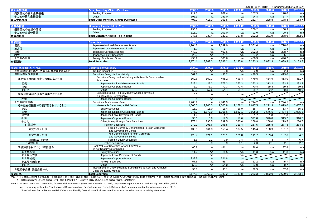|                        |                                                                    |                 |                  |                 |                |                 | 未監査(単位: 10億円) Unaudited (Billions of Yen) |                 |                                                                             |
|------------------------|--------------------------------------------------------------------|-----------------|------------------|-----------------|----------------|-----------------|-------------------------------------------|-----------------|-----------------------------------------------------------------------------|
| 冒入金錢僧権                 | <b>Other Monetary Claims Purchased</b>                             | 2009.3          | 2009.6           | 2009.9          | 2009.12        | 2010.3          | 2010.6                                    | 2010.9          | 2010.12                                                                     |
| 売買目的の買入金銭債権            | <b>Trading Purpose</b>                                             | 212.1           | n/a              | 202.4           | n/a            | 157.9           | n/a                                       | 120.6           | n/a                                                                         |
| その他の買入金銭債権             | Other                                                              | 195.9           | n/a              | 159.0           | n/a            | 94.8            | n/a                                       | 57.7            | n/a                                                                         |
| 買入金銭債権                 | <b>Total Other Monetary Claims Purchased</b>                       | 408.0           | 415.3            | 361.5           | 320.6          | 252.7           | 228.8                                     | 178.4           | 163.7                                                                       |
|                        |                                                                    |                 |                  |                 |                |                 |                                           |                 |                                                                             |
| 金銭の信託                  | <b>Monetary Assets Held in Trust</b>                               | 2009.3          | 2009.6           | 2009.9          | 2009.12        | 2010.3          | 2010.6                                    | 2010.9          | 2010.12                                                                     |
| 運用目的の金銭の信託             | <b>Trading Purpose</b>                                             | 235.7           | n/a              | 220.0           | n/a            | 200.2           | n/a                                       | 188.3           | n/a                                                                         |
| その他の金銭の信託              | Other                                                              | 113.0           | n/a              | 109.0           | n/a            | 92.0            | n/a                                       | 90.3            | n/a                                                                         |
| 金銭の信託                  | <b>Total Monetary Assets Held in Trust</b>                         | 348.8           | 339.4            | 329.1           | 317.8          | 292.2           | 281.9                                     | 278.6           | 262.0                                                                       |
|                        |                                                                    |                 |                  |                 |                |                 |                                           |                 |                                                                             |
| 有価証券                   | <b>Securities</b>                                                  | 2009.3          | 2009.6           | 2009.9          | 2009.12        | 2010.3          | 2010.6                                    | 2010.9          | 2010.12                                                                     |
| 国債                     | Japanese National Government Bonds                                 | 1.204.2         | n/a              | 2.339.0         | n/a            | 2,361.6         | n/a                                       | 1.778.0         | n/a                                                                         |
| 地方債                    | Japanese Local Government Bonds                                    | 1.7             | n/a              | 1.7             | n/a            | 1.7             | n/a                                       | 1.8             | n/a                                                                         |
| 社債                     | Japanese Corporate Bonds                                           | 442.9           | n/a              | 409.6           | n/a            | 392.3           |                                           | 388.7           |                                                                             |
| 株式                     |                                                                    |                 |                  |                 |                | 27.2            | n/a                                       |                 | n/a                                                                         |
|                        | Japanese Equity Securities                                         | 26.9            | n/a              | 28.1            | n/a            |                 | n/a                                       | 25.1            | n/a                                                                         |
| その他の証券                 | Foreign Bonds and Other                                            | 498.2           | n/a              | 503.6           | n/a            | 450.3           | n/a                                       | 446.2           | n/a                                                                         |
| 有価証券                   | <b>Total Securities</b>                                            | 2,174.1         | 3,262.3          | 3,282.2         | 3,147.8        | 3,233.3         | 2,832.9                                   | 2,639.9         | 3,153.8                                                                     |
|                        |                                                                    |                 |                  |                 |                |                 |                                           |                 |                                                                             |
| 有価証券保有区分別残高            | <b>Securities by Category</b>                                      | 2009.3          | 2009.6           | 2009.9          | 2009.12        | 2010.3          | 2010.6                                    | 2010.9          | 2010.12                                                                     |
| 売買目的有価証券のうち有価証券に含まれるもの | <b>Trading Securities</b>                                          | 17.3            | n/a              | 6.8             | n/a            | 2.9             | n/a                                       | 2.4             | n/a                                                                         |
| 満期保有目的の債券              | Securities Being Held to Maturity                                  | 362.7           | n/a              | 498.2           | n/a            | 479.5           | n/a                                       | 413.0           | n/a                                                                         |
| 満期保有目的の債券で時価のあるもの      | Securities Being Held to Maturity with Readily Determinable        | 362.6           | 560.3            | 498.2           | 499.4          | 479.5           | 434.9                                     | 413.0           | 411.7                                                                       |
|                        | Fair Value                                                         |                 |                  |                 |                |                 |                                           |                 |                                                                             |
| 国債                     | Japanese National Government Bonds                                 | 229.1           | 427.3            | 373.3           | 373.3          | 353.3           | 313.2                                     | 293.2           | 293.2                                                                       |
| 社債                     | Japanese Corporate Bonds                                           | 75.2            | 75.3             | 70.3            | 70.4           | 70.4            | 69.4                                      | 69.4            | 69.5                                                                        |
| その他                    | Other                                                              | 58.2            | 57.6             | 54.4            | 55.7           | 55.7            | 52.2                                      | 50.3            | 49.0                                                                        |
|                        |                                                                    |                 |                  |                 |                |                 |                                           |                 |                                                                             |
|                        | Securities Being Held to Maturity whose Fair Value                 | 0.0             | n/a              |                 | n/a            |                 |                                           |                 |                                                                             |
| 満期保有目的の債券で時価のないもの      | is not Readily Determinable                                        |                 |                  |                 |                |                 |                                           |                 |                                                                             |
| 社債                     | Japanese Corporate Bonds                                           | 0.0             | n/a              |                 | n/a            |                 |                                           |                 |                                                                             |
| その他有価証券                | Securities Available-for-Sale                                      | 1,760.9         | n/a              | 2,741.9         | n/a            | 2,714.2         | n/a                                       | 2,224.5         |                                                                             |
| その他有価証券で時価評価されているもの    | Marketable Securities, at Fair Value                               | 1,300.0         | 2,203.3          | 2,300.8         | 2,178.2        | 2,617.5         | 2,271.3                                   | 2,099.0         |                                                                             |
| 株式                     | <b>Equity Securities</b>                                           | 15.0            | 16.0             | 16.4            | 16.0           | 15.7            | 14.1                                      | 13.7            | 15.1                                                                        |
| 国債                     | Japanese National Government Bonds                                 | 975.0           | 1.872.0          | 1.965.6         | 1.822.1        | 2.008.2         | 1,676.5                                   | 1.484.8         | 1,985.3                                                                     |
| 地方債                    | Japanese Local Government Bonds                                    | 1.7             | 1.7              | 1.7             | 1.7            | 1.7             | 1.8                                       | 1.8             | 1.7                                                                         |
| 社債                     | Japanese Corporate Bonds                                           | 35.0            | 16.8             | 17.3            | 17.6           | 321.8           | 320.8                                     | 319.2           |                                                                             |
| その他                    | Other, Mainly Foreign Debt Securities                              | 273.1           | 296.5            | 299.5           | 320.6          | 269.8           | 258.0                                     | 279.5           | 286.7                                                                       |
| 外国証券                   | <b>Foreign Securities</b>                                          | 272.2           | 295.6            | 298.5           | 319.4          | 267.5           | 255.8                                     | 277.3           | 284.5                                                                       |
|                        | Foreign Currency Denominated Foreign Corporate                     |                 |                  |                 |                |                 |                                           |                 |                                                                             |
| 外貨外国公社債                | and Government Bonds                                               | 136.3           | 161.3            | 158.4           | 187.5          | 145.4           | 138.9                                     | 161.7           |                                                                             |
|                        | Yen-Denominated Foreign Corporate                                  |                 |                  |                 |                |                 |                                           |                 |                                                                             |
| 邦貨外国公社債                | and Government Bonds                                               | 123.7           | 121.1            | 129.1           | 121.8          | 111.7           | 109.4                                     | 107.8           |                                                                             |
| 外国株式・その他               | Foreign Equity Securities                                          | 6.6             | 9.1              | 7.9             | 7.4            | 7.5             | 7.4                                       | 7.7             |                                                                             |
| その他証券                  | <b>Other Securities</b>                                            | 0.9             | 0.9 <sup>°</sup> | 0.9             | 1.1            | 2.3             | 2.1                                       | 2.1             |                                                                             |
|                        | Book Value of Securities whose Fair Value                          |                 |                  |                 |                |                 |                                           |                 |                                                                             |
| 時価評価されていない有価証券         | is not Readily Determinable                                        | 460.8           | n/a              | 441.1           | n/a            | 96.6            | n/a                                       | 87.8            |                                                                             |
| 非上場株式                  | <b>Equity Securities</b>                                           | 11.7            | n/a              | 11.5            | n/a            | 11.3            | n/a                                       | 11.3            |                                                                             |
| 非上場地方債                 | Japanese Local Government Bonds                                    |                 | n/a              |                 | n/a            |                 |                                           |                 |                                                                             |
| 非上場社債                  | Japanese Corporate Bonds                                           | 332.5           | n/a              | 321.8           | n/a            |                 |                                           |                 |                                                                             |
| 非上場外国証券                | <b>Foreign Securities</b>                                          | 57.6            | n/a              | 53.7            | n/a            | 52.2            | n/a                                       | 45.7            | n/a<br>2,607.8<br>318.7<br>183.0<br>94.7<br>6.7<br>2.2<br>n/a<br>n/a<br>n/a |
| その他                    | Other                                                              | 58.9            | n/a              | 54.0            | n/a            | 33.0            | n/a                                       | 30.7            | n/a                                                                         |
|                        | Investments in Unconsolidated Subsidiaries, at Cost and Affiliates |                 |                  |                 |                |                 |                                           |                 |                                                                             |
| 非連結子会社·関連会社株式<br>有価証券  | Using the Equity Method<br><b>Total Securities</b>                 | 33.1<br>2,174.1 | n/a<br>3,262.3   | 35.1<br>3,282.2 | n/a<br>3.147.8 | 36.5<br>3,233.3 | n/a<br>2,832.9                            | 37.6<br>2,639.9 | n/a<br>3,153.8                                                              |

注記: 1. 「金融商品に関する会計基準」(平成20年3月10日改正)の適用に伴い、2010.3から、従来「時価評価されていない有価証券」に含まれていた非上場社債および非上場外国証券の一部を時価評価しております。

2. 「時価評価されていない有価証券」には、時価を把握することが極めて困難と認められる有価証券が含まれております。

Note: 1. In accordance with "Accounting for Financial Instruments" (amended in March 10, 2010), "Japanese Corporate Bonds" and "Foreign Securities", which were previously included in "Book Value of Securities whose Fair Value is not Readily Determinable", are measured at fair value since March 2010.

2. "Book Value of Securities whose Fair Value is not Readily Determinable" includes securities whose fair value cannot be reliably determine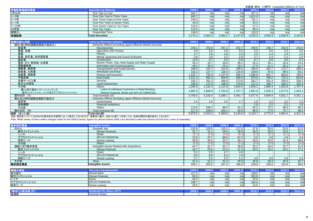| 有価証券満        | <b>Securities by Maturity</b>  | 2009.3  | 2009.6  | 2009.5  |         | 2010.3  | 2010.6  | 2010.9  | 2010.12 |
|--------------|--------------------------------|---------|---------|---------|---------|---------|---------|---------|---------|
| 1年以内         | One Year or Less               | 562.7   |         |         | n/a     | 327.4   | n/a     | n/al    | n/a     |
| 1~3年         | Over One Year to Three Years   | 953.7   |         |         | n/a     | 1,812.0 | n/al    | n/a     | n/a     |
| 3~5年         | Over Three Years to Five Years | 244.0   |         |         | n/al    | 731.1   | n/a     | n/a     | n/a     |
| 5~7年         | Over Five Years to Seven Years | 40.9    |         | n/a     | n/a     | 63.4    | n/al    | n/a     | n/a     |
| 7~10年        | Over Seven Years to Ten Years  | 120.5   |         |         | n/al    | 67.3    | n/a     | n/al    | n/a     |
|              | Over Ten Years                 | 113.5   |         |         | n/al    | 98.4    | n/a     | n/a     | n/a     |
| 10年超<br>期限なし | <b>Unspecified Term</b>        | 138.5   |         |         | n/a     | 133.5   | n/a     | n/al    | n/a     |
| 有価証券         | <b>Total Securities</b>        | 2.174.1 | 3,262.3 | 3,282.2 | 3.147.8 | 3,233.3 | 2,832.9 | 2,639.9 | 3,153.8 |

| 業種別貸出内訳                                          | <b>Loans by Borrower Industry</b>                                                                 | 2009.3  | 2009.6  | 2009.9  | 2009.12 | 2010.3           | 2010.6  | 2010.9  | 2010.12 |
|--------------------------------------------------|---------------------------------------------------------------------------------------------------|---------|---------|---------|---------|------------------|---------|---------|---------|
| 国内(除く特別国際金融取引勘定分)                                | Domestic Offices (excluding Japan Offshore Market Account):                                       |         |         |         |         |                  |         |         |         |
| 製造業                                              | Manufacturing                                                                                     | 243.1   | 252.0   | 257.2   | 262.7   | 249.0            | 248.7   | 252.0   | 233.4   |
| 農業、林業                                            | Agriculture and Forestry                                                                          | 0.0     | 0.0     | 0.0     | 0.0     | 0.0              | 0.0     | 0.0     | 0.0     |
| 漁業                                               | Fisherv                                                                                           | 2.7     | 2.6     | 2.6     | 2.5     | 2.5              | 2.4     | 2.4     | 2.2     |
| 鉱業、砕石業、砂利採取業                                     | Mining, Quarrying and Gravel Extraction                                                           | 3.6     | 3.5     | 3.2     | 2.9     | $\overline{2.7}$ | 2.4     | 2.2     | 2.0     |
| 建設業                                              | Construction                                                                                      | 13.0    | 8.7     | 9.3     | 9.8     | 8.7              | 5.8     | 5.6     | 5.2     |
| 電気・ガス・熱供給・水道業                                    | Electric Power, Gas, Heat Supply and Water Supply                                                 | 45.4    | 43.7    | 39.6    | 39.2    | 32.3             | 30.1    | 25.9    | 24.6    |
| 情報通信業                                            | Information and Communications                                                                    | 48.1    | 30.2    | 20.1    | 19.1    | 17.0             | 11.1    | 16.1    | 11.7    |
| 運輸業、郵便業                                          | <b>Transportation and Postal Service</b>                                                          | 336.9   | 324.7   | 313.9   | 298.5   | 293.6            | 282.7   | 272.7   | 299.2   |
| 卸売業、小売業                                          | <b>Wholesale and Retail</b>                                                                       | 132.1   | 127.7   | 126.0   | 115.9   | 109.6            | 97.6    | 99.0    | 93.1    |
| 金融業、保険業                                          | Finance and Insurance                                                                             | .152.7  | 782.9   | ,107.8  | 836.4   | 1,095.9          | 922.7   | 892.6   | 785.6   |
| 不動産業                                             | <b>Real Estate</b>                                                                                | 1,011.3 | 992.3   | 929.8   | 946.0   | 875.6            | 766.2   | 722.2   | 623.6   |
| 各種サービス業                                          | Services                                                                                          | 332.7   | 301.3   | 266.6   | 273.9   | 262.7            | 261.4   | 255.5   | 339.3   |
| 地方公共団体                                           | <b>Local Government</b>                                                                           | 156.5   | 172.4   | 168.3   | 170.8   | 171.3            | 166.7   | 164.1   | 163.2   |
| その他                                              | Others                                                                                            | 2,280.8 | 2,191.0 | 2,124.8 | 2,063.5 | 1,956.2          | 1,896.4 | 1,820.8 | 1,767.4 |
| 個人向け貸出(リテールバンキング、<br>新生フィナンシャル、シンキ及びアプラスフィナンシャル) | Loans to Individual Customers in Retail Banking,<br>Shinsei Financial, Shinki and APLUS FINANCIAL | 1,887.6 | 1,808.8 | ,752.9  | 1,707.7 | 1,667.0          | 1,630.3 | 1,577.5 | 1,543.2 |
| 国内合計 (A)                                         | Total Domestic (A)                                                                                | 5,759.5 | 5,233.4 | 5,369.7 | 5,041.7 | 5,077.6          | 4,694.9 | 4,531.7 | 4,351.1 |
| 海外及び特別国際金融取引勘定分                                  | Overseas Offices (including Japan Offshore Market Account):                                       |         |         |         |         |                  |         |         |         |
| 政府等                                              | Governments                                                                                       | 1.4     | 1.6     | 1.5     | 1.7     | 1.9              | 2.2     | 2.2     | 2.3     |
| 金融機関                                             | <b>Financial Institutions</b>                                                                     |         |         |         |         | 1.8              | 2.2     | 2.1     | 1.6     |
| その他                                              | Others                                                                                            | 115.8   | 106.4   | 98.6    | 91.2    | 82.2             | 73.1    | 68.4    | 56.2    |
| 海外合計 (B)                                         | Total Overseas (B)                                                                                | 117.3   | 108.0   | 100.1   | 92.9    | 86.0             | 77.5    | 72.7    | 60.2    |
| 合計 (A) + (B)                                     | Total $(A)+(B)$                                                                                   | 5,876.9 | 5,341.5 | 5,469.9 | 5,134.6 | 5,163.7          | 4,772.5 | 4,604.4 | 4,411.3 |

注記:項目名については2009.6の表示区分の変更に沿って表示しておりますが、重要性に鑑み、2009.3以前につきましては、従来の開示計数を表示しております。

Note: While names of items reflect changes made for the 2009.6 period, figures for periods before 2009.3 are disclosed under the previous format from a view of materiality.

| <b>無形固定資産</b> | <b>Intangible Assets</b>                    | 2009.3 | 2009.6 | 2009.9 | 2009<br>12. | 2010.3 | 2010.6            | 2010.9 | 2010.12 |
|---------------|---------------------------------------------|--------|--------|--------|-------------|--------|-------------------|--------|---------|
| のれん           | Goodwill, Net                               | 132.9  | 129.5  | 125.3  | 117.0       | 57.8   | 55.6              | 53.5   | 51.5    |
| 新生フィナンシャル     | Shinsei Financial                           | 32.7   | 31.1   | 29.5   | 28.0        | 26.5   | 25.0              | 23.6   | 22.2    |
| シンキ           | Shinki                                      |        | (6.6)  | (6.5)  | (6.4)       | (6.3)  | (6.2)             | (6.1)  | (6.0)   |
| アプラスフィナンシャル   | <b>APLUS FINANCIAL</b>                      | 72.0   | 70.7   | 68.6   | 67.4        | 5.0    | 4.8               | 4.6    | 4.4     |
| 昭和リース         | Showa Leasing                               | 34.8   | 34.2   | 33.7   | 33.1        | 32.5   | 32.0              | 31.4   | 30.8    |
| その他           | <b>Others</b>                               | 0.01   | (0.0)  | (0.0)  | (5.1)       | (0.0)  | (0.0)             | (0.0)  | (0.0)   |
| 連結に伴う無形資産     | Intangible Assets Related with Acquisitions | 44.7   | 42.7   | 40.7   | 38.9        | 25.2   | 24.0              | 22.7   | 21.6    |
| 新生フィナンシャル     | Shinsei Financial                           | 24.7   | 23.5   | 22.3   | 21.3        | 20.2   | 19.2 <sub>1</sub> | 18.1   | 17.1    |
| シンキ           | Shinki                                      | 5.2    | 5.0    | 4.7    | 4.4         |        |                   |        |         |
| アプラスフィナンシャル   | <b>APLUS FINANCIAL</b>                      | 9.0    | 8.6    | 8.3    | 7.9         |        |                   |        |         |
| 昭和リース         | Showa Leasing                               |        | 5.5    | 5.3    | 5.1         | 4.9    | 4.8               | 4.6    | 4.4     |
| その他           | Other                                       | 31.4   | 31.2   | 31.3   | 30.9        | 26.8   | 26.3              | 26.6   | 25.7    |
| 無形固定資産        | <b>Intangible Assets</b>                    | 209.1  | 203.5  | 197.4  | 186.8       | 109.9  | 106.0             | 102.9  | 98.8    |
|               |                                             |        |        |        |             |        |                   |        |         |

| <mark>繰越欠損金</mark><br>新生銀行 | <b>Tax Loss Carryforwards</b>    | 2009.3 | 2009. |     | 2009.12         | 2010.3 | 2010.6 |      | 2010.12                  |
|----------------------------|----------------------------------|--------|-------|-----|-----------------|--------|--------|------|--------------------------|
|                            | Shinsei Bank                     | 127.0  | n/a   | n/a | n/a             | 108.0  | n/al   | n/al | n/a                      |
| 新生フィナンシャル                  | Shinsei Financial                | 92.9   | n/a   | n/a | n/a             | 263.6  | n/a    | n/a  | n/a                      |
| シンキ                        | Shinki                           | 28.3   | n/a   |     | n/a             | 33.8   | n/a    | n/a  | n/a                      |
| アプラスフィナンシャル                | <b>APLUS FINANCIAL</b>           | 198.7  | n/a   | n/a | n/a             | 192.6  | n/a    | n/a  | n/a                      |
| 昭和リース                      | Showa Leasing                    | 33.6   | n/a   | n/a | $n/\varepsilon$ | 14.6   | n/a    | n/a  | n/a                      |
|                            |                                  |        |       |     |                 |        |        |      |                          |
| 1株当たり配当金(円)                | <b>Dividends Per Share (JPY)</b> | 2009.3 | 2009. |     |                 |        | 2010.6 |      | 2010.12                  |
| 普通株                        | <b>Common Share</b>              |        |       |     |                 |        |        |      | $\overline{\phantom{a}}$ |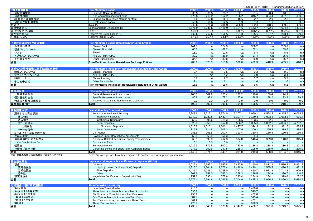|                           |                                                                                      |                  |                |                |                  |                         | 未監査(単位:10億円) Unaudited (Billions of Yen) |                |                |
|---------------------------|--------------------------------------------------------------------------------------|------------------|----------------|----------------|------------------|-------------------------|------------------------------------------|----------------|----------------|
| リスク管理債権                   | <b>Risk Monitored Loans</b>                                                          | 2009.3           | 2009.6         | 2009.9         | 2009.12          | 2010.3                  | 2010.6                                   | 2010.9         | 2010.12        |
| 破綻先債権額                    | Loans to Bankrupt Obligors                                                           | 39.5             | 39.5           | 33.7           | 32.1             | 21.5                    | 20.4                                     | 18.5           | 16.9           |
| 延滞債権額                     | Non-Accrual Delinquent Loans                                                         | 178.5            | 213.2          | 192.2          | 196.2            | 346.7                   | 334.4                                    | 357.2          | 330.2          |
| 3ヵ月以上延滞債権額                | Loans Past Due Three Months or More                                                  | 5.9              | 13.8           | 26.4           | 15.6             | 2.7                     | 2.9                                      | 2.2            | 3.7            |
| 貸出条件緩和債権額                 | <b>Restructured Loans</b>                                                            | 59.6             | 61.6           | 62.5           | 61.9             | 61.3                    | 61.0                                     | 61.5           | 59.9           |
| 合計 (A)                    | Total (A)                                                                            | 283.6            | 328.3          | 315.0          | 306.0            | 432.3                   | 418.9                                    | 439.5          | 410.7          |
| 貸出金残高 (B)                 | Loans and Bills Discounted (B)                                                       | 5,876.9          | 5,341.5        | 5,469.9        | 5,134.6          | 5,163.7                 | 4,772.5                                  | 4,604.4        | 4,411.3        |
| 貸出残高比 (A)/(B)             | (A)/(B)                                                                              | 4.83%            | 6.15%          | 5.76%          | 5.96%            | 8.37%                   | 8.78%                                    | 9.55%          | 9.31%          |
| 貸倒引当金 (C)                 | Reserve for Credit Losses (C)                                                        | 192.5            | 202.5          | 198.6          | 194.8            | 196.6                   | 197.7                                    | 218.1          | 190.7          |
| 引当率 (C)/(A)               | Reserve Ratios (C)/(A)                                                               | 67.9%            | 61.7%          | 63.1%          | 63.7%            | 45.5%                   | 47.2%                                    | 49.6%          | 46.4%          |
| 子会社別連結リスク管理債権             | <b>Risk Monitored Loans Breakdown for Large Entities</b>                             | 2009.3           | 2009.6         | 2009.9         | 2009.12          | 2010.3                  | 2010.6                                   | 2010.9         | 2010.12        |
| 新生銀行単体                    | Shinsei Bank                                                                         | 141.0            | n/a            | 177.3          | n/a              | 306.2                   | n/a                                      | 289.6          | n/a            |
| 新生フィナンシャル                 | Shinsei Financial                                                                    | 66.6             | n/a            | 67.2           | n/a              | 62.1                    | n/a                                      | 59.6           | n/a            |
| シンキ                       | Shinki                                                                               | 11.2             | n/a            | 10.6           | n/a              | 9.4                     | n/a                                      | 8.5            | n/a            |
| アプラスフィナンシャル               | <b>APLUS FINANCIAL</b>                                                               | 30.2             | n/a            | 28.9           | n/a              | 27.4                    | n/a                                      | 25.0           | n/a            |
|                           | <b>Other Subsidiaries</b>                                                            | 34.4             |                | 30.8           | n/a              | 26.9                    | n/a                                      | 56.7           |                |
| その他子会社                    |                                                                                      | 283.6            | n/a<br>328.3   | 315.0          | 306.0            | 432.3                   | 418.9                                    | 439.5          | n/a<br>410.7   |
| 合計                        | Risk-Monitored Loans Breakdown For Large Entities                                    |                  |                |                |                  |                         |                                          |                |                |
|                           | <b>Risk Monitored Installment Receivables Included in Other Assets</b>               | 2009.3           | 2009.6         | 2009.9         | 2009.12          |                         | 2010.6                                   |                |                |
| 連結リスク管理債権に準ずる割賦売掛金        | Shinsei Financial                                                                    | 0.4              | n/a            | 0.5            | n/a              | 2010.3<br>0.3           | n/a                                      | 2010.9<br>0.1  | 2010.12        |
| 新生フィナンシャル                 | <b>APLUS FINANCIAL</b>                                                               | 5.3              | n/a            | 4.2            | n/a              |                         | n/a                                      | 3.4            | n/a            |
| アプラスフィナンシャル               |                                                                                      |                  |                | 9.7            |                  | 3.9<br>$\overline{3.7}$ |                                          | 3.5            | n/a            |
| 昭和リース                     | Showa Leasing                                                                        | 8.2              | n/a            |                | n/a              |                         | n/a                                      |                | n/a            |
| その他子会社                    | <b>Other Subsidiaries</b>                                                            | 1.4              | n/a            | 1.1            | n/a              | 1.6                     | n/a                                      | 1.0            | n/a            |
| 合計                        | Risk-Monitored Installment Receivables Included in Other Assets                      | 15.5             | n/a            | 15.6           | n/a              | 9.5                     | n/a                                      | 8.2            | n/a            |
|                           |                                                                                      |                  |                |                |                  |                         |                                          |                |                |
| 貸倒引当金                     | <b>Reserve for Credit Losses</b>                                                     | 2009.3           | 2009.6         | 2009.9         | 2009.12          | 2010.3                  | 2010.6                                   | 2010.9         | 2010.12        |
| 一般貸倒引当金                   | General Reserve for Loan Losses                                                      | 105.6            | 109.8          | 120.4          | 127.2            | 110.0                   | 109.4                                    | 124.3          | 101.5          |
| 個別貸倒引当金                   | Specific Reserve for Loan Losses                                                     | 86.8             | 92.6           | 78.2           | 67.6             | 86.5                    | 88.2                                     | 93.8           | 89.2           |
| 特定海外債権引当勘定                | Reserve for Loans to Restructuring Countries                                         | 0.0              | 0.0            | 0.0            | 0.0              | 0.0                     | 0.0                                      | 0.0            | 0.0            |
| 貸倒引当金合計                   | <b>Total</b>                                                                         | 192.5            | 202.5          | 198.6          | 194.8            | 196.6                   | 197.7                                    | 218.1          | 190.7          |
|                           |                                                                                      |                  |                |                |                  |                         |                                          |                |                |
| 資金調達内訳*                   | <b>Overall Funding Composition*</b>                                                  | 2009.3           | 2009.6         | 2009.9         | 2009.12          | 2010.3                  | 2010.6                                   | 2010.9         | 2010.12        |
| 顧客からの資金調達                 | <b>Total Customer Based Funding</b>                                                  | 6,947.6          | 7,616.1        | 7,574.0        | 7,207.1          | 6,959.1                 | 6,554.3                                  | 6,315.4        | 6,068.8        |
| 法人預金                      | <b>Institutional Deposits</b>                                                        | 1,249.0          | 1,337.8        | 1,489.4        | 1,197.7          | 1,170.3                 | 1,033.8                                  | 1,083.5        | 901.7          |
| 法人債券                      | <b>Institutional Debentures</b>                                                      | 355.7            | 306.6          | 218.3          | 195.5            | 183.5                   | 162.5                                    | 135.7          | 97.8           |
| リテール預金                    | <b>Retail Deposits</b>                                                               | 5,023.0          | 5,656.7        | 5,557.0        | 5,506.2          | 5,305.0                 | 5,062.6                                  | 4,806.7        | 4,782.6        |
| 仕組預金                      | <b>Structured Deposits</b>                                                           | 1,616.8          | 1,610.1        | 1,501.1        | 1,427.7          | 1,324.8                 | 1,172.4                                  | 971.6          | 888.7          |
| リテール債券                    | <b>Retail Debentures</b>                                                             | 319.8            | 314.8          | 309.2          | 307.6            | 300.1                   | 295.3                                    | 289.5          | 286.5          |
| コールマネー及び売渡手形              | Call Money                                                                           | 281.5            | 155.5          | 100.4          | 310.4            | 310.4                   | 180.4                                    | 160.5          | 165.4          |
| 売現先勘定                     | Payables under Repurchase Agreements                                                 | 53.8             | 60.9           | 156.3          |                  | 8.4                     |                                          |                |                |
| 債券貸借取引受入担保金               | <b>Collateral Related Securities Lending Transactions</b>                            | 569.5            | 598.8          | 764.3          | 504.8            | 548.4                   | 399.8                                    | 140.8          | 315.4          |
| コマーシャル・ペーパー               | <b>Commercial Paper</b>                                                              | 0.1              | 0.0            | 0.0            | 0.1              |                         |                                          |                |                |
| 借用金                       | <b>Borrowed Money</b>                                                                | 1,012.3          | 879.5          | 800.2          | 783.0            | 1,186.8                 | 1,234.3                                  | 1,336.2        | 1,291.2        |
| 社債及び短期社債                  | Corporate Bonds and Short-Term Corporate Bonds                                       | 277.9            | 259.9          | 247.5          | 225.3            | 205.9                   | 188.9                                    | 201.2          | 205.0          |
| 合計                        | <b>Total</b>                                                                         | 9,143.0          | 9,571.1        | 9,643.1        | 9,031.0          | 9,219.3                 | 8,558.0                                  | 8,154.2        | 8,046.2        |
| 注記: 前期の数字は今期の表記に調整されています。 | Note: Previous periods have been adjusted to conform to current period presentation. |                  |                |                |                  |                         |                                          |                |                |
|                           |                                                                                      |                  |                |                |                  |                         |                                          |                |                |
| 預金期末残高                    | <b>Deposits and Negotiable Certificates of Deposits (NCDs)</b>                       | 2009.3           | 2009.6         | 2009.9         | 2009.12          | 2010.3                  | 2010.6                                   | 2010.9         | 2010.12        |
| 預金                        | Deposits                                                                             | 6.012.4          | 6.599.2        | 6,667.8        | 6,463.5          | 6,190.4                 | 5,812.3                                  | 5,570.5        | 5,451.7        |
| 流動性預金                     | Liquid (Current, Ordinary, Note) Deposits                                            | 1,315.0          | 1,304.9        | 1,376.4        | 1,446.9          | 1,490.1                 | 1,555.5                                  | 1,496.5        | 1,481.3        |
| <u>定期性預金</u><br>その他       | <b>Time Deposits</b><br>Other                                                        | 4,435.7          | 5,043.2        | 5,028.0        | 4,747.2<br>269.3 | 4,420.7                 | 3,971.8                                  | 3,743.2        | 3,625.8        |
| 讓渡性預金                     | Negotiable Certificates of Deposits (NCDs)                                           | 261.6<br>259.6   | 251.0<br>395.4 | 263.3<br>378.6 | 240.4            | 279.5<br>284.9          | 284.9<br>284.1                           | 330.7<br>319.6 | 344.5<br>232.7 |
| 合計                        | <b>Total</b>                                                                         | 6,272.1          | 6,994.6        | 7,046.5        | 6,704.0          | 6,475.3                 | 6,096.4                                  | 5,890.1        | 5,684.4        |
|                           |                                                                                      |                  |                |                |                  |                         |                                          |                |                |
|                           |                                                                                      |                  |                |                |                  |                         |                                          |                | 2010.12        |
|                           |                                                                                      |                  |                |                |                  |                         |                                          |                |                |
| 定期預金の残存期間別残高<br>3カ月未満     | <b>Time Deposits by Maturity</b><br>Less than Three Months                           | 2009.3<br>710.1  | 2009.6<br>n/a  | 2009.9<br>n/a  | 2009.12<br>n/a   | 2010.3                  | 2010.6<br>n/a                            | 2010.9<br>n/a  |                |
| 3カ月以上6カ月未満                | Three Months or More, but Less than Six Months                                       | 636.8            | n/a            | n/a            | n/a              | 1,430.6<br>590.7        | n/a                                      | n/a            | n/a            |
| 6カ月以上1年未満                 | Six Months or More, but Less than One Year                                           | 995.2            | n/a            | n/a            | n/a              | 452.8                   | n/a                                      | n/a            | n/a<br>n/a     |
| 1年以上2年未満                  | One Year or More, but Less than Two Years                                            | 884.7            | n/a            | n/a            | n/a              | 515.4                   | n/a                                      | n/a            | n/a            |
| 2年以上3年未満                  | Two Years or More, but Less than Three Years                                         | 487.9            | n/a            | n/a            | n/a              | 452.1                   | n/a                                      | n/a            | n/a            |
| 3年以上<br>合計                | Three Years or More                                                                  | 720.7<br>4,435.7 | n/a<br>5,043.2 | n/a<br>5,028.0 | n/a<br>4,747.2   | 978.9<br>4,420.7        | n/a<br>3,971.8                           | n/a<br>3,743.2 | n/a<br>3,625.8 |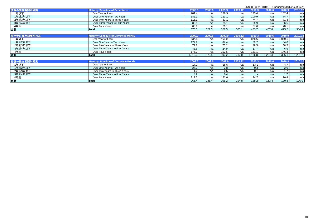|             |                                             |         |        |         |         | 未監査(単位:10億円) Unaudited (Billions of Yen) |         |        |         |
|-------------|---------------------------------------------|---------|--------|---------|---------|------------------------------------------|---------|--------|---------|
| 債券の残存期間別残高  | <b>Maturity Schedule of Debentures</b>      | 2009.3  | 2009.6 | 2.009.9 | 2009.12 | 2010.3                                   | 2010.6  | 2010.9 | 2010.12 |
| 1年以下        | One Year or Less                            | 201.4   | n/a    | 128.9   | n/a     | 173.4                                    | n/a     | 152.4  | n/a     |
| 1年超2年以下     | Over One Year to Two Years                  | 186.1   | n/a    | 163.1   | n/a     | 100.9                                    | n/a     | 74.7   | n/a     |
| 2年超3年以下     | Over Two Years to Three Years               | 115.1   | n/a    | 83.1    | n/a     | 74.7                                     | n/a     | 71.3   | n/a     |
| 3年超4年以下     | Over Three Years to Four Years              | 85.8    | n/a    | 83.1    | n/a     | 66.9                                     | n/a     | 56.5   | n/a     |
| 4年超         | Over Four Years                             | 86.9    | n/a    | 69.1    | n/a     | 67.6                                     | n/a     | 70.1   | n/a     |
| 合計          | Total                                       | 675.5   | 621.5  | 527.5   | 503.1   | 483.7                                    | 457.8   | 425.2  | 384.4   |
|             |                                             |         |        |         |         |                                          |         |        |         |
| 借用金の残存期間別残高 | <b>Maturity Schedule of Borrowed Money</b>  | 2009.3  | 2009.6 | 2009.9  | 2009.12 | 2010.3                                   | 2010.6  | 2010.9 | 2010.12 |
| 1年以下        | One Year or Less                            | 534.8   | n/a    | 461.9   | n/a     | 878.6                                    | n/a     | .060.1 | n/a     |
| 1年超2年以下     | Over One Year to Two Years                  | 174.9   | n/a    | 87.4    | n/a     | 89.7                                     | n/a     | 84.0   | n/a     |
| 2年超3年以下     | Over Two Years to Three Years               | 77.8    | n/a    | 73.2    | n/a     | 49.5                                     | n/a     | 38.5   | n/a     |
| 3年超4年以下     | Over Three Years to Four Years              | 48.6    | n/a    | 24.9    | n/a     | 17.7                                     | n/a     | 6.9    | n/a     |
| 4年超         | Over Four Years                             | 176.0   | n/a    | 152.6   | n/a     | 151.1                                    | n/a     | 146.3  | n/a     |
| 合計          | <b>Total</b>                                | 1,012.3 | 879.5  | 800.2   | 783.0   | .186.8                                   | 1,234.3 | ,336.1 | 1,291.2 |
|             |                                             |         |        |         |         |                                          |         |        |         |
| 社債の残存期間別残高  | <b>Maturity Schedule of Corporate Bonds</b> | 2009.3  | 2009.6 | 2009.9  | 2009.12 | 2010.3                                   | 2010.6  | 2010.9 | 2010.12 |
| 1年以下        | One Year or Less                            | 17.2    | n/a    | 18.5    | n/a     | 13.1                                     | n/a     | 4.7    | n/a     |
| 1年超2年以下     | Over One Year to Two Years                  | 25.2    | n/a    | 2.8     | n/a     | 0.3                                      | n/a     | 2.0    | n/a     |
| 2年超3年以下     | Over Two Years to Three Years               | 1.2     | n/a    | 0.5     | n/a     | 0.1                                      | n/a     | 1.7    | n/a     |
| 3年超4年以下     | Over Three Years to Four Years              | 4.9     | n/a    | 0.4     | n/a     |                                          | n/a     | 1.7    | n/a     |
| 4年超         | Over Four Years                             | 217.7   | n/a    | 182.6   | n/a     | 174.7                                    | n/a     | 170.4  | n/a     |
| 合計          | Total                                       | 266.4   | 236.4  | 205.2   | 194.8   | 188.2                                    | 163.4   | 180.8  | 176.9   |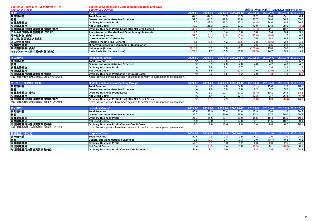**Section 2.** 新生銀行 連結部門別データ

**Section 2. Shinsei Bank Consolidated Business Line Data**

| Section 2.1 概要      | <b>Section 2.1 Overall</b>                                    |          |          |       |                     | 未監査(単位: 10億円) Unaudited (Billions of Yen) |              |      |                     |
|---------------------|---------------------------------------------------------------|----------|----------|-------|---------------------|-------------------------------------------|--------------|------|---------------------|
|                     | Overall*                                                      | 2009.1-3 | 2009.4-6 |       | 2009.7-9 2009.10-12 | $2010.1 - 3$                              | $2010.4 - 6$ |      | 2010.7-9 2010.10-12 |
| 業務粗利益               | Total Revenue                                                 | 67.8     | 87.5     | 78.3  | 83.3                | 36.2                                      | 70.4         | 85.1 | 86.4                |
| 経費                  | <b>General and Administrative Expenses</b>                    | 51.5     | 44.5     | 42.0  | 41.0                | 40.7                                      | 36.4         | 36.3 | 35.6                |
| 実質業務純益              | <b>Ordinary Business Profit</b>                               | 16.2     | 43.0     | 36.3  | 42.3                | (4.4)                                     | 34.0         | 48.8 | 50.8                |
| 与信関連費用              | <b>Net Credit Costs</b>                                       | 49.3     | 26.0     | 13.1  | 23.1                | 49.9                                      | 13.8         | 38.5 | (3.0)               |
| 与信関連費用加算後実質業務純益(損失) | <b>Ordinary Business Profit (Loss) after Net Credit Costs</b> | (33.0)   | 16.9     | 23.1  | 19.1                | (54.4)                                    | 20.1         | 10.2 | 53.8                |
| のれん及び無形資産償却額(グロス)   | Amortization of Goodwill and Other Intangible Assets          |          | 5.3      | 5.4   | 5.0                 | 5.0                                       | 3.4          | 3.4  | 3.1                 |
| その他利益(損失)           | <b>Other Gains (Losses)</b>                                   | (59.5)   |          | (4.9) | (0.0)               | (97.8)                                    | (0.6)        | ۱.7  | 0.8                 |
| 法人税、住民税及び事業税        | Current Income Tax (Benefit)                                  | 0.6      | 0.3      | 0.1   | 0.4                 | 0.5                                       | 0.2          | 0.9  | 0.4                 |
| 法人税等調整額             | Deferred Income Tax (Benefit)                                 | 7.8      |          | 4.2   | (0.5)               | 3.8                                       | (0.5)        | 2.2  | 1.6                 |
| 少数株主利益              | Minority Interests in Net Income of Subsidiaries              | 2.6      | 2.7      | 2.4   | 2.9                 | 0.6                                       | 2.5          | 2.3  | 2.3                 |
| 四半期純利益(損失)          | Net Income (Loss)                                             | 110.9    | 5.1      | 5.8   | 11.1                | (162.4)                                   | 13.8         | 3.0  | 47.2                |
| キャッシュベース四半期純利益(損失)  | <b>Cash Basis Net Income (Loss)</b>                           | (73.6)   | 9.7      | 10.5  | 15.5                | (89.5)                                    | 16.7         | 5.9  | 49.8                |

| 法人部門                     | Institutional Group'                                                                 | $2009.1 - 3$ |  | 2009.7-9 2009.10-12 | $2010.1 - 3$ | $2010 4 - 6$ |     |       |
|--------------------------|--------------------------------------------------------------------------------------|--------------|--|---------------------|--------------|--------------|-----|-------|
| 業務粗利益                    | <b>Total Revenue</b>                                                                 | n/a          |  |                     |              | 6.9          | 7.5 | 6.7   |
| 経費                       | <b>General and Administrative Expenses</b>                                           | n/a          |  |                     | 4.0          | 4.2          | 4.3 | 4.2   |
| 実質業務純益                   | <b>Ordinary Business Profit</b>                                                      | n/a          |  | ، ـ                 |              | 2.6          | 3.2 | 2.5   |
| 与信関連費用                   | <b>Net Credit Costs</b>                                                              | n/a          |  |                     | 1.0          |              | 1.4 | (2.8) |
| 与信関連費用加算後実質業務純益          | <b>Ordinary Business Profit after Net Credit Costs</b>                               | n/a          |  |                     | 2.0          |              | 1.8 | 5.3   |
| 注記:前期の数字は今期の表記に調整されています。 | Note: Previous periods have been adjusted to conform to current period presentation. |              |  |                     |              |              |     |       |

| マーケット・投資銀行部              | <b>Markets and Investment Banking Group*</b>                                         |       |          | 2009.7-9 2009.10-12 | 2010.1 |                   | 2010.7-912 |       |
|--------------------------|--------------------------------------------------------------------------------------|-------|----------|---------------------|--------|-------------------|------------|-------|
| 業務粗利益                    | <b>Total Revenue</b>                                                                 | n/all | 17.6     | 24.0                | .23.1` | 15.8 <sub>1</sub> | 31.9       | 18.8  |
| 経費                       | <b>General and Administrative Expenses</b>                                           | n/a   | 6.9      | 6.8                 | 6.2    | 5.7               | 5.5        | 5.4   |
| 実質業務純益(損失)               | <b>Ordinary Business Profit (Loss)</b>                                               | า/al  | 10.7     | 17.2                | (29.4  | 10.1              | 26.4       | 13.3  |
| 与信関連費用                   | <b>Net Credit Costs</b>                                                              | n/al  | <u>.</u> | 13.4                | 41.3   | 3.7               | 26.8       | (0.7) |
| 与信関連費用加算後実質業務純益(損失)      | <b>Ordinary Business Profit (Loss) after Net Credit Costs</b>                        | n/a   | 70.      |                     | (70.8  | 6.3               | (0.4)      | 14.1  |
| 注記:前期の数字は今期の表記に調整されています。 | Note: Previous periods have been adjusted to conform to current period presentation. |       |          |                     |        |                   |            |       |

| / 79J V-2 3X ロ니 〜 ロハリ 工E C 1 じ 乀 い ^ 6 、 フ 。 | TWW. I TUTURU DUNUU NUU DUUN QURUUU WUNDHII W UUNUN DUNUU DUURUMI. |
|----------------------------------------------|--------------------------------------------------------------------|
|                                              |                                                                    |
|                                              |                                                                    |

| 個人部門*                    | <b>Individual Group</b> *                                                            | $2009.1 - 3$ |      |      | 2009.7-9 2009.10-12 | $2010.1 - 3$ | $2010.4 - 6$ |      | 2010.7-9 2010.10-12 |
|--------------------------|--------------------------------------------------------------------------------------|--------------|------|------|---------------------|--------------|--------------|------|---------------------|
| 業務粗利益                    | <b>Total Revenue</b>                                                                 |              | 58.0 | 52.4 | 51.0                | 45.9         | 45.6         | 42.6 | 36.4                |
| 経費                       | <b>General and Administrative Expenses</b>                                           |              | 33.3 | 30.6 | 29.9                | 30.3         | 27.2         | 26.0 | 25.8                |
| 実質業務純益                   | <b>Ordinary Business Profit</b>                                                      | 26.1         | 25.6 | 21.7 | 21.0                | 15.5         | 18.4         | 16.5 | 10.5                |
| 与信関連費用                   | Net Credit Costs                                                                     | 14.9         |      |      | 12.0                | 8.1          | 11.5         | 10.2 | 0.4                 |
| <b>与信関連費用加算後実質業務純益</b>   | Ordinary Business Profit after Net Credit Costs                                      |              |      | 12.6 | 9.0                 | 7.4          | 6.8          | 6.2  | 10.1                |
| 注記:前期の数字は今期の表記に調整されています。 | Note: Previous periods have been adjusted to conform to current period presentation. |              |      |      |                     |              |              |      |                     |

| 経営勘定/その他*       | Corporate/Other*                                       |        |     |     |       |       |       |      |
|-----------------|--------------------------------------------------------|--------|-----|-----|-------|-------|-------|------|
| 業務粗利益           | <b>Total Revenue</b>                                   | 52.6   |     |     | 6.3   | 2.0   | 3.0   | 24.4 |
| 経費              | <b>General and Administrative Expenses</b>             |        | 0.4 | 0.3 | 0.0   | (0.7) | 0.3   | 0.1  |
| 実質業務純益          | <b>Ordinary Business Profit</b>                        | $\sim$ |     |     | 6.3   | 2.8   | 2.6   | 24.3 |
| 与信関連費用          | <b>Net Credit Costs</b>                                |        |     | 0.0 | (0.5) | 0.1   | (0.0) | 0.1  |
| 与信関連費用加算後実質業務純益 | <b>Ordinary Business Profit after Net Credit Costs</b> |        | ົດ. |     | 6.8   | 2.6   | 2.6   | 24.2 |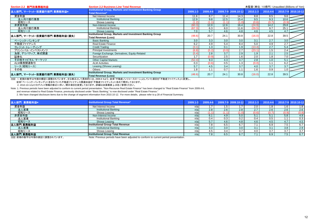| Section 2.2 部門別業務粗利益        | <b>Section 2.2 Business Line Total Revenue</b>                                           |          |          |      |                     | 未監査(単位:10億円) Unaudited (Billions of Yen) |          |       |                     |
|-----------------------------|------------------------------------------------------------------------------------------|----------|----------|------|---------------------|------------------------------------------|----------|-------|---------------------|
| 法人部門、マーケット・投資銀行部門 業務粗利益*    | Institutional Group, Markets and Investment Banking Group<br><b>Total Revenue*</b>       | 2009.1-3 | 2009.4-6 |      | 2009.7-9 2009.10-12 | $2010.1 - 3$                             | 2010.4-6 |       | 2010.7-9 2010.10-12 |
| 資金利益                        | Net Interest Income                                                                      | 11.6     | 8.7      | 11.4 | 14.3                | 8.8                                      | 8.5      | 9.6   |                     |
| 法人向け銀行業務                    | Institutional Banking                                                                    | 12.9     | 9.8      | 12.5 | 15.4                | 9.5                                      | 9.3      | 10.6  |                     |
| 昭和リース                       | Showa Leasing                                                                            | (1.2)    |          |      |                     | (0.6)                                    | (0.7)    | (0.9) |                     |
| 非資金利益                       | Non-Interest Income                                                                      | (60.3)   | 12.0     | 12.6 | 16.4                | (24.9)                                   | 14.2     | 29.8  |                     |
| 法人向け銀行業務                    | Institutional Banking                                                                    | (67.3)   | 6.3      | 8.0  | 11.6                | (29.5)                                   | 9.7      | 25.1  |                     |
| 昭和リース                       | Showa Leasing                                                                            | 7.0      | 5.7      | 4.6  | 4.8                 | 4.6                                      | 4.5      | 4.7   |                     |
| 法人部門、マーケット・投資銀行部門 業務粗利益(損失) | Institutional Group, Markets and Investment Banking Group<br><b>Total Revenue (Loss)</b> | (48.6)   | 20.7     | 24.1 | 30.8                | (16.0)                                   | 22.8     | 39.5  |                     |
| ベーシック・バンキング                 | <b>Basic Banking</b>                                                                     | 3.0      | 3.3      | 3.0  | 3.0                 | 3.1                                      | 2.7      | 3.0   |                     |
| 不動産ファイナンス                   | <b>Real Estate Finance</b>                                                               | 6.2      | 4.9      | 5.4  | 8.4                 | 5.0                                      | 4.9      | 2.7   |                     |
| クレジット・トレーディング               | <b>Credit Trading</b>                                                                    | (3.1)    | 1.3      | 0.1  | 1.9                 | (13.4)                                   | 2.7      | 5.4   |                     |
| プリンシパル・インベストメンツ             | <b>Principal Investments</b>                                                             | 6.8      | (5.2)    | ro c | 2.7                 | (23.1)                                   | 1.5      | 2.4   |                     |
| 為替、デリバティブ、株式関連              | Foreign Exchange, Derivatives, Equity-Related                                            | (5.4)    | 2.8      | 3.7  | 2.9                 | 1.9                                      | 2.1      | 2.5   |                     |
| 証券化                         | Securitization                                                                           | 1.7      |          | 2.5  | 1.6                 | 2.0                                      | 1.8      | 7.0   |                     |
| その他キャピタル・マーケッツ              | <b>Other Capital Markets</b>                                                             | (52.4)   | 9.3      | 4.3  | 3.7                 | 2.8                                      | 1.0      | 5.1   |                     |
| ALM業務関連取引                   | <b>ALM Activities</b>                                                                    | 0.3      |          | 0.5  | 1.3                 | (0.0)                                    | 1.1      | 6.2   |                     |
| リース(昭和リース)                  | Leasing (Showa Leasing)                                                                  | 5.7      | 4.5      | 3.4  | 3.7                 | 4.0                                      | 3.7      | 3.7   |                     |
| その他                         | Others                                                                                   | 1.8      |          | 0.7  |                     | 1.6                                      | 0.9      | 1.0   |                     |
| 法人部門、マーケット・投資銀行部門 業務粗利益(損失) | Institutional Group, Markets and Investment Banking Group<br>Total Revenue (Loss).       | (48.6)   | 20.7     | 24.1 | 30.8                | (16.0)                                   | 22.8     | 39.5  |                     |

注記: 1. 前期の数字は今期の標記に調整されています。主な修正として具体的には、2009.4-6より、従来「不動産ノンリコースローン」としていた項目を「不動産ファイナンス」に変更し、**Total Revenue (Loss)**

従来「ベーシック・バンキング」に含まれていた不動産ファイナンス関連収益を「不動産ファイナンス」に含めて開示しております。

2. 2010.10-12よりセグメント情報の修正に伴い、開示項目を変更しております。詳細は決算概要 p.28をご参照ください。

Note: 1. Previous periods have been adjusted to conform to current period presentation. "Non-Recourse Real Estate Finance" has been changed to "Real Estate Finance" from 2009.4-6, and revenue related to Real Estate Finance, previously disclosed under "Basic Banking," is now disclosed under "Real Estate Finance."

2. We have changed disclosure items due to the change of segment information from 2010.10-12. For more details, please refer to p.28 of Financial Summary.

| 法人部門 業務粗利益* | Institutional Group Total Revenue*       | $2009.1 - 3$ |                  |     | 2009.4-6 2009.7-9 2009.10-12 2010.1-3 2010.4-6 2010.7-9 2010.10-12 |       |       |                  |       |
|-------------|------------------------------------------|--------------|------------------|-----|--------------------------------------------------------------------|-------|-------|------------------|-------|
| 資金利益        | Net Interest Income                      | n/a          |                  |     |                                                                    | 2.0   | 1.8   | 1.6              | 1.8   |
| 法人営業        | <b>Institutional Banking</b>             | n/a          | 2.8              | 2.6 | 2.8                                                                | 2.7   | 2.6   | 2.6              | 2.6   |
| 昭和リース       | Showa Leasing                            | n/a          |                  |     |                                                                    | (0.6) | (0.7) | (0.9)            | (0.8) |
| 非資金利益       | Non-Interest Income                      | n/a          |                  | 4.9 | 5.0                                                                | 5.1   | 5.1   | 5.8              | 4.9   |
| 法人営業        | Institutional Banking                    | n/a          |                  | 0.3 | $0.2^{\circ}$                                                      | 0.4   | 0.5   |                  | 0.3   |
| 昭和リース       | Showa Leasing                            | n/a          |                  | 4.6 | 4.8                                                                | 4.6   | 4.5   | 4.7              | 4.5   |
| 法人部門 業務粗利益  | <b>Institutional Group Total Revenue</b> | n/a          |                  | 6.5 |                                                                    | 7.1   | 6.9   | 7.5 <sub>1</sub> | 6.7   |
| 法人営業        | <b>Institutional Banking</b>             | n/a          | 3.3 <sub>2</sub> | 3.0 | 3.0                                                                | 3.1   | 3.1   | 3.8              | 2.9   |
| 昭和リース       | Showa Leasing                            | n/a          |                  | 3.4 | 3.7                                                                | 4.0   | 3.7   | 3.7              | 3.7   |
| 法人部門 業務粗利益  | Institutional Group Total Revenue        | n/al         | ' 8              | 6.5 | 67                                                                 | 7.1   | 6.9   | 7.5 <sub>1</sub> | 6.7   |
|             |                                          |              |                  |     |                                                                    |       |       |                  |       |

注記:前期の数字は今期の表記に調整されています。 Note: Previous periods have been adjusted to conform to current period presentation.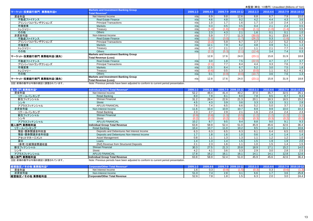|                                                                                                                                                                                                                                                                                                |                                                                                                       |          |          |       |                     | $\frac{1}{2}$ and $\frac{1}{2}$ and $\frac{1}{2}$ are $\frac{1}{2}$ and $\frac{1}{2}$ and $\frac{1}{2}$ and $\frac{1}{2}$ and $\frac{1}{2}$ and $\frac{1}{2}$ and $\frac{1}{2}$ and $\frac{1}{2}$ and $\frac{1}{2}$ and $\frac{1}{2}$ and $\frac{1}{2}$ and $\frac{1}{2}$ and $\frac{1}{2}$ a |          |       |                     |
|------------------------------------------------------------------------------------------------------------------------------------------------------------------------------------------------------------------------------------------------------------------------------------------------|-------------------------------------------------------------------------------------------------------|----------|----------|-------|---------------------|-----------------------------------------------------------------------------------------------------------------------------------------------------------------------------------------------------------------------------------------------------------------------------------------------|----------|-------|---------------------|
| マーケット・投資銀行部門 業務粗利益*                                                                                                                                                                                                                                                                            | Markets and Investment Banking Group<br><b>Total Revenue*</b>                                         | 2009.1-3 | 2009.4-6 |       | 2009.7-9 2009.10-12 | $2010.1 - 3$                                                                                                                                                                                                                                                                                  | 2010.4-6 |       | 2010.7-9 2010.10-12 |
| 資金利益                                                                                                                                                                                                                                                                                           | Net Interest Income                                                                                   | n/a      | 6.9      | 9.8   | 12.6                | 6.8                                                                                                                                                                                                                                                                                           | 6.7      | 7.9   | 10.0                |
| 不動産ファイナンス                                                                                                                                                                                                                                                                                      | <b>Real Estate Finance</b>                                                                            | n/a      | 4.6      | 4.8   | 9.2                 | 4.2                                                                                                                                                                                                                                                                                           | 4.4      | 4.3   | 3.6                 |
| プリンシパルトランザクションズ                                                                                                                                                                                                                                                                                | <b>Principal Transactions</b>                                                                         | n/a      | 1.0      | 1.7   | 1.6                 | 1.7                                                                                                                                                                                                                                                                                           | 1.0      | 2.4   | 1.3                 |
| 市場営業                                                                                                                                                                                                                                                                                           | <b>Markets</b>                                                                                        | n/a      | 0.3      | 0.5   | 0.5                 | 0.4                                                                                                                                                                                                                                                                                           | 2.1      | 2.4   | 0.5                 |
| トレジャリー                                                                                                                                                                                                                                                                                         | Treasury                                                                                              | n/a      | (1.4)    | (1.6) | (0.9)               | (1.1)                                                                                                                                                                                                                                                                                         | (1.0)    | (1.4) | 3.5                 |
| その他                                                                                                                                                                                                                                                                                            | <b>Others</b>                                                                                         | n/a      | 2.3      | 4.3   | 2.1                 | 1.6                                                                                                                                                                                                                                                                                           | 0.1      | 0.1   | 1.0                 |
| 非資金利益                                                                                                                                                                                                                                                                                          | Non-Interest Income                                                                                   | n/a      | 5.9      | 7.7   | 11.3                | (30.0)                                                                                                                                                                                                                                                                                        | 9.1      | 23.9  | 8.7                 |
| 不動産ファイナンス                                                                                                                                                                                                                                                                                      | <b>Real Estate Finance</b>                                                                            | n/a      | (1.5)    | (3.0) | (1.7)               | (26.2)                                                                                                                                                                                                                                                                                        | 0.3      | (1.6) | 0.1                 |
| プリンシパルトランザクションズ                                                                                                                                                                                                                                                                                | <b>Principal Transactions</b>                                                                         | n/a      | (3.2)    | 5.9   | 6.7                 | 2.7                                                                                                                                                                                                                                                                                           | 2.2      | 5.2   | 6.3                 |
| 市場営業                                                                                                                                                                                                                                                                                           | <b>Markets</b>                                                                                        | n/a      | 12.1     | 7.9   | 6.2                 | 4.8                                                                                                                                                                                                                                                                                           | 0.9      | 5.1   | 1.3                 |
| トレジャリー                                                                                                                                                                                                                                                                                         | Treasury                                                                                              | n/a      | 0.7      | 2.1   | 2.2                 | 1.1                                                                                                                                                                                                                                                                                           | 2.1      | 7.7   | 0.6                 |
| その他                                                                                                                                                                                                                                                                                            | <b>Others</b>                                                                                         | n/a      | (2.2)    | (5.3) | (2.1)               | (12.4)                                                                                                                                                                                                                                                                                        | 3.4      | 7.4   | 0.3                 |
| マーケット・投資銀行部門 業務粗利益(損失)                                                                                                                                                                                                                                                                         | <b>Markets and Investment Banking Group</b><br><b>Total Revenue (Loss)</b>                            |          | 12.8     | 17.6  | 24.0                | (23.1)                                                                                                                                                                                                                                                                                        | 15.8     | 31.9  | 18.8                |
| 不動産ファイナンス                                                                                                                                                                                                                                                                                      | <b>Real Estate Finance</b>                                                                            | n/a      | 3.0      | 1.8   | 7.5                 | (22.0)                                                                                                                                                                                                                                                                                        | 4.7      | 2.7   | 3.7                 |
| プリンシパルトランザクションズ                                                                                                                                                                                                                                                                                | <b>Principal Transactions</b>                                                                         | n/a      | (2.1)    | 7.7   | 8.4                 | 4.4                                                                                                                                                                                                                                                                                           | 3.3      | 7.6   | 7.7                 |
| 市場営業                                                                                                                                                                                                                                                                                           | <b>Markets</b>                                                                                        | n/a      | 12.5     | 8.4   | 6.7                 | 5.2                                                                                                                                                                                                                                                                                           | 3.0      | 7.5   | 1.8                 |
| トレジャリー                                                                                                                                                                                                                                                                                         | Treasury                                                                                              | n/a      | (0.6)    | 0.5   | 1.3                 | (0.0)                                                                                                                                                                                                                                                                                         | 1.1      | 6.2   | 4.1                 |
| その他                                                                                                                                                                                                                                                                                            | <b>Others</b>                                                                                         | n/a      | 0.1      | (0.9) | (0.0)               | (10.7)                                                                                                                                                                                                                                                                                        | 3.6      | 7.6   | 1.3                 |
| マーケット・投資銀行部門 業務粗利益(損失)<br>$\mathbf{A} \mathbf{A} = \mathbf{A} \mathbf{A} + \mathbf{A} \mathbf{B}$ , and $\mathbf{A} = \mathbf{A} \mathbf{A} + \mathbf{A} \mathbf{A}$ , and $\mathbf{A} \mathbf{A} = \mathbf{A} \mathbf{A} + \mathbf{A} \mathbf{A}$ , and in the set of $\mathbf{A} \mathbf{A}$ | <b>Markets and Investment Banking Group</b><br><b>Total Revenue (Loss)</b><br>$\cdot$ $\cdot$ $\cdot$ | n/a      | 12.8     | 17.6  | 24.0                | (23.1)                                                                                                                                                                                                                                                                                        | 15.8     | 31.9  | 18.8                |
|                                                                                                                                                                                                                                                                                                |                                                                                                       |          |          |       |                     |                                                                                                                                                                                                                                                                                               |          |       |                     |

注記:前期の数字は今期の表記に調整されています。 Note: Previous periods have been adjusted to conform to current period presentation.

| 個人部門 業務粗利益*             | Individual Group Total Revenue*                                                     | 2009.1-3         | 2009.4-6 |       | 2009.7-9 2009.10-12 | $2010.1 - 3$ | 2010.4-6 |       | 2010.7-9 2010.10-12 |
|-------------------------|-------------------------------------------------------------------------------------|------------------|----------|-------|---------------------|--------------|----------|-------|---------------------|
| 資金利益                    | Net Interest Income                                                                 | 52.2             | 48.4     | 41.4  | 40.2                | 37.0         | 35.7     | 32.5  | 26.1                |
| リテールバンキング               | Retail Banking                                                                      | 8.0              | 7.9      | 8.1   | 8.0                 | 7.8          | 8.5      | 8.7   | 8.3                 |
| 新生フィナンシャル               | Shinsei Financial                                                                   | 31.2             | 28.4     | 22.6  | 21.3                | 20.1         | 18.3     | 16.5  | 15.2                |
| シンキ                     | Shinki                                                                              | 4.5              | 4.3      | 3.9   | 3.6                 | 3.3          | 3.3      | 3.1   | 2.8                 |
| アプラスフィナンシャル             | <b>APLUS FINANCIAL</b>                                                              | 7.6              | 7.4      | 6.5   | 6.6                 | 5.2          | 5.0      | 3.7   | 3.2                 |
| 非資金利益                   | Non-Interest Income                                                                 | 11.6             | 10.4     | 10.9  | 10.7                | 8.9          | 9.9      | 10.0  | 10.3                |
| リテールバンキング               | Retail Banking                                                                      | 2.3              | 2.7      | 2.9   | 2.1                 | 1.6          | 2.4      | 2.4   | 2.3                 |
| 新生フィナンシャル               | Shinsei Financial                                                                   | (0.9)            | (0.8)    | (1.3) | (0.5)               | (1.2)        | (1.2)    | (1.2) | (1.1)               |
| シンキ                     | Shinki                                                                              | (0.2)            | (0.2)    | (0.2) | (0.3)               | (0.3)        | (0.3)    | (0.2) | (0.2)               |
| アプラスフィナンシャル             | <b>APLUS FINANCIAL</b>                                                              | 10.2             | 8.7      | 9.5   | 9.4                 | 8.8          | 9.0      | 9.1   | 9.3                 |
| 個人部門 業務粗利益              | Individual Group Total Revenue                                                      | 63.8             | 58.9     | 52.4  | 51.0                | 45.9         | 45.6     | 42.6  | 36.4                |
| リテールバンキング               | Retail Banking                                                                      | 10.4             | 10.7     | 11.0  | 10.2                | 9.5          | 11.0     | 11.1  | 10.6                |
| 預金·債券関連金利収益             | Deposits and Debentures Net Interest Income                                         | 6.3              | 6.3      | 6.5   | 6.3                 | 6.1          | 6.4      | 6.5   | 6.0                 |
| 預金·債券関連非金利収益            | Deposits and Debentures Non-Interest Income                                         | 1.7              | 1.8      | 1.6   | 1.0                 | 0.6          | 1.4      | 1.4   | 1.4                 |
| アセットマネージメント             | Asset Management                                                                    | 0.8              | 1.1      | 1.3   | 1.3                 | 1.1          | 1.2      | 1.2   | 1.0                 |
| 貸出                      | Loans                                                                               | $\overline{1.4}$ | 1.3      | 1.4   | 1.5                 | 1.5          | 1.9      | 1.9   | 2.0                 |
| (参考)仕組預金関連収益            | (Ref) Revenue from Structured Deposits                                              | 2.1              | 2.3      | 1.6   |                     | 1.0          | 1.5      | 1.4   | 1.5                 |
| 新生フィナンシャル               | Shinsei Financial                                                                   | 30.3             | 27.5     | 21.3  | 20.8                | 18.9         | 17.1     | 15.2  | 14.0                |
| シンキ                     | Shinki                                                                              | 4.2              | 4.1      | 3.6   | 3.3                 | 2.9          | 3.0      | 2.8   | 2.5                 |
| アプラスフィナンシャル             | <b>APLUS FINANCIAL</b>                                                              | 17.8             | 16.2     | 16.1  | 16.1                | 14.1         | 14.1     | 12.8  | 12.6                |
| 個人部門 業務粗利益              | Individual Group Total Revenue                                                      | 63.8             | 58.9     | 52.4  | 51.0                | 45.9         | 45.6     | 42.6  | 36.4                |
| 注記、前期の粉字は今期の実記に調整されています | Note: Provious periods have been adjusted to conferm to current period prosentation |                  |          |       |                     |              |          |       |                     |

注記: 前期の数字は今期の表記に調整されています。 Note: Previous periods have been adjusted to conform to current period presentation.

| 経1                 |                                      | ____              |                          |     |    |               |                      |     |      |
|--------------------|--------------------------------------|-------------------|--------------------------|-----|----|---------------|----------------------|-----|------|
| 資金利益               | Net Interest Income                  |                   | $\sim$<br>U.J            |     |    | $\sim$ $\sim$ | $\sim$ $\sim$<br>J.J |     |      |
| 非資金利益              | Non-Interest Income                  | <b>FA</b><br>51.U |                          | 2.0 |    | 6.6           | .                    | 3.O | 25.8 |
| /その他 業務粗利益<br>経営勘定 | <b>Corporate/Other Total Revenue</b> | $ -$              | $\overline{\phantom{a}}$ |     | ن. | $\sim$<br>U.J | $\sim$<br>z.u        | J.U | 24.4 |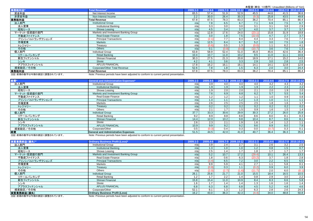|                          |                                                                                      |          |          |       |                     |              |          | <b>木血直 / 半位. TO 版I I/ Onduuted (Dillions of Ten</b> |                     |
|--------------------------|--------------------------------------------------------------------------------------|----------|----------|-------|---------------------|--------------|----------|-----------------------------------------------------|---------------------|
| 業務粗利益*                   | <b>Total Revenue*</b>                                                                | 2009.1-3 | 2009.4-6 |       | 2009.7-9 2009.10-12 | $2010.1 - 3$ | 2010.4-6 |                                                     | 2010.7-9 2010.10-12 |
| 資金利益                     | Net Interest Income                                                                  | 65.5     | 57.4     | 51.9  | 52.9                | 45.5         | 44.6     | 41.5                                                | 36.6                |
| 非資金利益                    | Non-Interest Income                                                                  | 2.2      | 30.0     | 26.4  | 30.3                | (9.3)        | 25.8     | 43.5                                                | 49.8                |
| 業務粗利益                    | <b>Total Revenue</b>                                                                 | 67.8     | 87.5     | 78.3  | 83.3                | 36.2         | 70.4     | 85.1                                                | 86.4                |
| 法人部門                     | <b>Institutional Group</b>                                                           | n/a      | 7.8      | 6.5   | 6.7                 | 7.1          | 6.9      | 7.5                                                 | 6.7                 |
| 法人営業                     | <b>Institutional Banking</b>                                                         | n/a      | 3.3      | 3.0   | 3.0                 | 3.1          | 3.1      | 3.8                                                 | 2.9                 |
| 昭和リース                    | Showa Leasing                                                                        | n/a      | 4.5      | 3.4   | 3.7                 | 4.0          | 3.7      | 3.7                                                 | 3.7                 |
| マーケット・投資銀行部門             | Markets and Investment Banking Group                                                 | n/a      | 12.8     | 17.6  | 24.0                | (23.1)       | 15.8     | 31.9                                                | 18.8                |
| 不動産ファイナンス                | <b>Real Estate Finance</b>                                                           | n/a      | 3.0      | 1.8   | 7.5                 | (22.0)       | 4.7      | 2.7                                                 | $\overline{3.7}$    |
| プリンシパルトランザクションズ          | <b>Principal Transactions</b>                                                        | n/a      |          | 7.7   | 8.4                 | 4.4          | 3.3      | 7.6                                                 | 7.7                 |
| 市場営業                     | <b>Markets</b>                                                                       | n/a      | 12.5     | 8.4   | 6.7                 | 5.2          | 3.0      | 7.5                                                 | 1.8                 |
| トレジャリー                   | Treasury                                                                             | n/a      |          | 0.5   | 1.3                 | (0.0)        | 1.1      | 6.2                                                 | 4.1                 |
| その他                      | <b>Others</b>                                                                        | n/a      | 0.1      | (0.9) | (0.0)               | (10.7)       | 3.6      | 7.6                                                 | 1.3                 |
| 個人部門                     | Individual Group                                                                     | 63.8     | 58.9     | 52.4  | 51.0                | 45.9         | 45.6     | 42.6                                                | 36.4                |
| リテールバンキング                | Retail Banking                                                                       | 10.4     | 10.7     | 11.0  | 10.2                | 9.5          | 11.0     | 11.1                                                | 10.6                |
| 新生フィナンシャル                | Shinsei Financial                                                                    | 30.3     | 27.5     | 21.3  | 20.8                | 18.9         | 17.1     | 15.2                                                | 14.0                |
| シンキ                      | Shinki                                                                               | 4.2      | 4.1      | 3.6   | 3.3                 | 2.9          | 3.0      | 2.8                                                 | 2.5                 |
| アプラスフィナンシャル              | <b>APLUS FINANCIAL</b>                                                               | 17.8     | 16.2     | 16.1  | 16.1                | 14.1         | 14.1     | 12.8                                                | 12.6                |
| 経営勘定/その他                 | Corporate/Other Total Revenue                                                        | 52.6     | 7.8      | 1.8   | 1.5                 | 6.3          | 2.0      | 3.0                                                 | 24.4                |
| 業務粗利益                    | <b>Total Revenue</b>                                                                 | 67.8     | 87.5     | 78.3  | 83.3                | 36.2         | 70.4     | 85.1                                                | 86.4                |
| 注記:前期の数字は今期の表記に調整されています。 | Note: Previous periods have been adjusted to conform to current period presentation. |          |          |       |                     |              |          |                                                     |                     |

| 経費*                                                                                                                                                                                                                                                                                                                                                                                                                           | <b>General and Administrative Expenses*</b>                                                                                                                                         | $2009.1 - 3$ | 2009.4-6 |      | 2009.7-9 2009.10-12 | $2010.1 - 3$ | 2010.4-6 |                  | 2010.7-9 2010.10-12 |
|-------------------------------------------------------------------------------------------------------------------------------------------------------------------------------------------------------------------------------------------------------------------------------------------------------------------------------------------------------------------------------------------------------------------------------|-------------------------------------------------------------------------------------------------------------------------------------------------------------------------------------|--------------|----------|------|---------------------|--------------|----------|------------------|---------------------|
| 法人部門                                                                                                                                                                                                                                                                                                                                                                                                                          | <b>Institutional Group</b>                                                                                                                                                          | n/al         | 3.9      | 4.0  | 4.0                 | 4.0          | 4.2      | 4.3              | 4.2                 |
| 法人営業                                                                                                                                                                                                                                                                                                                                                                                                                          | <b>Institutional Banking</b>                                                                                                                                                        | n/al         | 9. ا     | 1.9  | 1.9                 | 1.9          | 2.2      | 2.3              | 2.2                 |
| 昭和リース                                                                                                                                                                                                                                                                                                                                                                                                                         | Showa Leasing                                                                                                                                                                       | n/a          | ∣.9      | 2.0  | 2.0                 | 2.1          | 2.0      | 1.9              | 2.0                 |
| マーケット・投資銀行部門                                                                                                                                                                                                                                                                                                                                                                                                                  | Markets and Investment Banking Group                                                                                                                                                | n/a          | 7.6      | 6.9  | 6.8                 | 6.2          | 5.7      | 5.5              | 5.4                 |
| 不動産ファイナンス                                                                                                                                                                                                                                                                                                                                                                                                                     | <b>Real Estate Finance</b>                                                                                                                                                          | n/a          | 1.2      | 1.2  | 1.2                 | 1.1          | 1.0      | 0.9              | 0.8                 |
| プリンシパルトランザクションズ                                                                                                                                                                                                                                                                                                                                                                                                               | <b>Principal Transactions</b>                                                                                                                                                       | n/a          | 1.3      |      | 1.2                 | 1.3          | 1.0      | 1.1              | 1.1                 |
| 市場営業                                                                                                                                                                                                                                                                                                                                                                                                                          | Markets                                                                                                                                                                             | n/a          | 2.6      | 2.5  | 2.5                 | 2.5          | 1.8      | 1.6              | 1.7                 |
| トレジャリー                                                                                                                                                                                                                                                                                                                                                                                                                        | Treasury                                                                                                                                                                            | n/a          | 0.2      | 0.2  | 0.2                 | 0.2          | 0.2      | 0.2              | 0.2                 |
| その他                                                                                                                                                                                                                                                                                                                                                                                                                           | Others                                                                                                                                                                              | n/al         | 2.1      | 1.7  | 1.5                 | 0.9          | 1.6      | 1.5              | 1.4                 |
| 個人部門                                                                                                                                                                                                                                                                                                                                                                                                                          | <b>Individual Group</b>                                                                                                                                                             | 37.7         | 33.3     | 30.6 | 29.9                | 30.3         | 27.2     | 26.0             | 25.8                |
| リテールバンキング                                                                                                                                                                                                                                                                                                                                                                                                                     | Retail Banking                                                                                                                                                                      | 9.2          | 8.9      | 8.8  | 8.8                 | 8.6          | 8.0      | 8.1              | 8.3                 |
| 新生フィナンシャル                                                                                                                                                                                                                                                                                                                                                                                                                     | Shinsei Financial                                                                                                                                                                   | 14.4         | 12.0     | 10.2 | 9.8                 | 10.4         | 8.7      | 8.6              | 8.1                 |
| シンキ                                                                                                                                                                                                                                                                                                                                                                                                                           | Shinki                                                                                                                                                                              | 2.6          | 2.3      | 2.1  | 1.9                 | 1.6          | 1.4      | 1.2 <sub>1</sub> | 1.1                 |
| アプラスフィナンシャル                                                                                                                                                                                                                                                                                                                                                                                                                   | <b>APLUS FINANCIAL</b>                                                                                                                                                              | 10.9         | 9.9      | 9.2  | 9.2                 | 9.6          | 8.9      | 8.0              | 7.9                 |
| 経営勘定/その他                                                                                                                                                                                                                                                                                                                                                                                                                      | Corporate/Other                                                                                                                                                                     | 0.5          |          | 0.4  | 0.3                 | 0.0          | (0.7)    | 0.3              | 0.1                 |
| 経費<br>$\mathbf{A} \mathbf{A} = \mathbf{A} \mathbf{A} + \mathbf{A} \mathbf{B} + \mathbf{A} \mathbf{A} + \mathbf{A} \mathbf{A} + \mathbf{A} \mathbf{A} + \mathbf{A} \mathbf{A} + \mathbf{A} \mathbf{A} + \mathbf{A} \mathbf{A} + \mathbf{A} \mathbf{A} + \mathbf{A} \mathbf{A} + \mathbf{A} \mathbf{A} + \mathbf{A} \mathbf{A} + \mathbf{A} \mathbf{A} + \mathbf{A} \mathbf{A} + \mathbf{A} \mathbf{A} + \mathbf{A} \mathbf{A}$ | General and Administrative Expenses<br>$\mathbf{r}$ , and the state of the state of the state $\mathbf{r}$ , and the state of the state $\mathbf{r}$<br>$\sim$ $\sim$ $\sim$ $\sim$ | 51.5         | 44.5     | 42.0 | 41.0                | 40.7         | 36.4     | 36.3             | 35.6                |

注記:前期の数字は今期の表記に調整されています。 Note: Previous periods have been adjusted to conform to current period presentation.

| 実質業務純益(損失)*              | <b>Ordinary Business Profit (Loss)*</b>                                              | $2009.1 - 3$ | 2009.4-6 |       | 2009.7-9 2009.10-12 | $2010.1 - 3$ | 2010.4-6 |                  | 2010.7-9 2010.10-12 |
|--------------------------|--------------------------------------------------------------------------------------|--------------|----------|-------|---------------------|--------------|----------|------------------|---------------------|
| 法人部門                     | <b>Institutional Group</b>                                                           | n/a          | 3.9      | 2.4   | 2.7                 | 3.1          | 2.6      | 3.2 <sub>1</sub> | 2.5                 |
| 法人営業                     | <b>Institutional Banking</b>                                                         | n/a          | 1.3      | 1.0   | 1.0                 | 1.2          | 0.8      | 1.5              | 0.7                 |
| 昭和リース                    | Showa Leasing                                                                        | n/a          | 2.5      | 1.4   | 1.7                 | 1.8          | 1.7      | 1.7              | 1.7                 |
| マーケット・投資銀行部門             | Markets and Investment Banking Group                                                 | n/a          | 5.2      | 10.7  | 17.2                | (29.4)       | 10.1     | 26.4             | 13.3                |
| 不動産ファイナンス                | <b>Real Estate Finance</b>                                                           | n/a          | 1.8      | 0.6   | 6.3                 | (23.2)       | 3.7      | 1.8 <sub>1</sub> | $2.\overline{8}$    |
| プリンシパルトランザクションズ          | <b>Principal Transactions</b>                                                        | n/a          | (3.4)    | 6.5   | 7.2                 | 3.0          | 2.2      | 6.5              | 6.5                 |
| 市場営業                     | Markets                                                                              | n/al         | 9.9      | 5.9   | 4.1                 | 2.7          | 1.1      | 5.8              | 0.1                 |
| トレジャリー                   | Treasury                                                                             | n/a          | (0.9)    | 0.3   | 1.1                 | (0.2)        | 0.9      | 6.0              | 3.9                 |
| その他                      | Others                                                                               | n/al         | (2.0)    | (2.7) | (1.6)               | (11.7)       | 2.0      | 6.0              | (0.1)               |
| 個人部門                     | <b>Individual Group</b>                                                              | 26.1         | 25.6     | 21.7  | 21.0                | 15.5         | 18.4     | 16.5             | $10.5$              |
| リテールバンキング                | Retail Banking                                                                       | 1.2          | 1.7      | 2.2   | 1.4                 | 0.8          | 2.9      | 3.0              | 2.2                 |
| 新生フィナンシャル                | Shinsei Financial                                                                    | 15.8         | 15.4     | 11.0  | 10.9                | 8.4          | 8.3      | 6.6              | 5.8                 |
| シンキ                      | Shinki                                                                               | 1.6          | 1.7      | 1.4   | 1.4                 | 1.3          | 1.6      | 1.6              | 1.4                 |
| アプラスフィナンシャル              | <b>APLUS FINANCIAL</b>                                                               | 6.8          | 6.3      | 6.8   | 6.8                 | 4.5          | 5.2      | 4.8              | 4.6                 |
| 経営勘定/その他                 | Corporate/Other                                                                      | 52.1         | 8.1      | 1.3   | 1.2                 | 6.3          | 2.8      | 2.6              | 24.3                |
| 実質業務純益(損失)               | <b>Ordinary Business Profit (Loss)</b>                                               | 16.2         | 43.0     | 36.3  | 42.3                | (4.4)        | 34.0     | 48.8             | 50.8                |
| 注記:前期の数字は今期の表記に調整されています。 | Note: Previous periods have been adjusted to conform to current period presentation. |              |          |       |                     |              |          |                  |                     |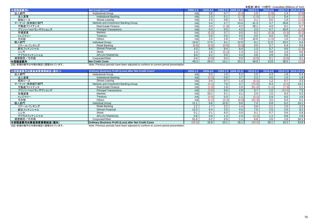|                         | $\lambda$ and $\lambda$ is the set of $\omega$ is the conduction of $\lambda$ in $\alpha$ is the set of $\lambda$ |               |          |       |                     |              |              |                     |       |  |  |  |
|-------------------------|-------------------------------------------------------------------------------------------------------------------|---------------|----------|-------|---------------------|--------------|--------------|---------------------|-------|--|--|--|
| 与信関連費用*                 | <b>Net Credit Costs*</b>                                                                                          | $2009.1 - 3$  | 2009.4-6 |       | 2009.7-9 2009.10-12 | $2010.1 - 3$ | $2010.4 - 6$ | 2010.7-9 2010.10-12 |       |  |  |  |
| 法人部門                    | <b>Institutional Group</b>                                                                                        | n/a           | 3.6      |       | (2.4)               | 1.0          | (1.6)        | 1.4                 | (2.8) |  |  |  |
| 法人営業                    | <b>Institutional Banking</b>                                                                                      | n/a           | 1.5      | 0.1   | (2.7)               | (1.0)        | (2.1)        | 0.4                 | (1.1) |  |  |  |
| 昭和リース                   | Showa Leasing                                                                                                     | n/a           | 2.0      | 0.6   | 0.2                 | 2.1          | 0.5          | 1.0                 | (1.6) |  |  |  |
| マーケット・投資銀行部門            | Markets and Investment Banking Group                                                                              | n/a           | 5.4      | 2.7   | 13.4                | 41.3         | 3.7          | 26.8                | (0.7) |  |  |  |
| 不動産ファイナンス               | <b>Real Estate Finance</b>                                                                                        | n/a           | 3.3      |       | 4.2                 | 28.1         | 4.9          | 9.1                 | 0.7   |  |  |  |
| プリンシパルトランザクションズ         | <b>Principal Transactions</b>                                                                                     | n/a           | 0.2      | 0.5   | 4.2                 | 2.3          | 0.7          | 16.9                | (1.0) |  |  |  |
| 市場営業                    | Markets                                                                                                           | n/a           |          |       | 0.0                 | 0.2          | (0.3)        | (0.3)               | (0.1) |  |  |  |
| トレジャリー                  | Treasury                                                                                                          | n/a           | 0.0      | 0.0   | 0.0                 | 0.0          | 0.0          | 0.0                 | 0.0   |  |  |  |
| その他                     | Others                                                                                                            | n/a           | 2.0      | 2.8   | 4.9                 | 10.6         | (1.5)        | 1.0                 | (0.2) |  |  |  |
| 個人部門                    | <b>Individual Group</b>                                                                                           | 14.9          | 17.0     | 9.1   | 12.0                | 8.1          | 11.5         | 10.2                | 0.4   |  |  |  |
| リテールバンキング               | Retail Banking                                                                                                    | $0.0^{\circ}$ |          | (0.C  | (0.C                | 0.0          | 0.7          | 0.4                 | 0.0   |  |  |  |
| 新生フィナンシャル               | Shinsei Financial                                                                                                 | 4.3           | 8.9      | 8.4   | 6.4                 | 1.3          | 5.7          | 4.6                 | (2.3) |  |  |  |
| シンキ                     | Shinki                                                                                                            | 1.4           | 1.6      | (5.1) | 1.3                 | 1.2          | 0.8          | 1.0                 | 0.6   |  |  |  |
| アプラスフィナンシャル             | <b>APLUS FINANCIAL</b>                                                                                            | 6.0           | 6.2      | 5.5   | 4.4                 | 4.8          | 3.9          | 3.9                 | 1.8   |  |  |  |
| 経営勘定/その他                | Corporate/Other                                                                                                   | 0.4           | (0.0)    | 0.4   | 0.0                 | (0.5)        | 0.1          | (0.0)               | 0.1   |  |  |  |
| 与信関連費用                  | <b>Net Credit Costs</b>                                                                                           | 49.3          | 26.0     | 13.1  | 23.1                | 49.9         | 13.8         | 38.5                | (3.0) |  |  |  |
| 注記,前期の粉字は今期の実記に調整されています | Note: Provious periods have been adjusted to conferm to current period presentation                               |               |          |       |                     |              |              |                     |       |  |  |  |

注記: 前期の数字は今期の表記に調整されています。 Note: Previous periods have been adjusted to conform to current period presentation.

| 与信関連費用加算後実質業務純益(損失)* | Ordinary Business Profit (Loss) after Net Credit Costs*       | $2009.1 - 3$ | 2009.4-6 |       | 2009.7-9 2009.10-12 | $2010.1 - 3$ | 2010.4-6 |        | 2010.7-9 2010.10-12 |
|----------------------|---------------------------------------------------------------|--------------|----------|-------|---------------------|--------------|----------|--------|---------------------|
| 法人部門                 | <b>Institutional Group</b>                                    | n/a          | 0.2      | 1.6   | 5.2                 | 2.0          | 4.3      | 1.8    | 5.3                 |
| 法人営業                 | <b>Institutional Banking</b>                                  | n/a          |          | 0.9   | 3.7                 | 2.3          | 3.0      | 1.0    | 1.9                 |
| 昭和リース                | Showa Leasing                                                 | n/a          | 0.4      | 0.7   | 1.4                 | (0.2)        | 1.2      | 0.7    | 3.3                 |
| マーケット・投資銀行部門         | Markets and Investment Banking Group                          | n/a          | (0.1     | 7.9   | 3.7                 | (70.8)       | 6.3      | (0.4)  | 14.1                |
| 不動産ファイナンス            | <b>Real Estate Finance</b>                                    | n/a          |          | 1.9   | 2.0                 | (51.4)       | (1.1)    | (7.3)  | 2.1                 |
| プリンシパルトランザクションズ      | <b>Principal Transactions</b>                                 | n/a          | (3.6)    | 6.0   | 2.9                 | 0.7          | 1.5      | (10.4) | 7.5                 |
| 市場営業                 | Markets                                                       | n/a          | 10.1     | 5.1   | 4.1                 | 2.4          | 1.5      | 6.2    | 0.3                 |
| トレジャリー               | Treasury                                                      | n/a          | (0.9     | 0.3   |                     | (0.2)        | 0.9      | 6.0    | 3.9                 |
| その他                  | Others                                                        | n/a          | (4.1)    | (5.5) | (6.5)               | (22.3)       | 3.5      | 5.0    | 0.1                 |
| 個人部門                 | <b>Individual Group</b>                                       | 11.1         | 8.6      | 12.6  | 9.0                 | 7.4          | 6.8      | 6.2    | 10.1                |
| リテールバンキング            | Retail Banking                                                | 12           | 17       | 2.2   | 1.4                 | 0.8          | 2.1      | 2.5    | 2.2                 |
| 新生フィナンシャル            | Shinsei Financial                                             | 11.5         | 6.4      | 2.5   | 4.5                 | 7.0          | 2.5      | 2.0    | 8.2                 |
| シンキ                  | Shinki                                                        |              | 0.1      | 6.5   | 0.0                 | 0.1          | 0.7      | 0.6    | 0.8                 |
| アプラスフィナンシャル          | <b>APLUS FINANCIAL</b>                                        | 0.8          | 0.0      | 1.3   | 2.4                 | (0.3)        | 1.2      | 0.8    | 2.8                 |
| 経営勘定/その他             | Corporate/Other                                               | 51.6         | 8.2      | 0.9   |                     | 6.8          | 2.6      | 2.6    | 24.2                |
| 与信関連費用加算後実質業務純益(損失)  | <b>Ordinary Business Profit (Loss) after Net Credit Costs</b> | (33.0)       | 16.9     | 23.1  | 19.1                | (54.4)       | 20.1     | 10.2   | 53.8                |

<u>注記:前期の数字は今期の表記に調整されています。</u> Note: Previous periods have been adjusted to conform to current period presentation.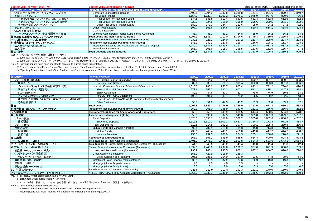| Section 2.3 部門別主要データ                                                                                                                                                                                                                                                                                                                                                                                                                                                  | <b>Section 2.3 Business Line Key Data</b>                     | 未監査(単位: 10億円) Unaudited (Billions of Yen) |         |         |         |         |         |         |         |  |  |
|-----------------------------------------------------------------------------------------------------------------------------------------------------------------------------------------------------------------------------------------------------------------------------------------------------------------------------------------------------------------------------------------------------------------------------------------------------------------------|---------------------------------------------------------------|-------------------------------------------|---------|---------|---------|---------|---------|---------|---------|--|--|
| 法人部門、マーケット・投資銀行部門*                                                                                                                                                                                                                                                                                                                                                                                                                                                    | Institutional Group, Markets and Investment Banking Group*    | 2009.3                                    | 2009.6  | 2009.9  | 2009.12 | 2010.3  | 2010.6  | 2010.9  | 2010.12 |  |  |
| 企業向け一般貸出(ベーシックバンキング貸出)                                                                                                                                                                                                                                                                                                                                                                                                                                                | Corporate Loans (Basic Banking)                               | 2.409.8                                   | 2.004.9 | 2.280.8 | 1.988.8 | 2.141.1 | 1.901.6 | .870.2  | 1.849.7 |  |  |
| 不動産ファイナンス                                                                                                                                                                                                                                                                                                                                                                                                                                                             | <b>Real Estate Finance</b>                                    | ,154.0                                    | ,129.7  | 1,063.2 | 1,076.1 | 1.048.9 | 937.6   | 890.9   | 796.6   |  |  |
| 不動産ノンリコースファイナンス(ローン形態)                                                                                                                                                                                                                                                                                                                                                                                                                                                | Real Estate Non-Recourse Loans                                | 644.8                                     | 631.8   | 610.4   | 653.5   | 651.4   | 552.8   | 512.5   | 432.5   |  |  |
| 不動産ノンリコースファイナンス(私募債形態)                                                                                                                                                                                                                                                                                                                                                                                                                                                | Real Estate Non-Recourse Bonds                                | 328.2                                     | 324.5   | 318.0   | 308.9   | 298.6   | 290.5   | 281.1   | 282.0   |  |  |
| その他不動産ファイナンスローン                                                                                                                                                                                                                                                                                                                                                                                                                                                       | Other Real Estate Finance Loans                               | 180.9                                     | 173.3   | 134.7   | 113.6   | 98.9    | 94.2    | 97.2    | 82.0    |  |  |
| その他プロダクトローン                                                                                                                                                                                                                                                                                                                                                                                                                                                           | <b>Other Product Loans</b>                                    | 697.7                                     | 666.6   | 634.8   | 614.7   | 520.3   | 514.1   | 468.9   | 428.4   |  |  |
| CLO(貸出債権証券化)                                                                                                                                                                                                                                                                                                                                                                                                                                                          | CLO (Off Balance)                                             |                                           |         |         |         |         |         |         |         |  |  |
| コマーシャルファイナンス子会社顧客向け貸出                                                                                                                                                                                                                                                                                                                                                                                                                                                 | Loans to Commercial Finance Subsidiaries' Customers           | 35.7                                      | 35.3    | 33.7    | 34.8    | 38.9    | 36.2    | 36.2    | 34.3    |  |  |
| 貸出及び私募債形態ノンリコースファイナンス                                                                                                                                                                                                                                                                                                                                                                                                                                                 | <b>Total Loans and Non-Recourse Bonds</b>                     | 4.297.3                                   | 3,836.7 | 4,012.0 | 3.714.6 | 3,749.3 | 3,389.6 | 3,266.4 | 3,109.2 |  |  |
| リース債権及びリース投資資産                                                                                                                                                                                                                                                                                                                                                                                                                                                        | Lease Receivables and Leased Investment Assets                | 232.5                                     | 228.1   | 224.0   | 217.2   | 213.7   | 208.9   | 204.7   | 203.5   |  |  |
| 割賦売掛金(コマーシャルファイナンス)                                                                                                                                                                                                                                                                                                                                                                                                                                                   | Installment Receivables (Commercial Finance)                  | 145.3                                     | 132.2   | 127.8   | 119.7   | 116.6   | 108.1   | 111.7   | 108.1   |  |  |
| 法人預金(含む讓渡性預金)                                                                                                                                                                                                                                                                                                                                                                                                                                                         | Institutional Deposits and Negotiable Certificates of Deposit | ,249.0                                    | 0.337.8 | .489.4  | 1.197.7 | 1.170.3 | 1,033.8 | 1,083.5 | 901.7   |  |  |
| 法人債券                                                                                                                                                                                                                                                                                                                                                                                                                                                                  | <b>Institutional Debentures</b>                               | 355.7                                     | 306.6   | 218.3   | 195.5   | 183.5   | 162.5   | 135.7   | 97.8    |  |  |
| 預金·債券<br>$\mathbf{A} \cdot \mathbf{A} = \mathbf{A} \cdot \mathbf{A} + \mathbf{A} \cdot \mathbf{A} + \mathbf{A} \cdot \mathbf{A} + \mathbf{A} \cdot \mathbf{A} + \mathbf{A} \cdot \mathbf{A} + \mathbf{A} \cdot \mathbf{A} + \mathbf{A} \cdot \mathbf{A} + \mathbf{A} \cdot \mathbf{A} + \mathbf{A} \cdot \mathbf{A} + \mathbf{A} \cdot \mathbf{A} + \mathbf{A} \cdot \mathbf{A} + \mathbf{A} \cdot \mathbf{A} + \mathbf{A} \cdot \mathbf{A} + \mathbf{A} \cdot \math$ | <b>Total Deposits and Debentures</b>                          | .604.8                                    | .644.5  | .707.7  | 1.393.2 | 1,353.9 | .196.3  | 1.219.2 | 999.6   |  |  |

注記:1. 前期の数字は今期の表記に調整されています。

2. 2009.6より、従来「ノンリコースファイナンス」としていた項目を「不動産ファイナンス」に変更し、その他不動産ファイナンスローンを含めて開示をしております。

3. 2009.6より、従来「スペシャルティファイナンスローン」、「その他プロダクトローン」と表示していたものを、ウェルスマネジメントローンと合算して「その他プロダクトローン」として開示をしております。

Note: 1. Previous periods have been adjusted to conform to current period presentation.

2. "Non-Recourse Real Estate Finance" has been renamed "Real Estate Finance" and includes figures of "Other Real Estate Finance Loans" from 2009.6.

3. "Specialty Finance Loans" and "Other Product Loans" are disclosed under "Other Product Loans" and include wealth management loans from 2009.6.

| 個人部門*                      | <b>Individual Group*</b>                                        | 2009.3  | 2009.6  | 2009.9  | 2009.12 | 2010.3  | 2010.6  | 2010.9  | 2010.12 |
|----------------------------|-----------------------------------------------------------------|---------|---------|---------|---------|---------|---------|---------|---------|
| リテール顧客向け貸出                 | Retail Banking Loans Outstanding                                | 891.0   | 844.0   | 825.2   | 821.4   | 890.7   | 891.1   | 889.1   | 893.9   |
| 住宅ローン                      | <b>Housing Loan Balance</b>                                     | 882.6   | 835.7   | 816.7   | 813.4   | 882.3   | 883.3   | 881.3   | 886.9   |
| コンシューマーファイナンス子会社顧客向け貸出     | Loans to Consumer Finance Subsidiaries' Customers               | 1.016.7 | 985.3   | 950.7   | 907.4   | 822.2   | 782.2   | 730.0   | 690.3   |
| 新生フィナンシャル顧客向け              | <b>Shinsei Financial Customers</b>                              | 673.6   | 657.7   | 632.3   | 607.1   | 512.1   | 485.1   | 447.8   | 414.1   |
| シンキ顧客向け                    | <b>Shinki Customers</b>                                         | 89.3    | 84.6    | 87.3    | 82.7    | 79.5    | 74.9    | 69.6    | 63.1    |
| アプラスフィナンシャル顧客向け            | <b>APLUS FINANCIAL Customers</b>                                | 198.1   | 191.0   | 183.7   | 174.2   | 166.6   | 159.2   | 152.5   | 143.8   |
| 新生銀行との提携によるアプラスフィナンシャル顧客向け | Loans to APLUS FINANCIAL Customers affiliated with Shinsei Bank |         |         |         |         |         |         |         | 11.5    |
| その他顧客向け                    | <b>Other Customers</b>                                          | 55.5    | 51.8    | 47.3    | 43.2    | 63.9    | 62.8    | 59.9    | 57.5    |
| 貸出                         | <b>Total Loans</b>                                              | 1,907.8 | ,829.3  | 1,776.0 | 1,728.9 | 1,713.0 | ,673.3  | 1,619.1 | 1,584.2 |
| 割賦売掛金(コンシューマーファイナンス)       | <b>Installment Receivables (Consumer Finance)</b>               | 259.3   | 261.0   | 248.9   | 243.0   | 231.1   | 236.6   | 236.0   | 232.6   |
| 支払承諾見返                     | <b>Customers' Liabilities for Acceptances and Guarantees</b>    | 666.3   | 656.1   | 645.9   | 638.5   | 614.4   | 600.6   | 594.3   | 578.8   |
| 預り総資産                      | <b>Assets under Management (AUM)</b>                            | 6,058.9 | 6,696.2 | 6,597.5 | 6,549.8 | 6,339.8 | 6,091.3 | 5,829.7 | 5,797.0 |
| リテール預金                     | <b>Retail Deposits</b>                                          | 5,023.0 | 5,656.7 | 5,557.0 | 5,506.2 | 5,305.0 | 5,062.6 | 4,806.6 | 4,782.6 |
| 仕組預金                       | <b>Structured Deposits</b>                                      | 1,616.8 | 1,610.1 | 1,501.1 | 1,427.7 | 1,324.8 | 1,172.4 | 971.6   | 888.7   |
| リテール債券                     | <b>Retail Debentures</b>                                        | 319.8   | 314.8   | 309.2   | 307.6   | 300.1   | 295.3   | 289.5   | 286.5   |
| 投信/年金                      | Mutual Funds and Variable Annuities                             | 692.6   | 702.9   | 710.0   | 715.3   | 715.0   | 714.3   | 715.4   | 710.8   |
| 投資信託                       | <b>Mutual Funds</b>                                             | 436.0   | 443.4   | 448.1   | 451.0   | 449.8   | 447.7   | 444.7   | 438.8   |
| 変額年金                       | Variable Annuities                                              | 256.5   | 259.5   | 261.9   | 264.3   | 265.1   | 266.6   | 270.6   | 271.9   |
| 支払承諾                       | <b>Acceptances and Guarantees</b>                               | 666.3   | 656.1   | 645.9   | 638.5   | 614.4   | 600.6   | 594.3   | 578.8   |
| リテールロ座数(千口座)               | <b>Total Number of Retail Accounts (Thousands)</b>              | 2,401.9 | 2,475.3 | 2,488.2 | 2,503.8 | 2,524.3 | 2,533.6 | 2,543.1 | 2,554.3 |
| パワースマート住宅ローン顧客数(千人)        | Total Number of PowerSmart Housing Loan Customers (Thousands)   | 41.3    | 40.6    | 40.2    | 40.4    | 40.8    | 41.4    | 41.8    | 42.4    |
| 新生フィナンシャル顧客数(千人)           | Shinsei Financial's Number of Customers (Thousands)             | ,599.0  | ,446.0  | ,297.6  | .106.7  | 907.0   | 871.9   | 830.0   | 789.6   |
| 無担保パーソナルローン(千人)            | Unsecured Personal Loans (Thousands)                            | 996.9   | 966.4   | 936.5   | 902.1   | 877.2   | 846.7   | 810.0   | 774.0   |
| クレジットカード(有効会員数)            | Credit Card (valid customer)                                    | 553.9   | 427.9   | 316.9   | 165.3   |         |         |         |         |
| クレジットカード(残あり顧客数)           | Credit Card (on book customer)                                  | 206.8   | 185.6   | 154.0   | 127.0   | 91.5    | 77.8    | 70.0    | 64.0    |
| 信販事業(残あり顧客数)               | Installment Sales Finance (valid customer)                      | 35.5    | 39.3    | 32.2    | 27.6    | 22.3    | 18.0    | 13.0    | 9.0     |
| 住宅ローン(HPL)                 | Mortgage (Home Property Loans)                                  | 4.1     | 4.0     | 4.0     | 3.9     |         |         |         |         |
| 不動産担保ローン(HEL)              | Mortgage (Home Equity Loans)                                    | 8.5     | 8.1     | 7.9     | 7.6     | 7.3     | 7.0     | 7.0     | 6.6     |
| シンキ 顧客数(千人)                | Shinki's Number of Customers (Thousands)                        | 221.8   | 212.9   | 203.8   | 192.3   | 181.1   | 170.0   | 160.0   | 149.4   |
| アプラスフィナンシャル 有効カード会員数(千人)   | APLUS FINANCIAL's Total Available Cardholders (Thousands)       | 8,366.3 | 8,332.1 | 8,238.9 | 8,171.8 | 8,165.6 | 8,072.3 | 7,962.9 | 7,830.1 |

注記:1. 預り総資産残高には未償還債券残高を含んでおります。

2. 前期の数字は今期の表記に調整されています。

3. 2010.1-3期中に新生フィナンシャルにおける個人向け住宅ローンは当行リテールバンキングへ譲渡されております。

Note: 1. AUM includes unclaimed debentures

2. Previous periods have been adjusted to conform to current period presentation.

3. Housing loans at Shinsei Financial were transferred to Retail Banking during 2010.1-3.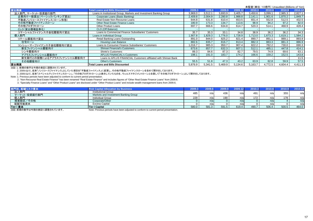|                            |                                                                    |         |         |         |         |         | 未監査(単位: 10億円) Unaudited (Billions of Yen) |         |         |
|----------------------------|--------------------------------------------------------------------|---------|---------|---------|---------|---------|-------------------------------------------|---------|---------|
| 貸出残高                       | <b>Total Loans and Bills Discounted</b>                            | 2009.3  | 2009.6  | 2009.9  | 2009.12 | 2010.3  | 2010.6                                    | 2010.9  | 2010.12 |
| 法人部門、マーケット・投資銀行部門          | Loans in Institutional Group, Markets and Investment Banking Group | 3,969.0 | 3.512.1 | 3,693.9 | 3,405.7 | 3,450.6 | 3,099.1                                   | 2,985.3 | 2,827.1 |
| 企業向け一般貸出(ベーシックバンキング貸出)     | Corporate Loans (Basic Banking)                                    | 2.409.8 | 2,004.9 | 2,280.8 | 1,988.8 | 2,141.1 | 1,901.6                                   | 1.870.2 | .849.7  |
| 不動産ノンリコースファイナンス(ローン形態)     | Real Estate Non-Recourse Loans                                     | 644.8   | 631.8   | 610.4   | 653.5   | 651.4   | 552.8                                     | 512.5   | 432.5   |
| その他不動産ファイナンスローン            | Other Real Estate Finance Loans                                    | 180.9   | 173.3   | 134.7   | 113.6   | 98.9    | 94.2                                      | 97.2    | 82.0    |
| その他プロダクトローン                | <b>Other Product Loans</b>                                         | 697.7   | 666.6   | 634.8   | 614.7   | 520.3   | 514.1                                     | 468.9   | 428.4   |
| CLO(貸出債権証券化)               | CLO (Off Balance)                                                  |         |         |         |         |         |                                           |         |         |
| コマーシャルファイナンス子会社顧客向け貸出      | Loans to Commercial Finance Subsidiaries' Customers                | 35.7    | 35.3    | 33.1    | 34.8    | 38.9    | 36.2                                      | 36.2    | 34.3    |
| 個人部門                       | Loans in Individual Group                                          | .907.8  | ,829.3  | ,776.0  | 1,728.9 | 1,713.0 | 1,673.3                                   | 1,619.1 | .584.2  |
| リテール顧客向け貸出                 | Retail Banking Loans Outstanding                                   | 891.0   | 844.0   | 825.2   | 821.4   | 890.7   | 891.1                                     | 889.1   | 893.9   |
| 住宅ローン                      | Housing Loan Balance                                               | 882.6   | 835.7   | 816.7   | 813.4   | 882.3   | 883.3                                     | 881.3   | 886.9   |
| コンシューマーファイナンス子会社顧客向け貸出     | Loans to Consumer Finance Subsidiaries' Customers                  | .016.7  | 985.3   | 950.7   | 907.4   | 822.2   | 782.2                                     | 730.0   | 690.3   |
| 新生フィナンシャル顧客向け              | <b>Shinsei Financial's Customers</b>                               | 673.6   | 657.7   | 632.3   | 607.1   | 512.1   | 485.                                      | 447.8   | 414.1   |
| シンキ顧客向け                    | <b>Shinki's Customers</b>                                          | 89.3    | 84.6    | 87.3    | 82.7    | 79.5    | 74.9                                      | 69.6    | 63.1    |
| アプラスフィナンシャル顧客向け            | <b>APLUS FINANCIAL's Customers</b>                                 | 198.1   | 191.0   | 183.7   | 174.2   | 166.6   | 159.2                                     | 152.5   | 143.8   |
| 新生銀行との提携によるアプラスフィナンシャル顧客向け | Loans to APLUS FINANCIAL Customers affiliated with Shinsei Bank    |         |         |         |         |         |                                           |         | 11.5    |
| その他顧客向け                    | <b>Other's Customers</b>                                           | 55.5    | 51.8    | 47.3    | 43.2    | 63.9    | 62.8                                      | 59.9    | 57.5    |
| 貸出残高                       | <b>Total Loans and Bills Discounted</b>                            | 5,876.9 | 5,341.5 | 5,469.9 | 5,134.6 | 5,163.7 | 4,772.5                                   | 4,604.4 | 4,411.3 |

注記:1. 前期の数字は今期の表記に調整されています。

2. 2009.6より、従来「ノンリコースファイナンス」としていた項目を「不動産ファイナンス」に変更し、その他不動産ファイナンスローンを含めて開示をしております。<br>3. 2009.6より、従来「スペシャルティファイナンスローン」、「その他プロダクトローン」と表示していたものを、ウェルスマネジメントローンと合算して「その他プロダクトローン」として開示をしております。

Note: 1. Previous periods have been adjusted to conform to current period presentation.

2. "Non-Recourse Real Estate Finance" has been renamed "Real Estate Finance" and includes figures of "Other Real Estate Finance Loans" from 2009.6.

3. "Specialty Finance Loans" and "Other Product Loans" are disclosed under "Other Product Loans" and include wealth management loans from 2009.6.

| 部門別、配賦リスク資本                                                                                                                                                                                                                                                                                                                   | <b>Risk Capital Allocation by Business</b>                                                                                                                                                                                          | 2009.3 |       | 2009.9 | 2009.12 | 2010.3 | 2010.6 | 2010.9 | 2010.12 |
|-------------------------------------------------------------------------------------------------------------------------------------------------------------------------------------------------------------------------------------------------------------------------------------------------------------------------------|-------------------------------------------------------------------------------------------------------------------------------------------------------------------------------------------------------------------------------------|--------|-------|--------|---------|--------|--------|--------|---------|
| 法人部門                                                                                                                                                                                                                                                                                                                          | <b>Institutional Group</b>                                                                                                                                                                                                          | 485    | n/a   |        |         | 491    | n/a    | 355    | n/a     |
| マーケット・投資銀行部門                                                                                                                                                                                                                                                                                                                  | Markets and Investment Banking Group                                                                                                                                                                                                |        |       |        |         |        |        |        |         |
| 個人部門                                                                                                                                                                                                                                                                                                                          | <b>Individual Group</b>                                                                                                                                                                                                             | 229    | n/al  | 190    | n/a     | 172    | n/a    | 178    | n/a     |
| 経営勘定/その他                                                                                                                                                                                                                                                                                                                      | Corporate/Other                                                                                                                                                                                                                     |        | n/a   |        | n/a     |        | n/a    |        | n/a     |
| 配賦可能資本                                                                                                                                                                                                                                                                                                                        | <b>Excess Capital</b>                                                                                                                                                                                                               |        | n/ai  |        |         |        |        |        | n/a     |
| Tier I 資本                                                                                                                                                                                                                                                                                                                     | <b>Tier I Capital</b>                                                                                                                                                                                                               | 580.0  | 581.3 | 591.5  | 619.4   | 490.7  | 506.4  | 500.5  | 464.0   |
| $\lambda$ $\lambda$ $=$ $\pi$ $\lambda$ $=$ $\lambda$ $=$ $\mu$ $=$ $\pi$ $\lambda$ $=$ $\pi$ $\lambda$ $=$ $\pi$ $\lambda$ $=$ $\pi$ $\lambda$ $=$ $\mu$ $\lambda$ $=$ $\mu$ $\lambda$ $=$ $\mu$ $\lambda$ $=$ $\mu$ $\lambda$ $=$ $\mu$ $\lambda$ $=$ $\mu$ $\lambda$ $=$ $\mu$ $\lambda$ $=$ $\mu$ $\lambda$ $=$ $\mu$ $\$ | <b>All the compact of the second contract of the second contract of the contract of the second contract of the second second contract of the second second second second second second second second second second second secon</b> |        |       |        |         |        |        |        |         |

注記:前期の数字は今期の表記に調整されています。 Note: Previous periods have been adjusted to conform to current period presentation.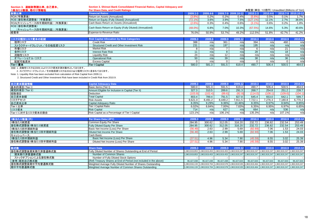| Section 3. 連結財務諸比率、自己資本、<br>1株当たり数値、格付け情報他 | Section 3. Shinsei Bank Consolidated Financial Ratios, Capital Adequacy and<br>Per Share Data, and Credit Ratings |              |              |       |                     |              |              |         | 未監査(単位: 10億円) Unaudited (Billions of Yen) |
|--------------------------------------------|-------------------------------------------------------------------------------------------------------------------|--------------|--------------|-------|---------------------|--------------|--------------|---------|-------------------------------------------|
| 財務比率                                       | <b>Financial Ratios</b>                                                                                           | $2009.1 - 3$ | $2009.4 - 6$ |       | 2009.7-9 2009.10-12 | $2010.1 - 3$ | $2010.4 - 6$ |         | 2010.7-9 2010.10-12                       |
| ROA(年換算後)                                  | Return on Assets (Annualized)                                                                                     | $(3.8\%)$    | 0.2%         | 0.2%  | 0.4%                | (5.6%)       | 0.5%         | $0.1\%$ | 1.7%                                      |
| ROE(潜在株式調整後)(年換算後)                         | Return on Equity (Fully Diluted) (Annualized)                                                                     | $(72.1\%)$   | 3.6%         | 3.9%  | 7.5%                | $(127.1\%)$  | 12.1%        | 2.7%    | 38.6%                                     |
| ROA(キャッシュベース四半期純利益) (年換算後)                 | Cash Basis Return on Assets (Annualized)                                                                          | $(2.6\%)$    | 0.3%         | 0.4%  | 0.6%                | (3.1%        | 0.6%         | 0.2%    | 1.8%                                      |
| ROE(潜在株式調整後)<br>(キャッシュベース四半期純利益) (年換算後)    | Cash Basis Return on Equity (Fully Diluted) (Annualized)                                                          | $(48.0\%)$   | 6.8%         | 7.0%  | 10.3%               | (67.5%)      | 14.6%        | 5.3%    | 40.6%                                     |
| 経費率                                        | Expense-to-Revenue Ratio                                                                                          | 76.0%        | 50.9%        | 53.7% | 49.2%               | 112.5%       | 51.8%        | 42.7%   | 41.2%                                     |

| リスク分類別リスク資本の配賦         | <b>Risk Capital Allocation by Risk Categories</b> | 2009.3 | 2009. | 2009.9 | 2009.12 | 2010.3 | 2010.6 | 2010.9 | 2010.12 |
|------------------------|---------------------------------------------------|--------|-------|--------|---------|--------|--------|--------|---------|
| 信用リスク                  | <b>Credit Risk</b>                                | 388    | n/a   | 361    | n/al    | 394    | n/a    | 460    | n/a     |
| ストラクチャードクレジット/その他投資リスク | Structured Credit and Other Investment Risk       | 231    | n/al  | 197    | n/a     | 195    | n/a    | n/a    | n/a     |
| 市場リスク                  | <b>Market Risk</b>                                |        | n/a   |        | n/a     |        | n/a    | ∠⊥     | n/a     |
| 金利リスク                  | <b>Interest Rate Risk</b>                         |        | n/a   |        | n/a     | 28     | n/a    | 18     | n/a     |
| 流動性リスク                 | Liquidity Risk                                    | 24     | n/a   |        | n/a     | n/a    | n/a    | n/a    | n/a     |
| オペレーショナル・リスク           | <b>Operational Risk</b>                           | 50     | n/a   | 39     | n/a     | 38     | n/a    | 36     | n/a     |
| 配賦可能資本                 | <b>Excess Capital</b>                             |        | n/a   |        | n/a     |        | n/a    |        | n/a     |
| Tier I 資本              | <b>Tier I Capital</b>                             | 580.0  | 581.3 | 591.5  | 619.4   | 490.7  | 506.4  | 500.5  | 464.0   |

注記: 1. 流動性リスクは2009.11よりリスク資本計測対象外としております。

2. ストラクチャードクレジット/その他投資リスクは2010.9より信用リスクに含まれております。

Note: 1. Liquidity Risk has been excluded from calculation of Risk Capital from 2009.11.

2. Structured Credit and Other Investment Risk have been included in Credit Risk from 2010.9.

| <b>Capital Adequacy Data</b>                       | 2009.3  | 2009.6  | 2009.9  | 2009.12 | 2010.3  | 2010.6  | 2010.9  | 2010.12 |
|----------------------------------------------------|---------|---------|---------|---------|---------|---------|---------|---------|
| Basic Items (Tier I)                               | 580.0   | 581.3   | 591.5   | 619.4   | 490.7   | 506.4   | 500.5   | 464.0   |
| Amount Eligible for Inclusion in Capital (Tier II) | 327.3   | 310.5   | 289.6   | 291.3   | 268.7   | 254.8   | 251.2   | 239.7   |
| <b>Deduction</b>                                   | (103.9) | '102.4  | (89.6   | (82.9)  | (114.0) | (108.1) | (109.6) | (104.1) |
| <b>Total Capital</b>                               | 803.4   | 789.4   | 791.5   | 827.8   | 645.4   | 653.0   | 642.7   | 599.7   |
| <b>Risk Assets</b>                                 | 9,621.0 | 8.491.2 | 8.449.2 | 7,911.5 | 7,722.1 | 7.276.3 | .180.8  | 6,770.2 |
| Capital Adequacy Ratio                             | 8.35%   | 9.29%   | 9.36%   | 10.46%  | 8.35%   | 8.97%   | 8.94%   | 8.85%   |
| <b>Tier I Capital Ratio</b>                        | 6.02%   | 6.84%   | 7.00%   | 7.83%   | 6.35%   | 6.95%   | 6.97%   | 6.85%   |
| <b>Risk Capital</b>                                | 714     |         | 627     | n/a     | 664     | n/a     | 536     | n/a     |
| Risk Capital as a Percentage of Tier I Capital     | 123.1%  | n/a     | 106.1%  | n/al    | 135.3%  | n/a     | 107.1%  | n/a     |
|                                                    |         |         |         |         |         |         |         |         |

| 1株当たり数値(円)         | Per Share Data (JPY)                  | 2009.3 | 2009.6 | 2009.9 | 2009.12 | 2010.3  | 2010.6 | 2010.9 | 2010.12 |
|--------------------|---------------------------------------|--------|--------|--------|---------|---------|--------|--------|---------|
| 1株当たり純資産           | Common Equity Per Share               | 284.95 | 300.62 | 312.05 | 316.20  | 232.72  | 236.82 | 232.54 | 253.49  |
| 潜在株式調整後1株当たり純資産    | <b>Fully Diluted Equity Per Share</b> | 284.95 | 300.62 | 312.05 | 316.20  | 232.72  | 236.82 | 232.54 | 253.49  |
| 1株当たり四半期純利益        | Basic Net Income (Loss) Per Share     | '56.4  | 2.63   | 2.99   | 5.69    | (82.69) | 7.06   | 1.53   | 24.03   |
| 潜在株式調整後1株当たり四半期純利益 | Diluted Net Income Per Share          | (56.4) | 2.63   | 2.99   | 5.69    | (82.69) | 7.06   | 1.53   | 24.03   |
| キャッシュベース:          | Cash Basis:                           |        |        |        |         |         |        |        |         |
| 1株当たり四半期純利益        | Basic Net Income (Loss) Per Share     | (37.5  | 4.96   | 5.34   | 7.90    | (45.59) | 8.55   | 3.02   | 25.39   |
| 潜在株式調整後1株当たり四半期純利益 | Diluted Net Income (Loss) Per Share   | 37.51  | 4.96   | 5.34   | 7.90    | (45.59) | 8.55   | 3.02   | 25.39   |

| 株式数               | <b>Share Data</b>                                                  | 2009.3                                                                                                          | 2009.6     |            | $\begin{array}{ c c c }\n 2009.9 & 2009.12 \\ \end{array}$ | 2010.3     |            | $2010.6$ 2010.9 2010.12 |            |
|-------------------|--------------------------------------------------------------------|-----------------------------------------------------------------------------------------------------------------|------------|------------|------------------------------------------------------------|------------|------------|-------------------------|------------|
| 潜在株式調整後期末発行済普通株式数 | Fully Diluted Number of Shares Outstanding at End of Period        | 1,963,919,853 1,963,919,453 1,963,919,453 1,963,919,247 1,963,919,247 1,963,919,247 1,963,919,247 1,963,919,247 |            |            |                                                            |            |            |                         |            |
| 期末発行済普通株式数        | Number of Common Shares                                            | 1,963,919,853 1,963,919,453 1,963,919,453 1,963,919,247 1,963,919,247 1,963,919,247 1,963,919,247 1,963,919,247 |            |            |                                                            |            |            |                         |            |
| ストックオプションによる潜在株式数 | Number of Fully Diluted Stock Options                              |                                                                                                                 |            |            |                                                            |            |            |                         |            |
| (参考)期末自己株式数       | (Ref) Treasury Shares at End of Period (not included in the above) | 96.427.038                                                                                                      | 96,427,438 | 96,427,438 | 96,427,644                                                 | 96,427,644 | 96,427,644 | 96,427,644              | 96,427,644 |
| 潜在株式調整後期中平均普通株式数  | Weighted Average Fully Diluted Number of Shares Outstanding        | 1,963,916,133 1,963,919,704 1,963,919,578 1,963,919,535 1,963,919,464 1,963,919,247 1,963,919,247 1,963,919,247 |            |            |                                                            |            |            |                         |            |
| 期中平均普通株式数         | Weighted Average Number of Common Shares Outstanding               | 1,963,916,133 1,963,919,704 1,963,919,578 1,963,919,535 1,963,919,464 1,963,919,247 1,963,919,247 1,963,919,247 |            |            |                                                            |            |            |                         |            |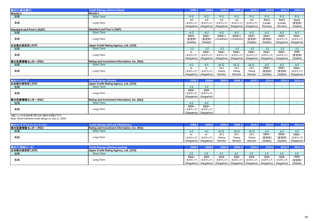| Moody's                                       |          |          |                                  |          |                         |                                                                |                                                        |                                                |
|-----------------------------------------------|----------|----------|----------------------------------|----------|-------------------------|----------------------------------------------------------------|--------------------------------------------------------|------------------------------------------------|
|                                               |          |          |                                  |          |                         |                                                                |                                                        |                                                |
| Short-Term                                    | $P-2$    | $P-2$    | $P-2$                            | $P-2$    | $P-2$                   | $P-2$                                                          | $P-2$                                                  | $P-3$                                          |
|                                               | A3       | A3       | A3                               | A3       | A <sub>3</sub>          | Baa1                                                           | Baa1                                                   | Baa3                                           |
| Long-Term                                     | (ネガティブ)  |          | (ネガティブ)                          | (ネガティブ)  | (ネガティブ)                 | (Under                                                         | (Under                                                 | (安定的)                                          |
|                                               |          |          |                                  |          |                         | Review)                                                        | Review)                                                | (Stable)                                       |
| <b>Standard and Poor's (S&amp;P)</b>          |          |          |                                  |          |                         |                                                                |                                                        |                                                |
| Short-Term                                    | $A-2$    | $A-2$    | $A-2$                            | $A-2$    | $A-2$                   | $A-2$                                                          | $A-2$                                                  | $A-2$                                          |
|                                               | BBB+     | BBB+     | $(BBB+)$                         | $(BBB+)$ | BBB+                    | BBB+                                                           | BBB+                                                   | BBB+                                           |
| Long-Term                                     | (安定的)    | (安定的)    |                                  |          | (安定的)                   | (安定的)                                                          |                                                        | (ネガティブ)                                        |
|                                               | (Stable) | (Stable) |                                  |          | (Stable)                | (Stable)                                                       |                                                        | (Negative)                                     |
| Japan Credit Rating Agency, Ltd. (JCR)        |          |          |                                  |          |                         |                                                                |                                                        |                                                |
| Short-Term                                    | $J-1$    | $J-2$    | $J-2$                            | $J-2$    | $J-2$                   | $J-2$                                                          | $J-2$                                                  | $J-2$                                          |
|                                               | А-       | BBB+     | BBB+                             | BBB+     | BBB+                    | BBB+                                                           | BBB+                                                   | BBB                                            |
| Long-Term                                     | (ネガティブ)  | (ネガティブ)  | (ネガティブ)                          | (ネガティブ)  | (ネガティブ)                 | (ネガティブ)                                                        | (ネガティブ)                                                | (安定的)                                          |
|                                               |          |          |                                  |          |                         |                                                                |                                                        | (Stable)                                       |
| Rating and Investment Information, Inc. (R&I) |          |          |                                  |          |                         |                                                                |                                                        |                                                |
| Short-Term                                    | $a-1$    | a-1      | $(a-1)$                          | $(a-1)$  | $(a-1)$                 | $a-2$                                                          | $a-2$                                                  | $a-2$                                          |
|                                               | А-       | А-       | $(A-)$                           | $(A-)$   | $(A-)$                  | BBB+                                                           | BBB+                                                   | BBB+                                           |
| Long-Term                                     | (ネガティブ)  | (ネガティブ)  | Rating                           | Rating   | Rating                  | (安定的)                                                          | (安定的)                                                  | (ネガティブ)                                        |
|                                               |          |          | Monitor                          | Monitor  | Monitor                 | (Stable)                                                       | (Stable)                                               | (Negative)                                     |
|                                               |          |          | (ネガティブ)<br>(Negative) (Negative) |          | CreditWatch CreditWatch | (Negative)   (Negative)   (Negative)   (Negative)   (Negative) | (Negative) (Negative) (Negative) (Negative) (Negative) | (ネガティブ)<br>(Negative)<br>(Negative) (Negative) |

| 格付け(シンキ)        | <b>Credit Ratings (Shinki)</b>                | 2009.3 | 2009.6                                                 | 2009.9 | 2009.12 | 2010.3 | 2010.6 | 2010.9 | 2010.12 |
|-----------------|-----------------------------------------------|--------|--------------------------------------------------------|--------|---------|--------|--------|--------|---------|
| 日本格付研究所(JCR)    | Japan Credit Rating Agency, Ltd. (JCR)        |        |                                                        |        |         |        |        |        |         |
| 短期              | Short-Term                                    | J-2    | $J-2$                                                  |        |         |        |        |        |         |
| 長期              | Long-Term                                     | BBB+   | <b>BBB</b><br>(ネガティブ) (ネガティブ)<br>(Negative) (Negative) |        |         |        |        |        |         |
| 格付投資情報センター(R&I) | Rating and Investment Information, Inc. (R&I) |        |                                                        |        |         |        |        |        |         |
| 短期              | Short-Term                                    | $a-2$  | a-2                                                    |        |         |        |        |        |         |
| 長期              | Long-Term                                     | BBB+   | BBB+<br>(ネガティブ)  (ネガティブ) <br>(Negative) (Negative)     |        |         |        |        |        |         |

注記: シンキは2009年7月21日に格付けを取り下げ。 Note: Shinki withdrew credit ratings on July 21, 2009.

| 格付け(アプラスフィナンシャル) | Credit Ratings (APLUS FINANCIAL)              | 2009.3                |        |         | 2009.   | 2010.3  | 2010.6   | 2010.9   | 2010.12    |
|------------------|-----------------------------------------------|-----------------------|--------|---------|---------|---------|----------|----------|------------|
| 格付投資情報センター(R&I)  | Rating and Investment Information, Inc. (R&I) |                       |        |         |         |         |          |          |            |
| 短期               | Short-Term                                    | a-1                   | a-1    | (a-1)   | $(a-1)$ | (a-1)   |          | a-2      | $a-2$      |
|                  |                                               | А-                    |        | $(A-)$  | $(A-)$  | (A-     | BBB+     | BBB+     | BBB+       |
| 長期               | Long-Term                                     | (ネガティブ)               | (ネガティブ | Rating  | Rating  | Rating  | (安定的)    | (安定的     | (ネガティブ)    |
|                  |                                               | (Negative) (Negative) |        | Monitor | Monitor | Monitor | (Stable) | (Stable) | (Negative) |

| 格付け(H        | <b>Credit Ratings (Showa Leasing)</b>  | 2009.3          | 2009.      | 2009.9     | 2009.12                                                        | 2010.3     | 2010.6     | 2010.9                | 2010.12    |
|--------------|----------------------------------------|-----------------|------------|------------|----------------------------------------------------------------|------------|------------|-----------------------|------------|
| 日本格付研究所(JCR) | Japan Credit Rating Agency, Ltd. (JCR) |                 |            |            |                                                                |            |            |                       |            |
| 短期           | Short-Term                             | J-2             | ے-ں        | -J-2       | J-2                                                            | J-2        | U-Z.       |                       |            |
|              |                                        | BBB+            | <b>BBB</b> | <b>BBB</b> | <b>BBB</b>                                                     | <b>BBB</b> | <b>BBB</b> | <b>BBB</b>            | <b>BBB</b> |
| 長期           | Long-Term                              | (ネガティブ)▎(ネガティブ) |            |            | (ネガティブ)│ (ネガティブ) │ (ネガティブ)                                     |            | (ネガティブ)    | (ネガティブ)               | (安定的)      |
|              |                                        |                 |            |            | (Negative)   (Negative)   (Negative)   (Negative)   (Negative) |            |            | (Negative) (Negative) | (Stable)   |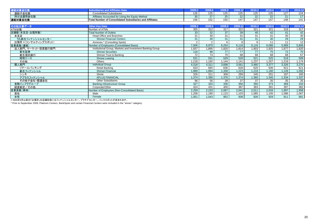|          |                                                          |     | -----<br>.                     |     |     |             | 2010.6 |     |          |
|----------|----------------------------------------------------------|-----|--------------------------------|-----|-----|-------------|--------|-----|----------|
| 連結子会社数   | <b>Consolidated Subsidiaries</b>                         | 126 | $\overline{\phantom{a}}$<br>ںے | ⊺∠ວ | 125 | 125         | 125    | 127 | 124      |
| 持分法適用会社数 | Affiliates Accounted for Using the Equity Method         | 30  |                                |     | --- | $\sim$<br>ᅩ | 22     | 21  |          |
| 連結対象会社数  | Total Number of Consolidated Subsidiaries and Affiliates | 156 |                                |     | 147 | 147         | 117    | 148 | 444<br>4 |

| その他主要データ            | <b>Other Key Data</b>                                     | 2009.3 | 2009.6 | 2009.9 | 2009.12 | 2010.3       | 2010.6 | 2010.9 | 2010.12 |
|---------------------|-----------------------------------------------------------|--------|--------|--------|---------|--------------|--------|--------|---------|
| ATM台数               | Number of ATMs                                            | 355    | 312    | 317    | 322     | 321          | 321    | 318    | 317     |
| 店舗数(本支店·出張所数)       | <b>Total Number of Outlets</b>                            | 33     | 32     | 37     | 39      | 40           | 42     | 41     | 42      |
| 本支店                 | <b>Head Office and Branches</b>                           | 31     | 30     | 31     | 31      | 31           | 31     | 30     | 30      |
| うち新生フィナンシャルセンター     | <b>Shinsei Financial Centers</b>                          | 31     | 30     | 31     | 31      | 31           | 30     | 29     | 29      |
| 出張所 *(コンサルティングスポット) | Annexes * (Consulting Spots)                              |        |        | 6      | 8       | $\mathbf{q}$ | 11     | 11     | 12      |
| 従業員数(連結)            | Number of Employees (Consolidated Basis)                  | 7,006  | 6.970  | 6,254  | 6.118   | 6,116        | 6,066  | 5,969  | 5,806   |
| 法人部門、マーケット・投資銀行部門   | Institutional Group, Markets and Investment Banking Group | 1.937  | 1,895  | 1.820  | 1,814   | 1,903        | 1,925  | 1,877  | 1,820   |
| 新生証券                | <b>Shinsei Securities</b>                                 | 116    | 98     | 77     | 77      | 77           | 75     | 72     | 70      |
| 新生信託銀行              | Shinsei Trust & Banking                                   | 72     | 74     | 70     | 68      | 68           | 68     | 68     | 67      |
| 昭和リース               | Showa Leasing                                             | 531    | 531    | 529    | 528     | 521          | 525    | 518    | 509     |
| その他                 | Others                                                    | 1.218  | 1,192  | 1,144  | 1.141   | 1.237        | 1.257  | 1,219  | 1,174   |
| 個人部門                | <b>Individual Group</b>                                   | 4,318  | 4,311  | 3,698  | 3,561   | 3,480        | 3,377  | 3,326  | 3,270   |
| リテールバンキング           | Retail Banking                                            | 633    | 660    | 636    | 628     | 620          | 636    | 621    | 621     |
| 新生フィナンシャル           | Shinsei Financial                                         | 1,889  | 1,894  | 1,338  | 1,223   | 1,218        | 1,160  | 1,149  | 1,092   |
| シンキ                 | Shinki                                                    | 326    | 311    | 309    | 299     | 245          | 201    | 187    | 185     |
| アプラスフィナンシャル         | <b>APLUS FINANCIAL</b>                                    | 1,374  | 1,390  | 1,376  | 1,374   | 1,360        | 1,345  | 1,334  | .337    |
| その他子会社・関連会社         | <b>Other Subsidiaries</b>                                 | 96     | 56     | 39     | 37      | 37           | 35     | 35     | 35      |
| 金融インフラグループ          | <b>Banking Infrastructure Group</b>                       | 327    | 333    | 336    | 356     | 350          | 373    | 369    | 334     |
| 経営勘定/その他            | Corporate/Other                                           | 424    | 431    | 400    | 387     | 383          | 391    | 397    | 382     |
| 従業員数(単体)            | Number of Employees (Non-Consolidated Basis)              | 2,259  | 2,233  | 2,067  | 2,041   | 2,011        | 2,034  | 1,997  | 1,958   |
| 男性                  | Male                                                      | 1,208  | 1,190  | 1,115  | 1,103   | 1,085        | 1,105  | 1,086  | 1,067   |
| 女性                  | Female                                                    | 1,051  | 1,043  | 952    | 938     | 926          | 929    | 911    | 891     |

\* 2009年9月以前の「出張所」の店舗形態にはフィナンシャルセンター、プラチナセンター、バンクスポットが含まれます。<br>\* Prior to September 2009, Platinum Centers, BankSpots and certain Financial Centers were included in the "annex" category.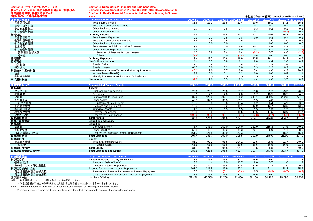| Section 4.主要子会社の財務データ他     |  |
|----------------------------|--|
| 新生フィナンシャルの、銀行の勘定科目体系に組替後の、 |  |
| 連結損益計算書、貸借対照表データ           |  |

 **Section 4. Subsidiaries' Financial and Business Data Shinsei Financial Consolidated P/L and B/S Data, after Reclassification to**

**Conform to Bank's Financial Statements, before Consolidating to Shinsei**

|  |  | 未監査(単位:10億円) Unaudited (Billions of Yen) |
|--|--|------------------------------------------|
|  |  |                                          |

| (新生銀行への連結会計処理前) | <b>Bank</b>                                            |                | 未監査(単位: 10億円) Unaudited (Billions of Yen) |                          |                     |              |          |        |                     |
|-----------------|--------------------------------------------------------|----------------|-------------------------------------------|--------------------------|---------------------|--------------|----------|--------|---------------------|
| 連結損益計算書         | <b>Consolidated Statements of Income</b>               | 2009.1-3       | 2009.4-6                                  |                          | 2009.7-9 2009.10-12 | $2010.1 - 3$ | 2010.4-6 |        | 2010.7-9 2010.10-12 |
| 資金運用収益          | <b>Total Interest Income</b>                           | 31.6           | 29.1                                      | 23.5                     | 22.4                | 20.6         | 19.1     | 17.2   | 15.3                |
| 役務取引等収益         | Fees and Commissions Income                            | 0.2            | 0.1                                       | 0.1                      | 0.1                 | 0.1          | 0.1      | 0.1    | 0.1                 |
| その他業務収益         | <b>Other Business Income</b>                           | 0.7            | 0.7                                       | 0.5                      | 0.4                 | 0.3          | 0.2      | 0.1    | 0.1                 |
| その他経常収益         | Other Ordinary Income                                  | 0.2            | 0.3                                       | 0.2                      | 0.1                 | 0.1          | 1.1      | (0.7)  | 0.1                 |
| 経常収益            | <b>Ordinary Income</b>                                 | 32.9           | 30.3                                      | 24.4                     | 23.1                | 21.3         | 20.6     | 16.8   | 15.8                |
| 資金調達費用          | <b>Total Interest Expenses</b>                         | 0.3            | 0.3                                       | 0.5                      | 0.8                 | 0.9          | 0.8      | 0.7    | 0.6                 |
| 役務取引等費用         | Fees and Commissions Expenses                          | 1.6            | 1.5                                       | 1.6                      | 0.6                 | 1.2          | 1.0      | 1.0    | 0.6                 |
| その他業務費用         | <b>Other Business Expenses</b>                         |                | 0.0                                       | 0.0                      |                     |              | 0.0      | 0.0    | $\overline{0.0}$    |
| 営業経費            | <b>Total General and Administrative Expenses</b>       | 13.9           | 11.7                                      | 10.0                     | 9.5                 | 10.1         | 8.5      | 8.3    | 7.9                 |
| その他経常費用         | <b>Other Ordinary Expenses</b>                         | 2.5            | 10.1                                      | 8.3                      | 6.0                 | 0.2          | 5.7      | 4.6    | (2.3)               |
| 貸倒引当金繰入額        | Provision of Reserve for Loan Losses                   | 4.3            | 8.9                                       | 8.4                      | 6.4                 | (0.2)        | 5.7      | 4.6    | (2.3)               |
| その他             | Others                                                 | (1.8)          | 1.1                                       | 0.0                      | (0.4)               | 0.5          | 0.0      | 0.0    | 0.0                 |
| 経常費用            | <b>Ordinary Expenses</b>                               | 18.4           | 23.7                                      | 20.6                     | 16.9                | 12.5         | 16.1     | 14.8   | 6.9                 |
| 経常利益            | <b>Net Ordinary Income</b>                             | 14.4           | 6.5                                       | 3.8                      | 6.1                 | 8.8          | 4.4      | 2.0    | 8.9                 |
| 特別利益            | <b>Special Gains</b>                                   | 1.7            | 2.4                                       | 2.1                      | 2.5                 | 1.8          | 1.8      | 2.6    | 2.0                 |
| 特別損失            | <b>Special Losses</b>                                  | 64.3           | 0.0                                       | 0.2                      | 0.0                 | 5.3          | 2.2      | 0.3    | 0.5                 |
| 税引前四半期純利益       | Income before Income Taxes and Minority Interests      | (48.1)         | 9.0                                       | 5.7                      | 8.6                 | 5.4          | 4.0      | 4.2    | 10.4                |
|                 | Income Taxes (Benefit)                                 | 15.9           | 0.0                                       | 0.1                      | 0.2                 | 0.9          | 0.0      | 0.5    | 2.1                 |
| 税金              |                                                        |                |                                           |                          |                     |              |          |        |                     |
| 少数株主利益          | Minority Interests in Net Income of Subsidiaries       | $\overline{a}$ | $\sim$<br>9.0                             | $\overline{\phantom{a}}$ |                     |              | $\sim$   |        | $\sim$<br>8.2       |
| 四半期純利益          | <b>Net Income</b>                                      | (32.2)         |                                           | 5.5                      | 8.3                 | 4.4          | 4.0      | 3.7    |                     |
| 連結貸借対照表         | <b>Consolidated Balance Sheets</b>                     | 2009.3         | 2009.6                                    | 2009.9                   | 2009.12             | 2010.3       | 2010.6   | 2010.9 | 2010.12             |
| 資産の部:           | Assets:                                                |                |                                           |                          |                     |              |          |        |                     |
| 現金預け金           | Cash and Due from Banks                                | 25.6           | 25.7                                      | 28.0                     | 25.7                | 25.8         | 21.7     | 23.3   | 20.5                |
| 有価証券            | Securities                                             | 2.1            | 2.1                                       | 2.0                      | 2.0                 | 3.7          | 18.5     | 18.5   | 84.6                |
| 貸出金             | Loans and Bills Discounted                             | 387.6          | 425.9                                     | 397.4                    | 428.2               | 317.1        | 339.6    | 262.3  | 274.8               |
| その他資産           | Other Assets                                           | 40.9           | 37.1                                      | 30.3                     | 31.1                | 21.5         | 34.8     | 37.1   | 37.6                |
| 割賦売掛金           | <b>Installment Sales Credit</b>                        | 18.7           | 16.8                                      | 13.6                     | 11.4                | 8.2          | 6.4      | 4.9    | 3.8                 |
| 有形固定資産          | Premises and Equipment                                 | 15.3           | 15.4                                      | 15.2                     | 15.1                | 12.9         | 13.7     | 13.5   | 13.0                |
| 無形固定資産          | <b>Intangible Assets</b>                               | 1.5            | 1.5                                       | 1.5                      | 1.5                 | 1.5          | 1.3      | 1.2    | 1.1                 |
| 繰延税金資産          | <b>Deferred Tax Assets</b>                             | 15.8           | 15.8                                      | 15.7                     | 15.5                | 14.6         | 14.5     | 13.9   | 11.7                |
| 貸倒引当金           | <b>Reserve for Credit Losses</b>                       | (100.6)        | (98.0)                                    | (91.7)                   | (86.7)              | (73.8)       | (70.7)   | (66.2) | (55.7)              |
| 資産の部合計          | <b>Total Assets</b>                                    | 388.5          | 425.8                                     | 398.8                    | 432.7               | 323.4        | 373.5    | 303.7  | 387.9               |
| 負債及び純資産         | <b>Liabilities and Equity</b>                          |                |                                           |                          |                     |              |          |        |                     |
| 負債の部:           | Liabilities:                                           |                |                                           |                          |                     |              |          |        |                     |
| 借用金             | <b>Borrowed Money</b>                                  | 76.4           | 148.0                                     | 162.0                    | 224.0               | 152.0        | 215.3    | 97.5   | 149.2               |
| その他負債           | Other Liabilities                                      | 53.8           | 45.4                                      | 43.2                     | 41.3                | 42.4         | 36.9     | 91.1   | 68.0                |
| 利息返還損失引当金       | Reserve for Losses on Interest Repayments              | 161.0          | 126.5                                     | 89.9                     | 57.3                | 31.1         | 21.1     | 18.2   | 15.4                |
| 負債の部合計          | <b>Total Liabilities</b>                               | 307.4          | 335.7                                     | 303.0                    | 328.5               | 231.9        | 278.0    | 212.0  | 237.9               |
| 純資産の部:          | Equity:                                                |                |                                           |                          |                     |              |          |        |                     |
| 株主資本合計          | <b>Total Shareholders' Equity</b>                      | 81.3           | 90.2                                      | 95.8                     | 104.1               | 91.5         | 95.5     | 91.7   | 149.9               |
| 資本金             | <b>Capital Stock</b>                                   | 66.5           | 66.5                                      | 66.5                     | 66.5                | 66.5         | 66.5     | 66.5   | 91.5                |
| 純資産の部合計         | <b>Total Equity</b>                                    | 81.1           | 90.1                                      | 95.8                     | 104.1               | 91.5         | 95.5     | 91.7   | 149.9               |
| 負債及び純資産の部合計     | <b>Total Liabilities and Equity</b>                    | 388.5          | 425.8                                     | 398.8                    | 432.7               | 323.4        | 373.5    | 303.7  | 387.9               |
|                 |                                                        |                |                                           |                          |                     |              |          |        |                     |
| 利息返還関連          | <b>Grev Zone Related Information</b>                   | 2009.1-3       | 2009.4-6                                  |                          | 2009.7-9 2009.10-12 | $2010.1 - 3$ | 2010.4-6 |        | 2010.7-9 2010.10-12 |
| 利息返還額           | Amount of Refund for Grey Zone Claim                   | 31.6           | 35.5                                      | 36.4                     | 32.1                | 26.6         | 9.0      | 2.1    | 2.3                 |
| 債権放棄額           | Amount of Debt Write-Off                               | 13.2           | 14.4                                      | 12.0                     | 10.7                | 9.0          | 5.7      | 1.0    | 1.4                 |
| キャッシュアウト利息返還額   | Amount of Interest Repayment                           | 18.3           | 21.1                                      | 24.4                     | 21.4                | 17.6         | 3.3      | 1.0    | 0.9                 |
| 利息返還損失引当金       | Reserve for Losses on Interest Repayment               | 161.0          | 126.5                                     | 89.9                     | 57.3                | 31.1         | 21.1     | 18.2   | 15.4                |
| 利息返還損失引当金繰入額    | Provisions of Reserve for Losses on Interest Repayment | 0.5            | 1.0                                       | (0.1)                    | (0.4)               | 0.5          | (0.9)    | (0.7)  | (0.4)               |
| 利息返還損失引当金使用額    | Usage of Reserve for Losses on Interest Repayment      | 31.6           | 35.5                                      | 36.4                     | 32.1                | 26.6         | 9.0      | 2.1    | 2.3                 |

開示請求件数Number of Claims 52,476 48,580 41,268 41,030 38,108 34,412 29,098 36,267

注記: 1. 利息返還額については、補償対象分とネットで記載しております。

2. 利息返還損失引当金の取り崩しには、貸倒引当金取崩益で計上されているものが含まれています。

Note: 1. Amount of refund for grey zone claim for the assets is net of refunds subject to indemnification.

2. Usage of reserves for interest repayment includes items that correspond to reversal of reserves for loan losses.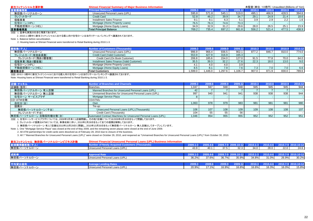| 新生フィナンシャル主要計数 | 未監査(単位:10億円) Unaudited (Billions of Yen)<br><b>Shinsei Financial Summary of Major Business Information</b> |        |         |       |         |        |        |        |         |
|---------------|------------------------------------------------------------------------------------------------------------|--------|---------|-------|---------|--------|--------|--------|---------|
| 営業債権残高        | <b>Principal Balance(*)</b>                                                                                | 2009.3 | 2009.61 |       | 2009.12 | 2010.3 | 2010.6 | 2010.9 | 2010.12 |
| 無担保パーソナルローン   | Unsecured Personal Loans (UPL)                                                                             | 595.8  | 571.8   | 545.1 | 519.0   | 495.1  | 466.9  | 428.5  | 394.6   |
| クレジットカード      | <b>Credit Card</b>                                                                                         | 52.8   | 46.2    | 39.9  | 34.7    | 29.1   | 24.9   | 21.4   | 18.6    |
| 信販事業          | Installment Sales Finance                                                                                  |        |         | 6.3   | ູບ.     | 3.9    | 2.9    | 2.2    | 1.6     |
| 住宅ローン(HPL)    | Mortgage (Home Property Loans)                                                                             | 76.5   | 76.3    | 74.6  | 73.3    |        |        |        |         |
| 不動産担保ローン(HEL) | Mortgage (Home Equity Loans)                                                                               | 34.9   | 32.9    | 31.2  | 29.6    | 28.0   | 26.5   | 25.1   | 23.9    |
| 営業債権残高        | <b>Total Principal Balance</b>                                                                             | 769.2  | 735.4   | 697.2 | 661.8   | 556.2  | 521.4  | 477.5  | 438.9   |

#### 注記: 1. 証券化実施分を含む残高であります。

2. 2010.1-3期中に新生フィナンシャルにおける個人向け住宅ローンは当行リテールバンキングへ譲渡されております。

Note: 1. Balance before securitization.

2. Housing loans at Shinsei Financial were transferred to Retail Banking during 2010.1-3.

| 顧客数(千人)          | Number of Customers (Thousands)            | 2009.3 | 2009.6 | 2009.9 | 2009.12 | 2010.3 | 2010.6 | 2010.9 | 2010.12 |
|------------------|--------------------------------------------|--------|--------|--------|---------|--------|--------|--------|---------|
| 無担保パーソナルローン      | Unsecured Personal Loans (UPL)             | 996.9  | 966.4  | 936.5  | 902.1   | 877.2  | 846.7  | 810.0  | 774.0   |
| クレジットカード(有効会員数)  | Credit Card (Valid Customer)               | 553.9  | 427.9  | 316.9  | 165.3   |        |        |        |         |
| クレジットカード(残あり顧客数) | Credit Card (On Book Customer)             | 206.8  | 185.6  | 154.0  | 127.0   | 91.5   | 77.8   | 70.0   | 64.0    |
| 信販事業(残あり顧客数)     | Installment Sales Finance (Valid Customer) | 35.5   | 39.3   | 32.2   | 27.6    | 22.3   | 18.0   | 13.0   | 9.0     |
| 住宅ローン(HPL)       | Mortgage (Home Property Loans)             |        |        |        | 3.9     |        |        |        |         |
| 不動産担保ローン(HEL)    | Mortgage (Home Equity Loans)               |        |        |        | 7.6     |        | 7.0    | 7.0    | 6.6     |
| 顧客数合計            | <b>Total Customers</b>                     | ,599.0 | .446.0 | ,297.6 | ,106.7  | 907.0  | 871.9  | 830.0  | 789.6   |

注記: 2010.1-3期中に新生フィナンシャルにおける個人向け住宅ローンは当行リテールバンキングへ譲渡されております。

Note: Housing loans at Shinsei Financial were transferred to Retail Banking during 2010.1-3.

| 店舗・チャネル                                                                                                                                                                                                                                                                                                                                                                                                                                                      | <b>Number of Branches and Channels</b>                         | 2009.3 | 2009.6 | 2009.9          | 2009.12 | 2010.3 | 2010.6 | 2010.9           | 2010.12 |
|--------------------------------------------------------------------------------------------------------------------------------------------------------------------------------------------------------------------------------------------------------------------------------------------------------------------------------------------------------------------------------------------------------------------------------------------------------------|----------------------------------------------------------------|--------|--------|-----------------|---------|--------|--------|------------------|---------|
| 店舗数(箇所)                                                                                                                                                                                                                                                                                                                                                                                                                                                      | <b>Branches</b>                                                | 1.047  | 947    | 948             | 948     | 945    | 945    | 945              | 944     |
| 無担保パーソナルローン 有人店舗                                                                                                                                                                                                                                                                                                                                                                                                                                             | Manned Branches for Unsecured Personal Loans (UPL)             | 42     |        |                 |         |        |        |                  |         |
| 無担保パーソナルローン 無人店舗                                                                                                                                                                                                                                                                                                                                                                                                                                             | Unmanned Branches for Unsecured Personal Loans (UPL)           | 997    | 940    | 94 <sup>′</sup> | 941     | 938    | 938    | 938              | 944     |
| 住宅ローン サービスプラザ                                                                                                                                                                                                                                                                                                                                                                                                                                                | Mortgage Service Plaza                                         |        |        |                 |         |        |        |                  |         |
| CD·ATM台数:                                                                                                                                                                                                                                                                                                                                                                                                                                                    | CD/ATMs:                                                       |        |        |                 |         |        |        |                  |         |
| 自社分(台)                                                                                                                                                                                                                                                                                                                                                                                                                                                       | Own                                                            | 1.063  | 978    | 979             | 983     | 981    | 981    | 981              | 980     |
| 提携分:                                                                                                                                                                                                                                                                                                                                                                                                                                                         | Tie-up:                                                        |        |        |                 |         |        |        |                  |         |
| 無担保パーソナルローン(千台)                                                                                                                                                                                                                                                                                                                                                                                                                                              | Unsecured Personal Loans (UPL) (Thousands)                     | 106    |        | 108             | 109     | 109    | 108    | 108 <sub>1</sub> | 107     |
| クレジットカード(千台)                                                                                                                                                                                                                                                                                                                                                                                                                                                 | Credit Card (Thousands)                                        | 104    |        |                 | 56      |        |        |                  |         |
| 無担保パーソナルローン 自動契約機台数(台)                                                                                                                                                                                                                                                                                                                                                                                                                                       | Automated Contract Machines for Unsecured Personal Loans (UPL) | 1.046  | 954    | 955             | 955     | 952    | 952    | 952              | 951     |
| $\mathcal{L} = \mathcal{L} = \mathcal{L} = \mathcal{L} = \mathcal{L} = \mathcal{L} = \mathcal{L} = \mathcal{L} = \mathcal{L} = \mathcal{L} = \mathcal{L} = \mathcal{L} = \mathcal{L} = \mathcal{L} = \mathcal{L} = \mathcal{L} = \mathcal{L} = \mathcal{L} = \mathcal{L} = \mathcal{L} = \mathcal{L} = \mathcal{L} = \mathcal{L} = \mathcal{L} = \mathcal{L} = \mathcal{L} = \mathcal{L} = \mathcal{L} = \mathcal{L} = \mathcal{L} = \mathcal{L} = \mathcal$ |                                                                |        |        |                 |         |        |        |                  |         |

注記: 1. 住宅ローンサービスプラザについては、2009年5月末に1店舗閉鎖し、その他7店舗については2009年6月30日をもって閉鎖しております。

2. クレジットカード提携分ATMについては、事業収束に伴い、2010年2月28日をもって全ての提携を解除しております。

3. 無担保パーソナルローン 有人7店舗は2010年10月29日に閉鎖し、2010年10月30日をもって無担保パーソナルローン 無人店舗としてオープンしています。

Note: 1. One "Mortgage Service Plaza" was closed at the end of May 2009, and the remaining seven plazas were closed at the end of June 2009.

2. All ATM partnerships for credit cards were dissolved as of February 28, 2010 due to closure of the business.

3. All 7 "Manned Branches for Unsecured Personal Loans (UPL)" were closed on October 29, 2010, and reopened as "Unmanned Branches for Unsecured Personal Loans (UPL)" from October 30, 2010.

| 新生フィナンシャル 無担保パーソナルローンビジネス計数 | <b>Shinsei Financial Unsecured Personal Loans (UPL) Business Information</b> |              |       |       |                     |              |              |       |                     |
|-----------------------------|------------------------------------------------------------------------------|--------------|-------|-------|---------------------|--------------|--------------|-------|---------------------|
| 新規獲得顧客数(千人)                 | Number of Newly Acquired Customers (Thousands)                               | $2009.1 - 3$ |       |       | 2009.7-9 2009.10-12 | $2010.1 - 3$ | $2010.4 - 6$ |       | 2010.7-9 2010.10-12 |
| 無担保パーソナルローン                 | Unsecured Personal Loans (UPL)                                               | 43.9         | 40.7  | 37.5  | 32.3                | 34.0         | 28.0         | 22.0  | 24.6                |
|                             |                                                                              |              |       |       |                     |              |              |       |                     |
| 成約率                         | <b>Approval Rate</b>                                                         |              |       |       |                     |              | 2010.4-6     |       | 2010.7-9 2010.10-12 |
| 無担保パーソナルローン                 | Unsecured Personal Loans (UPL)                                               | 36.2%        | 37.6% | 36.7% | 35.9%               | 34.8%        | 31.0%        | 26.9% | 30.2%               |
|                             |                                                                              |              |       |       |                     |              |              |       |                     |
| 平均貸出金利                      | <b>Average Lending Rates</b>                                                 | 2009.31      |       |       | 2009.12             | 2010.3       | 2010.4-6     |       | 2010.7-9 2010.10-12 |
| 無担保パーソナルローン                 | Unsecured Personal Loans (UPL)                                               | 20.9%        | 17.1% | 16.9% | 16.8%               | 16.6%        | 16.3%        | 16.0% | 15.8%               |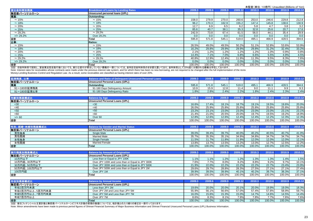| 貸出金利帯別残高     | <b>Breakdown of Loans by Lending Rates</b> | 2009.3 | 2009.6 | 2009.9  | 2009.12 | 2010.3 | 2010.6 | 2010.9 | 2010.12 |
|--------------|--------------------------------------------|--------|--------|---------|---------|--------|--------|--------|---------|
| 無担保パーソナルローン  | Unsecured personal loans (UPL)             |        |        |         |         |        |        |        |         |
| 残高:          | Outstanding:                               |        |        |         |         |        |        |        |         |
| $\sim$ 15%   | $\sim$ 15%                                 | 158.0  | 279.9  | 270.0   | 260.6   | 253.0  | 246.6  | 229.8  | 212.8   |
| $\sim$ 18%   | $\sim$ 18%                                 | 96.2   | 170.3  | 162.9   | 155.2   | 147.4  | 145.8  | 138.6  | 130.9   |
| $\sim$ 20%   | $\sim 20\%$                                | 12.7   | 6.9    | 6.5     | 6.2     | 5.8    | 4.7    | 3.8    | 3.2     |
| $\sim$ 25%   | $\sim$ 25%                                 | 85.6   | 40.7   | 38.1    | 35.3    | 32.8   | 25.6   | 20.7   | 17.6    |
| $\sim$ 29.2% | $\sim$ 29.2%                               | 242.9  | 73.8   | 67.4    | 61.5    | 56.0   | 44.1   | 35.4   | 29.9    |
| $>= 29.2\%$  | Over 29.2%                                 | 0.0    | 0.0    | 0.0     | 0.0     | 0.0    | 0.0    | 0.0    | 0.0     |
| <u>合計</u>    | <b>Total</b>                               | 595.8  | 571.8  | 545.1   | 519.0   | 495.1  | 466.9  | 428.5  | 394.6   |
| 比率:          | <b>Ratios:</b>                             |        |        |         |         |        |        |        |         |
| $\sim$ 15%   | $\sim$ 15%                                 | 26.5%  | 49.0%  | 49.5%   | 50.2%   | 51.1%  | 52.8%  | 53.6%  | 53.9%   |
| $\sim$ 18%   | $\sim$ 18%                                 | 16.2%  | 29.8%  | 29.9%   | 29.9%   | 29.8%  | 31.2%  | 32.4%  | 33.2%   |
| $\sim$ 20%   | $\sim$ 20%                                 | 2.1%   | 1.2%   | 1.2%    | 1.2%    | 1.2%   | 1.0%   | 0.9%   | 0.8%    |
| $\sim$ 25%   | $\sim 25\%$                                | 14.4%  | 7.1%   | $7.0\%$ | 6.8%    | 6.6%   | 5.5%   | 4.9%   | 4.5%    |
| $\sim$ 29.2% | $\sim$ 29.2%                               | 40.8%  | 12.9%  | 12.4%   | 11.9%   | 11.3%  | 9.5%   | 8.3%   | 7.6%    |
| $>= 29.2\%$  | Over 29.2%                                 | 0.0%   | 0.0%   | $0.0\%$ | 0.0%    | 0.0%   | 0.0%   | 0.0%   | 0.0%    |
| 台計           | <b>Total</b>                               | 100.0% | 100.0% | 100.0%  | 100.0%  | 100.0% | 100.0% | 100.0% | 100.0%  |
|              |                                            |        |        |         |         |        |        |        |         |

注記: 旧金利体系で契約し、貸金業法完全施行後においても、新たな貸付が発生していない債権の一部については、金利を旧金利体系のまま据え置いており、金利体系として20%超に分類される債権は存在しております。

Note: Interest rates for receivables whose contracts were made under the previous interest rate system, and for which there has been no new borrowing, are not required to be changed after the full implementation of the rev Money-Lending Business Control and Regulation Law. As a result, some receivables are classified as having interest rates of over 20%.

| 比率          |                                 | 2009.3 | <u>zuusz</u> |       |       | 2010.3 |       | 2010.9 | 2010.12 |
|-------------|---------------------------------|--------|--------------|-------|-------|--------|-------|--------|---------|
| 無担保パーソナルローン | Unsecured Personal Loans (UPL): |        |              |       |       |        |       |        |         |
| 残高          | <b>Outstanding</b>              | 595.8  | 571          | 545.1 | 519.0 | 495.   | 466.9 | 428.5  | 394.6   |
| 91~180日延滞残高 | 91-180 Days Delinguency Amount  | 10.9   | ∍. ت ا       | 12.8  | 11.4  | 9.0    | .     | 9.9    | 9.3     |
| 91~180日延滞比率 | 91-180 Days Delinquency Ratio   | 1.8%   | 2.8%         | 2.4%  | 2.2%  | 1.8%   | 2.4%  | 2.3%   | 2.4%    |

| 年齢別残高構成比    | <b>Balance by Age</b>          | 2009.3 | 2009.  |        | 2009.12 | 2010.3 | 2010.6 | 2010.9 | 2010.1 |
|-------------|--------------------------------|--------|--------|--------|---------|--------|--------|--------|--------|
| 無担保パーソナルローン | Unsecured Personal Loans (UPL) |        |        |        |         |        |        |        |        |
| $30$        | $30$                           | 16.6%  | 17.4%  | 18.1%  | 18.7%   | 19.1%  | 19.5%  | 19.6%  | 20.0%  |
| <40         | <40                            | 26.0%  | 25.9%  | 25.8%  | 25.8%   | 25.8%  | 25.8%  | 25.8%  | 25.8%  |
| < 50        | $50$                           | 23.2%  | 23.1%  | 23.0%  | 23.0%   | 23.0%  | 23.0%  | 23.1%  | 23.1%  |
| <60         | <60                            | 21.4%  | 21.0%  | 20.5%  | 20.0%   | 19.7%  | 19.5%  | 19.2%  | 18.9%  |
| $>/- 60$    | Over <sub>60</sub>             | 12.8%  | 12.6%  | 12.6%  | 12.4%   | 12.4%  | 12.2%  | 12.3%  | 12.3%  |
| 合計          | Total                          | 100.0% | 100.0% | 100.0% | 100.0%  | 100.0% | 100.0% | 100.0% | 100.0% |

| 性別、既婚・未婚<br>氰纖成比 | <b>Balance by Gender and Marital Status \</b> | 2009.3 |        |        | 2009.12 | 2010.3 | 2010.6 | 2010.91 | 2010.12   |
|------------------|-----------------------------------------------|--------|--------|--------|---------|--------|--------|---------|-----------|
| 無担保パーソナルローン      | Unsecured Personal Loans (UPL)                |        |        |        |         |        |        |         |           |
| 男性独身             | Single Male                                   | 39.0%  | 39.4%  | 39.7%  | 40.0%   | 40.2%  | 40.5%  | 40.7%   | 41.0%     |
| 男性既婚             | <b>Married Male</b>                           | 35.7%  | 35.3%  | 35.1%  | 34.9%   | 34.8%  | 34.7%  | 34.7%   | 34.7%     |
| 女性独身             | Single Female                                 | 11.5%  | 11.7%  | 11.8%  | 11.9%   | 12.0%  | 12.0%  | 12.0%   | 12.1%     |
| 女性既婚             | <b>Married Female</b>                         | 13.8%  | 13.7%  | 13.5%  | 13.2%   | 13.0%  | 12.7%  | 12.5%   | 12.2%     |
| 合計               | Total                                         | 100.0% | 100.0% | 100.0% | 100.0%  | 100.0% | 100.0% | 100.0%  | $100.0\%$ |

| 実行残高別残高構成比    | <b>Balance by Amount of Origination</b>          | 2009.3 | 2009.61 | 2009.91 | 2009.12 | 2010.3 | 2010.6 | 2010.9  | 2010.12 |
|---------------|--------------------------------------------------|--------|---------|---------|---------|--------|--------|---------|---------|
| 無担保パーソナルローン   | Unsecured Personal Loans (UPL)                   |        |         |         |         |        |        |         |         |
| 10万円以下        | Less than or Equal to JPY 100K                   | .1%    |         | 1.2%    | 1.2%    | 1.3%   | 1.3%   | 1.4%    | 1.5%    |
| 10万円超、30万円以下  | Over JPY 100K and Less than or Equal to JPY 300K | 7.6%   |         | 8.0%    | 8.2%    | 8.8%   | 9.2%   | 9.7%    | 10.1%   |
| 30万円超、50万円以下  | Over JPY 300K and Less than or Equal to JPY 500K | 21.9%  | 22.0%   | 22.2%   | 22.2%   | 22.2%  | 22.7%  | 23.4%   | 23.9%   |
| 50万円超、100万円以下 | Over JPY 500K and Less than or Equal to JPY 1M   | 29.6%  | 29.7%   | 28.8%   | 28.3%   | 27.5%  | 27.1%  | 27.1%   | 27.4%   |
| 100万円超        | Over JPY 1M                                      | 39.9%  | 39.5%   | 39.9%   | 40.1%   | 40.2%  | 39.7%  | 38.3%   | 37.1%   |
| 合計            | <b>Total</b>                                     | 100.0% | 100.0%  | 100.0%  | 100.0%  | 100.0% | 100.0% | 100.0%। | 100.0%  |

| 年収別残高構成比        | <b>Balance by Annual Income</b>  | 2009.3 | 2009.6 | 2009.91 | 2009.12 | 2010.3 | 2010.6 | 2010.9 | 2010.12 |
|-----------------|----------------------------------|--------|--------|---------|---------|--------|--------|--------|---------|
| 無担保パーソナルローン     | Unsecured Personal Loans (UPL)   |        |        |         |         |        |        |        |         |
| 年収2百万円未満        | Less than JPY 2M                 | 19.6%  | 20.0%  | 20.0%   | 20.1%   | 20.0%  | 19.9%  | 19.0%  | 18.3%   |
| 年収2百万円以上、5百万円未満 | Over JPY 2M and Less than JPY 5M | 55.9%  | 56.1%  | 56.6%   | 57.0%   | 57.4%  | 57.8%  | 58.9%  | 59.7%   |
| 年収5百万円以上、7百万円未満 | Over JPY 5M and Less than JPY 7M | 16.0%  | 15.6%  | 15.3%   | 15.0%   | 14.7%  | 14.6%  | 14.5%  | 14.4%   |
| 年収7百万円以上        | Over JPY 7M                      | 8.6%   | 8.3%   | 8.1%    | 7.9%    | 7.8%   | 7.7%   | 7.6%   | 7.6%    |
| 合計              | <b>Total</b>                     | 100.0% | 100.0% | 100.0%  | 100.0%  | 100.0% | 100.0% | 100.0% | 100.0%  |

注記: 新生フィナンシャル主要計数と無担保パーソナルローンビジネス計数の前期の数値については、他計数との入り繰りの修正を一部行っております。

Note: Minor amendments have been made to previous period figures of Shinsei Financial Summary of Major Business Information and Shinsei Financial Unsecured Personal Loans (UPL) Business Information.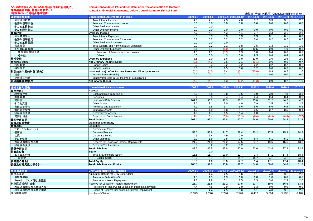#### シンキ株式会社の、銀行の勘定科目体系に組替後の、 連結損益計算書、貸借対照表データ (新生銀行への連結会計処理前)

#### **Shinki Consolidated P/L and B/S Data, after Reclassification to Conform**

**to Bank's Financial Statements, before Consolidating to Shinsei Bank**

| (新生銀行への連結会計処理前) |                                                          |              |          |       |                     | 未監査(単位: 10億円) Unaudited (Billions of Yen) |          |     |                     |
|-----------------|----------------------------------------------------------|--------------|----------|-------|---------------------|-------------------------------------------|----------|-----|---------------------|
| 連結損益計算書         | <b>Consolidated Statements of Income</b>                 | $2009.1 - 3$ | 2009.4-6 |       | 2009.7-9 2009.10-12 | $2010.1 - 3$                              | 2010.4-6 |     | 2010.7-9 2010.10-12 |
| 資金運用収益          | <b>Total Interest Income</b>                             | 4.9          | 4.7      | 4.3   | 4.0                 | 3.7                                       | 3.3      | 3.1 | 2.7                 |
| 役務取引等収益         | Fees and Commissions Income                              | 0.0          | 0.0      | 0.0   | 0.0                 | 0.0                                       | 0.0      | 0.0 | 0.0                 |
| その他業務収益         | Other Business Income                                    | 0.0          | 0.0      |       |                     |                                           |          |     | $-1$                |
| その他経常収益         | Other Ordinary Income                                    | 0.0          | 0.0      | 0.0   | 0.0                 | 0.0                                       | 0.0      | 0.0 | 0.0                 |
| 経常収益            | <b>Ordinary Income</b>                                   | 4.9          | 4.7      | 4.3   | 4.1                 | 3.7                                       | 3.3      | 3.1 | 2.8                 |
| 資金調達費用          | <b>Total Interest Expenses</b>                           | 0.3          | 0.3      | 0.3   | 0.3                 | 0.3                                       | 0.1      | 0.1 | 0.0                 |
| 役務取引等費用         | Fees and Commissions Expenses                            | 0.2          | 0.2      | 0.2   | 0.2                 | 0.4                                       | 0.2      | 0.2 | 0.2                 |
| その他業務費用         | <b>Other Business Expenses</b>                           | 0.0          | 0.0      | 0.0   |                     |                                           |          |     |                     |
| 営業経費            | <b>Total General and Administrative Expenses</b>         | 2.3          | 2.2      | 2.1   | 1.8                 | 1.5                                       | 1.3      | 1.1 | 1.0                 |
| その他経常費用         | <b>Other Ordinary Expenses</b>                           | 5.8          | 6.1      | (1.0) | 1.3                 | 10.5                                      | 0.9      | 1.0 | 0.6                 |
| 貸倒引当金繰入額        | Provision of Reserve for Loan Losses                     | 1.3          |          | (5.3) | 1.3                 | 1.0                                       | 0.4      | 0.6 | 0.1                 |
| その他             | <b>Others</b>                                            | 4.5          | 5.0      | 4.3   | 0.0                 | 9.5                                       | 0.4      | 0.4 | 0.4                 |
| 経常費用            | <b>Ordinary Expenses</b>                                 | 8.8          | 9.0      | 1.6   | 3.9                 | 12.9                                      | 2.6      | 2.6 | 2.0                 |
| 経常利益(損失)        | <b>Net Ordinary Income (Loss)</b>                        | (3.8)        | (4.2)    | 2.6   | 0.1                 | (9.1)                                     | 0.6      | 0.5 | 0.7                 |
| 特別利益            | Special Gains                                            | 0.2          | 0.3      | 0.2   | 0.2                 | 0.2                                       | 0.2      | 0.2 | 0.2                 |
| 特別損失            | <b>Special Losses</b>                                    | 0.5          | 0.1      | 1.5   | 0.6                 | 1.2                                       | 0.0      | 0.5 | 0.0                 |
| 税引前四半期純利益(損失)   | Income (Loss) before Income Taxes and Minority Interests | (4.1)        | (4.0)    | 1.4   | (0.1)               | (10.0)                                    | 0.9      | 0.2 | 1.0                 |
| 税金              | Income Taxes (Benefit)                                   | 0.2          | 0.1      | 0.1   | 0.1                 | 1.2                                       | 0.0      | 0.0 | 0.0                 |
| 少数株主利益          | Minority Interests in Net Income of Subsidiaries         |              |          |       |                     |                                           |          |     |                     |
| 四半期純利益(損失)      | Net Income (Loss)                                        | (4.3)        | (4.7)    | 1.3   | (0.2)               | (11.3)                                    | 0.9      | 0.2 | 1.0                 |

| 連結貸借対照表     | <b>Consolidated Balance Sheets</b>        | 2009.3       | 2009.6   | 2009.9           | 2009.12             | 2010.3   | 2010.6   | 2010.9 | 2010.12             |
|-------------|-------------------------------------------|--------------|----------|------------------|---------------------|----------|----------|--------|---------------------|
| 資産の部:       | Assets:                                   |              |          |                  |                     |          |          |        |                     |
| 現金預け金       | Cash and Due from Banks                   | 5.9          | 5.5      | 3.8              | 3.6                 | 3.0      | 3.9      | 4.9    | 3.1                 |
| 有価証券        | <b>Securities</b>                         | 0.4          | 0.5      | 0.4              | 0.4                 | 0.4      | 0.4      | 0.4    | 0.3                 |
| 貸出金         | Loans and Bills Discounted                | 102.2        | 96.2     | 91.3             | 86.2                | 45.8     | 52.2     | 46.2   | 44.7                |
| その他資産       | <b>Other Assets</b>                       | 3.2          | 3.1      | 3.0              | 4.0                 | 7.9      | 3.5      | 2.9    | 2.7                 |
| 有形固定資産      | Premises and Equipment                    | 7.1          | 6.8      | 5.7              | 5.6                 | 5.6      | 5.6      | 5.5    | 5.5                 |
| 無形固定資産      | <b>Intangible Assets</b>                  | 1.7          | 1.8      | 1.8              | 1.7                 | 0.6      | 0.7      | 0.5    | 0.4                 |
| 繰延税金資産      | <b>Deferred Tax Assets</b>                | 1.8          | 1.7      | 1.5              | 1.4                 | 0.0      |          |        |                     |
| 貸倒引当金       | <b>Reserve for Credit Losses</b>          | (19.4)       | (18.4)   | (10.9)           | (10.3)              | (9.6)    | (8.9)    | (8.4)  | (7.5)               |
| 資産の部合計      | <b>Total Assets</b>                       | 103.1        | 97.2     | 96.8             | 92.7                | 54.0     | 60.6     | 54.8   | 51.8                |
| 負債及び純資産     | <b>Liabilities and Equity</b>             |              |          |                  |                     |          |          |        |                     |
| 負債の部:       | Liabilities:                              |              |          |                  |                     |          |          |        |                     |
| コマーシャル・ペーパー | <b>Commercial Paper</b>                   |              |          |                  |                     |          |          |        |                     |
| 借用金         | <b>Borrowed Money</b>                     | 58.0         | 55.8     | 54.7             | 58.4                | 20.2     | 17.5     | 15.3   | 14.2                |
| 社債          | Corporate Bonds                           | 4.9          | 5.4      | 4.9              | 0.0                 |          |          |        |                     |
| その他負債       | <b>Other Liabilities</b>                  | 2.0          | 1.9      | 2.5              | 3.6                 | 8.4      | 6.1      | 5.1    | 5.1                 |
| 利息返還損失引当金   | Reserve for Losses on Interest Repayments | 21.7         | 21.8     | 21.2             | 17.5                | 23.7     | 19.6     | 16.6   | 13.8                |
| 繰延税金負債      | <b>Deferred Tax Liabilities</b>           | 0.3          | 0.2      | 0.2              | 0.2                 |          |          |        |                     |
| 負債の部合計      | <b>Total Liabilities</b>                  | 87.3         | 85.5     | 83.8             | 80.0                | 52.6     | 43.4     | 37.3   | 33.4                |
| 純資産の部:      | <b>Equity:</b>                            |              | 0.0      |                  |                     |          |          |        |                     |
| 株主資本合計      | <b>Total Shareholders' Equity</b>         | 15.8         | 11.7     | 13.0             | 12.7                | 1.4      | 17.1     | 17.4   | 18.4                |
| 資本金         | <b>Capital Stock</b>                      | 16.7         | 16.7     | 16.7             | 16.7                | 16.7     | 24.1     | 24.1   | 24.1                |
| 純資産の部合計     | <b>Total Equity</b>                       | 15.8         | 11.6     | 13.0             | 12.7                | 1.4      | 17.1     | 17.4   | 18.4                |
| 負債及び純資産の部合計 | <b>Total Liabilities and Equity</b>       | 103.1        | 97.2     | 96.8             | 92.7                | 54.0     | 60.6     | 54.8   | 51.8                |
|             |                                           |              |          |                  |                     |          |          |        |                     |
| 利息返還関連      | <b>Grey Zone Related Information</b>      | $2009.1 - 3$ | 2009.4-6 |                  | 2009.7-9 2009.10-12 | 2010.1-3 | 2010.4-6 |        | 2010.7-9 2010.10-12 |
| 利息返還額       | Amount of Refund for Grey Zone Claim      | 3.9          | 4.4      | 4.5              | 3.6                 | 3.1      | 4.0      | 3.1    | 2.8                 |
| 債権放棄額       | Amount of Debt Write-Off                  | 1.3          | 1.5      | 1.3 <sub>h</sub> | 1.0                 | 0.8      | 1.0      | 0.8    | 0.8                 |

| 机尽必退舆遇        | <b>Grey Zone Related Information</b>                   | <b>2009.1-3</b> | <b>2009.4-0</b> |       | <b>ZUUS.I-9 ZUUS.IU-IZ</b> |       | <b>ZU</b> I               |       | <b>ZUIU.</b> 1-9 ZUIU. IU-TZ |
|---------------|--------------------------------------------------------|-----------------|-----------------|-------|----------------------------|-------|---------------------------|-------|------------------------------|
| 利息返還額         | Amount of Refund for Grey Zone Claim                   |                 |                 |       | 3.6                        |       |                           |       | 2.8                          |
| 債権放棄額         | Amount of Debt Write-Off                               |                 | . ب             |       | 1.0                        | 0.8   | $\overline{\mathbf{0}}$ . | 0.8   | 0.8                          |
| キャッシュアウト利息返還額 | Amount of Interest Repayment                           |                 | ت. ے            | ບ.    | 2.5                        | 2.3   | 3.0                       | 2.3   | 2.0                          |
| 利息返還損失引当金     | Reserve for Losses on Interest Repayment               | 21.7            | 21.8            | 21.2  | 17.5                       | 23.7  | 19.6                      | 16.6  | 13.8                         |
| 利息返還損失引当金繰入額  | Provisions of Reserve for Losses on Interest Repayment |                 |                 |       | 0.0                        | 9.3   | 0.0                       | 0.0   | 0.0 <sub>1</sub>             |
| 利息返還損失引当金使用額  | Usage of Reserve for Losses on Interest Repayment      |                 |                 |       | 3.6                        | 3.1   | 4.0                       | 3.1   | 2.8                          |
| 開示請求件数        | Number of Claims                                       | 10.373          | 9.276           | 7.746 | 7,520                      | 6,482 | 5,884                     | 5,298 | 6,167                        |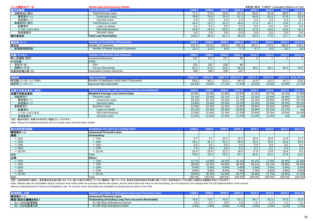| シンキ開示のデータ           | <b>Shinki Data Disclosed by Shinki</b>                        |               |               |        |                     | 未監査(単位:10億円) Unaudited (Billions of Yen) |                |                  |                     |
|---------------------|---------------------------------------------------------------|---------------|---------------|--------|---------------------|------------------------------------------|----------------|------------------|---------------------|
| 貸付金残高               | <b>Loan Receivables</b>                                       | 2009.3        | 2009.6        | 2009.9 | 2009.12             | 2010.3                                   | 2010.6         | 2010.9           | 2010.12             |
| 消費者向け貸付             | <b>Total Personal Loans</b>                                   | 77.2          | 73.8          | 70.8   | 67.4                | 64.9                                     | 61.8           | 58.9             | 53.1                |
| 無担保ローン              | <b>Unsecured Loans</b>                                        | 76.8          | 73.4          | 70.4   | 67.1                | 64.6                                     | 61.5           | 57.8             | 52.8                |
| 有担保ローン              | Secured Loans                                                 | 0.4           | 0.3           | 0.3    | 0.3                 | 0.3                                      | 0.3            | 0.3              | 0.3                 |
| 事業者向け貸付             | <b>Total Business Loans</b>                                   | 24.8          | 22.2          | 20.3   | 18.6                | 17.4                                     | 15.7           | 13.8             | 12.1                |
| 証書貸付                | Loans on Deeds                                                | 0.1           | 0.1           | 0.0    | 0.0                 | 0.0                                      | 0.0            | $\overline{0.0}$ | 0.0                 |
| ノーローンビジネス           | <b>NOLOAN Business</b>                                        | 24.6          | 22.0          | 20.2   | 18.5                | 17.3                                     | 15.6           | 13.8             | 12.1                |
| 有担保貸付               | Secured Loans                                                 | 0.0           | 0.0           | 0.0    | 0.0                 | 0.0                                      | 0.0            | 0.0              | 0.0                 |
| 貸付金合計               | <b>Total Loan Receivables</b>                                 | 102.0         | 96.0          | 91.1   | 86.0                | 82.3                                     | 77.6           | 72.7             | 65.3                |
|                     |                                                               |               |               |        |                     |                                          |                |                  |                     |
| 顧客数(千人)             | <b>Number of Customers (Thousands)</b>                        | 2009.3        | 2009.6        | 2009.9 | 2009.12             | 2010.3                                   | 2010.6         | 2010.9           | 2010.12             |
| 顧客数                 | <b>Number of Customers</b>                                    | 221.8         | 212.9         | 203.8  | 192.3               | 181.1                                    | 170.0          | 160.0            | 149.4               |
| 新規獲得顧客数             | Number of Newly Acquired Customers                            | 12.4          | 11.5          | 8.9    | 7.7                 | 4.7                                      | 5.0            | 3.2              | 2.8                 |
|                     | <b>Number of Branches and Channels</b>                        |               |               |        |                     |                                          |                |                  |                     |
| 店舗・チャネル             | <b>Unmanned Branches</b>                                      | 2009.3<br>317 | 2009.6<br>317 | 2009.9 | 2009.12             | 2010.3                                   | 2010.6         | 2010.9           | 2010.12             |
| 無人店舗数(箇所)<br>ATM台数: | ATMs:                                                         |               |               | 227    | 88                  | $\overline{2}$                           | $\overline{2}$ | 2                | 2                   |
|                     | Own                                                           | 321           | 321           | 230    | 89                  |                                          |                |                  |                     |
| 自社分(台)<br>提携分(千台)   | Tie-up (Thousands)                                            | 52.2          | 52.8          | 53.6   | 55.3                | 49.2                                     | 50.1           | 50.4             | 52.0                |
| 自動契約機台数(台)          | <b>Automated Contract Machines</b>                            | 349           | 349           | 258    | 107                 |                                          |                |                  |                     |
|                     |                                                               |               |               |        |                     |                                          |                |                  |                     |
| 成約率                 | <b>Approval Rate</b>                                          | 2009.1-3      | 2009.4-6      |        | 2009.7-9 2009.10-12 | 2010.1-3                                 | 2010.4-6       |                  | 2010.7-9 2010.10-12 |
| 申込数(ノーローン) (千件)     | Number of Application (NOLOAN) (Thousands)                    | 55.6          | 58.1          | 52.4   | 44.4                | 31.8                                     | 32.5           | 24.7             | 23.8                |
| 成約率(ノーローン)          | Approval Rate (NOLOAN)                                        | 22.4%         | 19.8%         | 17.1%  | 17.4%               | 15.0%                                    | 15.6%          | 13.0%            | 11.7%               |
|                     |                                                               |               |               |        |                     |                                          |                |                  |                     |
| 加重平均約定金利 (単体)       | <b>Weighted Average Loan Interest Rate (Non-Consolidated)</b> | 2009.3        | 2009.6        | 2009.9 | 2009.12             | 2010.3                                   | 2010.6         | 2010.9           | 2010.12             |
| 加重平均約定金利            | Weighted Average Loan Interest Rate                           | 22.8%         | 22.4%         | 21.9%  | 21.5%               | 21.2%                                    | 20.7%          | 18.1%            | 17.9%               |
| 消費者向け               | <b>Personal Loans</b>                                         | 23.1%         | 22.6%         | 22.1%  | 21.7%               | 21.3%                                    | 20.8%          | 19.9%            | 19.7%               |
| 無担保ローン              | <b>Unsecured Loans</b>                                        | 23.2%         | 22.7%         | 22.2%  | 21.7%               | 21.4%                                    | 20.8%          | 19.9%            | 19.7%               |
| 有担保ローン              | <b>Secured Loans</b>                                          | 13.6%         | 13.5%         | 13.4%  | 13.2%               | 13.2%                                    | 13.0%          | 16.3%            | 16.2%               |
| 事業者向け               | <b>Business Loans</b>                                         | 21.8%         | 21.5%         | 21.3%  | 21.0%               | 20.8%                                    | 20.4%          | 19.5%            | 19.4%               |
| 証書貸付                | Loans on Deeds                                                | 23.1%         | 23.3%         | 23.4%  | 23.5%               | 23.8%                                    | 22.2%          | 22.7%            | n/a                 |
| ノーローンビジネス           | <b>NOLOAN Business</b>                                        | 21.8%         | 21.6%         | 21.3%  | 21.0%               | 20.8%                                    | 20.4%          | 19.5%            | 19.4%               |
| 有担保貸付               | <b>Secured Loans</b>                                          | 11.5%         | 11.5%         | 11.5%  | 11.5%               | 11.4%                                    | 11.4%          | n/a              | n/a                 |

注記: 商品内訳は、和解分を含まない数値となっております。

Note: Figures for individual products do not include cases that have been settled.

| 貸出金利帯別残高     | <b>Breakdown of Loans by Lending Rates</b> | 2009.3 | 2009.6 | 2009.9 | 2009.12 | 2010.3 | 2010.6 | 2010.9 | 2010.12 |
|--------------|--------------------------------------------|--------|--------|--------|---------|--------|--------|--------|---------|
| 無担保ローン       | <b>Unsecured Personal Loans</b>            |        |        |        |         |        |        |        |         |
| 残高:          | <b>Outstanding:</b>                        |        |        |        |         |        |        |        |         |
| $\sim$ 15%   | $\sim$ 15%                                 | 9.7    | 9.7    | 10.1   | 10.1    | 10.4   | 10.8   | 11.8   | 11.3    |
| ~18%         | $~18\%$                                    | 29.1   | 31.1   | 32.2   | 32.4    | 32.3   | 32.6   | 31.6   | 29.5    |
| $\sim$ 20%   | $\sim 20\%$                                | 0.0    | 0.0    | 0.0    | 0.0     | 0.0    | 0.0    | 0.0    | 0.0     |
| $\sim$ 25%   | $\sim 25%$                                 | 7.5    | 6.6    | 5.8    | 5.2     | 4.7    | 4.1    | 3.4    | 2.9     |
| $\sim$ 29.2% | $\sim$ 29.2%                               | 30.4   | 25.9   | 22.2   | 19.2    | 17.0   | 13.9   | 10.9   | 9.2     |
| 合計           | Total                                      | 76.8   | 73.4   | 70.4   | 67.1    | 64.6   | 61.5   | 57.8   | 52.9    |
| 比率           | Ratios:                                    |        |        |        |         |        |        |        |         |
| $\sim$ 15%   | $\sim$ 15%                                 | 12.7%  | 13.3%  | 14.4%  | 15.1%   | 16.1%  | 17.6%  | 20.4%  | 21.4%   |
| ~18%         | $~18\%$                                    | 38.0%  | 42.4%  | 45.8%  | 48.3%   | 50.1%  | 53.1%  | 54.8%  | 55.8%   |
| $\sim$ 20%   | $\sim 20\%$                                | 0.0%   | 0.0%   | 0.0%   | 0.0%    | 0.0%   | 0.0%   | 0.0%   | 0.0%    |
| $\sim$ 25%   | $\sim$ 25%                                 | 9.8%   | 9.0%   | 8.3%   | 7.9%    | 7.3%   | 6.6%   | 5.9%   | 5.5%    |
| $\sim$ 29.2% | $\sim$ 29.2%                               | 39.6%  | 35.3%  | 31.5%  | 28.7%   | 26.5%  | 22.7%  | 18.9%  | 17.3%   |
| 信合<br>.      | Total                                      | 100.0% | 100.0% | 100.0% | 100.0%  | 100.0% | 100.0% | 100.0% | 100.0%  |

注記: 旧金利体系で契約し、貸金業法完全施行後においても、新たな貸付が発生していない債権の一部については、金利を旧金利体系のまま据え置いており、金利体系として20%超に分類される債権は存在しております。

Note: Interest rates for receivables whose contracts were made under the previous interest rate system, and for which there has been no new borrowing, are not required to be changed after the full implementation of the rev Money-Lending Business Control and Regulation Law. As a result, some receivables are classified as having interest rates of over 20%.

|              |                                                              |      |      |      |      | <b><i><u>Property</u></i></b> | 20106 | 2010.9       |        |
|--------------|--------------------------------------------------------------|------|------|------|------|-------------------------------|-------|--------------|--------|
| 無担保ローン       | <b>Unsecured Personal Loans</b>                              |      |      |      |      |                               |       |              |        |
| 残高(固定化債権を含む) | <b>Outstanding (including Long-Term Accounts Receivable)</b> | 76.8 | 73.5 | 70.5 | 67.1 | 64.7                          | 61.5  | 57.8         | 52.8   |
| 91~180日延滞残高  | 91-180 Davs Delinguency Amount                               |      |      | 2.0  |      |                               | . 4   | . . <u>.</u> | $\sim$ |
| 91~180日延滞比率  | 91-180 Days Delinguency Ratio                                | 2.5% | 2.9% | 2.8% | 2.7% | 2.4%                          | 2.4%  | 2.1%         | 2.3%   |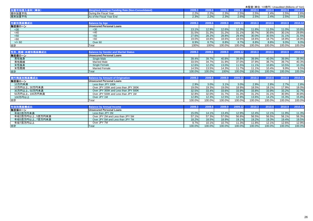|                 |                                                         |        |        |        |         | 未監査(単位:10億円) Unaudited (Billions of Yen) |        |        |         |
|-----------------|---------------------------------------------------------|--------|--------|--------|---------|------------------------------------------|--------|--------|---------|
| 加重平均借入金利 (単体)   | <b>Weighted Average Funding Rate (Non-Consolidated)</b> | 2009.3 | 2009.6 | 2009.9 | 2009.12 | 2010.3                                   | 2010.6 | 2010.9 | 2010.12 |
| 期中加重平均          | During the Fiscal Year                                  | 2.2%   | 2.2%   | 2.3%   | 2.5%    | 2.5%                                     | 2.4%   | 2.5%   | 2.6%    |
| 期末加重平均          | As of the Fiscal Year End                               | 2.3%   | 2.2%   | 2.3%   | 2.6%    | 2.5%                                     | 2.4%   | 2.5%   | 2.6%    |
|                 |                                                         |        |        |        |         |                                          |        |        |         |
| 年齡別残高横成比        | <b>Balance by Age</b>                                   | 2009.3 | 2009.6 | 2009.9 | 2009.12 | 2010.3                                   | 2010.6 | 2010.9 | 2010.12 |
| 無担保ローン          | <b>Unsecured Personal Loans</b>                         |        |        |        |         |                                          |        |        |         |
| <30             | $30$                                                    | 13.1%  | 12.9%  | 12.6%  | 12.3%   | 11.8%                                    | 11.5%  | 11.0%  | 10.8%   |
| <40             | <40                                                     | 31.5%  | 31.3%  | 31.2%  | 31.1%   | 30.7%                                    | 30.6%  | 30.1%  | 29.8%   |
| < 50            | 50<                                                     | 27.6%  | 28.2%  | 28.8%  | 29.4%   | 30.0%                                    | 30.5%  | 31.1%  | 31.5%   |
| <60             | <60                                                     | 19.0%  | 18.8%  | 18.6%  | 18.5%   | 18.6%                                    | 18.7%  | 18.9%  | 18.9%   |
| $>$ /= 60       | Over <sub>60</sub>                                      | 8.9%   | 8.7%   | 8.8%   | 8.7%    | 8.8%                                     | 8.8%   | 9.0%   | 9.0%    |
| 合計              | Total                                                   | 100%   | 100%   | 100.0% | 100.0%  | 100.0%                                   | 100.0% | 100.0% | 100.0%  |
|                 |                                                         |        |        |        |         |                                          |        |        |         |
| 性別、既婚·未婚別残高構成比  | <b>Balance by Gender and Marital Status</b>             | 2009.3 | 2009.6 | 2009.9 | 2009.12 | 2010.3                                   | 2010.6 | 2010.9 | 2010.12 |
| 無担保ローン          | <b>Unsecured Personal Loans</b>                         |        |        |        |         |                                          |        |        |         |
| 男性独身            | <b>Single Male</b>                                      | 39.4%  | 39.7%  | 40.8%  | 39.8%   | 39.9%                                    | 40.0%  | 39.9%  | 39.9%   |
| 男性既婚            | <b>Married Male</b>                                     | 33.5%  | 34.7%  | 31.9%  | 37.0%   | 37.9%                                    | 38.7%  | 39.7%  | 40.3%   |
| 女性独身            | Single Female                                           | 12.6%  | 12.2%  | 13.0%  | 11.5%   | 11.1%                                    | 10.8%  | 10.5%  | 10.3%   |
| 女性既婚            | <b>Married Female</b>                                   | 14.5%  | 13.5%  | 14.3%  | 11.7%   | 11.1%                                    | 10.4%  | 9.9%   | 9.5%    |
| 合計              | Total                                                   | 100.0% | 100.0% | 100%   | 100.0%  | 100.0%                                   | 100.0% | 100.0% | 100.0%  |
|                 |                                                         |        |        |        |         |                                          |        |        |         |
| 実行残高別残高構成比      | <b>Balance by Amount of Origination</b>                 | 2009.3 | 2009.6 | 2009.9 | 2009.12 | 2010.3                                   | 2010.6 | 2010.9 | 2010.12 |
| 無担保ローン          | <b>Unsecured Personal Loans</b>                         |        |        |        |         |                                          |        |        |         |
| 10万円未満          | Less than JPY 100K                                      | 2.9%   | 3.0%   | 3.1%   | 3.0%    | 2.9%                                     | 2.8%   | 2.7%   | 2.8%    |
| 10万円以上、30万円未満   | Over JPY 100K and Less than JPY 300K                    | 19.0%  | 19.3%  | 19.0%  | 18.9%   | 18.5%                                    | 18.1%  | 17.9%  | 18.0%   |
| 30万円以上、50万円未満   | Over JPY 300K and Less than JPY 500K                    | 32.5%  | 33.4%  | 33.6%  | 33.9%   | 33.8%                                    | 33.9%  | 33.2%  | 32.7%   |
| 50万円以上、100万円未満  | Over JPY 500K and Less than JPY 1M                      | 32.8%  | 32.0%  | 31.7%  | 31.3%   | 31.2%                                    | 31.1%  | 30.9%  | 30.8%   |
| 100万円以上         | Over JPY 1M                                             | 12.8%  | 12.3%  | 12.5%  | 12.9%   | 13.6%                                    | 14.2%  | 15.3%  | 15.8%   |
| 合計              | Total                                                   | 100.0% | 100.0% | 100.0% | 100.0%  | 100.0%                                   | 100.0% | 100.0% | 100.0%  |
|                 |                                                         |        |        |        |         |                                          |        |        |         |
| 年収別残高構成比        | <b>Balance by Annual Income</b>                         | 2009.3 | 2009.6 | 2009.9 | 2009.12 | 2010.3                                   | 2010.6 | 2010.9 | 2010.12 |
| 無担保ローン          | <b>Unsecured Personal Loans</b>                         |        |        |        |         |                                          |        |        |         |
| 年収2百万円未満        | Less than JPY 2M                                        | 15.0%  | 14.1%  | 13.4%  | 12.9%   | 12.4%                                    | 12.1%  | 11.9%  | 11.3%   |
| 年収2百万円以上、5百万円未満 | Over JPY 2M and Less than JPY 5M                        | 57.1%  | 57.3%  | 57.0%  | 56.8%   | 56.5%                                    | 56.5%  | 56.1%  | 56.3%   |
| 年収5百万円以上、7百万円未満 | Over JPY 5M and Less than JPY 7M                        | 18.2%  | 18.5%  | 18.9%  | 19.1%   | 19.2%                                    | 19.3%  | 19.4%  | 19.5%   |
| 年収7百万円以上        | Over JPY 7M                                             | 9.7%   | 10.1%  | 10.7%  | 11.3%   | 11.8%                                    | 12.1%  | 12.6%  | 12.9%   |
| 合計              | Total                                                   | 100.0% | 100.0% | 100.0% | 100.0%  | 100.0%                                   | 100.0% | 100.0% | 100.0%  |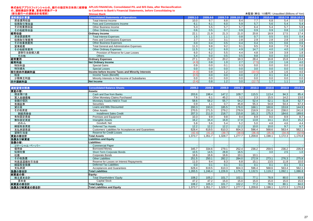|                    | 株式会社アプラスフィナンシャルの、銀行の勘定科目体系に組替後 APLUS FINANCIAL Consolidated P/L and B/S Data, after Reclassification |          |          |      |                     |              |          |                                           |      |
|--------------------|------------------------------------------------------------------------------------------------------|----------|----------|------|---------------------|--------------|----------|-------------------------------------------|------|
| の、連結損益計算書、貸借対照表データ | to Conform to Bank's Financial Statements, before Consolidating to                                   |          |          |      |                     |              |          |                                           |      |
| (新生銀行への連結会計処理前)    | <b>Shinsei Bank</b>                                                                                  |          |          |      |                     |              |          | 未監査(単位: 10億円) Unaudited (Billions of Yen) |      |
| 連結損益計算書            | <b>Consolidated Statements of Operations</b>                                                         | 2009.1-3 | 2009.4-6 |      | 2009.7-9 2009.10-12 | $2010.1 - 3$ | 2010.4-6 | 2010.7-9 2010.10-12                       |      |
| 資金運用収益             | Total Interest Income                                                                                | 10.0     | 9.7      | 8.8  | 8.4                 | 7.7          | 6.8      | 5.4                                       | 5.0  |
| 役務取引等収益            | Fees and Commissions Income                                                                          | 6.1      | 6.1      | 6.0  | 5.9                 | 5.7          | 5.6      | 5.4                                       | 5.4  |
| その他業務収益            | <b>Other Business Income</b>                                                                         | 5.3      | 5.5      | 5.7  | 5.7                 | 6.4          | 5.4      | 5.7                                       | 5.8  |
| その他経常収益            | Other Ordinary Income                                                                                | 0.6      | 0.5      | 0.7  | 0.9                 | 0.9          | 0.9      | 0.8                                       | 1.0  |
| 経常収益               | <b>Ordinary Income</b>                                                                               | 22.1     | 21.9     | 21.3 | 21.0                | 20.8         | 18.9     | 17.5                                      | 17.4 |
| 資金調達費用             | <b>Total Interest Expenses</b>                                                                       | 1.5      | 1.1      | 1.1  | 0.8                 | 0.7          | 0.5      | 0.5                                       | 0.4  |
| 役務取引等費用            | Fees and Commissions Expenses                                                                        | 2.7      | 3.3      | 3.1  | 2.8                 | 2.9          | 2.8      | 2.8                                       | 2.6  |
| その他業務費用            | <b>Other Business Expenses</b>                                                                       | 0.0      | 0.4      | 0.5  | 0.4                 | 0.4          | 0.5      | 0.6                                       | 0.6  |
| 営業経費               | <b>Total General and Administrative Expenses</b>                                                     | 11.3     | 9.8      | 9.2  | 9.1                 | 9.5          | 8.8      | 7.9                                       | 7.8  |
| その他経常費用            | <b>Other Ordinary Expenses</b>                                                                       | 11.5     | 6.2      | 6.0  | 4.9                 | 14.7         | 4.0      | 4.0                                       | 1.8  |
| 貸倒引当金繰入額           | Provision of Reserve for Loan Losses                                                                 | 6.0      | 6.2      | 5.5  | 4.4                 | 4.8          | 3.9      | 3.9                                       | 1.8  |
| その他                | <b>Others</b>                                                                                        | 5.4      | 0.0      | 0.5  | 0.5                 | 9.8          | 0.0      | 0.0                                       | 0.0  |
| 経常費用               | <b>Ordinary Expenses</b>                                                                             | 27.1     | 21.0     | 20.2 | 18.3                | 28.4         | 16.8     | 15.8                                      | 13.4 |
| 経常利益               | <b>Net Ordinary Income</b>                                                                           | (4.9)    | 0.8      | 1.0  | 2.7                 | (7.5)        | 2.0      | 1.6                                       | 4.0  |
| 特別利益               | <b>Special Gains</b>                                                                                 | 0.9      | 0.0      | 0.1  | 0.3                 | 0.0          | 0.0      | 0.0                                       | 0.0  |
| 特別損失               | <b>Special Losses</b>                                                                                | 0.0      | 0.0      | 0.0  | 0.0                 | 3.0          | 0.0      | 0.0                                       | 0.0  |
| 税引前四半期純利益          | Income before Income Taxes and Minority Interests                                                    | (4.0)    | 0.8      | 1.2  | 3.0                 | (10.5)       | 1.9      | 1.6                                       | 4.0  |
| 税金                 | Income Taxes (Benefit)                                                                               | (0.5)    | 0.0      | 0.0  | 0.0                 | 2.2          | 0.1      | 0.4                                       | 0.1  |
| 少数株主利益             | Minority Interests in Net Income of Subsidiaries                                                     | 0.0      | 0.0      | 0.0  | 0.0                 | 0.0          | 0.0      | 0.0                                       | 0.0  |
| 四半期純利益             | <b>Net Income</b>                                                                                    | (3.4)    | 0.8      | 1.2  | 3.0                 | (12.7)       | 1.7      | 1.1                                       | 3.8  |

| 連結貸借対照表     | <b>Consolidated Balance Sheets</b>                    | 2009.3  | 2009.6 | 2009.9  | 2009.12 | 2010.3           | 2010.6  | 2010.9  | 2010.12 |
|-------------|-------------------------------------------------------|---------|--------|---------|---------|------------------|---------|---------|---------|
| 資産の部:       | Assets:                                               |         |        |         |         |                  |         |         |         |
| 現金預け金       | Cash and Due from Banks                               | 203.6   | 198.4  | 147.2   | 109.7   | 115.5            | 113.4   | 94.3    | 85.4    |
| 買入金銭債権      | Other Monetary Claims Purchased                       | 7.6     | 6.1    | 45.2    | 3.2     | $\overline{2.3}$ | 15.5    | 14.2    | 13.0    |
| 金銭の信託       | Monetary Assets Held in Trust                         | 58.6    | 58.2   | 55.7    | 54.2    | 52.4             | 52.1    | 51.8    | 52.7    |
| 有価証券        | <b>Securities</b>                                     | 0.9     |        | 0.7     | 45.8    | 55.3             | 54.8    | 54.4    | 67.3    |
| 貸出金         | Loans and Bills Discounted                            | 200.3   | 193.0  | 185.5   | 176.0   | 168.1            | 160.6   | 153.8   | 144.9   |
| その他資産       | <b>Other Assets</b>                                   | 270.5   | 271.5  | 279.2   | 278.9   | 218.9            | 231.6   | 238.0   | 241.6   |
| 割賦売掛金       | <b>Installment Sales Credit</b>                       | 207.3   | 211.0  | 218.7   | 215.8   | 161.3            | 175.3   | 184.6   | 189.6   |
| 有形固定資産      | <b>Premises and Equipment</b>                         | 10.3    | 9.9    | 9.8     | 9.4     | 8.9              | 9.0     | 8.9     | 8.7     |
| 無形固定資産      | <b>Intangible Assets</b>                              | 16.2    | 16.4   | 16.8    | 17.0    | 13.8             | 14.1    | 15.0    | 15.2    |
| のれん         | Goodwill, Net                                         | 5.8     | 5.6    | 5.4     | 5.2     | 5.0              | 4.8     | 4.6     | 4.4     |
| 繰延税金資産      | <b>Deferred Tax Assets</b>                            | 12.2    | 12.2   | 12.2    | 12.2    | 10.0             | 10.0    | 9.7     | 9.7     |
| 支払承諾見返      | Customers' Liabilities for Acceptances and Guarantees | 628.4   | 619.5  | 610.3   | 604.3   | 596.4            | 568.6   | 563.4   | 562.1   |
| 貸倒引当金       | <b>Reserve for Credit Losses</b>                      | (42.4)  | (41.2) | (39.7)  | (38.0)  | (36.4)           | (35.3)  | (34.4)  | (32.6)  |
| 資産の部合計      | <b>Total Assets</b>                                   | 1,373.7 | ,351.7 | 1,328.7 | 1.277.7 | ,209.8           | 1.198.1 | 1,172.3 | 1,170.8 |
| 負債及び純資産     | Liabilities and Equity                                |         |        |         |         |                  |         |         |         |
| 負債の部:       | Liabilities:                                          |         |        |         |         |                  |         |         |         |
| コマーシャル・ペーパー | <b>Commercial Paper</b>                               |         |        |         |         |                  |         |         |         |
| 借用金         | <b>Borrowed Money</b>                                 | 345.7   | 334.6  | 279.1   | 252.4   | 236.2            | 259.5   | 236.2   | 235.9   |
| 短期社債        | Short-Term Corporate Bonds                            | 10.5    | 14.5   | 28.8    | 16.5    |                  | 3.0     | 2.5     | 1.0     |
| 社債          | Corporate Bonds                                       | 16.6    | 16.6   | 16.6    | 10.1    | 10.1             |         |         |         |
| その他負債       | <b>Other Liabilities</b>                              | 251.5   | 250.1  | 282.2   | 284.0   | 272.9            | 273.1   | 276.3   | 275.8   |
| 利息返還損失引当金   | Reserve for Losses on Interest Repayments             | 11.0    | 9.4    | 8.3     | 6.8     | 15.1             | 13.5    | 11.8    | 10.0    |
| 繰延税金負債      | <b>Deferred Tax Liabilities</b>                       | 0.0     | 0.1    | 0.1     | 0.1     | 0.1              | 0.1     | 0.1     | 0.1     |
| 支払承諾        | <b>Acceptances and Guarantees</b>                     | 628.4   | 619.5  | 610.3   | 604.3   | 596.4            | 568.6   | 563.4   | 562.1   |
| 負債の部合計      | <b>Total Liabilities</b>                              | 1,265.5 | .246.4 | ,226.9  | 1,175.5 | 1,132.5          | 1.119.2 | 1.092.1 | 1,086.8 |
| 純資産の部:      | Equity:                                               |         |        |         |         |                  |         |         |         |
| 株主資本合計      | <b>Total Shareholders' Equity</b>                     | 108.2   | 105.2  | 101.7   | 102.1   | 77.1             | 78.9    | 80.0    | 83.9    |
| 資本金         | <b>Capital Stock</b>                                  | 47.2    | 47.2   | 15.0    | 15.0    | 15.0             | 15.0    | 15.0    | 15.0    |
| 純資産の部合計     | <b>Total Equity</b>                                   | 108.2   | 105.3  | 101.7   | 102.2   | 77.2             | 78.9    | 80.1    | 84.0    |
| 負債及び純資産の部合計 | <b>Total Liabilities and Equity</b>                   | 1,373.7 | .351.7 | 328.7   | 1.277.7 | ,209.8           | ,198.1  | 1,172.3 | 1,170.8 |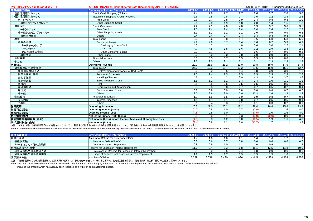| アプラスフィナンシャル開示の連結データ | <b>APLUS FINANCIAL Consolidated Data Disclosed by APLUS FINANCIAL</b> |                   |                   | 未監査(単位: 10億円) Unaudited (Billions of Yen) |                     |                  |                  |                     |                   |  |
|---------------------|-----------------------------------------------------------------------|-------------------|-------------------|-------------------------------------------|---------------------|------------------|------------------|---------------------|-------------------|--|
| 連結損益の概要             | <b>Summary of Income Statement</b>                                    | 2009.1-3          | 2009.4-6          |                                           | 2009.7-9 2009.10-12 | 2010.1-3         | 2010.4-6         | 2010.7-9 2010.10-12 |                   |  |
| 包括信用購入あっせん          | Credit Card Shopping (Hokatsu)                                        | 2.4               | 2.6               | 2.7                                       | 2.7                 | 2.6              | 2.7              | 2.8                 | 3.0               |  |
| 個別信用購入あっせん          | Installment Shopping Credit (Kobetsu)                                 | 2.6               | $\overline{2.8}$  | 2.8                                       | 2.7                 | 3.5              | 2.2              | 2.3                 | 2.3               |  |
| オートクレジット            | Auto Credit                                                           | 0.6               | 0.7               | 0.8                                       | 0.9                 | 1.4              | 0.8              | 0.8                 | 1.0               |  |
| その他ショッピングクレジット      | <b>Other Shopping Credit</b>                                          | 2.0               | 2.0               | 1.9                                       | 1.8                 | 2.0              | 1.4              | 1.5                 | 1.3               |  |
| 信用保証                | <b>Credit Guarantee</b>                                               | 4.2               | 4.1               | 4.0                                       | 4.0                 | 3.9              | 3.7              | 3.6                 | $\frac{3.5}{2.2}$ |  |
| オートクレジット            | <b>Auto Credit</b>                                                    | 2.3               | 2.4               | 2.4                                       | 2.4                 | 2.4              | 2.4              | 2.2                 |                   |  |
| その他ショッピングクレジット      | Other Shopping Credit                                                 | 1.3               | 1.2               | 1.1                                       | 1.1                 | 1.0              | 0.9              | 0.9                 | 0.8               |  |
| その他信用保証             | <b>Others</b>                                                         | 0.4               | 0.4               | 0.4                                       | 0.4                 | 0.4              | 0.4              | 0.4                 | 0.3               |  |
| 融資                  | <b>Total Loans</b>                                                    | 9.9               | 9.6               | 8.8                                       | 8.4                 | 7.6              | 6.8              | 5.3                 | 5.0               |  |
| 消費者金融               | <b>Consumer Loans</b>                                                 | 9.9               | 9.6               | 8.7                                       | 8.4                 | 7.6              | 6.7              | 5.3                 | 4.9               |  |
| カードキャッシング           | Cashing by Credit Card                                                | 4.3               | 4.2               | 4.1                                       | 4.0                 | $\overline{3.6}$ | 3.0              | $\overline{2.2}$    | 2.1               |  |
| ローンカード              | Loan Card                                                             | 4.7               | 4.5               | 3.8                                       | 3.6                 | 3.2              | 2.9              | 2.3                 | 2.1               |  |
| その他消費者金融            | Other Consumer Loans                                                  | 0.7               | 0.7               | 0.7                                       | 0.7                 | 0.6              | 0.7              | 0.6                 | 0.6               |  |
| その他融資               | Other Loans                                                           | 0.0               | 0.0               | 0.0                                       | 0.0                 | 0.0              | 0.0              | 0.0                 | 0.1               |  |
| 金融収益                | Financial Income                                                      | 0.5               | 0.5               | 0.7                                       | 0.9                 | 0.9              | 0.9              | 0.8                 | 1.0               |  |
| その他                 | <b>Others</b>                                                         | 2.2               | 2.0               | 2.1                                       | 2.1                 | 2.1              | 2.3              | 2.3                 | 2.3               |  |
| 営業収益                | <b>Operating Revenue</b>                                              | 22.0              | 21.9              | 21.2                                      | 21.0                | 20.8             | 18.9             | 17.5                | 17.4              |  |
| 販売費及び一般管理費          | <b>Total SG&amp;A</b>                                                 | 25.0              | 19.3              | 18.7                                      | 17.2                | 27.5             | 15.9             | 15.1                | 12.7              |  |
| 貸倒引当金繰入額            | Net Provision of Allowance for Bad Debts                              | 6.0               | 6.2               | 5.5                                       | 4.4                 | 4.8              | 3.9              | 3.9                 | 1.8               |  |
| 従業員給料 賞与            | <b>Personnel Expenses</b>                                             | 2.3               | 2.4               | 2.3                                       | 2.3                 | 2.3              | 2.3              | 2.3                 | 2.3               |  |
| 支払手数料               | <b>Handling Charges</b>                                               | 4.6               | 4.4               | 4.2                                       | 3.9                 | 4.3              | 3.9              | 3.7                 | $\frac{3.6}{1.1}$ |  |
| 販売促進費               | <b>Sales Promotion Costs</b>                                          | 1.5               | 1.2               | 1.1                                       | 1.4                 | 1.4              | 1.0              | 1.1                 |                   |  |
| 賃借料                 | Rent                                                                  | 0.5               | 0.5               | 0.5                                       | 0.5                 | 0.5              | 0.5              | 0.5                 | 0.5               |  |
| 減価償却額               | Depreciation and Amortization                                         | 0.8               | 0.8               | 0.8                                       | 0.7                 | 0.7              | 0.5              | 0.2                 | 0.4               |  |
| 通信費                 | <b>Communication Costs</b>                                            | 0.8               | 0.9               | 0.9                                       | 0.8                 | 0.8              | 0.8              | 0.7                 | 0.7               |  |
| その他                 | <b>Others</b>                                                         | 8.0               | 2.6               | 3.0                                       | 2.9                 | 12.3             | 2.6              | 2.3                 | 2.2               |  |
| 金融費用                | <b>Financial Expenses</b>                                             | 1.7               | 1.6               | 1.5                                       | 1.0                 | 0.9              | 0.8              | 0.7                 | 0.6               |  |
| 支払利息                | <b>Interest Expenses</b>                                              | 1.5               | 1.1               | 1.1                                       | 0.8                 | 0.7              | 0.5              | 0.5                 | 0.4               |  |
| その他                 | Others                                                                | 0.1               | 0.4               | $\overline{0.3}$                          | 0.1                 | 0.1              | $\overline{0.3}$ | 0.2                 | 0.1               |  |
| 営業費用                | <b>Operating Expenses</b>                                             | $\overline{26.7}$ | $\overline{21.0}$ | $\overline{20.2}$                         | 18.2                | 28.4             | 16.8             | 15.8                | 13.4              |  |
| 営業利益(損失)            | <b>Operating Income (Loss)</b>                                        | (4.7)             | 0.8               | 1.0                                       | $\overline{2.7}$    | (7.6)            | $\overline{2.1}$ | 1.6                 | 4.0               |  |
| 経常利益(損失)            | <b>Ordinary Income (Loss)</b>                                         | (4.8)             | 0.8               | 1.0                                       | 2.7                 | (7.5)            | $\overline{2.0}$ | 1.6                 | 4.0               |  |
| 特別損益(損失)            | <b>Net Extraordinary Profit (Loss)</b>                                | 0.8               | 0.0               | 0.1                                       | 0.3                 | (3.0)            | (0.0)            | 0.0                 | 0.0               |  |
| 税引前四半期純利益(損失)       | Net Income (Loss) before Income Taxes and Minority Interests          | (4.0)             | 0.8               | 1.2                                       | 3.0                 | (10.5)           | 1.9              | 1.6                 | 4.0               |  |
| 四半期純利益(損失)          | <b>Net Income (Loss)</b><br>. <del>.</del> <del>.</del>               | (3.4)             | 0.8               | 1.2                                       | 3.0                 | (12.7)           | 1.7              | 1.1                 | $\overline{3.8}$  |  |

注記: 2009年12月に改正割賦販売法が施行されたことに伴い、科目名を「総合あっせん」から「包括信用購入あっせん」、「個品あっせん」から「個別信用購入あっせん」へと変更しております。

Note: In accordance with the Revised Installment Sales Act effective from December 2009, the category previously referred to as "Sogo" has been renamed "Hokatsu", and "Kohin" has been renamed "Kobetsu".

| 利息返還関連        | <b>Grey Zone Related Information</b>                   | $2009.1 - 3$ | $2009.4 - 6$ |       | 2009.7-9 2009.10-12 |       | $2010.4 - 6$ |         | 2010.7-9 2010.10-12 |
|---------------|--------------------------------------------------------|--------------|--------------|-------|---------------------|-------|--------------|---------|---------------------|
| 利息返還額         | Amount of Refund for Grey Zone Claim                   |              |              |       | <u>.</u>            |       | ں. ا         |         | 1.9                 |
| 債権放棄額         | Amount of Debt Write-Off                               | $0.5\,$      | 0.6          |       | 0.8                 | 0.6   | 0.6          | 0.6     | 0.7                 |
| キャッシュアウト利息返還額 | Amount of Interest Repayment                           | 0.8          |              |       |                     | 1.0   | 0.9          |         | 1.2                 |
| 利息返還損失引当金     | Reserve for Losses on Interest Repayment               | 11.0         |              | 0.3   | 6.8                 | 15.1  | 13.5         | 11.8    | 10.0                |
| 利息返還損失引当金繰入額  | Provisions of Reserve for Losses on Interest Repayment |              | 0.0          | 0.5   | 0.4                 | 9.8   | 0.0          | $0.0\,$ | 0.0                 |
| 利息返還損失引当金使用額  | Usage of Reserve for Losses on Interest Repayment      |              |              |       |                     |       | 1.5          | 1.6     | 1.8                 |
| 開示請求件数        | Number of Claims                                       | 5,289        | 5.718        | 5.430 | 4,836               | 4,445 | 4,539        | 4,334   | 4,855               |

注記: 利息返還額のうち債権放棄額には会計上既に償却している債権を一部含んでいることなどから、利息返還額と会計上(利息損失引当金使用額)の金額とは異なっています。

Note: The "loan receivables write-off" amount included in "the amount of refund for grey zone claim" is different from or higher than the accounting loss since a portion of the "loan receivables write-off"

includes the amount which has already been recorded as a write-off on an accounting basis.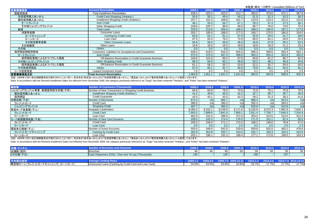|                   |                                                       |         |         |         |         |        |        | 未監査(単位: 10億円) Unaudited (Billions of Yen) |         |
|-------------------|-------------------------------------------------------|---------|---------|---------|---------|--------|--------|-------------------------------------------|---------|
| 営業債権残高            | <b>Account Receivables</b>                            | 2009.3  | 2009.6  | 2009.9  | 2009.12 | 2010.3 | 2010.6 | 2010.9                                    | 2010.12 |
| 割賦売掛金             | <b>Total Installment Receivables</b>                  | 428.4   | 425.4   | 425.5   | 412.7   | 350.0  | 370.6  | 372.1                                     | 367.8   |
| 包括信用購入あっせん        | Credit Card Shopping (Hokatsu)                        | 50.0    | 50.1    | 49.4    | 54.2    | 51.5   | 52.3   | 53.3                                      | 58.3    |
| 個別信用購入あっせん        | Installment Shopping Credit (Kobetsu)                 | 157.7   | 161.2   | 169.6   | 161.7   | 110.0  | 123.4  | 131.5                                     | 131.6   |
| オートクレジット          | <b>Auto Credit</b>                                    | 48.1    | 55.5    | 69.7    | 67.1    | 29.3   | 47.4   | 57.5                                      | 59.1    |
| その他ショッピングクレジット    | <b>Other Shopping Credit</b>                          | 109.6   | 105.7   | 99.9    | 94.6    | 80.7   | 76.0   | 74.0                                      | 72.4    |
| 融資                | <b>Total Loans</b>                                    | 220.5   | 213.9   | 206.4   | 196.6   | 188.3  | 194.9  | 187.1                                     | 177.8   |
| 消費者金融             | Consumer Loans                                        | 203.7   | 195.6   | 188.0   | 177.5   | 169.7  | 175.5  | 166.0                                     | 154.5   |
| カードキャッシング         | Cashing by Credit Card                                | 65.6    | 62.1    | 61.1    | 57.8    | 55.8   | 53.5   | 51.7                                      | 48.0    |
| ローンカード            | Loan Card                                             | 87.5    | 83.4    | 78.2    | 72.8    | 68.0   | 64.1   | 59.0                                      | 53.9    |
| その他消費者金融          | <b>Other Consumer Loans</b>                           | 50.6    | 50.0    | 48.6    | 46.9    | 45.8   | 57.8   | 55.2                                      | 52.5    |
| その他融資             | Other Loans                                           | 16.8    | 18.3    | 18.3    | 19.0    | 18.6   | 19.3   | 21.1                                      | 23.2    |
| その他               | Others                                                | 0.0     | 0.0     | 0.0     | 0.0     | 0.0    | 0.0    | 0.0                                       | 0.0     |
| 信用保証割賦売掛金         | Customers' Liabilities for Acceptances and Guarantees | 628.4   | 619.5   | 610.3   | 604.3   | 596.4  | 568.6  | 563.4                                     | 562.1   |
| オートクレジット          | <b>Auto Credit</b>                                    | 472.5   | 470.3   | 467.4   | 466.6   | 464.3  | 454.4  | 453.3                                     | 455.0   |
| 信用保証業務によるオフバランス残高 | Off-Balance Receivables in Credit Guarantee Business  | 104.6   | 101.6   | 99.3    | 97.6    | 94.6   | 91.2   | 86.7                                      | 82.5    |
| その他ショッピングクレジット    | <b>Other Shopping Credit</b>                          | 68.3    | 64.0    | 60.1    | 56.8    | 53.2   | 48.1   | 45.9                                      | 44.9    |
| 信用保証業務によるオフバランス残高 | Off-Balance Receivables in Credit Guarantee Business  | 61.1    | 58.2    | 55.7    | 53.9    | 52.2   | 50.7   | 50.0                                      | 50.0    |
| その他信用保証           | <b>Others</b>                                         | 87.6    | 85.1    | 82.7    | 80.8    | 78.8   | 66.1   | 64.0                                      | 62.2    |
| リース投資資産           | Leased Investment Assets                              | 7.0     | 6.2     | 5.5     | 4.8     | 4.1    | 3.5    | 2.9                                       | 2.3     |
| 営業債権残高合計          | Total Account Receivables                             | 1,063.8 | 1,051.1 | 1,041.3 | 1.021.8 | 950.6  | 942.8  | 938.4                                     | 932.4   |

注記: 2009年12月に改正割賦販売法が施行されたことに伴い、科目名を「総合あっせん」から「包括信用購入あっせん」、「個品あっせん」から「個別信用購入あっせん」へと変更しております。

Note: In accordance with the Revised Installment Sales Act effective from December 2009, the category previously referred to as "Sogo" has been renamed "Hokatsu", and "Kohin" has been renamed "Kobetsu".

| 顧客数                        | <b>Number of Customers (Thousands)</b>                 | 2009.3  | 2009.6  | 2009.9  | 2009.<br>121 | 2010.3  | 2010.6  | 2010.9  | 2010.12 |
|----------------------------|--------------------------------------------------------|---------|---------|---------|--------------|---------|---------|---------|---------|
| ショッピングクレジット事業 新規信用供与件数(千件) | Number of New Transactions in Shopping Credit Business | 84.8    | 83.9    | 79.5    | 74.6         | 72.0    | 70.1    | 75.9    | 70.5    |
| 個別信用購入あっせん                 | Installment Shopping Credit (Kobetsu)                  | 41.2    | 40.8    | 36.0    | 32.2         | 32.7    | 38.7    | 36.7    | 28.8    |
| 信用保証                       | <b>Credit Guarantee</b>                                | 43.5    | 43.1    | 43.5    | 42.3         | 39.2    | 31.3    | 39.2    | 41.6    |
| 加盟店数(千店)                   | Number of Merchants                                    | 874.3   | n/a     | 885.7   | n/a          | 898.4   | n/a     | 910.4   | n/a     |
| クレジットカード                   | <b>Credit Card</b>                                     | 386.5   | n/a     | 390.3   | n/a          | 392.4   | n/a     | 394.5   | n/a     |
| ショッピングクレジット                | <b>Shopping Credit</b>                                 | 487.7   | n/a     | 495.3   | n/a          | 505.9   | n/a     | 515.9   | n/a     |
| 有効カード会員数(千人)               | Available Cardholders                                  | 8.366.3 | 8,332.1 | 8.238.9 | 8.171.8      | 8.165.6 | 8.072.3 | 7,962.9 | 7,830.1 |
| クレジットカード                   | <b>Credit Card</b>                                     | 7.903.3 | 7.899.6 | 7.841.9 | 7,800.1      | 7.811.4 | 7.758.7 | 7,649.3 | 7,516.6 |
| ローンカード                     | Loan Card                                              | 462.9   | 432.4   | 396.9   | 371.6        | 354.2   | 313.5   | 313.5   | 313.4   |
| カード新規獲得枚数(千枚)              | Number of New Card Issuance                            | 208.0   | 242.0   | 174.4   | 176.0        | 171.5   | 151.1   | 81.4    | 50.0    |
| クレジットカード                   | <b>Credit Card</b>                                     | 205.0   | 239.0   | 171.1   | 174.0        | 168.2   | 148.6   | 78.8    | 47.6    |
| ローンカード                     | Loan Card                                              | 3.0     | 3.0     | 3.2     | 2.0          | 3.2     | 2.5     | 2.5     | 2.3     |
| 残高有口座数(千人)                 | Number of Active Accounts                              | 555.0   | 549.0   | 542.0   | 529.9        | 509.8   | 502.0   | 493.2   | 478.8   |
| クレジットカードキャッシング             | Cashing by Credit Card                                 | 352.9   | 352.8   | 350.7   | 343.5        | 332.7   | 329.3   | 325.2   | 315.6   |
| ローンカード                     | Loan Card                                              | 202.1   | 196.1   | 191.3   | 186.4        | 177.1   | 172.6   | 168.0   | 163.2   |

注記: 2009年12月に改正割賦販売法が施行されたことに伴い、科目名を「総合あっせん」から「包括信用購入あっせん」、「個品あっせん」から「個別信用購入あっせん」へと変更しております。

Note: In accordance with the Revised Installment Sales Act effective from December 2009, the category previously referred to as "Sogo" has been renamed "Hokatsu", and "Kohin" has been renamed "Kohetsu".

| 店舗・チャネル                       | Number of Branches and Channels                        |              |       |       |                     | 2010.3       | 2010.6       |       | 2010.12             |
|-------------------------------|--------------------------------------------------------|--------------|-------|-------|---------------------|--------------|--------------|-------|---------------------|
| 店舗数(箇所)                       | <b>Branches</b>                                        |              |       |       | 34                  | 34           |              | 34    | 34                  |
| CD台数(千台):                     | Cash Dispensers (CDs) (Own and Tie-up) (Thousands)     | 145          |       | 145   |                     | 146          |              | 147   |                     |
|                               |                                                        |              |       |       |                     |              |              |       |                     |
|                               | <b>Average Lending Rates</b>                           | $2009.1 - 3$ |       |       | 2009.7-9 2009.10-12 | $2010.1 - 3$ | $2010.4 - 6$ |       | 2010.7-9 2010.10-12 |
| 無担保ローン(クレジットカードキャッシング、ローンカード) | Unsecured Loans (Cashing by Credit Card and Loan Card) | 24.0%        | 24.0% | 23.9% | 23.8%               | 23.7%        | 17.7%ı       | 17.7% | 17.7%               |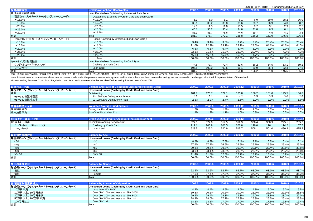| 融資残高内訳                     | <b>Breakdown of Loan Receivables</b>                | 2009.3 | 2009.6 | 2009.9 | 2009.12 | 2010.3 | 2010.6 | 2010.9 | 2010.12 |  |
|----------------------------|-----------------------------------------------------|--------|--------|--------|---------|--------|--------|--------|---------|--|
| 貸付金利別融資残高                  | Loan Receivables Outstanding by Interest Rate Zone  |        |        |        |         |        |        |        |         |  |
| 残高(クレジットカードキャッシング、ローンカード): | Outstanding (Cashing by Credit Card and Loan Card): |        |        |        |         |        |        |        |         |  |
| $~15.0\%$                  | $~15.0\%$                                           | 6.1    | 6.0    | 6.1    | 6.1     | 6.0    | 39.9   | 38.2   | 36.0    |  |
| $~18.0\%$                  | $~18.0\%$                                           | 38.1   | 39.2   | 39.8   | 39.6    | 38.7   | 96.9   | 94.0   | 88.2    |  |
| $~20.0\%$                  | $~20.0\%$                                           | 12.0   | 11.5   | 11.0   | 10.5    | 9.7    | 3.1    | 2.9    | 2.7     |  |
| $~25.0\%$                  | $~25.0\%$                                           | 40.1   | 38.2   | 36.4   | 34.8    | 31.8   | 6.5    | 6.1    | 5.8     |  |
| $~29.2\%$                  | $~29.2\%$                                           | 85.1   | 81.7   | 78.6   | 74.6    | 69.7   | 4.5    | 4.1    | 3.8     |  |
| 合計                         | Total                                               | 181.7  | 176.7  | 172.1  | 165.8   | 156.2  | 151.0  | 145.5  | 136.8   |  |
| 比率(クレジットカードキャッシング、ローンカード): | Ratios (Cashing by Credit Card and Loan Card):      |        |        |        |         |        |        |        |         |  |
| $~15.0\%$                  | $~15.0\%$                                           | 3.4%   | 3.4%   | 3.6%   | 3.7%    | 3.9%   | 26.4%  | 26.3%  | 26.4%   |  |
| $~18.0\%$                  | $~18.0\%$                                           | 21.0%  | 22.2%  | 23.1%  | 23.9%   | 24.8%  | 64.1%  | 64.6%  | 64.5%   |  |
| $~20.0\%$                  | $~20.0\%$                                           | 6.6%   | 6.5%   | 6.4%   | 6.4%    | 6.2%   | 2.1%   | 2.0%   | 2.0%    |  |
| $~25.0\%$                  | $~25.0\%$                                           | 22.1%  | 21.6%  | 21.2%  | 21.0%   | 20.4%  | 4.3%   | 4.2%   | 4.3%    |  |
| $~29.2\%$                  | $~29.2\%$                                           | 46.8%  | 46.2%  | 45.7%  | 45.0%   | 44.7%  | 3.0%   | 2.9%   | 2.8%    |  |
| 合計                         | Total                                               | 100.0% | 100.0% | 100.0% | 100.0%  | 100.0% | 100.0% | 100.0% | 100.0%  |  |
| カードタイプ別融資残高                | Loan Receivables Outstanding by Card Type           |        |        |        |         |        |        |        |         |  |
| クレジットカードキャッシング             | Cashing by Credit Card                              | 74.8   | 73.7   | 72.4   | 69.6    | 66.2   | 64.5   | 63.1   | 59.2    |  |
| ローンカード                     | Loan Card                                           | 106.8  | 103.0  | 99.6   | 96.1    | 89.9   | 86.4   | 82.3   | 77.5    |  |
| 合計                         | Total                                               | 181.7  | 176.7  | 172.1  | 165.8   | 156.2  | 151.0  | 145.5  | 136.8   |  |
|                            |                                                     |        |        |        |         |        |        |        |         |  |

注記: 旧金利体系で契約し、貸金業法完全施行後においても、新たな貸付が発生していない債権の一部については、金利を旧金利体系のまま据え置いており、金利体系として20%超に分類される債権は存在しております。

Note: Interest rates for receivables whose contracts were made under the previous interest rate system, and for which there has been no new borrowing, are not required to be changed after the full implementation of the rev Money-Lending Business Control and Regulation Law. As a result, some receivables are classified as having interest rates of over 20%.

| 延滞残高、比率                       | <b>Balance and Ratio of Delinguent Unsecured Personal Loans</b> | 2009.3 | 2009.6 | 2009.9 | 2009.12 | 2010.3 | 2010.6 | 2010.9 | 2010.12 |
|-------------------------------|-----------------------------------------------------------------|--------|--------|--------|---------|--------|--------|--------|---------|
| 無担保ローン(クレジットカードキャッシング、ローンカード) | Unsecured Loans (Cashing by Credit Card and Loan Card)          |        |        |        |         |        |        |        |         |
| 残高                            | Outstanding                                                     | 181.7  | 176.7  | 172.1  | 165.8   | 156.2  | 151.0  | 145.5  | 136.8   |
| 91~180日延滞残高                   | 91-180 Days Delinquency Amount                                  | 4.5    | 5.1    | 4.6    | 4.2     | 3.5    | 3.5    | 3.0    | 2.6     |
| 91~180日延滞比率                   | 91-180 Days Delinquency Ratio                                   | 2.5%   | 2.9%   | 2.7%   | 2.5%    | 2.2%   | 2.3%   | 2.1%   | 1.9%    |
| 加重平均借入金利                      | <b>Weighted Average Funding Rate</b>                            | 2009.3 | 2009.6 | 2009.9 | 2009.12 | 2010.3 | 2010.6 | 2010.9 | 2010.12 |
| 期中加重平均                        | During the Fiscal Year                                          | 1.5%   | 1.5%   | 1.4%   | 1.1%    | 1.0%   | 0.8%   | 0.7%   | 0.7%    |
| 期末加重平均                        | As of the Fiscal Year End                                       | 1.4%   | 1.3%   | 1.1%   | 1.0%    | 0.8%   | 0.8%   | 0.7%   | 0.7%    |
|                               |                                                                 |        |        |        |         |        |        |        |         |
| 1口座あたり残高(千円)                  | <b>Credit Outstanding Per Account (Thousands of Yen)</b>        | 2009.3 | 2009.6 | 2009.9 | 2009.12 | 2010.3 | 2010.6 | 2010.9 | 2010.12 |
| 1口座あたり残高                      | Credit Outstanding Per Account                                  | 327.3  | 322.0  | 317.5  | 312.9   | 306.4  | 300.9  | 295.1  | 285.7   |
| クレジットカードキャッシング                | Cashing by Credit Card                                          | 212.1  | 208.9  | 206.5  | 202.8   | 199.0  | 196.1  | 194.2  | 187.7   |
| ローンカード                        | Loan Card                                                       | 528.5  | 525.3  | 520.9  | 515.7   | 508.1  | 501.0  | 490.3  | 475.2   |
| 年齡別残高構成比                      | <b>Balance by Age</b>                                           | 2009.3 | 2009.6 | 2009.9 | 2009.12 | 2010.3 | 2010.6 | 2010.9 | 2010.12 |
| 無担保ローン(クレジットカードキャッシング、ローンカード) | Unsecured Loans (Cashing by Credit Card and Loan Card)          |        |        |        |         |        |        |        |         |
| $30$                          | $30$                                                            | 8.8%   | 8.3%   | 7.8%   | 7.4%    | 7.1%   | 6.8%   | 6.4%   | 6.1%    |
| <40                           | <40                                                             | 27.6%  | 27.2%  | 26.9%  | 26.5%   | 26.1%  | 25.9%  | 25.4%  | 25.0%   |
| $50$                          | < 50                                                            | 29.3%  | 29.6%  | 29.8%  | 30.0%   | 30.1%  | 30.4%  | 30.6%  | 30.8%   |
| <60                           | < 60                                                            | 23.0%  | 23.1%  | 23.2%  | 23.3%   | 23.5%  | 23.6%  | 23.7%  | 23.8%   |
| $>=$ 60                       | Over 60                                                         | 11.4%  | 11.8%  | 12.3%  | 12.7%   | 13.2%  | 13.4%  | 13.9%  | 14.3%   |
| 合計                            | Total                                                           | 100.0% | 100.0% | 100.0% | 100.0%  | 100.0% | 100.0% | 100.0% | 100.0%  |

| 性別                            | Balance bv Gender                                      | 2009.3 | $\sim$ |        | zuus.  | 884 C  | 2010.6 | 2010.9 |        |
|-------------------------------|--------------------------------------------------------|--------|--------|--------|--------|--------|--------|--------|--------|
| 無担保ローン(クレジットカードキャッシング、ローンカード) | Unsecured Loans (Cashing by Credit Card and Loan Card) |        |        |        |        |        |        |        |        |
| 男性                            | Male                                                   | 62.5%  | 62.6%  | 62.7%  | 62.7%  | 63.0%  | 63.1%  | 63.3%  | 63.7%  |
| 女性<br>-> 11                   | Female                                                 | 37.5%  | 37.4%  | 37.3%  | 37.3%  | 37.0%  | 36.9%  | 36.7%  | 36.3%  |
| 合計                            | Total                                                  | 100.0% | 100.0% | 100.0% | 100.0% | 100.0% | 100.0% | 100.0% | 100.0% |

| 実行残高別残高構成比                    | <b>Balance by Amount of Origination</b>                | 2009.3 | 2009.6 <sub>1</sub> | 2009.9 | 2009.12   | 2010.3 | 2010.6 | 2010.9 | 2010.12   |
|-------------------------------|--------------------------------------------------------|--------|---------------------|--------|-----------|--------|--------|--------|-----------|
| 無担保ローン(クレジットカードキャッシング、ローンカード) | Unsecured Loans (Cashing by Credit Card and Loan Card) |        |                     |        |           |        |        |        |           |
| 10万円未満                        | Less than JPY 100K                                     | 4.2%   | 4.4%                | 4.5%   | 4.6%      | 4.8%   | 5.0%   | 5.2%   | 5.5%      |
| 10万円以上、30万円未満                 | Over JPY 100K and less than JPY 300K                   | 19.8%  | 20.2%               | 20.6%  | 20.9%     | 21.7%  | 22.1%  | 22.9%  | 23.5%     |
| 30万円以上、50万円未満                 | Over JPY 300K and less than JPY 500K                   | 29.5%  | 29.4%               | 29.3%  | 29.3%     | 29.0%  | 28.8%  | 28.7%  | 29.0%     |
| 50万円以上、100万円未満                | Over JPY 500K and less than JPY 1M                     | 28.3%  | 28.0%               | 27.7%  | 27.3%     | 26.9%  | 26.7%  | 26.4%  | 25.5%     |
| 100万円以上                       | Over JPY 1M                                            | 18.2%  | 18.1%               | 17.9%  | 17.9%     | 17.6%  | 17.3%  | 16.8%  | 16.4%     |
| 順                             | Total                                                  | 100.0% | 100.0%              | 100.0% | $100.0\%$ | 100.0% | 100.0% | 100.0% | $100.0\%$ |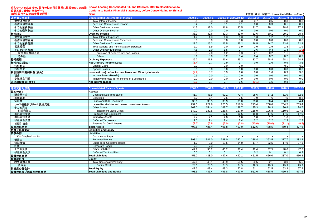#### 昭和リース株式会社の、銀行の勘定科目体系に組替後の、連結損 益計算書、貸借対照表データ **Showa Leasing Consolidated P/L and B/S Data, after Reclassification to**

| <b>Conform to Bank's Financial Statements, before Consolidating to Shinsei</b> |  |
|--------------------------------------------------------------------------------|--|
| <b>Bank</b>                                                                    |  |

| (新生銀行への連結会計処理前) | <b>Bank</b>                                              |              |          |      |                     |              | 未監査(単位: 10億円) Unaudited (Billions of Yen) |      |                     |
|-----------------|----------------------------------------------------------|--------------|----------|------|---------------------|--------------|-------------------------------------------|------|---------------------|
| 連結損益計算書         | <b>Consolidated Statements of Income</b>                 | $2009.1 - 3$ | 2009.4-6 |      | 2009.7-9 2009.10-12 | $2010.1 - 3$ | 2010.4-6                                  |      | 2010.7-9 2010.10-12 |
| 資金運用収益          | Total Interest Income                                    | 0.5          | 0.3      | 0.3  | 0.3                 | 0.7          | 0.5                                       | 0.3  | 0.3                 |
| 役務取引等収益         | Fees and Commissions Income                              | 0.2          | 0.1      | 0.1  | 0.1                 | 0.0          | 0.3                                       | 0.1  | 0.1                 |
| その他業務収益         | Other Business Income                                    | 34.5         | 32.0     | 31.8 | 30.5                | 31.7         | 29.1                                      | 28.6 | 27.9                |
| その他経常収益         | Other Ordinary Income                                    | 0.0          | 0.0      | 0.0  | 0.0                 | 0.0          | 0.0                                       | 0.0  | 0.0                 |
| 経常収益            | <b>Ordinary Income</b>                                   | 35.3         | 32.6     | 32.3 | 31.0                | 32.6         | 30.1                                      | 29.1 | 28.4                |
| 資金調達費用          | <b>Total Interest Expenses</b>                           | 1.4          | 1.3      | 1.3  | 1.3                 | 1.3          | 1.2                                       | 1.2  | 1.1                 |
| 役務取引等費用         | Fees and Commissions Expenses                            | 0.0          | 0.0      | 0.0  | 0.0                 | 0.0          | 0.0                                       | 0.0  | 0.0                 |
| その他業務費用         | Other Business Expenses                                  | 28.7         | 26.3     | 26.5 | 25.2                | 26.5         | 24.7                                      | 23.6 | 22.8                |
| 営業経費            | <b>Total General and Administrative Expenses</b>         | 2.0          | 1.9      | 2.0  | 1.9                 | 2.0          | 1.9                                       | 1.8  | 1.9                 |
| その他経常費用         | <b>Other Ordinary Expenses</b>                           | 4.5          | 2.0      | 1.5  | 0.7                 | 2.6          | 0.4                                       | 1.4  | (1.0)               |
| 貸倒引当金繰入額        | Provision of Reserve for Loan Losses                     | 3.9          | 2.0      | 1.2  | 0.3                 | 2.1          | 0.2                                       | 1.1  | (1.3)               |
| その他             | Others                                                   | 0.6          | 0.0      | 0.2  | 0.4                 | 0.4          | 0.2                                       | 0.2  | 0.3                 |
| 経常費用            | <b>Ordinary Expenses</b>                                 | 36.7         | 31.8     | 31.4 | 29.3                | 32.7         | 28.4                                      | 28.1 | 24.8                |
| 経常利益(損失)        | <b>Net Ordinary Income (Loss)</b>                        |              | 0.7      | 0.9  | 1.7                 | 0.0          | 1.6                                       | 0.9  | 3.6                 |
| 特別利益            | Special Gains                                            | 0.0          |          | 0.0  | 0.0                 |              |                                           | 0.0  | 0.0                 |
| 特別損失            | <b>Special Losses</b>                                    | 0.8          | 0.0      | 0.0  | 0.0                 | 0.0          | 0.0                                       | 0.0  | 0.0                 |
| 税引前四半期純利益(損失)   | Income (Loss) before Income Taxes and Minority Interests | 2.2          | 0.7      | 0.9  | 1.6                 | 0.0          | 1.6                                       | 0.9  | 3.6                 |
| 税金              | Income Taxes (Benefit)                                   | 0.9          | 0.0      | 0.1  | 0.0                 | 0.0          | 0.0                                       | 0.0  | 0.0                 |
| 少数株主利益          | Minority Interests in Net Income of Subsidiaries         | 0.0          | 0.0      | 0.0  | 0.0                 | 0.0          | 0.0                                       | 0.0  | 0.0                 |
| 四半期純利益(損失)      | Net Income (Loss)                                        | (3.1)        | 0.7      | 0.7  | 1.6                 | (0.1)        | 1.5                                       | 0.8  | 3.5                 |

| 連結貸借対照表        | <b>Consolidated Balance Sheets</b>             | 2009.3 | 2009.6 | 2009.9 | 2009.12 | 2010.3           | 2010.6 | 2010.9 | 2010.12 |
|----------------|------------------------------------------------|--------|--------|--------|---------|------------------|--------|--------|---------|
| 資産の部:          | Assets:                                        |        |        |        |         |                  |        |        |         |
| 現金預け金          | Cash and Due from Banks                        | 41.7   | 48.9   | 59.1   | 72.4    | 98.6             | 87.2   | 51.0   | 82.5    |
| 有価証券           | Securities                                     | 7.0    | 7.4    | 7.5    | 7.5     | 7.9              | 7.6    | 7.5    | 8.2     |
| 貸出金            | Loans and Bills Discounted                     | 36.0   | 35.5   | 33.3   | 35.0    | 39.0             | 36.4   | 36.3   | 34.4    |
| リース債権及びリース投資資産 | Lease Receivables and Leased Investment Assets | 232.0  | 227.6  | 223.5  | 216.9   | 213.4            | 208.6  | 204.5  | 203.4   |
| その他資産          | <b>Other Assets</b>                            | 167.0  | 154.4  | 148.7  | 138.7   | 135.3            | 128.3  | 130.8  | 128.7   |
| 割賦売掛金          | <b>Installment Sales Credit</b>                | 143.3  | 130.5  | 126.6  | 117.9   | 115.0            | 106.8  | 110.6  | 107.2   |
| 有形固定資産         | Premises and Equipment                         | 10.0   | 9.7    | 17.6   | 16.6    | 15.8             | 17.6   | 17.5   | 17.0    |
| 無形固定資産         | Intangible Assets                              | 2.4    | 2.1    | 2.0    | 1.8     | 1.8              | 1.7    | 1.6    | 1.5     |
| 繰延税金資産         | <b>Deferred Tax Assets</b>                     | 2.3    | 2.4    | 2.4    | 2.4     | $\overline{2.2}$ | 2.2    | 2.3    | 2.3     |
| 貸倒引当金          | <b>Reserve for Credit Losses</b>               | (7.2)  | (6.9)  | (7.0)  | (7.8)   | (10.0)           | (10.0) | (11.1) | (9.8)   |
| 資産の部合計         | <b>Total Assets</b>                            | 498.5  | 486.4  | 496.8  | 493.0   | 512.6            | 488.5  | 450.4  | 477.6   |
| 負債及び純資産        | <b>Liabilities and Equity</b>                  |        |        |        |         |                  |        |        |         |
| 負債の部:          | Liabilities:                                   |        |        |        |         |                  |        |        |         |
| コマーシャル・ペーパー    | <b>Commercial Paper</b>                        |        |        |        |         |                  |        |        |         |
| 借用金            | <b>Borrowed Money</b>                          | 398.1  | 381.0  | 388.0  | 387.1   | 388.4            | 363.5  | 317.7  | 332.8   |
| 短期社債           | Short-Term Corporate Bonds                     | 1.0    | 9.0    | 13.5   | 14.0    | 17.7             | 22.5   | 17.9   | 27.1    |
| 社債             | Corporate Bonds                                | 7.3    | 7.3    |        |         |                  |        |        |         |
| その他負債          | <b>Other Liabilities</b>                       | 42.2   | 38.2   | 43.2   | 38.4    | 42.4             | 37.5   | 48.6   | 47.5    |
| 繰延税金負債         | <b>Deferred Tax Liabilities</b>                | 0.0    | 0.1    | 0.1    | 0.1     | 0.2              | 0.1    | 0.1    | 0.3     |
| 負債の部合計         | <b>Total Liabilities</b>                       | 451.2  | 438.0  | 447.4  | 442.1   | 451.5            | 426.0  | 387.0  | 410.3   |
| 純資産の部          | Equity:                                        |        |        |        |         |                  |        |        |         |
| 株主資本合計         | <b>Total Shareholders' Equity</b>              | 47.4   | 48.1   | 48.9   | 50.5    | 60.5             | 62.1   | 63.0   | 66.5    |
| 資本金            | <b>Capital Stock</b>                           | 24.3   | 24.3   | 24.3   | 24.3    | 29.3             | 29.3   | 29.3   | 29.3    |
| 純資産の部合計        | <b>Total Equity</b>                            | 47.3   | 48.4   | 49.3   | 50.8    | 61.1             | 62.5   | 63.3   | 67.2    |
| 負債の部及び純資産の部合計  | <b>Total Liabilities and Equity</b>            | 498.5  | 486.4  | 496.8  | 493.0   | 512.6            | 488.5  | 450.4  | 477.6   |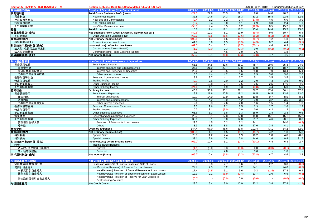| Section 5. 新生銀行 単体財務関連データ | Section 5. Shinsei Bank Non-Consolidated P/L and B/S Data    | 未監査(単位: 10億円) Unaudited (Billions of Yen) |                  |                  |                     |              |                  |                   |                     |
|---------------------------|--------------------------------------------------------------|-------------------------------------------|------------------|------------------|---------------------|--------------|------------------|-------------------|---------------------|
| 単体損益の概要                   | <b>Results of Operations (Non-Consolidated)</b>              | 2009.1-3                                  | 2009.4-6         |                  | 2009.7-9 2009.10-12 | $2010.1 - 3$ | 2010.4-6         |                   | 2010.7-9 2010.10-12 |
| 業務粗利益                     | <b>Total Gross Business Profit (Loss)</b>                    | (22.0)                                    | 27.8             | 25.3             | 29.1                | 6.0          | 24.0             | 46.2              | 21.1                |
| 資金利益                      | Net Interest Income                                          | 36.8                                      | 14.6             | 14.3             | 18.3                | 33.2         | 15.8             | 22.5              | 12.6                |
| 役務取引等利益                   | Net Fees and Commissions                                     | (2.4)                                     | 3.2              | $\overline{2.2}$ | 3.4                 | (17.8)       | 4.5              | 6.0               | 3.9                 |
| 特定取引利益                    | Net Trading Income                                           | (3.4)                                     | 0.4              | 3.0              | 1.1                 | 2.9          | 3.0              | 2.4               | 1.1                 |
| その他業務利益                   | Net Other Business Income                                    | (53.0)                                    | 9.4              | 5.5              | 6.2                 | (12.3)       | 0.5              | 15.2              | 3.3                 |
| 経費                        | <b>Total Expenses</b>                                        | 18.6                                      | 17.4             | 17.1             | 17.2                | 15.4         | 14.4             | $\overline{15.5}$ | 15.6                |
| 実質業務純益(損失)                | Net Business Profit (Loss) (Jisshitsu Gyomu Jun-eki)         | (40.6)                                    | 10.3             | 8.1              | 11.9                | (9.4)        | 9.5              | 30.7              | 5.4                 |
| その他損益                     | Other Operating Expenses, Net                                | (63.1)                                    | (8.5)            | (6.6)            | (13.6)              | (36.2)       | (5.2)            | (28.8)            | 0.3                 |
| 経常利益(損失)                  | <b>Net Ordinary Income (Loss)</b>                            | (103.8                                    | 1.7              | 1.5              | (1.7)               | (45.7)       | 4.2              | 1.8               | 5.8                 |
| 特別利益(損失)                  | Extraordinary Income (Loss)                                  | 41.8                                      | 8.6              | 1.5              | (0.9)               | (4.3)        | $\overline{0.2}$ | 4.4               | (3.1)               |
| 税引前四半期純利益(損失)             | Income (Loss) before Income Taxes                            | (62.0)                                    | 10.4             | 3.1              | (2.7)               | (50.1)       | 4.4              | 6.3               | 2.7                 |
| 法人税、住民税及び事業税              | <b>Current Income Taxes (Benefit)</b>                        | (1.1)                                     | (0.0)            | 0.3              | (0.3)               | 0.0          | (0.2)            | (0.1)             | (0.1)               |
| 法人税等調整額                   | Deferred Income Taxes Expense (Benefit)                      | 8.9                                       |                  | 4.6              | 0.0                 | 3.6          | $\sim$           | 1.8               | $\sim$              |
| 四半期純利益(損失)                | Net Income (Loss)                                            | (69.7)                                    | 10.4             | (1.8)            | (2.3)               | (53.8)       | 4.7              | 4.6               | 2.8                 |
|                           |                                                              |                                           |                  |                  |                     |              |                  |                   |                     |
| 単体損益計算書                   | <b>Non-Consolidated Statements of Operations</b>             | 2009.1-3                                  | 2009.4-6         |                  | 2009.7-9 2009.10-12 | $2010.1 - 3$ | 2010.4-6         |                   | 2010.7-9 2010.10-12 |
| 資金運用収益                    | Total Interest Income                                        | 55.5                                      | 34.5             | 33.6             | 36.1                | 48.7         | 29.5             | 35.3              | 24.9                |
| 貸出金利息                     | Interest on Loans and Bills Discounted                       | 25.5                                      | 21.9             | 20.7             | 23.8                | 19.9         | 19.4             | 18.7              | 16.8                |
| 有価証券利息配当金                 | Interest and Dividends on Securities                         | 26.6                                      | 8.2              | 8.5              | 8.6                 | 25.8         | 7.0              | 13.4              | 5.4                 |
| その他の資金運用収益                | Other Interest Income                                        | 3.3                                       | 4.4              | 4.2              | 3.6                 | 2.9          | 3.0              | 3.0               | 2.6                 |
| 役務取引等収益                   | Fees and Commissions Income                                  | 3.8                                       | $\overline{3.7}$ | 4.1              | $\overline{3.7}$    | 5.1          | 3.5              | 3.5               | 3.3                 |
| 特定取引収益                    | <b>Trading Profits</b>                                       | (2.7)                                     | 3.6              | 0.0              | 1.2                 | 3.0          | 7.3              | 3.6               | 0.0                 |
| その他業務収益                   | Other Business Income                                        | 8.5                                       | 12.8             | 7.4              | 7.6                 | 3.5          | 2.5              | 17.6              | 4.0                 |
| その他経常収益                   | Other Ordinary Income                                        | (24.6)                                    | 4.1              | 4.9              | 3.3                 | (3.8)        | 4.4              | 6.0               | 5.5                 |
| 経常収益                      | <b>Ordinary Income</b>                                       | 40.6                                      | 58.8             | 50.1             | 52.1                | 56.7         | 47.4             | 66.1              | 37.8                |
| 資金調達費用                    | <b>Total Interest Expenses</b>                               | 19.9                                      | 21.6             | 20.5             | 19.2                | 16.5         | 14.5             | 13.6              | 13.0                |
| 預金利息                      | <b>Interest on Deposits</b>                                  | 12.7                                      | 14.0             | 13.9             | 12.8                | 10.8         | 9.7              | 8.5               | 8.1                 |
| 社債利息                      | Interest on Corporate Bonds                                  | 4.6                                       | 4.2              | 3.9              | 4.2                 | 3.9          | 3.2              | 3.5               | 3.5                 |
| その他の資金調達費用                | Other Interest Expenses                                      | 2.6                                       | 3.3              | 2.6              | 2.0                 | 1.6          | 1.5              | 1.4               | 1.3                 |
| 役務取引等費用                   | Fees and Commissions Expenses                                | 3.3                                       | 2.6              | 2.2              | 2.5                 | 2.3          | 2.7              | 2.6               | 2.2                 |
| 特定取引費用                    | <b>Trading Losses</b>                                        | 0.7                                       | $\overline{3.1}$ | (3.0)            | 0.0                 | 0.0          | 4.2              | 1.2               | (1.1)               |
| その他業務費用                   | <b>Other Business Expenses</b>                               | 61.6                                      | 3.3              | 1.8              | 1.3                 | 15.9         | 1.8              | 2.3               | 0.6                 |
| 営業経費                      | General and Administrative Expenses                          | 20.7                                      | 18.1             | 17.8             | 17.8                | 15.8         | 15.1             | 16.1              | 16.2                |
| その他経常費用                   | <b>Other Ordinary Expenses</b>                               | 38.0                                      | 8.1              | 9.0              | 12.8                | 51.7         | 4.6              | 28.1              | 0.8                 |
| 貸倒引当金繰入額                  | Provision of Reserve for Loan Losses                         | 29.7                                      | 4.5              | 0.2              | 7.2                 | 24.1         | 1.1              | 24.0              | (0.3)               |
| その他                       | Others                                                       | 8.3                                       | 3.5              | 8.8              | 5.5                 | 27.6         | 3.4              | 4.1               | $\overline{1.2}$    |
| 経常費用                      | <b>Ordinary Expenses</b>                                     | 144.4                                     | 57.0             | 48.6             | 53.8                | 102.4        | 43.1             | 64.2              | 32.0                |
| 経常利益(損失)                  | <b>Net Ordinary Income (Loss)</b>                            | (103.8)                                   | 1.7              | 1.5              | (1.7)               | (45.7)       | 4.2              | 1.8               | 5.8                 |
| 特別利益                      | <b>Special Gains</b>                                         | 75.0                                      | 11.2             | 2.4              | 1.9                 | 10.2         | 1.8              | 4.8               | 28.6                |
| 特別損失                      | <b>Special Losses</b>                                        | 33.1                                      | 2.6              | 0.8              | 2.8                 | 14.6         | 1.6              | 0.4               | 31.7                |
| 税引前四半期純利益(損失)             | Income (Loss) before Income Taxes                            | (62.0)                                    | 10.4             | 3.1              | (2.7)               | (50.1)       | 4.4              | 6.3               | 2.7                 |
| 税金                        | Income Taxes (Benefit)                                       |                                           |                  |                  |                     |              |                  |                   |                     |
| 法人税、住民税及び事業税              | Current                                                      | (1.1)                                     | (0.0)            | 0.3              | (0.3)               | 0.0          | (0.0)            | (0.1)             | (0.1)               |
| 法人税等調整額                   | Deferred                                                     | 8.9                                       |                  | 4.6              |                     | 3.6          |                  | 1.8               | $\sim$              |
| 四半期純利益(損失)                | Net Income (Loss)                                            | (69.7)                                    | 10.4             | (1.8)            | (2.3)               | (53.8)       | 4.7              | 4.6               | 2.8                 |
|                           |                                                              |                                           |                  |                  |                     |              |                  |                   |                     |
| 与信関連費用 (単体)               | <b>Net Credit Costs (Non-Consolidated)</b>                   | 2009.1-3                                  | 2009.4-6         |                  | 2009.7-9 2009.10-12 | $2010.1 - 3$ | 2010.4-6         |                   | 2010.7-9 2010.10-12 |
| 貸出金償却·債権処分損               | Losses on Write-Off of Loans / Losses on Sale of Loans       | 0.0                                       | 0.8              | 2.7              | 3.6                 | 9.1          | 2.2              | 3.8               | (0.8)               |
| 貸倒引当金繰入                   | Net Provision (Reversal) of Reserve for Loan Losses          | 29.7                                      | 4.5              | 0.2              | 7.2                 | 24.1         | 1.1              | 24.0              | (0.3)               |
| 一般貸倒引当金繰入                 | Net (Reversal) Provision of General Reserve for Loan Losses  | 17.4                                      | (4.6)            | 6.1              | 9.6                 | 0.3          | (1.4)            | 17.4              | 0.4                 |
| 個別貸倒引当金繰入                 | Net (Reversal) Provision of Specific Reserve for Loan Losses | 12.3                                      | 9.1              | (5.9)            | (2.4)               | 23.7         | $\overline{2.6}$ | 6.5               | (0.8)               |
| 特定海外債権引当勘定繰入              | Net (Reversal) Provision of Reserve for Loan Losses to       | (0.0)                                     |                  | (0.0)            | 0.0                 | (0.0)        |                  | (0.0)             |                     |
|                           | <b>Restructuring Countries</b>                               |                                           |                  |                  |                     |              |                  |                   | (0.0)               |
| 与信閣連書用                    | <b>Net Credit Costs</b>                                      | 29.7                                      | 5.4              | 3.0              | 10.9                | 33.2         | 3.4              | 27.8              | (1.2)               |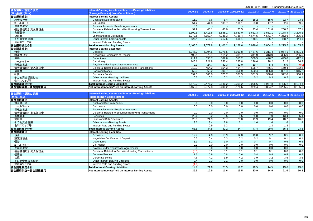|               |                                                                 |          |          |                   |                     |              | 不血且 \ 푸 L . ㅣ 이忌ㅣ ] / Urladdited (Dillions Of Terr) |         |                          |
|---------------|-----------------------------------------------------------------|----------|----------|-------------------|---------------------|--------------|-----------------------------------------------------|---------|--------------------------|
| 資金運用/調達の状況    | <b>Interest-Earning Assets and Interest-Bearing Liabilities</b> | 2009.1-3 | 2009.4-6 |                   | 2009.7-9 2009.10-12 | $2010.1 - 3$ | 2010.4-6                                            |         | 2010.7-9 2010.10-12      |
| (平均残高)( 单体)   | (Average Balance) (Non-Consolidated)                            |          |          |                   |                     |              |                                                     |         |                          |
| 資金運用勘定:       | <b>Interest-Earning Assets:</b>                                 |          |          |                   |                     |              |                                                     |         |                          |
| 現金預け金         | Cash and Due from Banks                                         | 11.3     | 7.6      | 5.4               | 10.2                | 18.2         | 15.0                                                | 32.7    | 23.8                     |
| コールローン        | Call Loans                                                      | 54.2     | 44.8     | 108.7             | 110.1               | 53.8         | 47.7                                                | 62.6    | 69.5                     |
| 買現先勘定         | Receivables under Resale Agreements                             | 0.0      |          |                   |                     |              |                                                     |         |                          |
| 債券貸借取引支払保証金   | <b>Collateral Related to Securities Borrowing Transactions</b>  | 97.9     | 45.1     | 48.0              | 73.5                | 73.4         | 101.8                                               | 200.2   | 157.1                    |
| 有価証券          | <b>Securities</b>                                               | 2,599.5  | 3,413.5  | 3,888.1           | 3,683.0             | 3,661.3      | 3,581.1                                             | 3,178.4 | 3,205.1                  |
| 貸出金           | Loans and Bills Discounted                                      | 5,073.8  | 4,850.4  | 4,738.3           | 4,736.4             | 4,674.5      | 4,571.7                                             | 4,352.6 | 4,205.5                  |
| その他資金運用       | Other Interest-Earning Assets                                   | 626.4    | 716.1    | 617.5             | 515.1               | 448.1        | 486.7                                               | 468.7   | 444.1                    |
| 金利スワップ等       | Interest Rate and Funding Swaps                                 |          |          |                   |                     |              |                                                     |         |                          |
| 資金運用勘定合計      | <b>Total Interest-Earning Assets</b>                            | 8.463.3  | 9,077.8  | 9,406.2           | 9,128.6             | 8,929.4      | 8,804.2                                             | 8,295.5 | 8,105.3                  |
| 資金調達勘定:       | <b>Interest-Bearing Liabilities:</b>                            |          |          |                   |                     |              |                                                     |         |                          |
| 預金            | <b>Deposits</b>                                                 | 6,245.0  | 6,994.6  | 6,978.5           | 6,911.8             | 6,487.6      | 6,311.4                                             | 5,954.1 | 5,831.1                  |
| 讓渡性預金         | Negotiable Certificates of Deposit                              | 402.4    | 378.4    | 414.2             | 384.7               | 341.9        | 313.9                                               | 305.0   | 285.5                    |
| 債券            | <b>Debentures</b>                                               | 711.2    | 655.7    | 582.6             | 513.2               | 500.5        | 476.7                                               | 445.0   | 412.1                    |
| コールマネー        | <b>Call Money</b>                                               | 146.6    | 221.8    | 256.4             | 285.8               | 226.6        | 198.2                                               | 181.2   | 166.3                    |
| 売現先勘定         | Payable under Repurchase Agreements                             | 2.9      | 24.7     | 82.3              | 52.0                | 19.7         | 5.4                                                 | 5.0     | (0.0)                    |
| 債券貸借取引受入保証金   | Collateral Related to Securities Lending Transactions           | 212.7    | 454.2    | 554.3             | 494.7               | 506.7        | 476.1                                               | 160.4   | 182.8                    |
| 借用金           | <b>Borrowed Money</b>                                           | 552.3    | 363.2    | 306.7             | 356.9               | 560.4        | 836.8                                               | 1,051.8 | 1,015.2                  |
| 社債            | Corporate Bonds                                                 | 397.0    | 383.0    | 370.7             | 361.5               | 361.5        | 338.4                                               | 322.0   | 300.9                    |
| その他資金調達勘定     | Other Interest-Bearing Liabilities                              | 0.2      | 0.2      | 0.2               | 0.2                 | 0.2          | 0.3                                                 | 0.2     | 0.1                      |
| 金利スワップ等       | Interest Rate and Funding Swaps                                 |          |          |                   |                     |              |                                                     |         | $\overline{\phantom{a}}$ |
| 資金調達勘定合計      | <b>Total Interest-Bearing Liabilities</b>                       | 8.670.7  | 9,476.2  | 9,546.2           | 9,361.2             | 9,005.6      | 8,957.8                                             | 8,425.2 | 8,194.4                  |
| 資金運用収益一資金調達費用 | Net Interest Income/Yield on Interest-Earning Assets            | 8,463.3  | 9,077.8  | 9,406.2           | 9,128.6             | 8,929.4      | 8,804.2                                             | 8,295.5 | 8,105.3                  |
|               |                                                                 |          |          |                   |                     |              |                                                     |         |                          |
| 資金運用/調達の状況    | Interest-Earning Assets and Interest-Bearing Liabilities        | 2009.1-3 | 2009.4-6 |                   | 2009.7-9 2009.10-12 | $2010.1 - 3$ | 2010.4-6                                            |         | 2010.7-9 2010.10-12      |
| (利息)(単体)      | (Interest) (Non-Consolidated)                                   |          |          |                   |                     |              |                                                     |         |                          |
| 資金運用勘定:       | <b>Interest-Earning Assets:</b>                                 |          |          |                   |                     |              |                                                     |         |                          |
| 現金預け金         | Cash and Due from Banks                                         | 0.0      | 0.0      | 0.0               | 0.0                 | 0.0          | 0.0                                                 | 0.0     | 0.0                      |
| コールローン        | Call Loans                                                      | 0.0      | 0.0      | 0.0               | 0.0                 | 0.0          | 0.0                                                 | 0.0     | 0.0                      |
| 買現先勘定         | Receivables under Resale Agreements                             |          |          |                   |                     |              |                                                     |         |                          |
| 債券貸借取引支払保証金   | Collateral Related to Securities Borrowing Transactions         | 0.0      | 0.0      | 0.0               | 0.0                 | 0.0          | 0.0                                                 | 0.0     | 0.0                      |
| 有価証券          | <b>Securities</b>                                               | 26.6     | 8.2      | 8.5               | 8.6                 | 25.8         | 7.0                                                 | 13.4    | 5.4                      |
| 貸出金           | Loans and Bills Discounted                                      | 25.5     | 21.9     | $\overline{20.7}$ | 23.8                | 19.9         | 19.4                                                | 18.7    | 16.8                     |
| その他資金運用       | Other Interest-Bearing Assets                                   | 3.2      | 3.4      | $\overline{2.8}$  | 2.1                 | 1.6          | 1.6                                                 | 1.6     | 14                       |
| 金利スワップ等       | Interest Rate and Funding Swaps                                 |          | 0.9      | $\overline{1.3}$  |                     |              | 1.3                                                 | 1.3     | $\sim$                   |
| 資金運用勘定合計      | <b>Total Interest-Earning Assets</b>                            | 55.5     | 34.5     | 32.2              | 34.7                | 47.4         | 29.5                                                | 35.3    | 23.8                     |
| 資金調達勘定:       | <b>Interest-Bearing Liabilities:</b>                            |          |          |                   |                     |              |                                                     |         |                          |
| 預金            | <b>Deposits</b>                                                 | 12.7     | 14.0     | 13.9              | 12.8                | 10.8         | 9.7                                                 | 8.5     | 8.1                      |

Debentures 1.3 1.2 1.0 0.8 0.7 0.7 0.6 0.5

金 Borrowed Money 0.8 | 0.6 | 0.4 | 0.5 | 0.5

Corporate Bonds 4.6 4.2 3.9 4.2 3.9 3.2 3.5 3.5

Call Money 0.1 0.0 0.0 0.0 0.0 0.0 0.0 0.0

Negotiable Certificates of Deposit 0.7 0.4 0.3 0.2 0.2 0.1 0.1 0.1

Payable under Repurchase Agreements 0.0 0.0 0.0 0.0 0.0 0.0 0.0 -

Collateral Related to Securities Lending Transactions (0.3) 0.1 0.1 0.1 0.1 0.1 0.1 0.0 0.0<br>Borrowed Money 1.3 0.9 0.8 0.6 0.4 0.4 0.5 0.5 0.5

Other Interest-Bearing Liabilities 0.4 0.3 0.1 0.0 0.0 0.0 0.0 0.0

Interest Rate and Funding Swaps (1.0) - - - - - - -

**Total Interest-Bearing Liabilities** 19.9 21.6 20.5 19.2 16.5 14.5 13.6 13.0

**Net Interest Income/Yield on Interest-Earning Assets** 35.5 12.9 11.6 15.5 30.9 14.9 21.6 10.8

讓渡性預金

コールマネー

債券貸借取引受入保証金

その他資金調達勘定

資金運用収益-資金調達費用

金利スワップ等

資金調達勘定合計

売現先勘定

借用金

社債

債券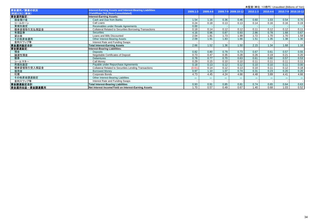| 木血且 / 半山. TO 忌门 / Urlaudited (Dillions Of Terry |                                                                                                |        |          |       |                     |              |          |       |                     |
|-------------------------------------------------|------------------------------------------------------------------------------------------------|--------|----------|-------|---------------------|--------------|----------|-------|---------------------|
| 資金運用/調達の状況<br>(利回り(%)) (単体)                     | nterest-Earning Assets and Interest-Bearing Liabilities<br>(Yield/Rate (%)) (Non-Consolidated) | 2009.1 | 2009.4-6 |       | 2009.7-9 2009.10-12 | $2010.1 - 3$ | 2010.4-6 |       | 2010.7-9 2010.10-12 |
| 資金運用勘定:                                         | nterest-Earning Assets:                                                                        |        |          |       |                     |              |          |       |                     |
| 現金預け金                                           | Cash and Due from Banks                                                                        | 1.54   | 1.16     | 0.36  | 0.46                | 0.60         | 1.03     | 0.54  | 0.70                |
| コールローン                                          | Call Loans                                                                                     | 0.24   | 0.18     | 0.13  | 0.13                | 0.14         | 0.16     | 0.16  | 0.19                |
| 買現先勘定                                           | Receivables under Resale Agreements                                                            | 0.00   |          |       |                     |              |          |       |                     |
| 債券貸借取引支払保証金                                     | <b>Collateral Related to Securities Borrowing Transactions</b>                                 | 0.18   | 0.14     | 0.12  | 0.12                | 0.11         | 0.12     | 0.12  | 0.11                |
| 有価証券                                            | <b>Securities</b>                                                                              | 4.16   | 0.96     | 0.87  | 0.93                | 2.86         | 0.78     | 1.68  | 0.67                |
| 貸出金                                             | Loans and Bills Discounted                                                                     | 2.04   | 1.81     | 1.73  | 1.99                | 1.72         | 1.70     | 1.70  | 1.59                |
| その他資金運用                                         | Other Interest-Bearing Assets                                                                  | 2.09   | 1.91     | 1.83  | 1.66                | 1.51         | 1.35     | 1.38  | 1.30                |
| 金利スワップ等                                         | Interest Rate and Funding Swaps                                                                |        |          |       |                     |              |          |       |                     |
| 資金運用勘定合計                                        | <b>Total Interest-Earning Assets</b>                                                           | 2.66   | 1.52     | 1.36  | 1.50                | 2.15         | 1.34     | 1.68  | 1.16                |
| 資金調達勘定                                          | Interest-Bearing Liabilities:                                                                  |        |          |       |                     |              |          |       |                     |
| 預金                                              | <b>Deposits</b>                                                                                | 0.82   | 0.80     | 0.79  | 0.73                | 0.67         | 0.61     | 0.57  | 0.55                |
| 讓渡性預金                                           | Negotiable Certificates of Deposit                                                             | 0.73   | 0.47     | 0.35  | 0.28                | 0.26         | 0.19     | 0.21  | 0.20                |
| 債券                                              | <b>Debentures</b>                                                                              | 0.78   | 0.77     | 0.70  | 0.63                | 0.61         | 0.60     | 0.57  | 0.53                |
| コールマネー                                          | Call Money                                                                                     | 0.29   | 0.15     | 0.10  | 0.10                | 0.11         | 0.11     | 0.11  | 0.11                |
| 売現先勘定                                           | Payable under Repurchase Agreements                                                            | 0.18   | 0.13     | 0.12  | 0.12                | 0.10         | 0.10     | 0.11  | 0.00                |
| 債券貸借取引受入保証金                                     | <b>Collateral Related to Securities Lending Transactions</b>                                   | (0.61) | 0.14     | 0.12  | 0.13                | 0.10         | 0.11     | 0.12  | 0.18                |
| 借用金                                             | <b>Borrowed Money</b>                                                                          | 0.97   | 1.10     | 1.07  | 0.74                | 0.31         | 0.23     | 0.20  | 0.20                |
| 社債                                              | Corporate Bonds                                                                                | 4.73   | 4.45     | 4.24  | 4.66                | 4.48         | 3.89     | 4.41  | 4.66                |
| その他資金調達勘定                                       | Other Interest-Bearing Liabilities                                                             | $***$  | $***$    | $***$ | ***                 | ***          | $***$    | $***$ | $***$               |
| 金利スワップ等                                         | Interest Rate and Funding Swaps                                                                |        |          |       |                     |              |          |       |                     |
| 資金調達勘定合計                                        | <b>Total Interest-Bearing Liabilities</b>                                                      | 0.93   | 0.91     | 0.85  | 0.81                | 0.74         | 0.65     | 0.64  | 0.63                |
| 資金運用収益一資金調達費用                                   | Net Interest Income/Yield on Interest-Earning Assets                                           | 1.70   | 0.57     | 0.49  | 0.67                | 1.40         | 0.68     | 1.03  | 0.52                |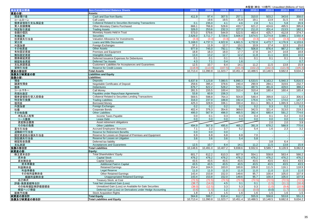|                  |                                                                |          |          |          |          |          |                  | <b>I DIE TO DIRECTED INTO OF TUIL</b> |                          |
|------------------|----------------------------------------------------------------|----------|----------|----------|----------|----------|------------------|---------------------------------------|--------------------------|
| 単体貸借対照表          | <b>Non-Consolidated Balance Sheets</b>                         | 2009.3   | 2009.6   | 2009.9   | 2009.12  | 2010.3   | 2010.6           | 2010.9                                | 2010.12                  |
| 資 <u>産の部:</u>    | Assets:                                                        |          |          |          |          |          |                  |                                       |                          |
| 現金預け金            | Cash and Due from Banks                                        | 411.9    | 97.4     | 307.5    | 257.1    | 310.0    | 503.2            | 343.6                                 | 358.0                    |
| コールローン           | Call Loans                                                     |          | 19.6     | 19.5     | 25.9     | 19.1     | 13.9             | 31.5                                  | 8.6                      |
| 債券貸借取引支払保証金      | <b>Collateral Related to Securities Borrowing Transactions</b> | 0.1      | 235.0    | 4.1      | 4.6      | 2.8      | 5.1              | 5.8                                   | 20.9                     |
| 買入金銭債権           | Other Monetary Claims Purchased                                | 666.1    | 766.8    | 528.6    | 433.7    | 621.2    | 424.6            | 495.5                                 | 395.8                    |
| 特定取引資産           | <b>Trading Assets</b>                                          | 326.0    | 253.6    | 232.3    | 227.3    | 211.0    | 201.4            | 213.5                                 | 182.1                    |
|                  |                                                                | 573.0    | 579.6    | 544.9    | 522.5    | 463.4    | 425.7            | 412.8                                 | 374.7                    |
| 金銭の信託            | Monetary Assets Held in Trust                                  | 2,626.0  | 3,711.7  |          | 3,606.0  | 3,674.5  | 3,274.8          |                                       |                          |
| 有価証券             | <b>Securities</b>                                              |          |          | 3,729.6  |          |          |                  | 3,089.1                               | 3,550.4                  |
| 投資損失引当金          | Valuation Allowance for Investments                            | (3.3)    | (3.3)    | (3.3)    | (3.3)    | (3.3)    | (3.3)            | (3.3)                                 | (3.3)                    |
| 貸出金              | Loans and Bills Discounted                                     | 5,168.0  | 4,737.3  | 4,922.8  | 4,661.5  | 4,732.8  | 4,473.7          | 4.176.9                               | 4,103.6                  |
| 外国為替             | Foreign Exchanges                                              | 37.1     | 11.9     | 12.7     | 13.1     | 10.9     | 17.4             | 12.3                                  | 15.0                     |
| その他資産            | <b>Other Assets</b>                                            | 977.9    | 745.0    | 792.1    | 758.7    | 506.8    | 876.4            | 987.2                                 | 687.5                    |
| 有形固定資産           | Premises and Equipment                                         | 18.8     | 18.3     | 18.0     | 17.7     | 17.8     | 14.7             | 14.8                                  | 18.8                     |
| 無形固定資産           | <b>Intangible Assets</b>                                       | 13.4     | 13.2     | 12.7     | 12.2     | 11.8     | 11.1             | 10.6                                  | 10.0                     |
| 債券繰延資産           | Deferred Issuance Expenses for Debentures                      | 0.1      | 0.1      | 0.1      | 0.1      | 0.1      | 0.1              | 0.1                                   | 0.1                      |
| 繰延税金資産           | <b>Deferred Tax Assets</b>                                     | 4.3      | 7.1      | 0.4      | 1.6      |          |                  |                                       | 0.7                      |
| 支払承諾見返           | Customers' Liabilities for Acceptances and Guarantees          | 12.5     | 10.7     | 8.4      | 14.1     | 11.2     | 11.5             | 13.8                                  | 15.9                     |
| 貸倒引当金            | <b>Reserve for Credit Losses</b>                               | (118.9)  | (113.9)  | (107.5)  | (101.9   | (102.2)  | (102.3)          | (121.9)                               | (105.3)                  |
| 資産の部合計           | <b>Total Assets</b>                                            | 10,713.4 | 11,090.8 | 11,023.7 | 10,451.4 | 10,488.5 | 10,148.5         | 9,682.8                               | 9,634.2                  |
| 負債及び純資産の部        | <b>Liabilities and Equity</b>                                  |          |          |          |          |          |                  |                                       |                          |
| 負債の部:            | Liabilities:                                                   |          |          |          |          |          |                  |                                       |                          |
| 預金               | <b>Deposits</b>                                                | 6,637.8  | 7,123.8  | 7,080.5  | 6,890.3  | 6,533.5  | 6,163.2          | 5,940.3                               | 5,816.5                  |
| 讓渡性預金            | Negotiable Certificates of Deposit                             | 259.6    | 395.4    | 378.6    | 240.4    | 290.9    | 284.1            | 319.6                                 | 232.7                    |
| 債券               | <b>Debentures</b>                                              | 676.7    | 622.2    | 528.2    | 503.1    | 487.5    | 461.6            | 429.0                                 | 388.2                    |
| コールマネー           | Call Money                                                     | 281.5    | 155.5    | 100.4    | 310.4    | 310.4    | 180.4            | 160.4                                 | 165.4                    |
| 売現先勘定            | Payables under Repurchase Agreements                           | 53.8     | 60.9     | 156.3    |          | 8.4      |                  |                                       |                          |
| 債券貸借取引受入担保金      | Collateral Related to Securities Lending Transactions          | 569.5    | 598.8    | 764.3    | 504.8    | 548.4    | 399.8            | 112.2                                 | 306.6                    |
| 特定取引負債           | <b>Trading Liabilities</b>                                     | 316.0    | 237.0    | 188.8    | 192.4    | 176.6    | 179.7            | 174.0                                 | 147.7                    |
| 借用金              | <b>Borrowed Money</b>                                          | 425.3    | 328.9    | 336.1    | 330.4    | 811.1    | 901.3            | 1,065.9                               | 1,012.0                  |
| 外国為替             | Foreign Exchanges                                              | 0.2      | 0.2      | 0.2      | 0.2      | 0.2      | 0.3              | 0.2                                   | 0.2                      |
|                  | Corporate Bonds                                                | 402.4    |          |          |          | 342.5    |                  |                                       |                          |
| 社債               |                                                                |          | 376.3    | 354.6    | 369.0    |          | 321.4            | 313.0<br>591.2                        | 219.3                    |
| その他負債            | <b>Other Liabilities</b>                                       | 495.0    | 567.9    | 496.0    | 465.5    | 392.4    | 680.4            |                                       | 774.6                    |
| 未払法人税等           | Income Taxes Payable                                           | 0.0      | 0.1      | 0.3      | 0.3      | 0.4      | 0.1              | 0.2                                   | 0.0                      |
| リース債務            | <b>Lease Debt</b>                                              | 0.0      | 0.0      | 0.0      | 0.0      | 0.0      | 0.0              | 0.0                                   | 0.0                      |
| 資産除去債務           | Asset retirement obligations                                   |          |          |          |          |          | 2.0              | 2.0                                   | 3.9                      |
| その他の負債           | <b>Other Liabilities</b>                                       | 494.9    | 567.8    | 495.6    | 465.2    | 391.9    | 678.2            | 588.9                                 | 770.6                    |
| 賞与引当金            | <b>Accrued Employees' Bonuses</b>                              | 7.1      | 2.2      | 3.7      | 5.2      | 5.4      | 1.6              | 2.3                                   | 3.2                      |
| 退職給付引当金          | <b>Reserve for Retirement Benefits</b>                         | 0.0      | 0.0      | 0.0      | ÷.       |          |                  |                                       |                          |
| 固定資産処分損失引当金      | Reserve for Losses on Disposal of Premises and Equipment       | 6.9      | 6.8      | 6.8      | 6.8      | 7.0      |                  | $\sim$                                | $\overline{\phantom{a}}$ |
| 訴訟損失引当金          | Reserve for Losses on Litigation                               | 3.6      | 3.6      | 3.6      | 5.4      | 5.8      |                  | $\sim$                                | $\sim$                   |
| 繰延税金負債           | Deferred tax liability                                         |          |          |          |          |          | $\overline{3.8}$ | 6.4                                   |                          |
| 支払承諾             | <b>Acceptances and Guarantees</b>                              | 12.5     | 10.7     | 8.4      | 14.1     | 11.2     | 11.5             | 13.8                                  | 15.9                     |
|                  | <b>Total Liabilities</b>                                       | 10,148.6 | 10,491.0 | 10,407.2 | 9,838.6  | 9,932.6  | 9,589.7          | 9,128.9                               | 9,082.8                  |
| 負債の部合計<br>純資産の部: | Eauitv:                                                        |          |          |          |          |          |                  |                                       |                          |
| 株主資本合計           | <b>Total Shareholders' Equity</b>                              | 601.7    | 612.2    | 610.3    | 607.9    | 554.1    | 558.8            | 563.4                                 | 566.2                    |
| 資本金              | <b>Capital Stock</b>                                           | 476.2    | 476.2    | 476.2    | 476.2    | 476.2    | 476.2            | 476.2                                 | 476.2                    |
| 資本剰余金            | <b>Capital Surplus</b>                                         | 43.5     | 43.5     | 43.5     | 43.5     | 43.5     | 43.5             | 43.5                                  | 43.5                     |
| 資本準備金            | <b>Additional Paid-in Capital</b>                              | 43.5     | 43.5     | 43.5     | 43.5     | 43.5     | 43.5             | 43.5                                  | 43.5                     |
| 利益剰余金            | <b>Retained Earnings</b>                                       | 154.4    | 164.9    | 163.0    | 160.6    | 106.8    | 111.5            | 116.1                                 | 118.9                    |
| 利益準備金            | <b>Legal Reserve</b>                                           | 11.0     | 11.0     | 11.0     | 11.0     | 11.0     | 11.0             | 11.0                                  | 11.0                     |
| その他利益剰余金         | <b>Other Retained Earnings</b>                                 | 143.4    | 153.8    | 152.0    | 149.6    | 95.7     | 100.4            | 105.0                                 | 107.9                    |
| 繰越利益剰余金          | <b>Unappropriated Retained Earnings</b>                        | 143.4    | 153.8    | 152.0    | 149.6    | 95.7     | 100.4            | 105.0                                 | 107.9                    |
| 自己株式             | Treasury Stock, at Cost                                        | (72.5)   | (72.5)   | (72.5)   | (72.5)   | (72.5)   | (72.5)           | (72.5)                                | (72.5)                   |
| 評価・換算差額等合計       | <b>Total Net Unrealized Gain (Loss)</b>                        | (38.7)   | (14.0)   | 4.5      | 3.1      | 0.1      | (1.5)            | (11.1)                                | (16.4)                   |
| その他有価証券評価差額金     | Unrealized Gain (Loss) on Available-for-Sale Securities        | (38.0)   | (12.5)   | 3.3      | 5.3      | 0.3      | (1.0)            | (9.4)                                 | (10.9)                   |
| 繰延ヘッジ損益          | Deferred Gain (Loss) on Derivatives under Hedge Accounting     | (0.6)    | (1.5)    | 1.2      | (2.1)    | (0.0)    | (0.0)            | (1.7)                                 | (5.5)                    |
|                  |                                                                | 1.8      | 1.6      | 1.5      | 1.6      | 1.6      | 1.5              | 1.6                                   |                          |
| 新株予約権<br>純資産の部合計 | <b>Stock Acquisition Rights</b>                                |          |          |          |          |          |                  |                                       | 1.5                      |
| 負債及び純資産の部合計      | <b>Total Equity</b>                                            | 564.8    | 599.7    | 616.4    | 612.7    | 555.9    | 558.8            | 553.8                                 | 551.3                    |
|                  | <b>Total Liabilities and Equity</b>                            | 10,713.4 | 11,090.8 | 11,023.7 | 10,451.4 | 10,488.5 | 10,148.5         | 9,682.8                               | 9,634.2                  |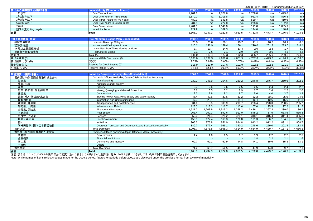|                    |                                                                                 |         |         |         |         |                  | 未監査(単位: 10億円) Unaudited (Billions of Yen) |                  |            |
|--------------------|---------------------------------------------------------------------------------|---------|---------|---------|---------|------------------|-------------------------------------------|------------------|------------|
| 貸出金の残存期間別残高(単体)    | <b>Loan Maturity (Non-consolidated)</b>                                         | 2009.3  | 2009.6  | 2009.9  | 2009.12 | 2010.3           | 2010.6                                    | 2010.9           | 2010.12    |
| 1年以下               | One Year or Less                                                                | 1,701.6 | n/a     | 1.827.6 | n/a     | 1.708.0          | n/a                                       | 1,493.6          | n/a        |
| 1年超3年以下            | Over One Year to Three Years                                                    | 1,370.0 | n/a     | 1,015.8 | n/a     | 961.4            | n/a                                       | 866.3            | n/a        |
| 3年超5年以下            | Over Three Years to Five Years                                                  | 480.9   | n/a     | 541.8   | n/a     | 529.7            | n/a                                       | 419.6            | n/a        |
| 5年超7年以下            | Over Five Years to Seven Years                                                  | 284.3   | n/a     | 222.0   | n/a     | 278.6            | n/a                                       | 182.8            | n/a        |
| 7年超                | Over Seven Years                                                                | 1,201.0 | n/a     | 1,146.0 | n/a     | 111.0            | n/a                                       | 1,065.9          | n/a        |
| 期間の定めのないもの         | <b>Indefinite Term</b>                                                          | 129.9   | n/a     | 169.3   | n/a     | 144.0            | n/a                                       | 148.4            | n/a        |
| 合計                 | Total                                                                           | 5.168.0 | 4.737.3 | 4.922.8 | 4.661.5 | 4.732.8          | 4.473.7                                   | 4.176.9          | 4,103.6    |
|                    |                                                                                 |         |         |         |         |                  |                                           |                  |            |
| リスク管理債権(単体)        | <b>Risk Monitored Loans (Non-Consolidated)</b>                                  | 2009.3  | 2009.6  | 2009.9  | 2009.12 | 2010.3           | 2010.6                                    | 2010.9           | 2010.12    |
| 破綻先債権額             | Loans to Bankrupt Obligors                                                      | 23.9    | 23.0    | 20.1    | 19.7    | 11.1             | 10.2                                      | 10.1             | 8.6        |
| 延滞債権額              | Non-Accrual Delinquent Loans                                                    | 110.2   | 146.9   | 129.4   | 136.1   | 290.0            | 281.3                                     | 273.0            | 248.4      |
| 3ヵ月以上延滞債権額         | Loans Past Due Three Months or More                                             | 3.7     | 10.7    | 24.6    | 13.4    | 2.0              | 2.3                                       | 1.7              | 3.0        |
| 貸出条件緩和債権額          | <b>Restructured Loans</b>                                                       | 3.1     | 2.6     | 3.1     | 2.9     | $\overline{3.0}$ | $\overline{3.0}$                          | 4.5              | 4.5        |
| 合計 (A)             | Total (A)                                                                       | 141.0   | 183.4   | 177.3   | 172.3   | 306.2            | 296.9                                     | 289.6            | 264.5      |
| 貸出金残高(B)           | Loans and Bills Discounted (B)                                                  | 5,168.0 | 4,737.3 | 4,922.8 | 4,661.5 | 4,732.8          | 4,473.7                                   | 4,176.9          | 4,103.6    |
| 貸出残高比 (A)/(B)      | (A)/(B)                                                                         | 2.73%   | 3.87%   | 3.60%   | 3.70%   | 6.47%            | 6.64%                                     | 6.93%            | 6.45%      |
| 貸倒引当金 (C)          | Reserve for Credit Losses (C)                                                   | 118.9   | 113.9   | 107.5   | 101.9   | 102.2            | 102.3                                     | 121.9            | 105.3      |
| 引当率 (C)/(A)        | Reserve Ratios (C)/(A)                                                          | 84.3%   | 62.1%   | 60.7%   | 59.2%   | 33.4%            | 34.5%                                     | 42.1%            | 39.8%      |
|                    |                                                                                 |         |         |         |         |                  |                                           |                  |            |
| 業種別貸出残高(単体)        | <b>Loans by Borrower Industry (Non-Consolidated)</b>                            | 2009.3  | 2009.6  | 2009.9  | 2009.12 | 2010.3           | 2010.6                                    | 2010.9           | 2010.12    |
| 国内(除く特別国際金融取引勘定分): | Domestic Offices (excluding Japan Offshore Market Accounts):                    |         |         |         |         |                  |                                           |                  |            |
| 製造業                | Manufacturing                                                                   | 239.3   | 248.9   | 254.6   | 260.2   | 246.8            | 246.7                                     | 250.6            | 232.1      |
| 農業、林業              | Agriculture and Forestry                                                        |         |         |         |         |                  |                                           |                  |            |
| 漁業                 | Fisherv                                                                         | 2.7     | 2.6     | 2.6     | 2.5     | 2.5              | 2.4                                       | 2.4              | 2.2        |
| 鉱業、砕石業、砂利採取業       | Mining, Quarrying and Gravel Extraction                                         | 3.6     | 3.5     | 3.2     | 2.9     | 2.7              | 2.4                                       | $\overline{2.2}$ | 2.0        |
| 建設業                | Construction                                                                    | 12.2    | 7.9     | 8.2     | 8.7     | 5.6              | 4.0                                       | $\overline{3.7}$ | 3.8        |
| 電気・ガス・熱供給・水道業      | Electric Power, Gas, Heat Supply and Water Supply                               | 45.4    | 43.6    | 39.6    | 39.2    | 32.3             | 30.1                                      | 25.9             | 24.6       |
| 情報通信業              | Information and Communications                                                  | 47.3    | 29.4    | 19.4    | 18.4    | 16.4             | 10.6                                      | 15.6             | 11.3       |
| 運輸業、郵便業            | <b>Transportation and Postal Service</b>                                        | 331.6   | 319.5   | 308.9   | 293.7   | 288.4            | 278.3                                     | 268.5            | 295.7      |
| 卸売業、小売業            | Wholesale and Retail                                                            | 123.0   | 118.3   | 116.7   | 113.6   | 107.0            | 95.5                                      | 97.2             | 91.5       |
| 金融業、保険業            | Finance and Insurance                                                           | 1,521.2 | 1,203.9 | 1,515.2 | 1,268.2 | 1.486.1          | 1,397.3                                   | 1,239.0          | 1,186.4    |
| 不動産業               | <b>Real Estate</b>                                                              | 966.4   | 950.3   | 892.6   | 912.0   | 845.2            | 737.5                                     | 663.5            | 565.8      |
| 各種サービス業            | Services                                                                        | 352.0   | 321.4   | 321.2   | 329.1   | 318.1            | 316.4                                     | 311.4            | 395.3      |
| 地方公共団体             | <b>Local Government</b>                                                         | 156.5   | 172.4   | 168.3   | 170.8   | 171.3            | 166.7                                     | 164.1            | 163.2      |
| 個人                 | Individual                                                                      | 905.3   | 876.8   | 851.0   | 844.8   | 913.2            | 912.2                                     | 891.1            | 908.7      |
| 海外円借款、国内店名義現地貸     | Overseas Yen Loan and Overseas Loans Booked Domestically                        | 389.7   | 377.4   | 366.1   | 350.2   | 248.6            | 229.0                                     | 201.4            | 183.4      |
| 国内店計               | <b>Total Domestic</b>                                                           | 5.096.7 | 4.676.5 | 4.868.3 | 4.614.9 | 4.684.9          | 4,429.7                                   | 4.137.1          | 4,066.5    |
| 海外及び特別国際金融取引勘定分:   | Overseas Offices (including Japan Offshore Market Accounts):                    |         |         |         |         |                  |                                           |                  |            |
| 政府等                | Governments                                                                     | 1.4     | 1.6     | 1.5     | 1.7     | 1.9              | 2.2                                       | $\overline{2.2}$ | 2.3        |
| 金融機関               | <b>Financial Institutions</b>                                                   |         |         |         |         | 1.8              | 2.2                                       | 2.1              | 1.6        |
| 商工業                | Commerce and Industry                                                           | 69.7    | 59.1    | 52.9    | 44.8    | 44.1             | 39.6                                      | 35.3             | 33.1       |
| その他                | Others                                                                          |         |         |         |         |                  |                                           |                  | $\sim$ $-$ |
| 海外合計               | <b>Total Overseas</b>                                                           | 71.2    | 60.7    | 54.5    | 46.5    | 47.9             | 44.0                                      | 39.7             | 37.1       |
| 合計                 | <b>Total</b>                                                                    | 5.168.0 | 4,737.3 | 4.922.8 | 4.661.5 | 4,732.8          | 4,473.7                                   | 4.176.9          | 4,103.6    |
|                    | 注記:項目名については2009.6の表示区分の変更に沿って表示しておりますが、重要性に鑑み、2009.3以前につきましては、従来の開示計数を表示しております。 |         |         |         |         |                  |                                           |                  |            |

Note: While names of items reflect changes made for the 2009.6 period, figures for periods before 2009.3 are disclosed under the previous format from a view of materiality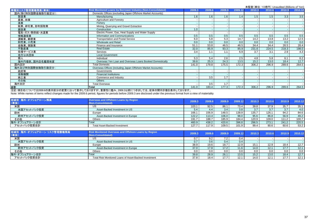|                    | 木盅宜\芈位. TO忌门/ Urlaudited (Dillions of Terr)                                     |        |        |        |         |        |        |        |         |
|--------------------|---------------------------------------------------------------------------------|--------|--------|--------|---------|--------|--------|--------|---------|
| 業種別リスク管理債権残高(単体)   | <b>Risk Monitored Loans by Borrower Industry (Non-Consolidated)</b>             | 2009.3 | 2009.6 | 2009.9 | 2009.12 | 2010.3 | 2010.6 | 2010.9 | 2010.12 |
| 国内(除く特別国際金融取引勘定分): | Domestic Offices (excluding Japan Offshore Market Accounts):                    |        |        |        |         |        |        |        |         |
| 製造業                | Manufacturing                                                                   | 1.6    | 1.6    | 1.6    | 1.4     | 1.5    | 1.5    | 3.3    | 3.5     |
| 農業、林業              | Agriculture and Forestry                                                        |        |        |        |         |        |        |        |         |
| 漁業                 | Fishery                                                                         |        |        |        |         |        |        |        |         |
| 鉱業、砕石業、砂利採取業       | Mining, Quarrying and Gravel Extraction                                         |        |        |        |         |        |        |        |         |
| 建設業                | Construction                                                                    | 1.0    |        |        |         |        |        |        |         |
| 電気・ガス・熱供給・水道業      | Electric Power, Gas, Heat Supply and Water Supply                               |        |        |        |         |        |        |        |         |
| 情報通信業              | Information and Communications                                                  | 0.5    | 0.5    | 0.5    | 0.5     | 0.5    | 0.5    | 0.5    | 0.5     |
| 運輸業、郵便業            | <b>Transportation and Postal Service</b>                                        | 6.0    | 5.8    | 5.3    | 14.7    | 14.2   | 13.8   | 13.2   | 12.5    |
| 卸売業、小売業            | <b>Wholesale and Retail</b>                                                     | 0.0    | 0.0    | 0.0    | 0.0     | 0.0    | 0.0    | 0.0    | 0.0     |
| 金融業、保険業            | Finance and Insurance                                                           | 51.1   | 53.8   | 46.5   | 46.5    | 34.4   | 34.4   | 26.5   | 26.4    |
| 不動産業               | <b>Real Estate</b>                                                              | 32.0   | 85.9   | 93.3   | 85.9    | 231.6  | 224.5  | 218.3  | 198.0   |
| 各種サービス業            | <b>Services</b>                                                                 | 3.4    | 1.1    |        | 6.9     | 3.7    | 3.1    | 2.9    | 4.3     |
| 地方公共団体             | <b>Local Government</b>                                                         |        |        |        |         |        |        |        |         |
| 個人                 | Individual                                                                      | 5.3    | 5.4    | 2.6    | 2.5     | 4.8    | 5.8    | 6.1    | 6.2     |
| 海外円借款、国内店名義現地貸     | Overseas Yen Loan and Overseas Loans Booked Domestically                        | 39.8   | 25.3   | 24.3   | 13.5    | 15.2   | 13.0   | 18.4   | 12.7    |
| 国内店計               | <b>Total Domestic</b>                                                           | 141.0  | 179.8  | 175.5  | 172.3   | 306.2  | 296.9  | 289.6  | 264.5   |
| 海外及び特別国際金融取引勘定分:   | Overseas Offices (including Japan Offshore Market Accounts):                    |        |        |        |         |        |        |        |         |
| 政府等                | Governments                                                                     |        |        |        |         |        |        |        |         |
| 金融機関               | <b>Financial Institutions</b>                                                   |        |        |        |         |        |        |        |         |
| 商工業                | Commerce and Industry                                                           |        | 3.5    | 1.7    |         |        |        |        |         |
| その他                | <b>Others</b>                                                                   |        |        |        |         |        |        |        |         |
| 海外合計               | <b>Total Overseas</b>                                                           |        | 3.5    | 1.7    |         |        |        |        |         |
| 合計                 | Total                                                                           | 141.0  | 183.4  | 177.3  | 172.3   | 306.2  | 296.9  | 289.6  | 264.5   |
|                    | 注記:項目名については2009.6の表示区分の変更に沿って表示しておりますが、重要性に鑑み、2009.3以前につきましては、従来の開示計数を表示しております。 |        |        |        |         |        |        |        |         |

Note: While names of items reflect changes made for the 2009.6 period, figures for periods before 2009.3 are disclosed under the previous format from a view of materiality

| 地域別 海外・オフショアローン残高<br>(単体)         | <b>Overseas and Offshore Loans by Region</b><br>(Non-Consolidated)                | 2009.3     | 2009.6               | 2009.9        | 2009.12       | 2010.3 | 2010.6 | 2010.9 | 2010.12 |
|-----------------------------------|-----------------------------------------------------------------------------------|------------|----------------------|---------------|---------------|--------|--------|--------|---------|
| 米国                                | US                                                                                | 103.7      | 92.5                 | 86.1          | 73.4          | 39.8   | 37.9   | 35.7   | 35.1    |
| 米国アセットバック投資                       | Asset-Backed Investment in US                                                     |            | 4.4                  | 3.4           | 3.8           | 3.7    | 3.7    | 3.7    | 4.0     |
| 欧州                                | Europe                                                                            | 166.7      | 156.9                | 148.5         | 138.9         | 135.7  | 126.1  | 94.2   | 84.6    |
| 欧州アセットバック投資                       | Asset-Backed Investment in Europe                                                 | 122.2      | 113.4                | 106.0         | 98.0          | 95.6   | 86.8   | 56.9   | 49.2    |
| その他                               | <b>Others</b>                                                                     | 191.7      | 188.7                | 185.9         | 184.4         | 120.9  | 109.0  | 111.2  | 100.7   |
| 海外・オフショアローン合計                     | Total                                                                             | 460.9      | 438.2                | 420.6         | 396.8         | 296.5  | 273.1  | 241.2  | 220.5   |
| アセットバック投資合計                       | <b>Total Asset-Backed Investment</b>                                              | 127.7      | 117.9                | 109.5         | 101.9         | 99.4   | 90.6   | 60.6   | 53.2    |
|                                   |                                                                                   |            |                      |               |               |        |        |        |         |
| 地域別 海外・オフショアローン リスク管理債権残高<br>(単体) | <b>Risk Monitored Overseas and Offshore Loans by Region</b><br>(Non-Consolidated) | 2009.3     | 2009.6               | 2009.9        | 2009.12       | 2010.3 | 2010.6 | 2010.9 | 2010.12 |
| $\cdots$                          | $\overline{\phantom{a}}$                                                          | $\sim$ $-$ | $\sim$ $\sim$ $\sim$ | $\sim$ $\sim$ | $\sim$ $\sim$ |        |        |        |         |

|               | <b><i>INVIT OUTSURGEEY</i></b>                        |      |      |      |      |      |      |      |      |
|---------------|-------------------------------------------------------|------|------|------|------|------|------|------|------|
| 米国            | US                                                    |      |      |      | J.4  |      |      |      |      |
| 米国アセットバック投資   | Asset-Backed Investment in US                         |      | 0.6  | 0.4  | 0.4  |      |      |      |      |
| 欧小            | Europe                                                | 38.9 | 19.6 | 18.7 | 12.9 | 15.1 | 12.9 | 18.4 | 12.7 |
| 欧州アセットバック投資   | Asset-Backed Investment in Europe                     | 37.0 | 17.8 | 17.2 | 11.6 | 14.0 | 12.1 | 17.7 | 12.1 |
| その他           | Others                                                |      | 0.0  | 0.0  | n n  | 0.0  | 0.0  | 0.0  | 0.0  |
| 海外・オフショアローン合計 | Total                                                 | 39.8 | 28.9 | 26.1 | 13.5 | 15.2 | 13.0 | 18.4 | 12.7 |
| アセットバック投資合計   | Total Risk Monitored Loans of Asset-Backed Investment | 37 R | 18.4 | 177  | 12.1 | 14.0 | 12.1 | 17.7 | 12.1 |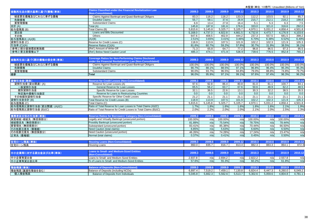|                          |                                                                                             |         |         |         |         |         | $\frac{1}{2}$ $\frac{1}{2}$ $\frac{1}{2}$ $\frac{1}{2}$ $\frac{1}{2}$ $\frac{1}{2}$ $\frac{1}{2}$ $\frac{1}{2}$ $\frac{1}{2}$ $\frac{1}{2}$ $\frac{1}{2}$ $\frac{1}{2}$ $\frac{1}{2}$ $\frac{1}{2}$ $\frac{1}{2}$ $\frac{1}{2}$ $\frac{1}{2}$ $\frac{1}{2}$ $\frac{1}{2}$ $\frac{1}{2}$ $\frac{1}{2}$ $\frac{1}{2}$ |         |         |
|--------------------------|---------------------------------------------------------------------------------------------|---------|---------|---------|---------|---------|---------------------------------------------------------------------------------------------------------------------------------------------------------------------------------------------------------------------------------------------------------------------------------------------------------------------|---------|---------|
| 金融再生法の開示基準に基づく債権(単体)     | <b>Claims Classified under the Financial Revitalization Law</b><br><b>Non-Consolidated)</b> | 2009.3  | 2009.6  | 2009.9  | 2009.12 | 2010.3  | 2010.6                                                                                                                                                                                                                                                                                                              | 2010.9  | 2010.12 |
| 破産更生債権及びこれらに準ずる債権        | Claims Against Bankrupt and Quasi-Bankrupt Obligors                                         | 83.3    | 116.2   | 116.2   | 133.3   | 112.2   | 103.5                                                                                                                                                                                                                                                                                                               | 92.1    | 85.7    |
| 危険債権                     | <b>Doubtful Claims</b>                                                                      | 55.7    | 58.1    | 37.6    | 26.9    | 215.7   | 212.1                                                                                                                                                                                                                                                                                                               | 218.2   | 198.8   |
| 要管理債権                    | <b>Substandard Claims</b>                                                                   | 6.9     | 13.4    | 27.8    | 16.4    | 5.1     | 5.3                                                                                                                                                                                                                                                                                                                 | 6.3     | 7.5     |
| 合計(A)                    | Total (A)                                                                                   | 145.8   | 187.8   | 181.6   | 176.6   | 333.0   | 321.0                                                                                                                                                                                                                                                                                                               | 316.6   | 292.0   |
| 総与信残高(B)                 | Total Claims (B)                                                                            | 5,815.6 | 5.145.8 | 5,325.7 | 5.105.7 | 4,970.1 | 5.031.2                                                                                                                                                                                                                                                                                                             | 4.858.4 | 4.501.8 |
| 貸出金                      | Loans and Bills Discounted                                                                  | 5,168.0 | 4,737.3 | 4,922.8 | 4,661.5 | 4,732.8 | 4,473.7                                                                                                                                                                                                                                                                                                             | 4,176.9 | 4,103.6 |
| その他                      | Others                                                                                      | 647.6   | 408.5   | 402.9   | 444.2   | 237.3   | 557.5                                                                                                                                                                                                                                                                                                               | 681.5   | 398.2   |
| 総与信残高比 (A)/(B)           | (A)/(B)                                                                                     | 2.51%   | 3.65%   | 3.41%   | 3.46%   | 6.70%   | 6.38%                                                                                                                                                                                                                                                                                                               | 6.52%   | 6.49%   |
| 貸倒引当金 (C)                | Reserve for Credit Losses (C)                                                               | 118.9   | 113.9   | 107.5   | 101.9   | 102.2   | 102.3                                                                                                                                                                                                                                                                                                               | 121.9   | 105.3   |
| 引当率 (C)/(A)              | Reserve Ratios (C)/(A)                                                                      | 81.6%   | 60.7%   | 59.2%   | 57.8%   | 30.7%   | 31.9%                                                                                                                                                                                                                                                                                                               | 38.5%   | 36.1%   |
| (参考1)部分直接償却実施額           | (Ref.) Amount of Write-Off                                                                  | 71.3    | 65.8    | 64.7    | 77.2    | 96.8    | 96.5                                                                                                                                                                                                                                                                                                                | 97.3    | 95.5    |
| (参考2)要注意債権以下             | (Ref.) Below Need Caution Level                                                             | 485.3   | 474.1   | 471.9   | 536.9   | 739.6   | 776.5                                                                                                                                                                                                                                                                                                               | 852.8   | 765.2   |
|                          |                                                                                             |         |         |         |         |         |                                                                                                                                                                                                                                                                                                                     |         |         |
| 金融再生法に基づく開示債権の保全率(単体)    | <b>Coverage Ratios for Non-Performing Claims Disclosed</b>                                  | 2009.3  | 2009.6  | 2009.9  | 2009.12 | 2010.3  | 2010.6                                                                                                                                                                                                                                                                                                              | 2010.9  | 2010.12 |
|                          | <b>Inder the Financial Revitalization Law (Non-Consolidated)</b>                            |         |         |         |         |         |                                                                                                                                                                                                                                                                                                                     |         |         |
| 破産更生債権及びこれらに準ずる債権        | Claims Against Bankrupt and Quasi-Bankrupt Obligors                                         | 100.0%  | 100.0%  | 100.0%  | 100.0%  | 100.0%  | 100.0%                                                                                                                                                                                                                                                                                                              | 100.0%  | 100.0%  |
| 危険債権                     | Doubtful Claims                                                                             | 90.7%   | 88.1%   | 88.5%   | 97.1%   | 96.8%   | 96.4%                                                                                                                                                                                                                                                                                                               | 95.3%   | 95.3%   |
| 要管理債権                    | <b>Substandard Claims</b>                                                                   | 90.0%   | 93.7%   | 96.5%   | 94.8%   | 79.0%   | 88.8%                                                                                                                                                                                                                                                                                                               | 74.8%   | 79.7%   |
| 合計                       | <b>Total</b>                                                                                | 96.0%   | 95.9%   | 97.1%   | 99.1%   | 97.6%   | 97.4%                                                                                                                                                                                                                                                                                                               | 96.3%   | 96.2%   |
|                          |                                                                                             |         |         |         |         |         |                                                                                                                                                                                                                                                                                                                     |         |         |
| 貸倒引当金(単体)                | <b>Reserve for Credit Losses (Non-Consolidated)</b>                                         | 2009.3  | 2009.6  | 2009.9  | 2009.12 | 2010.3  | 2010.6                                                                                                                                                                                                                                                                                                              | 2010.9  | 2010.12 |
| 貸倒引当金(貸出関連)(A)           | Reserve for Loan Losses (A)                                                                 | 97.6    | 92.8    | 86.4    | 80.8    | 81.0    | 81.1                                                                                                                                                                                                                                                                                                                | 100.7   | 84.1    |
| 一般貸倒引当金                  | General Reserve for Loan Losses                                                             | 65.5    | 56.2    | 63.7    | 67.6    | 50.6    | 48.9                                                                                                                                                                                                                                                                                                                | 62.2    | 48.5    |
| 個別貸倒引当金                  | Specific Reserve for Loan Losses                                                            | 32.1    | 36.5    | 22.6    | 13.1    | 30.3    | 32.2                                                                                                                                                                                                                                                                                                                | 38.5    | 35.5    |
| 特定海外債権引当勘定               | Reserve for Loans to Restructuring Countries                                                | 0.0     | 0.0     | 0.0     | 0.0     | 0.0     | 0.0                                                                                                                                                                                                                                                                                                                 | 0.0     | 0.0     |
| その他個別貸倒引当金               | Specific Reserve for Other Credit Losses                                                    | 21.2    | 21.1    | 21.1    | 21.1    | 21.1    | 21.1                                                                                                                                                                                                                                                                                                                | 21.1    | 21.1    |
| 貸倒引当金合計(B)               | Total Reserve for Credit Losses (B)                                                         | 118.9   | 113.9   | 107.5   | 101.9   | 102.2   | 102.3                                                                                                                                                                                                                                                                                                               | 121.9   | 105.3   |
| 総与信残高 (C)                | Total Claims (C)                                                                            | 5.815.6 | 5.145.8 | 5.325.7 | 5.105.7 | 4.970.1 | 5.031.2                                                                                                                                                                                                                                                                                                             | 4.858.4 | 4.501.8 |
| 総与信残高比貸倒引当金(貸出関連)(A)/(C) | Ratio of Total Reserve for Loan Losses to Total Claims (A)/(C)                              | 1.7%    | 1.8%    | 1.6%    | 1.6%    | 1.6%    | 1.6%                                                                                                                                                                                                                                                                                                                | 2.1%    | 1.9%    |
| 総与信残高比貸倒引当金 (B)/(C)      | Ratio of Total Reserve for Credit Losses to Total Claims (B)/(C)                            | 2.0%    | 2.2%    | 2.0%    | 2.0%    | 2.1%    | 2.0%                                                                                                                                                                                                                                                                                                                | 2.5%    | 2.3%    |
|                          |                                                                                             |         |         |         |         |         |                                                                                                                                                                                                                                                                                                                     |         |         |
| 債務者区分別の引当率(単体)           | <b>Reserve Ratios for Borrowers' Category (Non-Consolidated)</b>                            | 2009.3  | 2009.6  | 2009.9  | 2009.12 | 2010.3  | 2010.6                                                                                                                                                                                                                                                                                                              | 2010.9  | 2010.12 |
| 実質破綻·破綻先 (無担保部分)         | Legally and Virtually Bankrupt (unsecured portion)                                          | 100.00% | n/a     | 100.00% | n/a     | 100.00% | n/a                                                                                                                                                                                                                                                                                                                 | 100.00% | n/a     |
| 破綻懸念先 (無担保部分)            | Possibly Bankrupt (unsecured portion)                                                       | 81.89%  | n/a     | 75.54%  | n/a     | 78.75%  | n/a                                                                                                                                                                                                                                                                                                                 | 78.44%  | n/a     |
| 要管理先 (無担保部分)             | Substandard (unsecured portion)                                                             | 83.41%  | n/a     | 85.38%  | n/a     | 70.44%  | n/a                                                                                                                                                                                                                                                                                                                 | 66.50%  | n/a     |
| その他要注意先 (債権額)            | Need Caution (total claims)                                                                 | 6.85%   | n/a     | 5.63%   | n/a     | 6.60%   | n/a                                                                                                                                                                                                                                                                                                                 | 6.50%   | n/a     |
| その他要注意先 (無担保部分)          | Need Caution (unsecured portion)                                                            | 46.26%  | n/a     | 74.28%  | n/a     | 17.24%  | n/a                                                                                                                                                                                                                                                                                                                 | 23.47%  | n/a     |
| 正常先 (債権額)                | Normal (total claims)                                                                       | 0.37%   | n/a     | 0.41%   | n/a     | 0.45%   | n/a                                                                                                                                                                                                                                                                                                                 | 0.50%   | n/a     |
| 住宅ローン残高(単体)              | <b>Housing Loans (Non-Consolidated)</b>                                                     | 2009.3  | 2009.6  | 2009.9  | 2009.12 | 2010.3  | 2010.6                                                                                                                                                                                                                                                                                                              | 2010.9  | 2010.12 |
| 住宅ローン残高                  |                                                                                             | 860.0   | 835.7   | 816.7   | 813.4   | 882.3   | 883.3                                                                                                                                                                                                                                                                                                               | 864.1   | 872.3   |
|                          | Housing Loans                                                                               |         |         |         |         |         |                                                                                                                                                                                                                                                                                                                     |         |         |
|                          | Loans to Small- and Medium-Sized Entities                                                   |         |         |         |         |         |                                                                                                                                                                                                                                                                                                                     |         |         |
| 中小企業等に対する貸出金及び比率(単体)     | (Non-Consolidated)                                                                          | 2009.3  | 2009.6  | 2009.9  | 2009.12 | 2010.3  | 2010.6                                                                                                                                                                                                                                                                                                              | 2010.9  | 2010.12 |
| 中小企業等貸出金                 | Loans to Small- and Medium-Sized Entities                                                   | 2,937.8 | n/a     | 2,694.2 | n/a     | 2,822.2 | n/a                                                                                                                                                                                                                                                                                                                 | 2,557.8 | n/a     |
| 中小企業等貸出金比率               | % of Loans to Small- and Medium-Sized Entities                                              | 57.6%   | n/a     | 55.3%   | n/a     | 60.2%   | n/a                                                                                                                                                                                                                                                                                                                 | 61.8%   | n/a     |
|                          |                                                                                             |         |         |         |         |         |                                                                                                                                                                                                                                                                                                                     |         |         |
| 預金残高(単体)                 | <b>Balance of Deposits (Non-Consolidated)</b>                                               | 2009.3  | 2009.6  | 2009.9  | 2009.12 | 2010.3  | 2010.6                                                                                                                                                                                                                                                                                                              | 2010.9  | 2010.12 |
| 預金残高(譲渡性預金を含む)           | Balance of Deposits (including NCDs)                                                        | 6.897.4 | 7,519.2 | 7,459.1 | 7,130.8 | 6,824.4 | 6,447.3                                                                                                                                                                                                                                                                                                             | 6,260.0 | 6,049.2 |
| 個人預金残高                   | Balance of Deposits from Individuals                                                        | 5.045.8 | 5.662.3 | 5.562.6 | 5.513.7 | 5.302.6 | 5.059.6                                                                                                                                                                                                                                                                                                             | 4.804.8 | 4.781.1 |